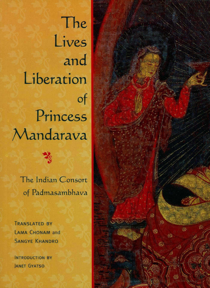The Lives and Liberation  $\circ f$ Princess Mandarava

> The Indian Consort of Padmasambhava

**TRANSLATED BY LAMA CHONAM and SANGYE KHANDRO** 

**INTRODUCTION BY** JANET GYATSO

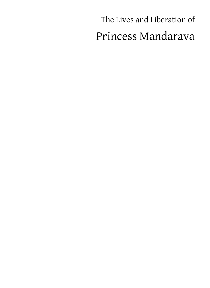The Lives and Liberation of Princess Mandarava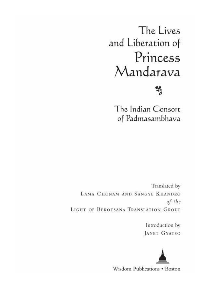The Lives and Liberation of Princess Mandarava

## ℁

The Indian Consort of Padmasambhava

Translated by LAMA CHONAM AND SANGYE KHANDRO of the LIGHT OF BEROTSANA TRANSLATION GROUP

> Introduction by JANET GYATSO



Wisdom Publications • Boston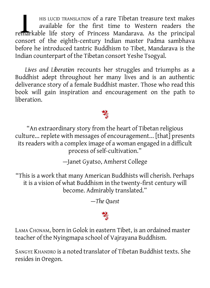H<br>
a<br>
remarkabl<br>
consort o HIS LUCID TRANSLATION of a rare Tibetan treasure text makes available for the first time to Western readers the remarkable life story of Princess Mandarava. As the principal consort of the eighth-century Indian master Padma sambhava before he introduced tantric Buddhism to Tibet, Mandarava is the Indian counterpart of the Tibetan consort Yeshe Tsogyal.

Lives and Liberation recounts her struggles and triumphs as a Buddhist adept throughout her many lives and is an authentic deliverance story of a female Buddhist master. Those who read this book will gain inspiration and encouragement on the path to liberation.

"An extraordinary story from the heart of Tibetan religious culture... replete with messages of encouragement... [that] presents its readers with a complex image of a woman engaged in a difficult process of self-cultivation."

—Janet Gyatso, Amherst College

"This is a work that many American Buddhists will cherish. Perhaps it is a vision of what Buddhism in the twenty-first century will become. Admirably translated."

—The Quest

LAMA CHONAM, born in Golok in eastern Tibet, is an ordained master teacher of the Nyingmapa school of Vajrayana Buddhism.

SANGYE KHANDRO is a noted translator of Tibetan Buddhist texts. She resides in Oregon.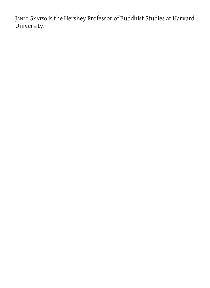JANET GYATSO is the Hershey Professor of Buddhist Studies at Harvard University.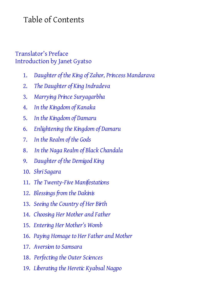## Table of Contents

<span id="page-6-1"></span><span id="page-6-0"></span>[Translator's Preface](#page-9-0) [Introduction by Janet Gyatso](#page-13-0)

- <span id="page-6-2"></span>[1.](#page-31-0) [Daughter of the King of Zahor, Princess Mandarava](#page-31-0)
- [2.](#page-37-0) [The Daughter of King Indradeva](#page-37-0)
- [3.](#page-46-0) [Marrying Prince Suryagarbha](#page-46-0)
- [4.](#page-56-0) [In the Kingdom of Kanaka](#page-56-0)
- [5.](#page-63-0) [In the Kingdom of Damaru](#page-63-0)
- [6.](#page-72-0) [Enlightening the Kingdom of Damaru](#page-72-0)
- [7.](#page-77-0) [In the Realm of the Gods](#page-77-0)
- [8.](#page-80-0) [In the Naga Realm of Black Chandala](#page-80-0)
- [9.](#page-84-0) [Daughter of the Demigod King](#page-84-0)
- [10.](#page-87-0) [Shri Sagara](#page-87-0)
- [11.](#page-91-0) [The Twenty-Five Manifestations](#page-91-0)
- [12.](#page-93-0) [Blessings from the Dakinis](#page-93-0)
- [13.](#page-98-0) [Seeing the Country of Her Birth](#page-98-0)
- [14.](#page-102-0) [Choosing Her Mother and Father](#page-102-0)
- [15.](#page-106-0) [Entering Her Mother's Womb](#page-106-0)
- [16.](#page-111-0) [Paying Homage to Her Father and Mother](#page-111-0)
- [17.](#page-118-0) [Aversion to Samsara](#page-118-0)
- [18.](#page-124-0) [Perfecting the Outer Sciences](#page-124-0)
- [19.](#page-130-0) [Liberating the Heretic Kyabsal Nagpo](#page-130-0)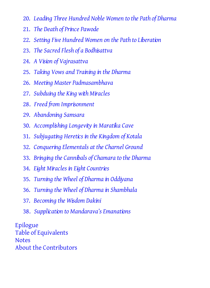- [20.](#page-134-0) [Leading Three Hundred Noble Women to the Path of Dharma](#page-134-0)
- [21.](#page-138-0) [The Death of Prince Pawode](#page-138-0)
- [22.](#page-142-0) [Setting Five Hundred Women on the Path to Liberation](#page-142-0)
- [23.](#page-149-0) [The Sacred Flesh of a Bodhisattva](#page-149-0)
- [24.](#page-153-0) [A Vision of Vajrasattva](#page-153-0)
- [25.](#page-160-0) [Taking Vows and Training in the Dharma](#page-160-0)
- [26.](#page-164-0) [Meeting Master Padmasambhava](#page-164-0)
- [27.](#page-168-0) [Subduing the King with Miracles](#page-168-0)
- [28.](#page-176-0) [Freed from Imprisonment](#page-176-0)
- [29.](#page-181-0) [Abandoning Samsara](#page-181-0)
- [30.](#page-188-0) [Accomplishing Longevity in Maratika Cave](#page-188-0)
- [31.](#page-191-0) [Subjugating Heretics in the Kingdom of Kotala](#page-191-0)
- [32.](#page-199-0) [Conquering Elementals at the Charnel Ground](#page-199-0)
- [33.](#page-203-0) [Bringing the Cannibals of Chamara to the Dharma](#page-203-0)
- [34.](#page-206-0) [Eight Miracles in Eight Countries](#page-206-0)
- [35.](#page-217-0) [Turning the Wheel of Dharma in Oddiyana](#page-217-0)
- [36.](#page-220-0) [Turning the Wheel of Dharma in Shambhala](#page-220-0)
- [37.](#page-226-0) [Becoming the Wisdom Dakini](#page-226-0)
- [38.](#page-232-0) [Supplication to Mandarava's Emanations](#page-232-0)

[Epilogue](#page-242-0) [Table of Equivalents](#page-246-0) **[Notes](#page-264-0)** [About the Contributors](#page-274-0)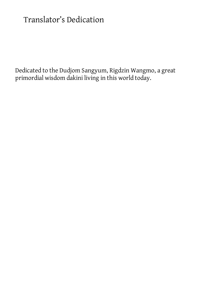## Translator's Dedication

Dedicated to the Dudjom Sangyum, Rigdzin Wangmo, a great primordial wisdom dakini living in this world today.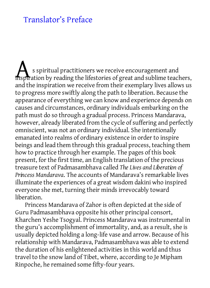#### <span id="page-9-0"></span>[Translator's Preface](#page-6-0)

s spiritual practitioners we receive encouragement and<br>inspiration by reading the lifestories of great and sublime teachers, s spiritual practitioners we receive encouragement and and the inspiration we receive from their exemplary lives allows us to progress more swiftly along the path to liberation. Because the appearance of everything we can know and experience depends on causes and circumstances, ordinary individuals embarking on the path must do so through a gradual process. Princess Mandarava, however, already liberated from the cycle of suffering and perfectly omniscient, was not an ordinary individual. She intentionally emanated into realms of ordinary existence in order to inspire beings and lead them through this gradual process, teaching them how to practice through her example. The pages of this book present, for the first time, an English translation of the precious treasure text of Padmasambhava called The Lives and Liberation of Princess Mandarava. The accounts of Mandarava's remarkable lives illuminate the experiences of a great wisdom dakini who inspired everyone she met, turning their minds irrevocably toward liberation.

Princess Mandarava of Zahor is often depicted at the side of Guru Padmasambhava opposite his other principal consort, Kharchen Yeshe Tsogyal. Princess Mandarava was instrumental in the guru's accomplishment of immortality, and, as a result, she is usually depicted holding a long-life vase and arrow. Because of his relationship with Mandarava, Padmasambhava was able to extend the duration of his enlightened activities in this world and thus travel to the snow land of Tibet, where, according to Je Mipham Rinpoche, he remained some fifty-four years.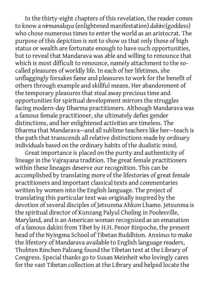In the thirty-eight chapters of this revelation, the reader comes to know a nirmanakaya (enlightened manifestation) dakini (goddess) who chose numerous times to enter the world as an aristocrat. The purpose of this depiction is not to show us that only those of high status or wealth are fortunate enough to have such opportunities, but to reveal that Mandarava was able and willing to renounce that which is most difficult to renounce, namely attachment to the socalled pleasures of worldly life. In each of her lifetimes, she unflaggingly forsakes fame and pleasures to work for the benefit of others through example and skillful means. Her abandonment of the temporary pleasures that steal away precious time and opportunities for spiritual development mirrors the struggles facing modern-day Dharma practitioners. Although Mandarava was a famous female practitioner, she ultimately defies gender distinctions, and her enlightened activities are timeless. The Dharma that Mandarava—and all sublime teachers like her—teach is the path that transcends all relative distinctions made by ordinary individuals based on the ordinary habits of the dualistic mind.

Great importance is placed on the purity and authenticity of lineage in the Vajrayana tradition. The great female practitioners within these lineages deserve our recognition. This can be accomplished by translating more of the lifestories of great female practitioners and important classical texts and commentaries written by women into the English language. The project of translating this particular text was originally inspired by the devotion of several disciples of Jetsunma Ahkon Lhamo. Jetsunma is the spiritual director of Kunzang Palyul Choling in Poolesville, Maryland, and is an American woman recognized as an emanation of a famous dakini from Tibet by H.H. Penor Rinpoche, the present head of the Nyingma School of Tibetan Buddhism. Anxious to make the lifestory of Mandarava available to English language readers, Thubten Rinchen Palzang found the Tibetan text at the Library of Congress. Special thanks go to Susan Meinheit who lovingly cares for the vast Tibetan collection at the Library and helped locate the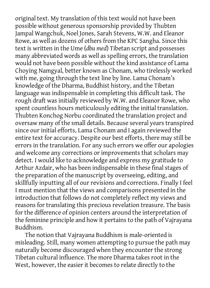original text. My translation of this text would not have been possible without generous sponsorship provided by Thubten Jampal Wangchuk, Noel Jones, Sarah Stevens, W.W. and Eleanor Rowe, as well as dozens of others from the KPC Sangha. Since this text is written in the Ume (dbu med) Tibetan script and possesses many abbreviated words as well as spelling errors, the translation would not have been possible without the kind assistance of Lama Choying Namgyal, better known as Chonam, who tirelessly worked with me, going through the text line by line. Lama Chonam's knowledge of the Dharma, Buddhist history, and the Tibetan language was indispensable in completing this difficult task. The rough draft was initially reviewed by W.W. and Eleanor Rowe, who spent countless hours meticulously editing the initial translation. Thubten Konchog Norbu coordinated the translation project and oversaw many of the small details. Because several years transpired since our initial efforts, Lama Chonam and I again reviewed the entire text for accuracy. Despite our best efforts, there may still be errors in the translation. For any such errors we offer our apologies and welcome any corrections or improvements that scholars may detect. I would like to acknowledge and express my gratitude to Arthur Azdair, who has been indispensable in these final stages of the preparation of the manuscript by overseeing, editing, and skillfully inputting all of our revisions and corrections. Finally I feel I must mention that the views and comparisons presented in the introduction that follows do not completely reflect my views and reasons for translating this precious revelation treasure. The basis for the difference of opinion centers around the interpretation of the feminine principle and how it pertains to the path of Vajrayana Buddhism.

The notion that Vajrayana Buddhism is male-oriented is misleading. Still, many women attempting to pursue the path may naturally become discouraged when they encounter the strong Tibetan cultural influence. The more Dharma takes root in the West, however, the easier it becomes to relate directly to the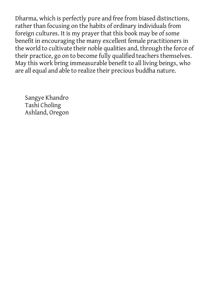Dharma, which is perfectly pure and free from biased distinctions, rather than focusing on the habits of ordinary individuals from foreign cultures. It is my prayer that this book may be of some benefit in encouraging the many excellent female practitioners in the world to cultivate their noble qualities and, through the force of their practice, go on to become fully qualified teachers themselves. May this work bring immeasurable benefit to all living beings, who are all equal and able to realize their precious buddha nature.

Sangye Khandro Tashi Choling Ashland, Oregon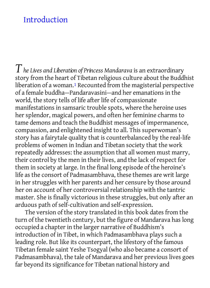### <span id="page-13-0"></span>[Introduction](#page-6-1)

 $T$  he Lives and Liberation of Princess Mandarava is an extraordinary story from the heart of Tibetan religious culture about the Buddhist liberation of a woman.<sup>[1](#page-264-1)</sup> Recounted from the magisterial perspective of a female buddha—Pandaravasini—and her emanations in the world, the story tells of life after life of compassionate manifestations in samsaric trouble spots, where the heroine uses her splendor, magical powers, and often her feminine charms to tame demons and teach the Buddhist messages of impermanence, compassion, and enlightened insight to all. This superwoman's story has a fairytale quality that is counterbalanced by the real-life problems of women in Indian and Tibetan society that the work repeatedly addresses: the assumption that all women must marry, their control by the men in their lives, and the lack of respect for them in society at large. In the final long episode of the heroine's life as the consort of Padmasambhava, these themes are writ large in her struggles with her parents and her censure by those around her on account of her controversial relationship with the tantric master. She is finally victorious in these struggles, but only after an arduous path of self-cultivation and self-expression.

The version of the story translated in this book dates from the turn of the twentieth century, but the figure of Mandarava has long occupied a chapter in the larger narrative of Buddhism's introduction of in Tibet, in which Padmasambhava plays such a leading role. But like its counterpart, the lifestory of the famous Tibetan female saint Yeshe Tsogyal (who also became a consort of Padmasambhava), the tale of Mandarava and her previous lives goes far beyond its significance for Tibetan national history and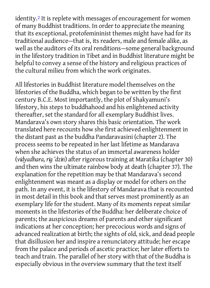identity.[2](#page-264-2) It is replete with messages of encouragement for women of many Buddhist traditions. In order to appreciate the meaning that its exceptional, protofemininist themes might have had for its traditional audience—that is, its readers, male and female alike, as well as the auditors of its oral renditions—some general background in the lifestory tradition in Tibet and in Buddhist literature might be helpful to convey a sense of the history and religious practices of the cultural milieu from which the work originates.

All lifestories in Buddhist literature model themselves on the lifestories of the Buddha, which began to be written by the first century B.C.E. Most importantly, the plot of Shakyamuni's lifestory, his steps to buddhahood and his enlightened activity thereafter, set the standard for all exemplary Buddhist lives. Mandarava's own story shares this basic orientation. The work translated here recounts how she first achieved enlightenment in the distant past as the buddha Pandaravasini (chapter 2). The process seems to be repeated in her last lifetime as Mandarava when she achieves the status of an immortal awareness holder (vidyadhara, rig 'dzin) after rigorous training at Maratika (chapter 30) and then wins the ultimate rainbow body at death (chapter 37). The explanation for the repetition may be that Mandarava's second enlightenment was meant as a display or model for others on the path. In any event, it is the lifestory of Mandarava that is recounted in most detail in this book and that serves most prominently as an exemplary life for the student. Many of its moments repeat similar moments in the lifestories of the Buddha: her deliberate choice of parents; the auspicious dreams of parents and other significant indications at her conception; her precocious words and signs of advanced realization at birth; the sights of old, sick, and dead people that disillusion her and inspire a renunciatory attitude; her escape from the palace and periods of ascetic practice; her later efforts to teach and train. The parallel of her story with that of the Buddha is especially obvious in the overview summary that the text itself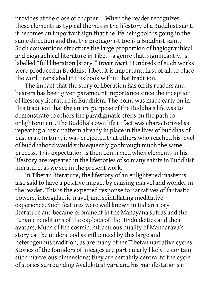provides at the close of chapter 1. When the reader recognizes these elements as typical themes in the lifestory of a Buddhist saint, it becomes an important sign that the life being told is going in the same direction and that the protagonist too is a Buddhist saint. Such conventions structure the large proportion of hagiographical and biographical literature in Tibet—a genre that, significantly, is labelled "full liberation [story]" (rnam thar). Hundreds of such works were produced in Buddhist Tibet; it is important, first of all, to place the work translated in this book within that tradition.

The impact that the story of liberation has on its readers and hearers has been given paramount importance since the inception of lifestory literature in Buddhism. The point was made early on in this tradition that the entire purpose of the Buddha's life was to demonstrate to others the paradigmatic steps on the path to enlightenment. The Buddha's own life in fact was characterized as repeating a basic pattern already in place in the lives of buddhas of past eras. In turn, it was projected that others who reached his level of buddhahood would subsequently go through much the same process. This expectation is then confirmed when elements in his lifestory are repeated in the lifestories of so many saints in Buddhist literature, as we see in the present work.

In Tibetan literature, the lifestory of an enlightened master is also said to have a positive impact by causing marvel and wonder in the reader. This is the expected response to narratives of fantastic powers, intergalactic travel, and scintillating meditative experience. Such features were well known in Indian story literature and became prominent in the Mahayana sutras and the Puranic renditions of the exploits of the Hindu deities and their avatars. Much of the cosmic, miraculous quality of Mandarava's story can be understood as influenced by this large and heterogenous tradition, as are many other Tibetan narrative cycles. Stories of the founders of lineages are particularly likely to contain such marvelous dimensions; they are certainly central to the cycle of stories surrounding Avalokiteshvara and his manifestations in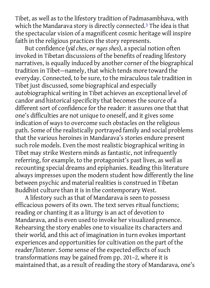Tibet, as well as to the lifestory tradition of Padmasambhava, with which the Mandarava story is directly connected.<sup>[3](#page-264-3)</sup> The idea is that the spectacular vision of a magnificent cosmic heritage will inspire faith in the religious practices the story represents.

But confidence (yid ches, or nges shes), a special notion often invoked in Tibetan discussions of the benefits of reading lifestory narratives, is equally induced by another corner of the biographical tradition in Tibet—namely, that which tends more toward the everyday. Connected, to be sure, to the miraculous tale tradition in Tibet just discussed, some biographical and especially autobiographical writing in Tibet achieves an exceptional level of candor and historical specificity that becomes the source of a different sort of confidence for the reader: it assures one that that one's difficulties are not unique to oneself, and it gives some indication of ways to overcome such obstacles on the religious path. Some of the realistically portrayed family and social problems that the various heroines in Mandarava's stories endure present such role models. Even the most realistic biographical writing in Tibet may strike Western minds as fantastic, not infrequently referring, for example, to the protagonist's past lives, as well as recounting special dreams and epiphanies. Reading this literature always impresses upon the modern student how differently the line between psychic and material realities is construed in Tibetan Buddhist culture than it is in the contemporary West.

A lifestory such as that of Mandarava is seen to possess efficacious powers of its own. The text serves ritual functions; reading or chanting it as a liturgy is an act of devotion to Mandarava, and is even used to invoke her visualized presence. Rehearsing the story enables one to visualize its characters and their world, and this act of imagination in turn evokes important experiences and opportunities for cultivation on the part of the reader/listener. Some sense of the expected effects of such transformations may be gained from pp. 201–2, where it is maintained that, as a result of reading the story of Mandarava, one's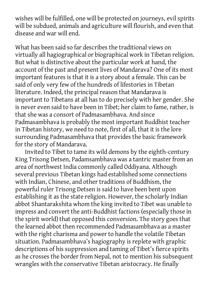wishes will be fulfilled, one will be protected on journeys, evil spirits will be subdued, animals and agriculture will flourish, and even that disease and war will end.

What has been said so far describes the traditional views on virtually all hagiographical or biographical work in Tibetan religion. But what is distinctive about the particular work at hand, the account of the past and present lives of Mandarava? One of its most important features is that it is a story about a female. This can be said of only very few of the hundreds of lifestories in Tibetan literature. Indeed, the principal reason that Mandarava is important to Tibetans at all has to do precisely with her gender. She is never even said to have been in Tibet; her claim to fame, rather, is that she was a consort of Padmasambhava. And since Padmasambhava is probably the most important Buddhist teacher in Tibetan history, we need to note, first of all, that it is the lore surrounding Padmasambhava that provides the basic framework for the story of Mandarava.

Invited to Tibet to tame its wild demons by the eighth-century King Trisong Detsen, Padamsambhava was a tantric master from an area of northwest India commonly called Oddiyana. Although several previous Tibetan kings had established some connections with Indian, Chinese, and other traditions of Buddhism, the powerful ruler Trisong Detsen is said to have been bent upon establishing it as the state religion. However, the scholarly Indian abbot Shantarakshita whom the king invited to Tibet was unable to impress and convert the anti-Buddhist factions (especially those in the spirit world) that opposed this conversion. The story goes that the learned abbot then recommended Padmasambhava as a master with the right charisma and power to handle the volatile Tibetan situation. Padmasambhava's hagiography is replete with graphic descriptions of his suppression and taming of Tibet's fierce spirits as he crosses the border from Nepal, not to mention his subsequent wrangles with the conservative Tibetan aristocracy. He finally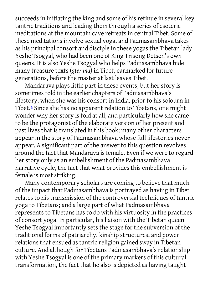succeeds in initiating the king and some of his retinue in several key tantric traditions and leading them through a series of esoteric meditations at the mountain cave retreats in central Tibet. Some of these meditations involve sexual yoga, and Padmasambhava takes as his principal consort and disciple in these yogas the Tibetan lady Yeshe Tsogyal, who had been one of King Trisong Detsen's own queens. It is also Yeshe Tsogyal who helps Padmasambhava hide many treasure texts (gter ma) in Tibet, earmarked for future generations, before the master at last leaves Tibet.

Mandarava plays little part in these events, but her story is sometimes told in the earlier chapters of Padmasambhava's lifestory, when she was his consort in India, prior to his sojourn in Tibet.[4](#page-265-0) Since she has no apparent relation to Tibetans, one might wonder why her story is told at all, and particularly how she came to be the protagonist of the elaborate version of her present and past lives that is translated in this book; many other characters appear in the story of Padmasambhava whose full lifestories never appear. A significant part of the answer to this question revolves around the fact that Mandarava is female. Even if we were to regard her story only as an embellishment of the Padmasambhava narrative cycle, the fact that what provides this embellishment is female is most striking.

Many contemporary scholars are coming to believe that much of the impact that Padmasambhava is portrayed as having in Tibet relates to his transmission of the controversial techniques of tantric yoga to Tibetans; and a large part of what Padmasambhava represents to Tibetans has to do with his virtuosity in the practices of consort yoga. In particular, his liaison with the Tibetan queen Yeshe Tsogyal importantly sets the stage for the subversion of the traditional forms of patriarchy, kinship structures, and power relations that ensued as tantric religion gained sway in Tibetan culture. And although for Tibetans Padmasambhava's relationship with Yeshe Tsogyal is one of the primary markers of this cultural transformation, the fact that he also is depicted as having taught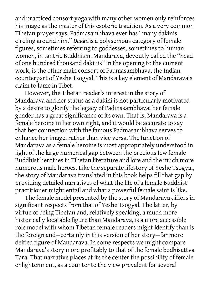and practiced consort yoga with many other women only reinforces his image as the master of this esoteric tradition. As a very common Tibetan prayer says, Padmasambhava ever has "many dakinis circling around him." Dakini is a polysemous category of female figures, sometimes referring to goddesses, sometimes to human women, in tantric Buddhism. Mandarava, devoutly called the "head of one hundred thousand dakinis" in the opening to the current work, is the other main consort of Padmasambhava, the Indian counterpart of Yeshe Tsogyal. This is a key element of Mandarava's claim to fame in Tibet.

However, the Tibetan reader's interest in the story of Mandarava and her status as a dakini is not particularly motivated by a desire to glorify the legacy of Padmasambhava; her female gender has a great significance of its own. That is, Mandarava is a female heroine in her own right, and it would be accurate to say that her connection with the famous Padmasambhava serves to enhance her image, rather than vice versa. The function of Mandarava as a female heroine is most appropriately understood in light of the large numerical gap between the precious few female Buddhist heroines in Tibetan literature and lore and the much more numerous male heroes. Like the separate lifestory of Yeshe Tsogyal, the story of Mandarava translated in this book helps fill that gap by providing detailed narratives of what the life of a female Buddhist practitioner might entail and what a powerful female saint is like.

The female model presented by the story of Mandarava differs in significant respects from that of Yeshe Tsogyal. The latter, by virtue of being Tibetan and, relatively speaking, a much more historically locatable figure than Mandarava, is a more accessible role model with whom Tibetan female readers might identify than is the foreign and—certainly in this version of her story—far more deified figure of Mandarava. In some respects we might compare Mandarava's story more profitably to that of the female bodhisattva Tara. That narrative places at its the center the possibility of female enlightenment, as a counter to the view prevalent for several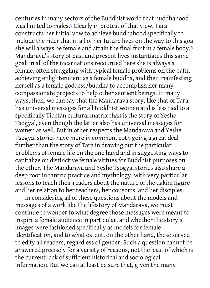centuries in many sectors of the Buddhist world that buddhahood was limited to males.<sup>[5](#page-265-1)</sup> Clearly in protest of that view, Tara constructs her initial vow to achieve buddhahood specifically to include the rider that in all of her future lives on the way to this goal she will always be female and attain the final fruit in a female body.[6](#page-265-2) Mandarava's story of past and present lives instantiates this same goal: in all of the incarnations recounted here she is always a female, often struggling with typical female problems on the path, achieving enlightenment as a female buddha, and then manifesting herself as a female goddess/buddha to accomplish her many compassionate projects to help other sentient beings. In many ways, then, we can say that the Mandarava story, like that of Tara, has universal messages for all Buddhist women and is less tied to a specifically Tibetan cultural matrix than is the story of Yeshe Tsogyal, even though the latter also has universal messages for women as well. But in other respects the Mandarava and Yeshe Tsogyal stories have more in common, both going a great deal further than the story of Tara in drawing out the particular problems of female life on the one hand and in suggesting ways to capitalize on distinctive female virtues for Buddhist purposes on the other. The Mandarava and Yeshe Tsogyal stories also share a deep root in tantric practice and mythology, with very particular lessons to teach their readers about the nature of the dakini figure and her relation to her teachers, her consorts, and her disciples.

In considering all of these questions about the models and messages of a work like the lifestory of Mandarava, we must continue to wonder to what degree those messages were meant to inspire a female audience in particular, and whether the story's images were fashioned specifically as models for female identification, and to what extent, on the other hand, these served to edify all readers, regardless of gender. Such a question cannot be answered precisely for a variety of reasons, not the least of which is the current lack of sufficient historical and sociological information. But we can at least be sure that, given the many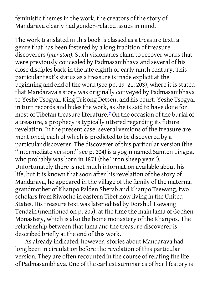feministic themes in the work, the creators of the story of Mandarava clearly had gender-related issues in mind.

The work translated in this book is classed as a treasure text, a genre that has been fostered by a long tradition of treasure discoverers (gter ston). Such visionaries claim to recover works that were previously concealed by Padmasambhava and several of his close disciples back in the late eighth or early ninth century. This particular text's status as a treasure is made explicit at the beginning and end of the work (see pp. 19–21, 203), where it is stated that Mandarava's story was originally conveyed by Padmasambhava to Yeshe Tsogyal, King Trisong Detsen, and his court. Yeshe Tsogyal in turn records and hides the work, as she is said to have done for most of Tibetan treasure literature.[7](#page-265-3) On the occasion of the burial of a treasure, a prophecy is typically uttered regarding its future revelation. In the present case, several versions of the treasure are mentioned, each of which is predicted to be discovered by a particular discoverer. The discoverer of this particular version (the "intermediate version:" see p. 204) is a yogin named Samten Lingpa, who probably was born in 1871 (the "iron sheep year"). Unfortunately there is not much information available about his life, but it is known that soon after his revelation of the story of Mandarava, he appeared in the village of the family of the maternal grandmother of Khanpo Palden Sherab and Khanpo Tsewang, two scholars from Riwoche in eastern Tibet now living in the United States. His treasure text was later edited by Dorshul Tsewang Tendzin (mentioned on p. 205), at the time the main lama of Gochen Monastery, which is also the home monastery of the Khanpos. The relationship between that lama and the treasure discoverer is described briefly at the end of this work.

As already indicated, however, stories about Mandarava had long been in circulation before the revelation of this particular version. They are often recounted in the course of relating the life of Padmasambhava. One of the earliest summaries of her lifestory is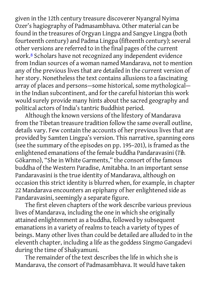given in the 12th century treasure discoverer Nyangral Nyima Ozer's hagiography of Padmasambhava. Other material can be found in the treasures of Orgyan Lingpa and Sangye Lingpa (both fourteenth century) and Padma Lingpa (fifteenth century); several other versions are referred to in the final pages of the current work.[8](#page-265-4) Scholars have not recognized any independent evidence from Indian sources of a woman named Mandarava, not to mention any of the previous lives that are detailed in the current version of her story. Nonetheless the text contains allusions to a fascinating array of places and persons—some historical, some mythological in the Indian subcontinent, and for the careful historian this work would surely provide many hints about the sacred geography and political actors of India's tantric Buddhist period.

Although the known versions of the lifestory of Mandarava from the Tibetan treasure tradition follow the same overall outline, details vary. Few contain the accounts of her previous lives that are provided by Samten Lingpa's version. This narrative, spanning eons (see the summary of the episodes on pp. 195–201), is framed as the enlightened emanations of the female buddha Pandaravasini (Tib. Gökarmo), "She in White Garments," the consort of the famous buddha of the Western Paradise, Amitabha. In an important sense Pandaravasini is the true identity of Mandarava, although on occasion this strict identity is blurred when, for example, in chapter 22 Mandarava encounters an epiphany of her enlightened side as Pandaravasini, seemingly a separate figure.

The first eleven chapters of the work describe various previous lives of Mandarava, including the one in which she originally attained enlightenment as a buddha, followed by subsequent emanations in a variety of realms to teach a variety of types of beings. Many other lives than could be detailed are alluded to in the eleventh chapter, including a life as the goddess Singmo Gangadevi during the time of Shakyamuni.

The remainder of the text describes the life in which she is Mandarava, the consort of Padmasambhava. It would have taken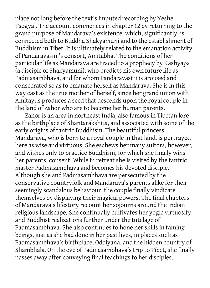place not long before the text's imputed recording by Yeshe Tsogyal. The account commences in chapter 12 by returning to the grand purpose of Mandarava's existence, which, significantly, is connected both to Buddha Shakyamuni and to the establishment of Buddhism in Tibet. It is ultimately related to the emanation activity of Pandaravasini's consort, Amitabha. The conditions of her particular life as Mandarava are traced to a prophecy by Kashyapa (a disciple of Shakyamuni), who predicts his own future life as Padmasambhava, and for whom Pandaravasini is aroused and consecrated so as to emanate herself as Mandarava. She is in this way cast as the true mother of herself, since her grand union with Amitayus produces a seed that descends upon the royal couple in the land of Zahor who are to become her human parents.

Zahor is an area in northeast India, also famous in Tibetan lore as the birthplace of Shantarakshita, and associated with some of the early origins of tantric Buddhism. The beautiful princess Mandarava, who is born to a royal couple in that land, is portrayed here as wise and virtuous. She eschews her many suitors, however, and wishes only to practice Buddhism, for which she finally wins her parents' consent. While in retreat she is visited by the tantric master Padmasambhava and becomes his devoted disciple. Although she and Padmasambhava are persecuted by the conservative countryfolk and Mandarava's parents alike for their seemingly scandalous behaviour, the couple finally vindicate themselves by displaying their magical powers. The final chapters of Mandarava's lifestory recount her sojourns around the Indian religious landscape. She continually cultivates her yogic virtuosity and Buddhist realizations further under the tutelage of Padmasambhava. She also continues to hone her skills in taming beings, just as she had done in her past lives, in places such as Padmasambhava's birthplace, Oddiyana, and the hidden country of Shambhala. On the eve of Padmasambhava's trip to Tibet, she finally passes away after conveying final teachings to her disciples.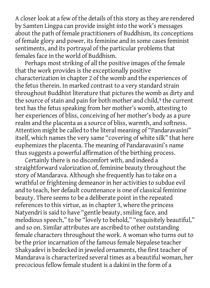A closer look at a few of the details of this story as they are rendered by Samten Lingpa can provide insight into the work's messages about the path of female practitioners of Buddhism, its conceptions of female glory and power, its feminine and in some cases feminist sentiments, and its portrayal of the particular problems that females face in the world of Buddhism.

Perhaps most striking of all the positive images of the female that the work provides is the exceptionally positive characterization in chapter 2 of the womb and the experiences of the fetus therein. In marked contrast to a very standard strain throughout Buddhist literature that pictures the womb as dirty and the source of stain and pain for both mother and child,<sup>[9](#page-265-5)</sup> the current text has the fetus speaking from her mother's womb, attesting to her experiences of bliss, conceiving of her mother's body as a pure realm and the placenta as a source of bliss, warmth, and softness. Attention might be called to the literal meaning of "Pandaravasini" itself, which names the very same "covering of white silk" that here euphemizes the placenta. The meaning of Pandaravasini's name thus suggests a powerful affirmation of the birthing process.

Certainly there is no discomfort with, and indeed a straightforward valorization of, feminine beauty throughout the story of Mandarava. Although she frequently has to take on a wrathful or frightening demeanor in her activities to subdue evil and to teach, her default countenance is one of classical feminine beauty. There seems to be a deliberate point in the repeated references to this virtue, as in chapter 3, where the princess Natyendri is said to have "gentle beauty, smiling face, and melodious speech," to be "lovely to behold," "exquisitely beautiful," and so on. Similar attributes are ascribed to other outstanding female characters throughout the work. A woman who turns out to be the prior incarnation of the famous female Nepalese teacher Shakyadevi is bedecked in jeweled ornaments, the first teacher of Mandarava is characterized several times as a beautiful woman, her precocious fellow female student is a dakini in the form of a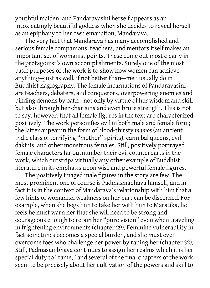youthful maiden, and Pandaravasini herself appears as an intoxicatingly beautiful goddess when she decides to reveal herself as an epiphany to her own emanation, Mandarava.

The very fact that Mandarava has many accomplished and serious female companions, teachers, and mentors itself makes an important set of womanist points. These come out most clearly in the protagonist's own accomplishments. Surely one of the most basic purposes of the work is to show how women can achieve anything—just as well, if not better than—men usually do in Buddhist hagiography. The female incarnations of Pandaravasini are teachers, debaters, and conquerors, overpowering enemies and binding demons by oath—not only by virtue of her wisdom and skill but also through her charisma and even brute strength. This is not to say, however, that all female figures in the text are characterized positively. The work personifies evil in both male and female form; the latter appear in the form of blood-thirsty mamos (an ancient Indic class of terrifying "mother" spirits), cannibal queens, evil dakinis, and other monstrous females. Still, positively portrayed female characters far outnumber their evil counterparts in the work, which outstrips virtually any other example of Buddhist literature in its emphasis upon wise and powerful female figures.

The positively imaged male figures in the story are few. The most prominent one of course is Padmasmabhava himself, and in fact it is in the context of Mandarava's relationship with him that a few hints of womanish weakness on her part can be discerned. For example, when she begs him to take her with him to Maratika, he feels he must warn her that she will need to be strong and courageous enough to retain her "pure vision" even when traveling in frightening environments (chapter 29). Feminine vulnerability in fact sometimes becomes a special burden, and she must even overcome foes who challenge her power by raping her (chapter 32). Still, Padmasambhava continues to assign her realms which it is her special duty to "tame," and several of the final chapters of the work seem to be precisely about her cultivation of the powers and skill to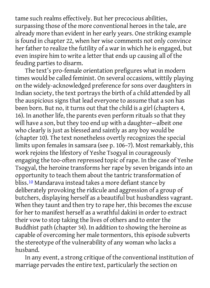tame such realms effectively. But her precocious abilities, surpassing those of the more conventional heroes in the tale, are already more than evident in her early years. One striking example is found in chapter 22, when her wise comments not only convince her father to realize the futility of a war in which he is engaged, but even inspire him to write a letter that ends up causing all of the feuding parties to disarm.

The text's pro-female orientation prefigures what in modern times would be called feminist. On several occasions, wittily playing on the widely-acknowledged preference for sons over daughters in Indian society, the text portrays the birth of a child attended by all the auspicious signs that lead everyone to assume that a son has been born. But no, it turns out that the child is a girl (chapters 4, 16). In another life, the parents even perform rituals so that they will have a son, but they too end up with a daughter—albeit one who clearly is just as blessed and saintly as any boy would be (chapter 10). The text nonetheless overtly recognizes the special limits upon females in samsara (see p. 106–7). Most remarkably, this work rejoins the lifestory of Yeshe Tsogyal in courageously engaging the too-often repressed topic of rape. In the case of Yeshe Tsogyal, the heroine transforms her rape by seven brigands into an opportunity to teach them about the tantric transformation of bliss.[10](#page-265-6) Mandarava instead takes a more defiant stance by deliberately provoking the ridicule and aggression of a group of butchers, displaying herself as a beautiful but husbandless vagrant. When they taunt and then try to rape her, this becomes the excuse for her to manifest herself as a wrathful dakini in order to extract their vow to stop taking the lives of others and to enter the Buddhist path (chapter 34). In addition to showing the heroine as capable of overcoming her male tormentors, this episode subverts the stereotype of the vulnerability of any woman who lacks a husband.

In any event, a strong critique of the conventional institution of marriage pervades the entire text, particularly the section on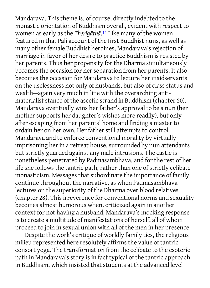Mandarava. This theme is, of course, directly indebted to the monastic orientation of Buddhism overall, evident with respect to women as early as the Therīgāthā.[11](#page-265-7) Like many of the women featured in that Pali account of the first Buddhist nuns, as well as many other female Buddhist heroines, Mandarava's rejection of marriage in favor of her desire to practice Buddhism is resisted by her parents. Thus her propensity for the Dharma simultaneously becomes the occasion for her separation from her parents. It also becomes the occasion for Mandarava to lecture her maidservants on the uselessness not only of husbands, but also of class status and wealth—again very much in line with the overarching antimaterialist stance of the ascetic strand in Buddhism (chapter 20). Mandarava eventually wins her father's approval to be a nun (her mother supports her daughter's wishes more readily), but only after escaping from her parents' home and finding a master to ordain her on her own. Her father still attempts to control Mandarava and to enforce conventional morality by virtually imprisoning her in a retreat house, surrounded by nun attendants but strictly guarded against any male intrusions. The castle is nonetheless penetrated by Padmasambhava, and for the rest of her life she follows the tantric path, rather than one of strictly celibate monasticism. Messages that subordinate the importance of family continue throughout the narrative, as when Padmasambhava lectures on the superiority of the Dharma over blood relatives (chapter 28). This irreverence for conventional norms and sexuality becomes almost humorous when, criticized again in another context for not having a husband, Mandarava's mocking response is to create a multitude of manifestations of herself, all of whom proceed to join in sexual union with all of the men in her presence.

Despite the work's critique of worldly family ties, the religious milieu represented here resolutely affirms the value of tantric consort yoga. The transformation from the celibate to the esoteric path in Mandarava's story is in fact typical of the tantric approach in Buddhism, which insisted that students at the advanced level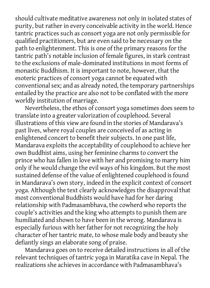should cultivate meditative awareness not only in isolated states of purity, but rather in every conceivable activity in the world. Hence tantric practices such as consort yoga are not only permissible for qualified practitioners, but are even said to be necessary on the path to enlightenment. This is one of the primary reasons for the tantric path's notable inclusion of female figures, in stark contrast to the exclusions of male-dominated institutions in most forms of monastic Buddhism. It is important to note, however, that the esoteric practices of consort yoga cannot be equated with conventional sex; and as already noted, the temporary partnerships entailed by the practice are also not to be conflated with the more worldly institution of marriage.

Nevertheless, the ethos of consort yoga sometimes does seem to translate into a greater valorization of couplehood. Several illustrations of this view are found in the stories of Mandarava's past lives, where royal couples are conceived of as acting in enlightened concert to benefit their subjects. In one past life, Mandarava exploits the acceptability of couplehood to achieve her own Buddhist aims, using her feminine charms to convert the prince who has fallen in love with her and promising to marry him only if he would change the evil ways of his kingdom. But the most sustained defense of the value of enlightened couplehood is found in Mandarava's own story, indeed in the explicit context of consort yoga. Although the text clearly acknowledges the disapproval that most conventional Buddhists would have had for her daring relationship with Padmasambhava, the cowherd who reports the couple's activities and the king who attempts to punish them are humiliated and shown to have been in the wrong. Mandarava is especially furious with her father for not recognizing the holy character of her tantric mate, to whose male body and beauty she defiantly sings an elaborate song of praise.

Mandarava goes on to receive detailed instructions in all of the relevant techniques of tantric yoga in Maratika cave in Nepal. The realizations she achieves in accordance with Padmasambhava's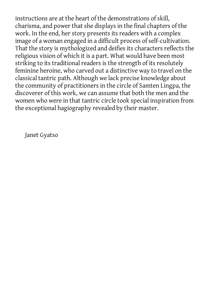instructions are at the heart of the demonstrations of skill, charisma, and power that she displays in the final chapters of the work. In the end, her story presents its readers with a complex image of a woman engaged in a difficult process of self-cultivation. That the story is mythologized and deifies its characters reflects the religious vision of which it is a part. What would have been most striking to its traditional readers is the strength of its resolutely feminine heroine, who carved out a distinctive way to travel on the classical tantric path. Although we lack precise knowledge about the community of practitioners in the circle of Samten Lingpa, the discoverer of this work, we can assume that both the men and the women who were in that tantric circle took special inspiration from the exceptional hagiography revealed by their master.

Janet Gyatso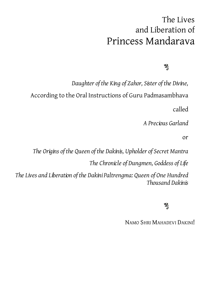# The Lives and Liberation of Princess Mandarava

弩

Daughter of the King of Zahor, Sister of the Divine, According to the Oral Instructions of Guru Padmasambhava called

A Precious Garland

or

The Origins of the Queen of the Dakinis, Upholder of Secret Mantra

The Chronicle of Dungmen, Goddess of Life

The Lives and Liberation of the Dakini Paltrengma: Queen of One Hundred Thousand Dakinis

弩

NAMO SHRI MAHADEVI DAKINI!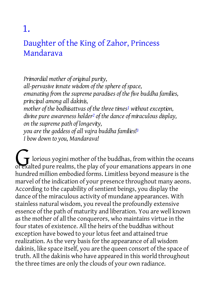<span id="page-31-0"></span>[1.](#page-6-2)

## [Daughter of the King of Zahor, Princess](#page-6-2) Mandarava

Primordial mother of original purity, all-pervasive innate wisdom of the sphere of space, emanating from the supreme paradises of the five buddha families, principal among all dakinis, mother of the bodhisattvas of the three times<sup>[1](#page-265-8)</sup> without exception, divine pure awareness holder[2](#page-265-9) of the dance of miraculous display, on the supreme path of longevity, you are the goddess of all vajra buddha families<sup>1[3](#page-266-0)</sup> I bow down to you, Mandarava!

Conservative of the buddhas, from within the oceans<br>of exalted pure realms, the play of your emanations appears in one lorious yogini mother of the buddhas, from within the oceans hundred million embodied forms. Limitless beyond measure is the marvel of the indication of your presence throughout many aeons. According to the capability of sentient beings, you display the dance of the miraculous activity of mundane appearances. With stainless natural wisdom, you reveal the profoundly extensive essence of the path of maturity and liberation. You are well known as the mother of all the conquerors, who maintains virtue in the four states of existence. All the heirs of the buddhas without exception have bowed to your lotus feet and attained true realization. As the very basis for the appearance of all wisdom dakinis, like space itself, you are the queen consort of the space of truth. All the dakinis who have appeared in this world throughout the three times are only the clouds of your own radiance.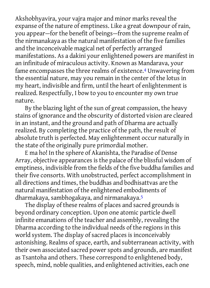Akshobhyavira, your vajra major and minor marks reveal the expanse of the nature of emptiness. Like a great downpour of rain, you appear—for the benefit of beings—from the supreme realm of the nirmanakaya as the natural manifestation of the five families and the inconceivable magical net of perfectly arranged manifestations. As a dakini your enlightened powers are manifest in an infinitude of miraculous activity. Known as Mandarava, your fame encompasses the three realms of existence.[4](#page-266-1) Unwavering from the essential nature, may you remain in the center of the lotus in my heart, indivisible and firm, until the heart of enlightenment is realized. Respectfully, I bow to you to encounter my own true nature.

By the blazing light of the sun of great compassion, the heavy stains of ignorance and the obscurity of distorted vision are cleared in an instant, and the ground and path of Dharma are actually realized. By completing the practice of the path, the result of absolute truth is perfected. May enlightenment occur naturally in the state of the originally pure primordial mother.

E ma ho! In the sphere of Akanishta, the Paradise of Dense Array, objective appearances is the palace of the blissful wisdom of emptiness, indivisible from the fields of the five buddha families and their five consorts. With unobstructed, perfect accomplishment in all directions and times, the buddhas and bodhisattvas are the natural manifestation of the enlightened embodiments of dharmakaya, sambhogakaya, and nirmanakaya.[5](#page-266-2)

The display of these realms of places and sacred grounds is beyond ordinary conception. Upon one atomic particle dwell infinite emanations of the teacher and assembly, revealing the Dharma according to the individual needs of the regions in this world system. The display of sacred places is inconceivably astonishing. Realms of space, earth, and subterranean activity, with their own associated sacred power spots and grounds, are manifest as Tsantoha and others. These correspond to enlightened body, speech, mind, noble qualities, and enlightened activities, each one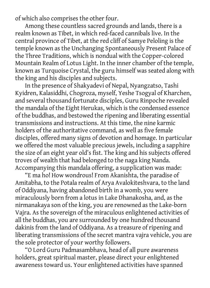of which also comprises the other four.

Among these countless sacred grounds and lands, there is a realm known as Tibet, in which red-faced cannibals live. In the central province of Tibet, at the red cliff of Samye Peloling is the temple known as the Unchanging Spontaneously Present Palace of the Three Traditions, which is nondual with the Copper-colored Mountain Realm of Lotus Light. In the inner chamber of the temple, known as Turquoise Crystal, the guru himself was seated along with the king and his disciples and subjects.

In the presence of Shakyadevi of Nepal, Nyangzatso, Tashi Kyidren, Kalasiddhi, Chogroza, myself, Yeshe Tsogyal of Kharchen, and several thousand fortunate disciples, Guru Rinpoche revealed the mandala of the Eight Herukas, which is the condensed essence of the buddhas, and bestowed the ripening and liberating essential transmissions and instructions. At this time, the nine karmic holders of the authoritative command, as well as five female disciples, offered many signs of devotion and homage. In particular we offered the most valuable precious jewels, including a sapphire the size of an eight year old's fist. The king and his subjects offered troves of wealth that had belonged to the naga king Nanda. Accompanying this mandala offering, a supplication was made:

"E ma ho! How wondrous! From Akanishta, the paradise of Amitabha, to the Potala realm of Arya Avalokiteshvara, to the land of Oddiyana, having abandoned birth in a womb, you were miraculously born from a lotus in Lake Dhanakosha, and, as the nirmanakaya son of the king, you are renowned as the Lake-born Vajra. As the sovereign of the miraculous enlightened activities of all the buddhas, you are surrounded by one hundred thousand dakinis from the land of Oddiyana. As a treasure of ripening and liberating transmissions of the secret mantra vajra vehicle, you are the sole protector of your worthy followers.

"O Lord Guru Padmasambhava, head of all pure awareness holders, great spiritual master, please direct your enlightened awareness toward us. Your enlightened activities have spanned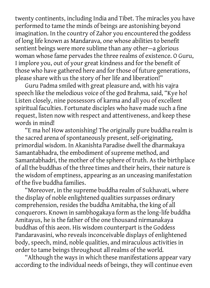twenty continents, including India and Tibet. The miracles you have performed to tame the minds of beings are astonishing beyond imagination. In the country of Zahor you encountered the goddess of long life known as Mandarava, one whose abilities to benefit sentient beings were more sublime than any other—a glorious woman whose fame pervades the three realms of existence. O Guru, I implore you, out of your great kindness and for the benefit of those who have gathered here and for those of future generations, please share with us the story of her life and liberation!"

Guru Padma smiled with great pleasure and, with his vajra speech like the melodious voice of the god Brahma, said, "Kye ho! Listen closely, nine possessors of karma and all you of excellent spiritual faculties. Fortunate disciples who have made such a fine request, listen now with respect and attentiveness, and keep these words in mind!

"E ma ho! How astonishing! The originally pure buddha realm is the sacred arena of spontaneously present, self-originating, primordial wisdom. In Akanishta Paradise dwell the dharmakaya Samantabhadra, the embodiment of supreme method, and Samantabhadri, the mother of the sphere of truth. As the birthplace of all the buddhas of the three times and their heirs, their nature is the wisdom of emptiness, appearing as an unceasing manifestation of the five buddha families.

"Moreover, in the supreme buddha realm of Sukhavati, where the display of noble enlightened qualities surpasses ordinary comprehension, resides the buddha Amitabha, the king of all conquerors. Known in sambhogakaya form as the long-life buddha Amitayus, he is the father of the one thousand nirmanakaya buddhas of this aeon. His wisdom counterpart is the Goddess Pandaravasini, who reveals inconceivable displays of enlightened body, speech, mind, noble qualities, and miraculous activities in order to tame beings throughout all realms of the world.

"Although the ways in which these manifestations appear vary according to the individual needs of beings, they will continue even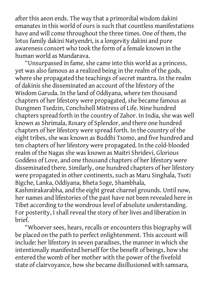after this aeon ends. The way that a primordial wisdom dakini emanates in this world of ours is such that countless manifestations have and will come throughout the three times. One of them, the lotus family dakini Natyendri, is a longevity dakini and pure awareness consort who took the form of a female known in the human world as Mandarava.

"Unsurpassed in fame, she came into this world as a princess, yet was also famous as a realized being in the realm of the gods, where she propagated the teachings of secret mantra. In the realm of dakinis she disseminated an account of the lifestory of the Wisdom Garuda. In the land of Oddiyana, where ten thousand chapters of her lifestory were propagated, she became famous as Dungmen Tsedzin, Conchshell Mistress of Life. Nine hundred chapters spread forth in the country of Zahor. In India, she was well known as Shrimala, Rosary of Splendor, and there one hundred chapters of her lifestory were spread forth. In the country of the eight tribes, she was known as Buddhi Tsomo, and five hundred and ten chapters of her lifestory were propagated. In the cold-blooded realm of the Nagas she was known as Maitri Shridevi, Glorious Goddess of Love, and one thousand chapters of her lifestory were disseminated there. Similarly, one hundred chapters of her lifestory were propagated in other continents, such as Maru Singhala, Tsoti Bigche, Lanka, Oddiyana, Bheta Soge, Shambhala, Kashmirakarabha, and the eight great charnel grounds. Until now, her names and lifestories of the past have not been revealed here in Tibet according to the wondrous level of absolute understanding. For posterity, I shall reveal the story of her lives and liberation in brief.

"Whoever sees, hears, recalls or encounters this biography will be placed on the path to perfect enlightenment. This account will include: her lifestory in seven paradises, the manner in which she intentionally manifested herself for the benefit of beings, how she entered the womb of her mother with the power of the fivefold state of clairvoyance, how she became disillusioned with samsara,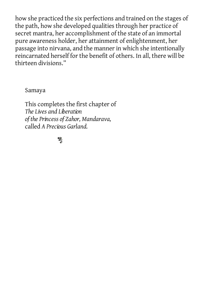how she practiced the six perfections and trained on the stages of the path, how she developed qualities through her practice of secret mantra, her accomplishment of the state of an immortal pure awareness holder, her attainment of enlightenment, her passage into nirvana, and the manner in which she intentionally reincarnated herself for the benefit of others. In all, there will be thirteen divisions."

Samaya

This completes the first chapter of The Lives and Liberation of the Princess of Zahor, Mandarava, called A Precious Garland.

笺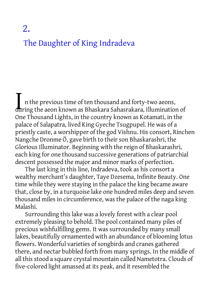[2.](#page-6-0)

# [The Daughter of King Indradeva](#page-6-0)

In the previous time of ten thousand and forty-two aeons,<br>during the aeon known as Bhaskara Sahasrakara, Illumination of n the previous time of ten thousand and forty-two aeons, One Thousand Lights, in the country known as Kotamati, in the palace of Salapatra, lived King Gyeche Tsugpupel. He was of a priestly caste, a worshipper of the god Vishnu. His consort, Rinchen Nangche Dronme Ö, gave birth to their son Bhaskarashri, the Glorious Illuminator. Beginning with the reign of Bhaskarashri, each king for one thousand successive generations of patriarchial descent possessed the major and minor marks of perfection.

The last king in this line, Indradeva, took as his consort a wealthy merchant's daughter, Taye Dzesema, Infinite Beauty. One time while they were staying in the palace the king became aware that, close by, in a turquoise lake one hundred miles deep and seven thousand miles in circumference, was the palace of the naga king Malashi.

Surrounding this lake was a lovely forest with a clear pool extremely pleasing to behold. The pool contained many piles of precious wishfulfilling gems. It was surrounded by many small lakes, beautifully ornamented with an abundance of blooming lotus flowers. Wonderful varieties of songbirds and cranes gathered there, and nectar bubbled forth from many springs. In the middle of all this stood a square crystal mountain called Nametotra. Clouds of five-colored light amassed at its peak, and it resembled the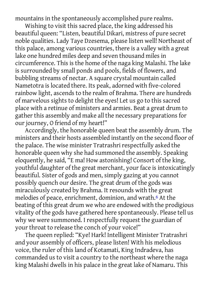mountains in the spontaneously accomplished pure realms.

Wishing to visit this sacred place, the king addressed his beautiful queen: "Listen, beautiful Dikari, mistress of pure secret noble qualities. Lady Taye Dzesema, please listen well! Northeast of this palace, among various countries, there is a valley with a great lake one hundred miles deep and seven thousand miles in circumference. This is the home of the naga king Malashi. The lake is surrounded by small ponds and pools, fields of flowers, and bubbling streams of nectar. A square crystal mountain called Nametotra is located there. Its peak, adorned with five-colored rainbow light, ascends to the realm of Brahma. There are hundreds of marvelous sights to delight the eyes! Let us go to this sacred place with a retinue of ministers and armies. Beat a great drum to gather this assembly and make all the necessary preparations for our journey, O friend of my heart!"

Accordingly, the honorable queen beat the assembly drum. The ministers and their hosts assembled instantly on the second floor of the palace. The wise minister Tratrashri respectfully asked the honorable queen why she had summoned the assembly. Speaking eloquently, he said, "E ma! How astonishing! Consort of the king, youthful daughter of the great merchant, your face is intoxicatingly beautiful. Sister of gods and men, simply gazing at you cannot possibly quench our desire. The great drum of the gods was miraculously created by Brahma. It resounds with the great melodies of peace, enrichment, dominion, and wrath.[6](#page-266-0) At the beating of this great drum we who are endowed with the prodigious vitality of the gods have gathered here spontaneously. Please tell us why we were summoned. I respectfully request the guardian of your throat to release the conch of your voice!"

The queen replied: "Kye! Hark! Intelligent Minister Tratrashri and your assembly of officers, please listen! With his melodious voice, the ruler of this land of Kotamati, King Indradeva, has commanded us to visit a country to the northeast where the naga king Malashi dwells in his palace in the great lake of Namaru. This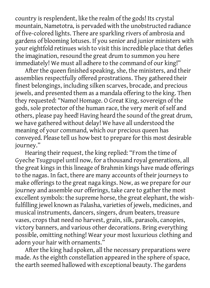country is resplendent, like the realm of the gods! Its crystal mountain, Nametotra, is pervaded with the unobstructed radiance of five-colored lights. There are sparkling rivers of ambrosia and gardens of blooming lotuses. If you senior and junior ministers with your eightfold retinues wish to visit this incredible place that defies the imagination, resound the great drum to summon you here immediately! We must all adhere to the command of our king!"

After the queen finished speaking, she, the ministers, and their assemblies respectfully offered prostrations. They gathered their finest belongings, including silken scarves, brocade, and precious jewels, and presented them as a mandala offering to the king. Then they requested: "Namo! Homage. O Great King, sovereign of the gods, sole protector of the human race, the very merit of self and others, please pay heed! Having heard the sound of the great drum, we have gathered without delay! We have all understood the meaning of your command, which our precious queen has conveyed. Please tell us how best to prepare for this most desirable journey."

Hearing their request, the king replied: "From the time of Gyeche Tsugpupel until now, for a thousand royal generations, all the great kings in this lineage of Brahmin kings have made offerings to the nagas. In fact, there are many accounts of their journeys to make offerings to the great naga kings. Now, as we prepare for our journey and assemble our offerings, take care to gather the most excellent symbols: the supreme horse, the great elephant, the wishfulfilling jewel known as Palasha, varieties of jewels, medicines, and musical instruments, dancers, singers, drum beaters, treasure vases, crops that need no harvest, grain, silk, parasols, canopies, victory banners, and various other decorations. Bring everything possible, omitting nothing! Wear your most luxurious clothing and adorn your hair with ornaments."

After the king had spoken, all the necessary preparations were made. As the eighth constellation appeared in the sphere of space, the earth seemed hallowed with exceptional beauty. The gardens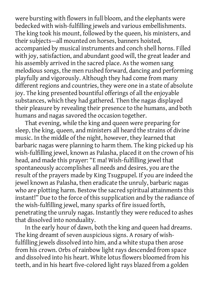were bursting with flowers in full bloom, and the elephants were bedecked with wish-fulfilling jewels and various embellishments. The king took his mount, followed by the queen, his ministers, and their subjects—all mounted on horses, banners hoisted, accompanied by musical instruments and conch shell horns. Filled with joy, satisfaction, and abundant good will, the great leader and his assembly arrived in the sacred place. As the women sang melodious songs, the men rushed forward, dancing and performing playfully and vigorously. Although they had come from many different regions and countries, they were one in a state of absolute joy. The king presented bountiful offerings of all the enjoyable substances, which they had gathered. Then the nagas displayed their pleasure by revealing their presence to the humans, and both humans and nagas savored the occasion together.

That evening, while the king and queen were preparing for sleep, the king, queen, and ministers all heard the strains of divine music. In the middle of the night, however, they learned that barbaric nagas were planning to harm them. The king picked up his wish-fulfilling jewel, known as Palasha, placed it on the crown of his head, and made this prayer: "E ma! Wish-fulfilling jewel that spontaneously accomplishes all needs and desires, you are the result of the prayers made by King Tsugpupel. If you are indeed the jewel known as Palasha, then eradicate the unruly, barbaric nagas who are plotting harm. Bestow the sacred spiritual attainments this instant!" Due to the force of this supplication and by the radiance of the wish-fulfilling jewel, many sparks of fire issued forth, penetrating the unruly nagas. Instantly they were reduced to ashes that dissolved into nonduality.

In the early hour of dawn, both the king and queen had dreams. The king dreamt of seven auspicious signs. A rosary of wishfulfilling jewels dissolved into him, and a white stupa then arose from his crown. Orbs of rainbow light rays descended from space and dissolved into his heart. White lotus flowers bloomed from his teeth, and in his heart five-colored light rays blazed from a golden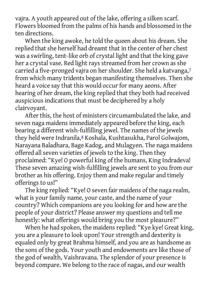vajra. A youth appeared out of the lake, offering a silken scarf. Flowers bloomed from the palms of his hands and blossomed in the ten directions.

When the king awoke, he told the queen about his dream. She replied that she herself had dreamt that in the center of her chest was a swirling, tent-like orb of crystal light and that the king gave her a crystal vase. Red light rays streamed from her crown as she carried a five-pronged vajra on her shoulder. She held a katvanga,[7](#page-267-0) from which many tridents began manifesting themselves. Then she heard a voice say that this would occur for many aeons. After hearing of her dream, the king replied that they both had received auspicious indications that must be deciphered by a holy clairvoyant.

After this, the host of ministers circumambulated the lake, and seven naga maidens immediately appeared before the king, each bearing a different wish-fulfilling jewel. The names of the jewels they held were Indranila,<sup>[8](#page-267-1)</sup> Koshala, Kushtasukha, Parol Golwajom, Narayana Baladhara, Bage Kadog, and Mulagyen. The naga maidens offered all seven varieties of jewels to the king. Then they proclaimed: "Kye! O powerful king of the humans, King Indradeva! These seven amazing wish-fulfilling jewels are sent to you from our brother as his offering. Enjoy them and make regular and timely offerings to us!"

The king replied: "Kye! O seven fair maidens of the naga realm, what is your family name, your caste, and the name of your country? Which companions are you looking for and how are the people of your district? Please answer my questions and tell me honestly: what offerings would bring you the most pleasure?"

When he had spoken, the maidens replied: "Kye kye! Great king, you are a pleasure to look upon! Your strength and dexterity is equaled only by great Brahma himself, and you are as handsome as the sons of the gods. Your youth and endowments are like those of the god of wealth, Vaishravana. The splendor of your presence is beyond compare. We belong to the race of nagas, and our wealth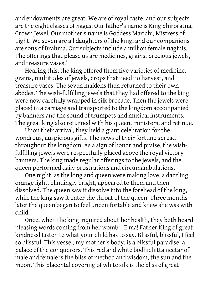and endowments are great. We are of royal caste, and our subjects are the eight classes of nagas. Our father's name is King Shiroratna, Crown Jewel. Our mother's name is Goddess Marichi, Mistress of Light. We seven are all daughters of the king, and our companions are sons of Brahma. Our subjects include a million female naginis. The offerings that please us are medicines, grains, precious jewels, and treasure vases."

Hearing this, the king offered them five varieties of medicine, grains, multitudes of jewels, crops that need no harvest, and treasure vases. The seven maidens then returned to their own abodes. The wish-fulfilling jewels that they had offered to the king were now carefully wrapped in silk brocade. Then the jewels were placed in a carriage and transported to the kingdom accompanied by banners and the sound of trumpets and musical instruments. The great king also returned with his queen, ministers, and retinue.

Upon their arrival, they held a giant celebration for the wondrous, auspicious gifts. The news of their fortune spread throughout the kingdom. As a sign of honor and praise, the wishfulfilling jewels were respectfully placed above the royal victory banners. The king made regular offerings to the jewels, and the queen performed daily prostrations and circumambulations.

One night, as the king and queen were making love, a dazzling orange light, blindingly bright, appeared to them and then dissolved. The queen saw it dissolve into the forehead of the king, while the king saw it enter the throat of the queen. Three months later the queen began to feel uncomfortable and knew she was with child.

Once, when the king inquired about her health, they both heard pleasing words coming from her womb: "E ma! Father King of great kindness! Listen to what your child has to say. Blissful, blissful, I feel so blissful! This vessel, my mother's body, is a blissful paradise, a palace of the conquerors. This red and white bodhichitta nectar of male and female is the bliss of method and wisdom, the sun and the moon. This placental covering of white silk is the bliss of great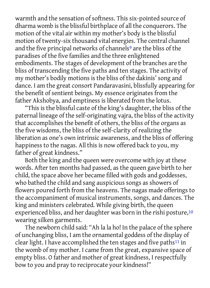warmth and the sensation of softness. This six-pointed source of dharma womb is the blissful birthplace of all the conquerors. The motion of the vital air within my mother's body is the blissful motion of twenty-six thousand vital energies. The central channel and the five principal networks of channels<sup>[9](#page-267-2)</sup> are the bliss of the paradises of the five families and the three enlightened embodiments. The stages of development of the branches are the bliss of transcending the five paths and ten stages. The activity of my mother's bodily motions is the bliss of the dakinis' song and dance. I am the great consort Pandaravasini, blissfully appearing for the benefit of sentient beings. My essence originates from the father Akshobya, and emptiness is liberated from the lotus.

"This is the blissful caste of the king's daughter, the bliss of the paternal lineage of the self-originating vajra, the bliss of the activity that accomplishes the benefit of others, the bliss of the organs as the five wisdoms, the bliss of the self-clarity of realizing the liberation as one's own intrinsic awareness, and the bliss of offering happiness to the nagas. All this is now offered back to you, my father of great kindness."

Both the king and the queen were overcome with joy at these words. After ten months had passed, as the queen gave birth to her child, the space above her became filled with gods and goddesses, who bathed the child and sang auspicious songs as showers of flowers poured forth from the heavens. The nagas made offerings to the accompaniment of musical instruments, songs, and dances. The king and ministers celebrated. While giving birth, the queen experienced bliss, and her daughter was born in the rishi posture,<sup>[10](#page-267-3)</sup> wearing silken garments.

The newborn child said: "Ah la la ho! In the palace of the sphere of unchanging bliss, I am the ornamental goddess of the display of clear light. I have accomplished the ten stages and five paths<sup>[11](#page-267-4)</sup> in the womb of my mother. I came from the great, expansive space of empty bliss. O father and mother of great kindness, I respectfully bow to you and pray to reciprocate your kindness!"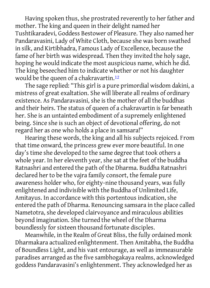Having spoken thus, she prostrated reverently to her father and mother. The king and queen in their delight named her Tushtikaradevi, Goddess Bestower of Pleasure. They also named her Pandaravasini, Lady of White Cloth, because she was born swathed in silk, and Kirtibhadra, Famous Lady of Excellence, because the fame of her birth was widespread. Then they invited the holy sage, hoping he would indicate the most auspicious name, which he did. The king beseeched him to indicate whether or not his daughter would be the queen of a chakravartin.[12](#page-267-5)

The sage replied: "This girl is a pure primordial wisdom dakini, a mistress of great exaltation. She will liberate all realms of ordinary existence. As Pandaravasini, she is the mother of all the buddhas and their heirs. The status of queen of a chakravartin is far beneath her. She is an untainted embodiment of a supremely enlightened being. Since she is such an object of devotional offering, do not regard her as one who holds a place in samsara!"

Hearing these words, the king and all his subjects rejoiced. From that time onward, the princess grew ever more beautiful. In one day's time she developed to the same degree that took others a whole year. In her eleventh year, she sat at the feet of the buddha Ratnashri and entered the path of the Dharma. Buddha Ratnashri declared her to be the vajra family consort, the female pure awareness holder who, for eighty-nine thousand years, was fully enlightened and indivisible with the Buddha of Unlimited Life, Amitayus. In accordance with this portentous indication, she entered the path of Dharma. Renouncing samsara in the place called Nametotra, she developed clairvoyance and miraculous abilities beyond imagination. She turned the wheel of the Dharma boundlessly for sixteen thousand fortunate disciples.

Meanwhile, in the Realm of Great Bliss, the fully ordained monk Dharmakara actualized enlightenment. Then Amitabha, the Buddha of Boundless Light, and his vast entourage, as well as immeasurable paradises arranged as the five sambhogakaya realms, acknowledged goddess Pandaravasini's enlightenment. They acknowledged her as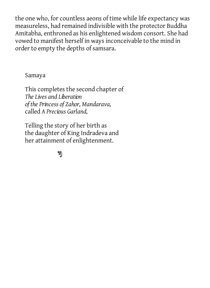the one who, for countless aeons of time while life expectancy was measureless, had remained indivisible with the protector Buddha Amitabha, enthroned as his enlightened wisdom consort. She had vowed to manifest herself in ways inconceivable to the mind in order to empty the depths of samsara.

### Samaya

This completes the second chapter of The Lives and Liberation of the Princess of Zahor, Mandarava, called A Precious Garland,

Telling the story of her birth as the daughter of King Indradeva and her attainment of enlightenment.

笺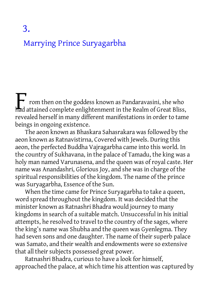[3.](#page-6-1)

## [Marrying Prince Suryagarbha](#page-6-1)

 $\prod_{\text{had at }n}$ rom then on the goddess known as Pandaravasini, she who had attained complete enlightenment in the Realm of Great Bliss, revealed herself in many different manifestations in order to tame beings in ongoing existence.

The aeon known as Bhaskara Sahasrakara was followed by the aeon known as Ratnavistirna, Covered with Jewels. During this aeon, the perfected Buddha Vajragarbha came into this world. In the country of Sukhavana, in the palace of Tamadu, the king was a holy man named Varunasena, and the queen was of royal caste. Her name was Anandashri, Glorious Joy, and she was in charge of the spiritual responsibilities of the kingdom. The name of the prince was Suryagarbha, Essence of the Sun.

When the time came for Prince Suryagarbha to take a queen, word spread throughout the kingdom. It was decided that the minister known as Ratnashri Bhadra would journey to many kingdoms in search of a suitable match. Unsuccessful in his initial attempts, he resolved to travel to the country of the sages, where the king's name was Shubha and the queen was Gyenlegma. They had seven sons and one daughter. The name of their superb palace was Samato, and their wealth and endowments were so extensive that all their subjects possessed great power.

Ratnashri Bhadra, curious to have a look for himself, approached the palace, at which time his attention was captured by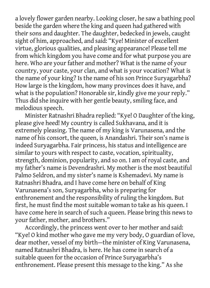a lovely flower garden nearby. Looking closer, he saw a bathing pool beside the garden where the king and queen had gathered with their sons and daughter. The daughter, bedecked in jewels, caught sight of him, approached, and said: "Kye! Minister of excellent virtue, glorious qualities, and pleasing appearance! Please tell me from which kingdom you have come and for what purpose you are here. Who are your father and mother? What is the name of your country, your caste, your clan, and what is your vocation? What is the name of your king? Is the name of his son Prince Suryagarbha? How large is the kingdom, how many provinces does it have, and what is the population? Honorable sir, kindly give me your reply." Thus did she inquire with her gentle beauty, smiling face, and melodious speech.

Minister Ratnashri Bhadra replied: "Kye! O Daughter of the king, please give heed! My country is called Sukhavana, and it is extremely pleasing. The name of my king is Varunasena, and the name of his consort, the queen, is Anandashri. Their son's name is indeed Suryagarbha. Fair princess, his status and intelligence are similar to yours with respect to caste, vocation, spirituality, strength, dominion, popularity, and so on. I am of royal caste, and my father's name is Devendrashri. My mother is the most beautiful Palmo Seldron, and my sister's name is Kshemadevi. My name is Ratnashri Bhadra, and I have come here on behalf of King Varunasena's son, Suryagarbha, who is preparing for enthronement and the responsibility of ruling the kingdom. But first, he must find the most suitable woman to take as his queen. I have come here in search of such a queen. Please bring this news to your father, mother, and brothers."

Accordingly, the princess went over to her mother and said: "Kye! O kind mother who gave me my very body, O guardian of love, dear mother, vessel of my birth—the minister of King Varunasena, named Ratnashri Bhadra, is here. He has come in search of a suitable queen for the occasion of Prince Suryagarbha's enthronement. Please present this message to the king." As she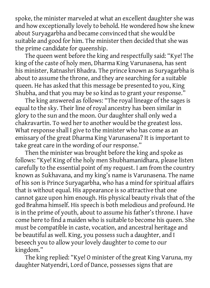spoke, the minister marveled at what an excellent daughter she was and how exceptionally lovely to behold. He wondered how she knew about Suryagarbha and became convinced that she would be suitable and good for him. The minister then decided that she was the prime candidate for queenship.

The queen went before the king and respectfully said: "Kye! The king of the caste of holy men, Dharma King Varunasena, has sent his minister, Ratnashri Bhadra. The prince known as Suryagarbha is about to assume the throne, and they are searching for a suitable queen. He has asked that this message be presented to you, King Shubha, and that you may be so kind as to grant your response."

The king answered as follows: "The royal lineage of the sages is equal to the sky. Their line of royal ancestry has been similar in glory to the sun and the moon. Our daughter shall only wed a chakravartin. To wed her to another would be the greatest loss. What response shall I give to the minister who has come as an emissary of the great Dharma King Varunasena? It is important to take great care in the wording of our response."

Then the minister was brought before the king and spoke as follows: "Kye! King of the holy men Shubhamanidhara, please listen carefully to the essential point of my request. I am from the country known as Sukhavana, and my king's name is Varunasena. The name of his son is Prince Suryagarbha, who has a mind for spiritual affairs that is without equal. His appearance is so attractive that one cannot gaze upon him enough. His physical beauty rivals that of the god Brahma himself. His speech is both melodious and profound. He is in the prime of youth, about to assume his father's throne. I have come here to find a maiden who is suitable to become his queen. She must be compatible in caste, vocation, and ancestral heritage and be beautiful as well. King, you possess such a daughter, and I beseech you to allow your lovely daughter to come to our kingdom."

The king replied: "Kye! O minister of the great King Varuna, my daughter Natyendri, Lord of Dance, possesses signs that are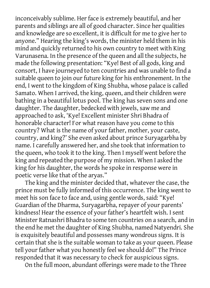inconceivably sublime. Her face is extremely beautiful, and her parents and siblings are all of good character. Since her qualities and knowledge are so excellent, it is difficult for me to give her to anyone." Hearing the king's words, the minister held them in his mind and quickly returned to his own country to meet with King Varunasena. In the presence of the queen and all the subjects, he made the following presentation: "Kye! Best of all gods, king and consort, I have journeyed to ten countries and was unable to find a suitable queen to join our future king for his enthronement. In the end, I went to the kingdom of King Shubha, whose palace is called Samato. When I arrived, the king, queen, and their children were bathing in a beautiful lotus pool. The king has seven sons and one daughter. The daughter, bedecked with jewels, saw me and approached to ask, 'Kye! Excellent minister Shri Bhadra of honorable character! For what reason have you come to this country? What is the name of your father, mother, your caste, country, and king?' She even asked about prince Suryagarbha by name. I carefully answered her, and she took that information to the queen, who took it to the king. Then I myself went before the king and repeated the purpose of my mission. When I asked the king for his daughter, the words he spoke in response were in poetic verse like that of the aryas."

The king and the minister decided that, whatever the case, the prince must be fully informed of this occurrence. The king went to meet his son face to face and, using gentle words, said: "Kye! Guardian of the Dharma, Suryagarbha, repayer of your parents' kindness! Hear the essence of your father's heartfelt wish. I sent Minister Ratnashri Bhadra to some ten countries on a search, and in the end he met the daughter of King Shubha, named Natyendri. She is exquisitely beautiful and possesses many wondrous signs. It is certain that she is the suitable woman to take as your queen. Please tell your father what you honestly feel we should do!" The Prince responded that it was necessary to check for auspicious signs.

On the full moon, abundant offerings were made to the Three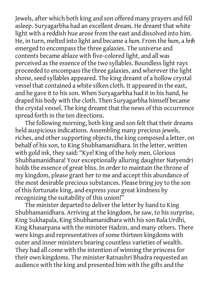Jewels, after which both king and son offered many prayers and fell asleep. Suryagarbha had an excellent dream. He dreamt that white light with a reddish hue arose from the east and dissolved into him. He, in turn, melted into light and became a hum. From the hum, a hrih emerged to encompass the three galaxies. The universe and contents became ablaze with five-colored light, and all was perceived as the essence of the two syllables. Boundless light rays proceeded to encompass the three galaxies, and wherever the light shone, seed syllables appeared. The king dreamt of a hollow crystal vessel that contained a white silken cloth. It appeared in the east, and he gave it to his son. When Suryagarbha had it in his hand, he draped his body with the cloth. Then Suryagarbha himself became the crystal vessel. The king dreamt that the news of this occurrence spread forth in the ten directions.

The following morning, both king and son felt that their dreams held auspicious indications. Assembling many precious jewels, riches, and other supporting objects, the king composed a letter, on behalf of his son, to King Shubhamanidhara. In the letter, written with gold ink, they said: "Kye! King of the holy men, Glorious Shubhamanidhara! Your exceptionally alluring daughter Natyendri holds the essence of great bliss. In order to maintain the throne of my kingdom, please grant her to me and accept this abundance of the most desirable precious substances. Please bring joy to the son of this fortunate king, and express your great kindness by recognizing the suitability of this union!"

The minister departed to deliver the letter by hand to King Shubhamanidhara. Arriving at the kingdom, he saw, to his surprise, King Sukhapala, King Shubhamanidhara with his son Bala Urdhi, King Khasarpana with the minister Hadzin, and many others. There were kings and representatives of some thirteen kingdoms with outer and inner ministers bearing countless varieties of wealth. They had all come with the intention of winning the princess for their own kingdoms. The minister Ratnashri Bhadra requested an audience with the king and presented him with the gifts and the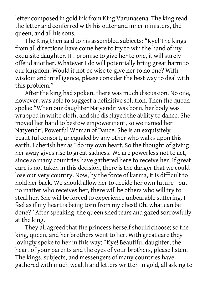letter composed in gold ink from King Varunasena. The king read the letter and conferred with his outer and inner ministers, the queen, and all his sons.

The King then said to his assembled subjects: "Kye! The kings from all directions have come here to try to win the hand of my exquisite daughter. If I promise to give her to one, it will surely offend another. Whatever I do will potentially bring great harm to our kingdom. Would it not be wise to give her to no one? With wisdom and intelligence, please consider the best way to deal with this problem."

After the king had spoken, there was much discussion. No one, however, was able to suggest a definitive solution. Then the queen spoke: "When our daughter Natyendri was born, her body was wrapped in white cloth, and she displayed the ability to dance. She moved her hand to bestow empowerment, so we named her Natyendri, Powerful Woman of Dance. She is an exquisitely beautiful consort, unequaled by any other who walks upon this earth. I cherish her as I do my own heart. So the thought of giving her away gives rise to great sadness. We are powerless not to act, since so many countries have gathered here to receive her. If great care is not taken in this decision, there is the danger that we could lose our very country. Now, by the force of karma, it is difficult to hold her back. We should allow her to decide her own future—but no matter who receives her, there will be others who will try to steal her. She will be forced to experience unbearable suffering. I feel as if my heart is being torn from my chest! Oh, what can be done?" After speaking, the queen shed tears and gazed sorrowfully at the king.

They all agreed that the princess herself should choose; so the king, queen, and her brothers went to her. With great care they lovingly spoke to her in this way: "Kye! Beautiful daughter, the heart of your parents and the eyes of your brothers, please listen. The kings, subjects, and messengers of many countries have gathered with much wealth and letters written in gold, all asking to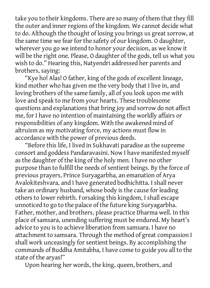take you to their kingdoms. There are so many of them that they fill the outer and inner regions of the kingdom. We cannot decide what to do. Although the thought of losing you brings us great sorrow, at the same time we fear for the safety of our kingdom. O daughter, wherever you go we intend to honor your decision, as we know it will be the right one. Please, O daughter of the gods, tell us what you wish to do." Hearing this, Natyendri addressed her parents and brothers, saying:

"Kye ho! Alas! O father, king of the gods of excellent lineage, kind mother who has given me the very body that I live in, and loving brothers of the same family, all of you look upon me with love and speak to me from your hearts. These troublesome questions and explanations that bring joy and sorrow do not affect me, for I have no intention of maintaining the worldly affairs or responsibilities of any kingdom. With the awakened mind of altruism as my motivating force, my actions must flow in accordance with the power of previous deeds.

"Before this life, I lived in Sukhavati paradise as the supreme consort and goddess Pandaravasini. Now I have manifested myself as the daughter of the king of the holy men. I have no other purpose than to fulfill the needs of sentient beings. By the force of previous prayers, Prince Suryagarbha, an emanation of Arya Avalokiteshvara, and I have generated bodhichitta. I shall never take an ordinary husband, whose body is the cause for leading others to lower rebirth. Forsaking this kingdom, I shall escape unnoticed to go to the palace of the future king Suryagarbha. Father, mother, and brothers, please practice Dharma well. In this place of samsara, unending suffering must be endured. My heart's advice to you is to achieve liberation from samsara. I have no attachment to samsara. Through the method of great compassion I shall work unceasingly for sentient beings. By accomplishing the commands of Buddha Amitabha, I have come to guide you all to the state of the aryas!"

Upon hearing her words, the king, queen, brothers, and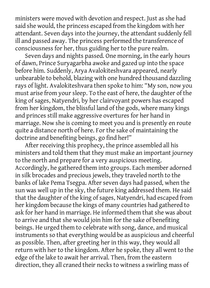ministers were moved with devotion and respect. Just as she had said she would, the princess escaped from the kingdom with her attendant. Seven days into the journey, the attendant suddenly fell ill and passed away. The princess performed the transference of consciousness for her, thus guiding her to the pure realm.

Seven days and nights passed. One morning, in the early hours of dawn, Prince Suryagarbha awoke and gazed up into the space before him. Suddenly, Arya Avalokiteshvara appeared, nearly unbearable to behold, blazing with one hundred thousand dazzling rays of light. Avalokiteshvara then spoke to him: "My son, now you must arise from your sleep. To the east of here, the daughter of the king of sages, Natyendri, by her clairvoyant powers has escaped from her kingdom, the blissful land of the gods, where many kings and princes still make aggressive overtures for her hand in marriage. Now she is coming to meet you and is presently en route quite a distance north of here. For the sake of maintaining the doctrine and benefiting beings, go find her!"

After receiving this prophecy, the prince assembled all his ministers and told them that they must make an important journey to the north and prepare for a very auspicious meeting. Accordingly, he gathered them into groups. Each member adorned in silk brocades and precious jewels, they traveled north to the banks of lake Pema Tsegpa. After seven days had passed, when the sun was well up in the sky, the future king addressed them. He said that the daughter of the king of sages, Natyendri, had escaped from her kingdom because the kings of many countries had gathered to ask for her hand in marriage. He informed them that she was about to arrive and that she would join him for the sake of benefiting beings. He urged them to celebrate with song, dance, and musical instruments so that everything would be as auspicious and cheerful as possible. Then, after greeting her in this way, they would all return with her to the kingdom. After he spoke, they all went to the edge of the lake to await her arrival. Then, from the eastern direction, they all craned their necks to witness a swirling mass of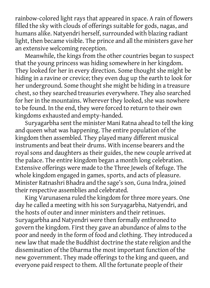rainbow-colored light rays that appeared in space. A rain of flowers filled the sky with clouds of offerings suitable for gods, nagas, and humans alike. Natyendri herself, surrounded with blazing radiant light, then became visible. The prince and all the ministers gave her an extensive welcoming reception.

Meanwhile, the kings from the other countries began to suspect that the young princess was hiding somewhere in her kingdom. They looked for her in every direction. Some thought she might be hiding in a ravine or crevice; they even dug up the earth to look for her underground. Some thought she might be hiding in a treasure chest, so they searched treasuries everywhere. They also searched for her in the mountains. Wherever they looked, she was nowhere to be found. In the end, they were forced to return to their own kingdoms exhausted and empty-handed.

Suryagarbha sent the minister Mani Ratna ahead to tell the king and queen what was happening. The entire population of the kingdom then assembled. They played many different musical instruments and beat their drums. With incense bearers and the royal sons and daughters as their guides, the new couple arrived at the palace. The entire kingdom began a month long celebration. Extensive offerings were made to the Three Jewels of Refuge. The whole kingdom engaged in games, sports, and acts of pleasure. Minister Ratnashri Bhadra and the sage's son, Guna Indra, joined their respective assemblies and celebrated.

King Varunasena ruled the kingdom for three more years. One day he called a meeting with his son Suryagarbha, Natyendri, and the hosts of outer and inner ministers and their retinues. Suryagarbha and Natyendri were then formally enthroned to govern the kingdom. First they gave an abundance of alms to the poor and needy in the form of food and clothing. They introduced a new law that made the Buddhist doctrine the state religion and the dissemination of the Dharma the most important function of the new government. They made offerings to the king and queen, and everyone paid respect to them. All the fortunate people of their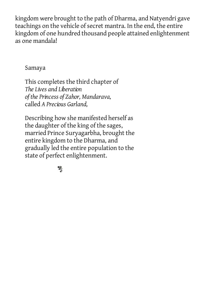kingdom were brought to the path of Dharma, and Natyendri gave teachings on the vehicle of secret mantra. In the end, the entire kingdom of one hundred thousand people attained enlightenment as one mandala!

#### Samaya

This completes the third chapter of The Lives and Liberation of the Princess of Zahor, Mandarava, called A Precious Garland,

Describing how she manifested herself as the daughter of the king of the sages, married Prince Suryagarbha, brought the entire kingdom to the Dharma, and gradually led the entire population to the state of perfect enlightenment.

笺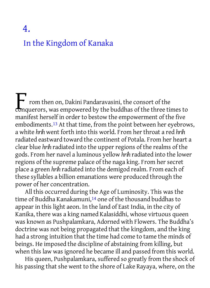[4.](#page-6-2)

## [In the Kingdom of Kanaka](#page-6-2)

 $\prod_{\substack{r \text{conqu}}$ rom then on, Dakini Pandaravasini, the consort of the conquerors, was empowered by the buddhas of the three times to manifest herself in order to bestow the empowerment of the five embodiments.[13](#page-267-6) At that time, from the point between her eyebrows, a white hrih went forth into this world. From her throat a red hrih radiated eastward toward the continent of Potala. From her heart a clear blue hrih radiated into the upper regions of the realms of the gods. From her navel a luminous yellow hrih radiated into the lower regions of the supreme palace of the naga king. From her secret place a green hrih radiated into the demigod realm. From each of these syllables a billion emanations were produced through the power of her concentration.

All this occurred during the Age of Luminosity. This was the time of Buddha Kanakamuni,<sup>[14](#page-267-7)</sup> one of the thousand buddhas to appear in this light aeon. In the land of East India, in the city of Kanika, there was a king named Kalasiddhi, whose virtuous queen was known as Pushpalamkara, Adorned with Flowers. The Buddha's doctrine was not being propagated that the kingdom, and the king had a strong intuition that the time had come to tame the minds of beings. He imposed the discipline of abstaining from killing, but when this law was ignored he became ill and passed from this world.

His queen, Pushpalamkara, suffered so greatly from the shock of his passing that she went to the shore of Lake Rayaya, where, on the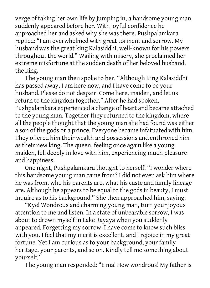verge of taking her own life by jumping in, a handsome young man suddenly appeared before her. With joyful confidence he approached her and asked why she was there. Pushpalamkara replied: "I am overwhelmed with great torment and sorrow. My husband was the great king Kalasiddhi, well-known for his powers throughout the world." Wailing with misery, she proclaimed her extreme misfortune at the sudden death of her beloved husband, the king.

The young man then spoke to her. "Although King Kalasiddhi has passed away, I am here now, and I have come to be your husband. Please do not despair! Come here, maiden, and let us return to the kingdom together." After he had spoken, Pushpalamkara experienced a change of heart and became attached to the young man. Together they returned to the kingdom, where all the people thought that the young man she had found was either a son of the gods or a prince. Everyone became infatuated with him. They offered him their wealth and possessions and enthroned him as their new king. The queen, feeling once again like a young maiden, fell deeply in love with him, experiencing much pleasure and happiness.

One night, Pushpalamkara thought to herself: "I wonder where this handsome young man came from? I did not even ask him where he was from, who his parents are, what his caste and family lineage are. Although he appears to be equal to the gods in beauty, I must inquire as to his background." She then approached him, saying:

"Kye! Wondrous and charming young man, turn your joyous attention to me and listen. In a state of unbearable sorrow, I was about to drown myself in Lake Rayaya when you suddenly appeared. Forgetting my sorrow, I have come to know such bliss with you. I feel that my merit is excellent, and I rejoice in my great fortune. Yet I am curious as to your background, your family heritage, your parents, and so on. Kindly tell me something about yourself."

The young man responded: "E ma! How wondrous! My father is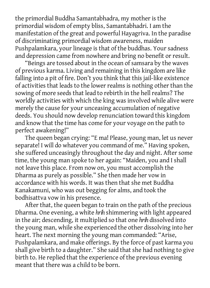the primordial Buddha Samantabhadra, my mother is the primordial wisdom of empty bliss, Samantabhadri. I am the manifestation of the great and powerful Hayagriva. In the paradise of discriminating primordial wisdom awareness, maiden Pushpalamkara, your lineage is that of the buddhas. Your sadness and depression came from nowhere and bring no benefit or result.

"Beings are tossed about in the ocean of samsara by the waves of previous karma. Living and remaining in this kingdom are like falling into a pit of fire. Don't you think that this jail-like existence of activities that leads to the lower realms is nothing other than the sowing of more seeds that lead to rebirth in the hell realms? The worldly activities with which the king was involved while alive were merely the cause for your unceasing accumulation of negative deeds. You should now develop renunciation toward this kingdom and know that the time has come for your voyage on the path to perfect awakening!"

The queen began crying: "E ma! Please, young man, let us never separate! I will do whatever you command of me." Having spoken, she suffered unceasingly throughout the day and night. After some time, the young man spoke to her again: "Maiden, you and I shall not leave this place. From now on, you must accomplish the Dharma as purely as possible." She then made her vow in accordance with his words. It was then that she met Buddha Kanakamuni, who was out begging for alms, and took the bodhisattva vow in his presence.

After that, the queen began to train on the path of the precious Dharma. One evening, a white hrih shimmering with light appeared in the air; descending, it multiplied so that one hrih dissolved into the young man, while she experienced the other dissolving into her heart. The next morning the young man commanded: "Arise, Pushpalamkara, and make offerings. By the force of past karma you shall give birth to a daughter." She said that she had nothing to give birth to. He replied that the experience of the previous evening meant that there was a child to be born.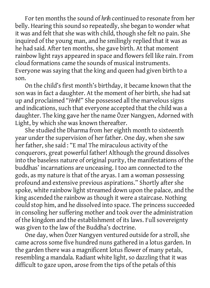For ten months the sound of hrih continued to resonate from her belly. Hearing this sound so repeatedly, she began to wonder what it was and felt that she was with child, though she felt no pain. She inquired of the young man, and he smilingly replied that it was as he had said. After ten months, she gave birth. At that moment rainbow light rays appeared in space and flowers fell like rain. From cloud formations came the sounds of musical instruments. Everyone was saying that the king and queen had given birth to a son.

On the child's first month's birthday, it became known that the son was in fact a daughter. At the moment of her birth, she had sat up and proclaimed "Hrih!" She possessed all the marvelous signs and indications, such that everyone accepted that the child was a daughter. The king gave her the name Özer Nangyen, Adorned with Light, by which she was known thereafter.

She studied the Dharma from her eighth month to sixteenth year under the supervision of her father. One day, when she saw her father, she said : "E ma! The miraculous activity of the conquerors, great powerful father! Although the ground dissolves into the baseless nature of original purity, the manifestations of the buddhas' incarnations are unceasing. I too am connected to the gods, as my nature is that of the aryas. I am a woman possessing profound and extensive previous aspirations." Shortly after she spoke, white rainbow light streamed down upon the palace, and the king ascended the rainbow as though it were a staircase. Nothing could stop him, and he dissolved into space. The princess succeeded in consoling her suffering mother and took over the administration of the kingdom and the establishment of its laws. Full sovereignty was given to the law of the Buddha's doctrine.

One day, when Özer Nangyen ventured outside for a stroll, she came across some five hundred nuns gathered in a lotus garden. In the garden there was a magnificent lotus flower of many petals, resembling a mandala. Radiant white light, so dazzling that it was difficult to gaze upon, arose from the tips of the petals of this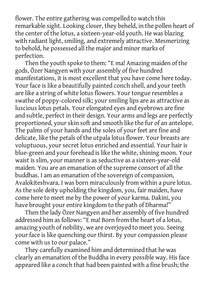flower. The entire gathering was compelled to watch this remarkable sight. Looking closer, they beheld, in the pollen heart of the center of the lotus, a sixteen-year-old youth. He was blazing with radiant light, smiling, and extremely attractive. Mesmerizing to behold, he possessed all the major and minor marks of perfection.

Then the youth spoke to them: "E ma! Amazing maiden of the gods, Özer Nangyen with your assembly of five hundred manifestations, it is most excellent that you have come here today. Your face is like a beautifully painted conch shell, and your teeth are like a string of white lotus flowers. Your tongue resembles a swathe of poppy-colored silk; your smiling lips are as attractive as luscious lotus petals. Your elongated eyes and eyebrows are fine and subtle, perfect in their design. Your arms and legs are perfectly proportioned, your skin soft and smooth like the fur of an antelope. The palms of your hands and the soles of your feet are fine and delicate, like the petals of the utpala lotus flower. Your breasts are voluptuous, your secret lotus enriched and essential. Your hair is blue-green and your forehead is like the white, shining moon. Your waist is slim, your manner is as seductive as a sixteen-year-old maiden. You are an emanation of the supreme consort of all the buddhas. I am an emanation of the sovereign of compassion, Avalokiteshvara. I was born miraculously from within a pure lotus. As the sole deity upholding the kingdom, you, fair maiden, have come here to meet me by the power of your karma. Dakini, you have brought your entire kingdom to the path of Dharma!"

Then the lady Özer Nangyen and her assembly of five hundred addressed him as follows: "E ma! Born from the heart of a lotus, amazing youth of nobility, we are overjoyed to meet you. Seeing your face is like quenching our thirst. By your compassion please come with us to our palace."

They carefully examined him and determined that he was clearly an emanation of the Buddha in every possible way. His face appeared like a conch that had been painted with a fine brush; the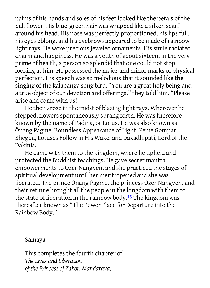palms of his hands and soles of his feet looked like the petals of the pali flower. His blue-green hair was wrapped like a silken scarf around his head. His nose was perfectly proportioned, his lips full, his eyes oblong, and his eyebrows appeared to be made of rainbow light rays. He wore precious jeweled ornaments. His smile radiated charm and happiness. He was a youth of about sixteen, in the very prime of health, a person so splendid that one could not stop looking at him. He possessed the major and minor marks of physical perfection. His speech was so melodious that it sounded like the singing of the kalapanga song bird. "You are a great holy being and a true object of our devotion and offerings," they told him. "Please arise and come with us!"

He then arose in the midst of blazing light rays. Wherever he stepped, flowers spontaneously sprang forth. He was therefore known by the name of Padma, or Lotus. He was also known as Önang Pagme, Boundless Appearance of Light, Peme Gompar Shegpa, Lotuses Follow in His Wake, and Dakadhipati, Lord of the Dakinis.

He came with them to the kingdom, where he upheld and protected the Buddhist teachings. He gave secret mantra empowerments to Özer Nangyen, and she practiced the stages of spiritual development until her merit ripened and she was liberated. The prince Önang Pagme, the princess Özer Nangyen, and their retinue brought all the people in the kingdom with them to the state of liberation in the rainbow body.[15](#page-267-8) The kingdom was thereafter known as "The Power Place for Departure into the Rainbow Body."

#### Samaya

This completes the fourth chapter of The Lives and Liberation of the Princess of Zahor, Mandarava,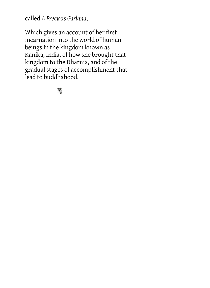called A Precious Garland,

Which gives an account of her first incarnation into the world of human beings in the kingdom known as Kanika, India, of how she brought that kingdom to the Dharma, and of the gradual stages of accomplishment that lead to buddhahood.

弩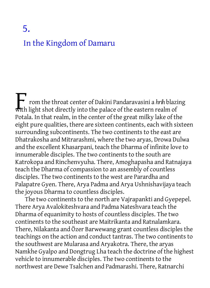[5.](#page-6-3)

### [In the Kingdom of Damaru](#page-6-3)

 $\prod_{\text{with ii}}$ rom the throat center of Dakini Pandaravasini a *hri*h blazing with light shot directly into the palace of the eastern realm of Potala. In that realm, in the center of the great milky lake of the eight pure qualities, there are sixteen continents, each with sixteen surrounding subcontinents. The two continents to the east are Dhatrakosha and Mitrarashmi, where the two aryas, Drowa Dulwa and the excellent Khasarpani, teach the Dharma of infinite love to innumerable disciples. The two continents to the south are Katrokopa and Rinchenvyuha. There, Amoghapasha and Ratnajaya teach the Dharma of compassion to an assembly of countless disciples. The two continents to the west are Parardha and Palapatre Gyen. There, Arya Padma and Arya Ushnishavijaya teach the joyous Dharma to countless disciples.

The two continents to the north are Vajrapankti and Gyepepel. There Arya Avalokiteshvara and Padma Nateshvara teach the Dharma of equanimity to hosts of countless disciples. The two continents to the southeast are Maitrikanta and Ratnalamkara. There, Nilakanta and Özer Barwewang grant countless disciples the teachings on the action and conduct tantras. The two continents to the southwest are Mularasa and Aryakotra. There, the aryas Namkhe Gyalpo and Dongtrug Lha teach the doctrine of the highest vehicle to innumerable disciples. The two continents to the northwest are Dewe Tsalchen and Padmarashi. There, Ratnarchi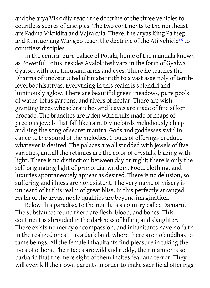and the arya Vikridita teach the doctrine of the three vehicles to countless scores of disciples. The two continents to the northeast are Padma Vikridita and Vajrakula. There, the aryas King Paltseg and Kuntuchang Wangpo teach the doctrine of the Ati vehicle[16](#page-268-0) to countless disciples.

In the central pure palace of Potala, home of the mandala known as Powerful Lotus, resides Avalokiteshvara in the form of Gyalwa Gyatso, with one thousand arms and eyes. There he teaches the Dharma of unobstructed ultimate truth to a vast assembly of tenthlevel bodhisattvas. Everything in this realm is splendid and luminously aglow. There are beautiful green meadows, pure pools of water, lotus gardens, and rivers of nectar. There are wishgranting trees whose branches and leaves are made of fine silken brocade. The branches are laden with fruits made of heaps of precious jewels that fall like rain. Divine birds melodiously chirp and sing the song of secret mantra. Gods and goddesses swirl in dance to the sound of the melodies. Clouds of offerings produce whatever is desired. The palaces are all studded with jewels of five varieties, and all the retinues are the color of crystals, blazing with light. There is no distinction between day or night; there is only the self-originating light of primordial wisdom. Food, clothing, and luxuries spontaneously appear as desired. There is no delusion, so suffering and illness are nonexistent. The very name of misery is unheard of in this realm of great bliss. In this perfectly arranged realm of the aryas, noble qualities are beyond imagination.

Below this paradise, to the north, is a country called Damaru. The substances found there are flesh, blood, and bones. This continent is shrouded in the darkness of killing and slaughter. There exists no mercy or compassion, and inhabitants have no faith in the realized ones. It is a dark land, where there are no buddhas to tame beings. All the female inhabitants find pleasure in taking the lives of others. Their faces are wild and ruddy, their manner is so barbaric that the mere sight of them incites fear and terror. They will even kill their own parents in order to make sacrificial offerings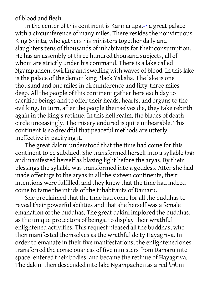of blood and flesh.

In the center of this continent is Karmarupa,[17](#page-268-1) a great palace with a circumference of many miles. There resides the nonvirtuous King Shinta, who gathers his ministers together daily and slaughters tens of thousands of inhabitants for their consumption. He has an assembly of three hundred thousand subjects, all of whom are strictly under his command. There is a lake called Ngampachen, swirling and swelling with waves of blood. In this lake is the palace of the demon king Black Yaksha. The lake is one thousand and one miles in circumference and fifty-three miles deep. All the people of this continent gather here each day to sacrifice beings and to offer their heads, hearts, and organs to the evil king. In turn, after the people themselves die, they take rebirth again in the king's retinue. In this hell realm, the blades of death circle unceasingly. The misery endured is quite unbearable. This continent is so dreadful that peaceful methods are utterly ineffective in pacifying it.

The great dakini understood that the time had come for this continent to be subdued. She transformed herself into a syllable hrih and manifested herself as blazing light before the aryas. By their blessings the syllable was transformed into a goddess. After she had made offerings to the aryas in all the sixteen continents, their intentions were fulfilled, and they knew that the time had indeed come to tame the minds of the inhabitants of Damaru.

She proclaimed that the time had come for all the buddhas to reveal their powerful abilities and that she herself was a female emanation of the buddhas. The great dakini implored the buddhas, as the unique protectors of beings, to display their wrathful enlightened activities. This request pleased all the buddhas, who then manifested themselves as the wrathful deity Hayagriva. In order to emanate in their five manifestations, the enlightened ones transferred the consciousness of five ministers from Damaru into space, entered their bodies, and became the retinue of Hayagriva. The dakini then descended into lake Ngampachen as a red hrih in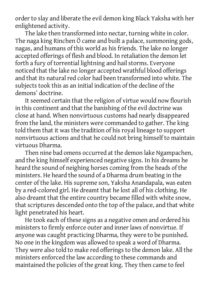order to slay and liberate the evil demon king Black Yaksha with her enlightened activity.

The lake then transformed into nectar, turning white in color. The naga king Rinchen Ö came and built a palace, summoning gods, nagas, and humans of this world as his friends. The lake no longer accepted offerings of flesh and blood. In retaliation the demon let forth a fury of torrential lightning and hail storms. Everyone noticed that the lake no longer accepted wrathful blood offerings and that its natural red color had been transformed into white. The subjects took this as an initial indication of the decline of the demons' doctrine.

It seemed certain that the religion of virtue would now flourish in this continent and that the banishing of the evil doctrine was close at hand. When nonvirtuous customs had nearly disappeared from the land, the ministers were commanded to gather. The king told them that it was the tradition of his royal lineage to support nonvirtuous actions and that he could not bring himself to maintain virtuous Dharma.

Then nine bad omens occurred at the demon lake Ngampachen, and the king himself experienced negative signs. In his dreams he heard the sound of neighing horses coming from the heads of the ministers. He heard the sound of a Dharma drum beating in the center of the lake. His supreme son, Yaksha Anandapala, was eaten by a red-colored girl. He dreamt that he lost all of his clothing. He also dreamt that the entire country became filled with white snow, that scriptures descended onto the top of the palace, and that white light penetrated his heart.

He took each of these signs as a negative omen and ordered his ministers to firmly enforce outer and inner laws of nonvirtue. If anyone was caught practicing Dharma, they were to be punished. No one in the kingdom was allowed to speak a word of Dharma. They were also told to make red offerings to the demon lake. All the ministers enforced the law according to these commands and maintained the policies of the great king. They then came to feel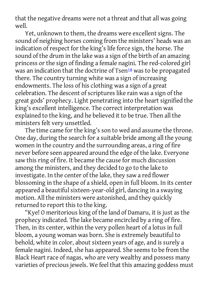that the negative dreams were not a threat and that all was going well.

Yet, unknown to them, the dreams were excellent signs. The sound of neighing horses coming from the ministers' heads was an indication of respect for the king's life force sign, the horse. The sound of the drum in the lake was a sign of the birth of an amazing princess or the sign of finding a female nagini. The red-colored girl was an indication that the doctrine of Tsen[18](#page-268-2) was to be propagated there. The country turning white was a sign of increasing endowments. The loss of his clothing was a sign of a great celebration. The descent of scriptures like rain was a sign of the great gods' prophecy. Light penetrating into the heart signified the king's excellent intelligence. The correct interpretation was explained to the king, and he believed it to be true. Then all the ministers felt very unsettled.

The time came for the king's son to wed and assume the throne. One day, during the search for a suitable bride among all the young women in the country and the surrounding areas, a ring of fire never before seen appeared around the edge of the lake. Everyone saw this ring of fire. It became the cause for much discussion among the ministers, and they decided to go to the lake to investigate. In the center of the lake, they saw a red flower blossoming in the shape of a shield, open in full bloom. In its center appeared a beautiful sixteen-year-old girl, dancing in a swaying motion. All the ministers were astonished, and they quickly returned to report this to the king.

"Kye! O meritorious king of the land of Damaru, it is just as the prophecy indicated. The lake became encircled by a ring of fire. Then, in its center, within the very pollen heart of a lotus in full bloom, a young woman was born. She is extremely beautiful to behold, white in color, about sixteen years of age, and is surely a female nagini. Indeed, she has appeared. She seems to be from the Black Heart race of nagas, who are very wealthy and possess many varieties of precious jewels. We feel that this amazing goddess must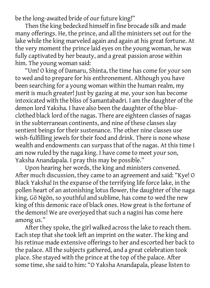be the long-awaited bride of our future king!"

Then the king bedecked himself in fine brocade silk and made many offerings. He, the prince, and all the ministers set out for the lake while the king marveled again and again at his great fortune. At the very moment the prince laid eyes on the young woman, he was fully captivated by her beauty, and a great passion arose within him. The young woman said:

"Um! O king of Damaru, Shinta, the time has come for your son to wed and to prepare for his enthronement. Although you have been searching for a young woman within the human realm, my merit is much greater! Just by gazing at me, your son has become intoxicated with the bliss of Samantabadri. I am the daughter of the demon lord Yaksha. I have also been the daughter of the blueclothed black lord of the nagas. There are eighteen classes of nagas in the subterranean continents, and nine of these classes slay sentient beings for their sustenance. The other nine classes use wish-fulfilling jewels for their food and drink. There is none whose wealth and endowments can surpass that of the nagas. At this time I am now ruled by the naga king. I have come to meet your son, Yaksha Anandapala. I pray this may be possible."

Upon hearing her words, the king and ministers convened. After much discussion, they came to an agreement and said: "Kye! O Black Yaksha! In the expanse of the terrifying life force lake, in the pollen heart of an astonishing lotus flower, the daughter of the naga king, Gö Ngön, so youthful and sublime, has come to wed the new king of this demonic race of black ones. How great is the fortune of the demons! We are overjoyed that such a nagini has come here among us."

After they spoke, the girl walked across the lake to reach them. Each step that she took left an imprint on the water. The king and his retinue made extensive offerings to her and escorted her back to the palace. All the subjects gathered, and a great celebration took place. She stayed with the prince at the top of the palace. After some time, she said to him: "O Yaksha Anandapala, please listen to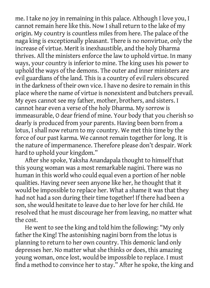me. I take no joy in remaining in this palace. Although I love you, I cannot remain here like this. Now I shall return to the lake of my origin. My country is countless miles from here. The palace of the naga king is exceptionally pleasant. There is no nonvirtue, only the increase of virtue. Merit is inexhaustible, and the holy Dharma thrives. All the ministers enforce the law to uphold virtue. In many ways, your country is inferior to mine. The king uses his power to uphold the ways of the demons. The outer and inner ministers are evil guardians of the land. This is a country of evil rulers obscured in the darkness of their own vice. I have no desire to remain in this place where the name of virtue is nonexistent and butchers prevail. My eyes cannot see my father, mother, brothers, and sisters. I cannot hear even a verse of the holy Dharma. My sorrow is immeasurable, O dear friend of mine. Your body that you cherish so dearly is produced from your parents. Having been born from a lotus, I shall now return to my country. We met this time by the force of our past karma. We cannot remain together for long. It is the nature of impermanence. Therefore please don't despair. Work hard to uphold your kingdom."

After she spoke, Yaksha Anandapala thought to himself that this young woman was a most remarkable nagini. There was no human in this world who could equal even a portion of her noble qualities. Having never seen anyone like her, he thought that it would be impossible to replace her. What a shame it was that they had not had a son during their time together! If there had been a son, she would hesitate to leave due to her love for her child. He resolved that he must discourage her from leaving, no matter what the cost.

He went to see the king and told him the following: "My only father the King! The astonishing nagini born from the lotus is planning to return to her own country. This demonic land only depresses her. No matter what she thinks or does, this amazing young woman, once lost, would be impossible to replace. I must find a method to convince her to stay." After he spoke, the king and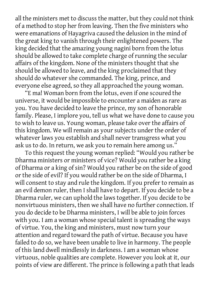all the ministers met to discuss the matter, but they could not think of a method to stop her from leaving. Then the five ministers who were emanations of Hayagriva caused the delusion in the mind of the great king to vanish through their enlightened powers. The king decided that the amazing young nagini born from the lotus should be allowed to take complete charge of running the secular affairs of the kingdom. None of the ministers thought that she should be allowed to leave, and the king proclaimed that they should do whatever she commanded. The king, prince, and everyone else agreed, so they all approached the young woman.

"E ma! Woman born from the lotus, even if one scoured the universe, it would be impossible to encounter a maiden as rare as you. You have decided to leave the prince, my son of honorable family. Please, I implore you, tell us what we have done to cause you to wish to leave us. Young woman, please take over the affairs of this kingdom. We will remain as your subjects under the order of whatever laws you establish and shall never transgress what you ask us to do. In return, we ask you to remain here among us."

To this request the young woman replied: "Would you rather be Dharma ministers or ministers of vice? Would you rather be a king of Dharma or a king of sin? Would you rather be on the side of good or the side of evil? If you would rather be on the side of Dharma, I will consent to stay and rule the kingdom. If you prefer to remain as an evil demon ruler, then I shall have to depart. If you decide to be a Dharma ruler, we can uphold the laws together. If you decide to be nonvirtuous ministers, then we shall have no further connection. If you do decide to be Dharma ministers, I will be able to join forces with you. I am a woman whose special talent is spreading the ways of virtue. You, the king and ministers, must now turn your attention and regard toward the path of virtue. Because you have failed to do so, we have been unable to live in harmony. The people of this land dwell mindlessly in darkness. I am a woman whose virtuous, noble qualities are complete. However you look at it, our points of view are different. The prince is following a path that leads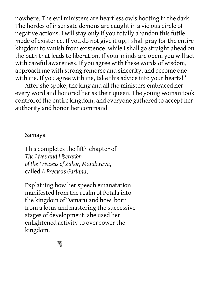nowhere. The evil ministers are heartless owls hooting in the dark. The hordes of insensate demons are caught in a vicious circle of negative actions. I will stay only if you totally abandon this futile mode of existence. If you do not give it up, I shall pray for the entire kingdom to vanish from existence, while I shall go straight ahead on the path that leads to liberation. If your minds are open, you will act with careful awareness. If you agree with these words of wisdom, approach me with strong remorse and sincerity, and become one with me. If you agree with me, take this advice into your hearts!"

After she spoke, the king and all the ministers embraced her every word and honored her as their queen. The young woman took control of the entire kingdom, and everyone gathered to accept her authority and honor her command.

#### Samaya

This completes the fifth chapter of The Lives and Liberation of the Princess of Zahor, Mandarava, called A Precious Garland,

Explaining how her speech emanatation manifested from the realm of Potala into the kingdom of Damaru and how, born from a lotus and mastering the successive stages of development, she used her enlightened activity to overpower the kingdom.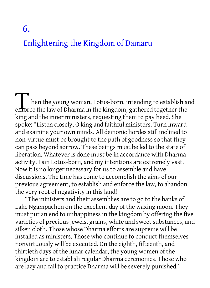# [Enlightening the Kingdom of Damaru](#page-6-0)

Then the young woman, Lotus-born, intending to establish and enforce the law of Dharma in the kingdom, gathered together the hen the young woman, Lotus-born, intending to establish and king and the inner ministers, requesting them to pay heed. She spoke: "Listen closely, O king and faithful ministers. Turn inward and examine your own minds. All demonic hordes still inclined to non-virtue must be brought to the path of goodness so that they can pass beyond sorrow. These beings must be led to the state of liberation. Whatever is done must be in accordance with Dharma activity. I am Lotus-born, and my intentions are extremely vast. Now it is no longer necessary for us to assemble and have discussions. The time has come to accomplish the aims of our previous agreement, to establish and enforce the law, to abandon the very root of negativity in this land!

"The ministers and their assemblies are to go to the banks of Lake Ngampachen on the excellent day of the waxing moon. They must put an end to unhappiness in the kingdom by offering the five varieties of precious jewels, grains, white and sweet substances, and silken cloth. Those whose Dharma efforts are supreme will be installed as ministers. Those who continue to conduct themselves nonvirtuously will be executed. On the eighth, fifteenth, and thirtieth days of the lunar calendar, the young women of the kingdom are to establish regular Dharma ceremonies. Those who are lazy and fail to practice Dharma will be severely punished."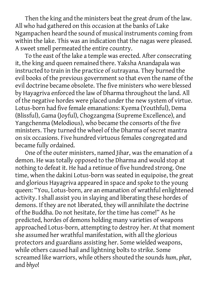Then the king and the ministers beat the great drum of the law. All who had gathered on this occasion at the banks of Lake Ngampachen heard the sound of musical instruments coming from within the lake. This was an indication that the nagas were pleased. A sweet smell permeated the entire country.

To the east of the lake a temple was erected. After consecrating it, the king and queen remained there. Yaksha Anandapala was instructed to train in the practice of sutrayana. They burned the evil books of the previous government so that even the name of the evil doctrine became obsolete. The five ministers who were blessed by Hayagriva enforced the law of Dharma throughout the land. All of the negative hordes were placed under the new system of virtue. Lotus-born had five female emanations: Kyema (Youthful), Dema (Blissful), Gama (Joyful), Chogzangma (Supreme Excellence), and Yangchenma (Melodious), who became the consorts of the five ministers. They turned the wheel of the Dharma of secret mantra on six occasions. Five hundred virtuous females congregated and became fully ordained.

One of the outer ministers, named Jihar, was the emanation of a demon. He was totally opposed to the Dharma and would stop at nothing to defeat it. He had a retinue of five hundred strong. One time, when the dakini Lotus-born was seated in equipoise, the great and glorious Hayagriva appeared in space and spoke to the young queen: "You, Lotus-born, are an emanation of wrathful enlightened activity. I shall assist you in slaying and liberating these hordes of demons. If they are not liberated, they will annihilate the doctrine of the Buddha. Do not hesitate, for the time has come!" As he predicted, hordes of demons holding many varieties of weapons approached Lotus-born, attempting to destroy her. At that moment she assumed her wrathful manifestation, with all the glorious protectors and guardians assisting her. Some wielded weapons, while others caused hail and lightning bolts to strike. Some screamed like warriors, while others shouted the sounds hum, phat, and bhyo!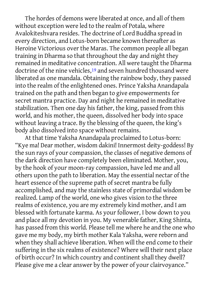The hordes of demons were liberated at once, and all of them without exception were led to the realm of Potala, where Avalokiteshvara resides. The doctrine of Lord Buddha spread in every direction, and Lotus-born became known thereafter as Heroine Victorious over the Maras. The common people all began training in Dharma so that throughout the day and night they remained in meditative concentration. All were taught the Dharma doctrine of the nine vehicles,<sup>[19](#page-268-0)</sup> and seven hundred thousand were liberated as one mandala. Obtaining the rainbow body, they passed into the realm of the enlightened ones. Prince Yaksha Anandapala trained on the path and then began to give empowerments for secret mantra practice. Day and night he remained in meditative stabilization. Then one day his father, the king, passed from this world, and his mother, the queen, dissolved her body into space without leaving a trace. By the blessing of the queen, the king's body also dissolved into space without remains.

At that time Yaksha Anandapala proclaimed to Lotus-born: "Kye ma! Dear mother, wisdom dakini! Innermost deity-goddess! By the sun rays of your compassion, the classes of negative demons of the dark direction have completely been eliminated. Mother, you, by the hook of your moon-ray compassion, have led me and all others upon the path to liberation. May the essential nectar of the heart essence of the supreme path of secret mantra be fully accomplished, and may the stainless state of primordial wisdom be realized. Lamp of the world, one who gives vision to the three realms of existence, you are my extremely kind mother, and I am blessed with fortunate karma. As your follower, I bow down to you and place all my devotion in you. My venerable father, King Shinta, has passed from this world. Please tell me where he and the one who gave me my body, my birth mother Kala Yaksha, were reborn and when they shall achieve liberation. When will the end come to their suffering in the six realms of existence? Where will their next place of birth occur? In which country and continent shall they dwell? Please give me a clear answer by the power of your clairvoyance."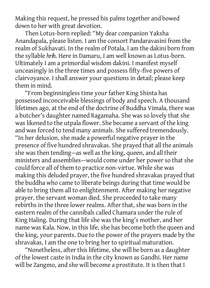Making this request, he pressed his palms together and bowed down to her with great devotion.

Then Lotus-born replied: "My dear companion Yaksha Anandapala, please listen. I am the consort Pandaravasini from the realm of Sukhavati. In the realm of Potala, I am the dakini born from the syllable hrih. Here in Damaru, I am well known as Lotus-born. Ultimately I am a primordial wisdom dakini. I manifest myself unceasingly in the three times and possess fifty-five powers of clairvoyance. I shall answer your questions in detail; please keep them in mind.

"From beginningless time your father King Shinta has possessed inconceivable blessings of body and speech. A thousand lifetimes ago, at the end of the doctrine of Buddha Vimala, there was a butcher's daughter named Ragamaha. She was so lovely that she was likened to the utpala flower. She became a servant of the king and was forced to tend many animals. She suffered tremendously. "In her delusion, she made a powerful negative prayer in the presence of five hundred shravakas. She prayed that all the animals she was then tending—as well as the king, queen, and all their ministers and assemblies—would come under her power so that she could force all of them to practice non-virtue. While she was making this deluded prayer, the five hundred shravakas prayed that the buddha who came to liberate beings during that time would be able to bring them all to enlightenment. After making her negative prayer, the servant woman died. She proceeded to take many rebirths in the three lower realms. After that, she was born in the eastern realm of the cannibals called Chamara under the rule of King Haling. During that life she was the king's mother, and her name was Kala. Now, in this life, she has become both the queen and the king, your parents. Due to the power of the prayers made by the shravakas, I am the one to bring her to spiritual maturation.

"Nonetheless, after this lifetime, she will be born as a daughter of the lowest caste in India in the city known as Gandhi. Her name will be Zangmo, and she will become a prostitute. It is then that I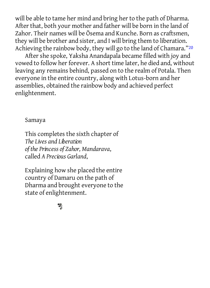will be able to tame her mind and bring her to the path of Dharma. After that, both your mother and father will be born in the land of Zahor. Their names will be Ösema and Kunche. Born as craftsmen, they will be brother and sister, and I will bring them to liberation. Achieving the rainbow body, they will go to the land of Chamara."[20](#page-268-1)

After she spoke, Yaksha Anandapala became filled with joy and vowed to follow her forever. A short time later, he died and, without leaving any remains behind, passed on to the realm of Potala. Then everyone in the entire country, along with Lotus-born and her assemblies, obtained the rainbow body and achieved perfect enlightenment.

#### Samaya

This completes the sixth chapter of The Lives and Liberation of the Princess of Zahor, Mandarava, called A Precious Garland,

Explaining how she placed the entire country of Damaru on the path of Dharma and brought everyone to the state of enlightenment.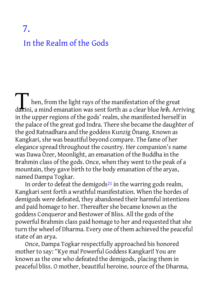# [In the Realm of the Gods](#page-6-1)

hen, from the light rays of the manifestation of the great<br>dakini, a mind emanation was sent forth as a clear blue *hrih*. Arriving hen, from the light rays of the manifestation of the great in the upper regions of the gods' realm, she manifested herself in the palace of the great god Indra. There she became the daughter of the god Ratnadhara and the goddess Kunzig Önang. Known as Kangkari, she was beautiful beyond compare. The fame of her elegance spread throughout the country. Her companion's name was Dawa Özer, Moonlight, an emanation of the Buddha in the Brahmin class of the gods. Once, when they went to the peak of a mountain, they gave birth to the body emanation of the aryas, named Dampa Togkar.

In order to defeat the demigods<sup>[21](#page-268-2)</sup> in the warring gods realm, Kangkari sent forth a wrathful manifestation. When the hordes of demigods were defeated, they abandoned their harmful intentions and paid homage to her. Thereafter she became known as the goddess Conqueror and Bestower of Bliss. All the gods of the powerful Brahmin class paid homage to her and requested that she turn the wheel of Dharma. Every one of them achieved the peaceful state of an arya.

Once, Dampa Togkar respectfully approached his honored mother to say: "Kye ma! Powerful Goddess Kangkari! You are known as the one who defeated the demigods, placing them in peaceful bliss. O mother, beautiful heroine, source of the Dharma,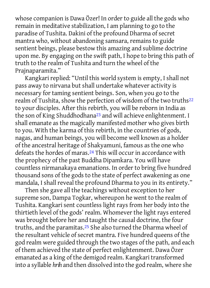whose companion is Dawa Özer! In order to guide all the gods who remain in meditative stabilization, I am planning to go to the paradise of Tushita. Dakini of the profound Dharma of secret mantra who, without abandoning samsara, remains to guide sentient beings, please bestow this amazing and sublime doctrine upon me. By engaging on the swift path, I hope to bring this path of truth to the realm of Tushita and turn the wheel of the Prajnaparamita."

Kangkari replied: "Until this world system is empty, I shall not pass away to nirvana but shall undertake whatever activity is necessary for taming sentient beings. Son, when you go to the realm of Tushita, show the perfection of wisdom of the two truths<sup>[22](#page-268-3)</sup> to your disciples. After this rebirth, you will be reborn in India as the son of King Shuddhodhana[23](#page-269-0) and will achieve enlightenment. I shall emanate as the magically manifested mother who gives birth to you. With the karma of this rebirth, in the countries of gods, nagas, and human beings, you will become well known as a holder of the ancestral heritage of Shakyamuni, famous as the one who defeats the hordes of maras.[24](#page-269-1) This will occur in accordance with the prophecy of the past Buddha Dipamkara. You will have countless nirmanakaya emanations. In order to bring five hundred thousand sons of the gods to the state of perfect awakening as one mandala, I shall reveal the profound Dharma to you in its entirety."

Then she gave all the teachings without exception to her supreme son, Dampa Togkar, whereupon he went to the realm of Tushita. Kangkari sent countless light rays from her body into the thirtieth level of the gods' realm. Whomever the light rays entered was brought before her and taught the causal doctrine, the four truths, and the paramitas.[25](#page-269-2) She also turned the Dharma wheel of the resultant vehicle of secret mantra. Five hundred queens of the god realm were guided through the two stages of the path, and each of them achieved the state of perfect enlightenment. Dawa Özer emanated as a king of the demigod realm. Kangkari transformed into a syllable hrih and then dissolved into the god realm, where she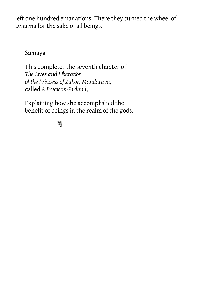left one hundred emanations. There they turned the wheel of Dharma for the sake of all beings.

Samaya

This completes the seventh chapter of The Lives and Liberation of the Princess of Zahor, Mandarava, called A Precious Garland,

Explaining how she accomplished the benefit of beings in the realm of the gods.

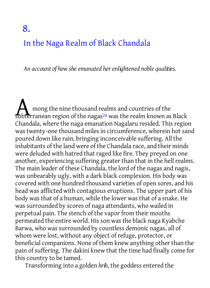# [In the Naga Realm of Black Chandala](#page-6-2)

An account of how she emanated her enlightened noble qualities.

mong the nine thousand realms and countries of the<br>subterranean region of the nagas<sup>[26](#page-269-3)</sup> was the realm known as Black mong the nine thousand realms and countries of the Chandala, where the naga emanation Nagalaru resided. This region was twenty-one thousand miles in circumference, wherein hot sand poured down like rain, bringing inconceivable suffering. All the inhabitants of the land were of the Chandala race, and their minds were deluded with hatred that raged like fire. They preyed on one another, experiencing suffering greater than that in the hell realms. The main leader of these Chandala, the lord of the nagas and nagis, was unbearably ugly, with a dark black complexion. His body was covered with one hundred thousand varieties of open sores, and his head was afflicted with contagious eruptions. The upper part of his body was that of a human, while the lower was that of a snake. He was surrounded by scores of naga attendants, who wailed in perpetual pain. The stench of the vapor from their mouths permeated the entire world. His son was the black naga Kyabche Barwa, who was surrounded by countless demonic nagas, all of whom were lost, without any object of refuge, protector, or beneficial companions. None of them knew anything other than the pain of suffering. The dakini knew that the time had finally come for this country to be tamed.

Transforming into a golden hrih, the goddess entered the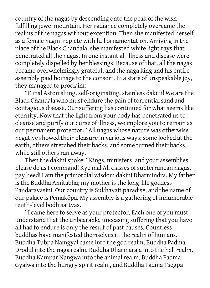country of the nagas by descending onto the peak of the wishfulfilling jewel mountain. Her radiance completely overcame the realms of the nagas without exception. Then she manifested herself as a female nagini replete with full ornamentation. Arriving in the place of the Black Chandala, she manifested white light rays that penetrated all the nagas. In one instant all illness and disease were completely dispelled by her blessings. Because of that, all the nagas became overwhelmingly grateful, and the naga king and his entire assembly paid homage to the consort. In a state of unspeakable joy, they managed to proclaim:

"E ma! Astonishing, self-originating, stainless dakini! We are the Black Chandala who must endure the pain of torrential sand and contagious disease. Our suffering has continued for what seems like eternity. Now that the light from your body has penetrated us to cleanse and purify our curse of illness, we implore you to remain as our permanent protector." All nagas whose nature was otherwise negative showed their pleasure in various ways: some looked at the earth, others stretched their backs, and some turned their backs, while still others ran away.

Then the dakini spoke: "Kings, ministers, and your assemblies, please do as I command! Kye ma! All classes of subterranean nagas, pay heed! I am the primordial wisdom dakini Dharmindra. My father is the Buddha Amitabha; my mother is the long-life goddess Pandaravasini. Our country is Sukhavati paradise, and the name of our palace is Pemaköpa. My assembly is a gathering of innumerable tenth-level bodhisattvas.

"I came here to serve as your protector. Each one of you must understand that the unbearable, unceasing suffering that you have all had to endure is only the result of past causes. Countless buddhas have manifested themselves in the realm of humans. Buddha Tubpa Namgyal came into the god realm, Buddha Padma Drodul into the naga realm, Buddha Dharmaraja into the hell realm, Buddha Nampar Nangwa into the animal realm, Buddha Padma Gyalwa into the hungry spirit realm, and Buddha Padma Tsegpa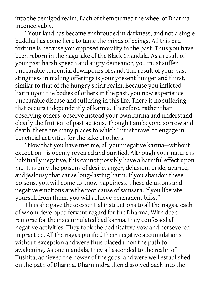into the demigod realm. Each of them turned the wheel of Dharma inconceivably.

"Your land has become enshrouded in darkness, and not a single buddha has come here to tame the minds of beings. All this bad fortune is because you opposed morality in the past. Thus you have been reborn in the naga lake of the Black Chandala. As a result of your past harsh speech and angry demeanor, you must suffer unbearable torrential downpours of sand. The result of your past stinginess in making offerings is your present hunger and thirst, similar to that of the hungry spirit realm. Because you inflicted harm upon the bodies of others in the past, you now experience unbearable disease and suffering in this life. There is no suffering that occurs independently of karma. Therefore, rather than observing others, observe instead your own karma and understand clearly the fruition of past actions. Though I am beyond sorrow and death, there are many places to which I must travel to engage in beneficial activities for the sake of others.

"Now that you have met me, all your negative karma—without exception—is openly revealed and purified. Although your nature is habitually negative, this cannot possibly have a harmful effect upon me. It is only the poisons of desire, anger, delusion, pride, avarice, and jealousy that cause long-lasting harm. If you abandon these poisons, you will come to know happiness. These delusions and negative emotions are the root cause of samsara. If you liberate yourself from them, you will achieve permanent bliss."

Thus she gave these essential instructions to all the nagas, each of whom developed fervent regard for the Dharma. With deep remorse for their accumulated bad karma, they confessed all negative activities. They took the bodhisattva vow and persevered in practice. All the nagas purified their negative accumulations without exception and were thus placed upon the path to awakening. As one mandala, they all ascended to the realm of Tushita, achieved the power of the gods, and were well established on the path of Dharma. Dharmindra then dissolved back into the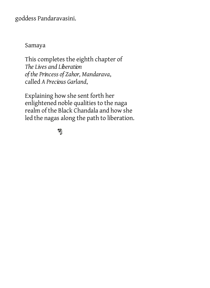goddess Pandaravasini.

#### Samaya

This completes the eighth chapter of The Lives and Liberation of the Princess of Zahor, Mandarava, called A Precious Garland,

Explaining how she sent forth her enlightened noble qualities to the naga realm of the Black Chandala and how she led the nagas along the path to liberation.

#### 弩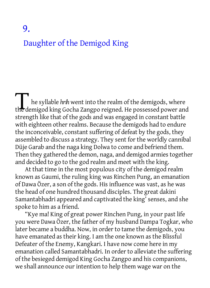### [Daughter of the Demigod King](#page-6-3)

The syllable *hrih* went into the realm of the demigods, where<br>the demigod king Gocha Zangpo reigned. He possessed power and he syllable hrih went into the realm of the demigods, where strength like that of the gods and was engaged in constant battle with eighteen other realms. Because the demigods had to endure the inconceivable, constant suffering of defeat by the gods, they assembled to discuss a strategy. They sent for the worldly cannibal Düje Garab and the naga king Dolwa to come and befriend them. Then they gathered the demon, naga, and demigod armies together and decided to go to the god realm and meet with the king.

At that time in the most populous city of the demigod realm known as Gaumi, the ruling king was Rinchen Pung, an emanation of Dawa Özer, a son of the gods. His influence was vast, as he was the head of one hundred thousand disciples. The great dakini Samantabhadri appeared and captivated the king' senses, and she spoke to him as a friend.

"Kye ma! King of great power Rinchen Pung, in your past life you were Dawa Özer, the father of my husband Dampa Togkar, who later became a buddha. Now, in order to tame the demigods, you have emanated as their king. I am the one known as the Blissful Defeater of the Enemy, Kangkari. I have now come here in my emanation called Samantabhadri. In order to alleviate the suffering of the besieged demigod King Gocha Zangpo and his companions, we shall announce our intention to help them wage war on the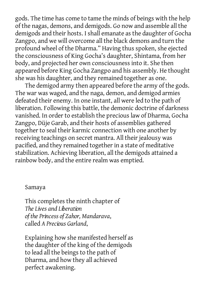gods. The time has come to tame the minds of beings with the help of the nagas, demons, and demigods. Go now and assemble all the demigods and their hosts. I shall emanate as the daughter of Gocha Zangpo, and we will overcome all the black demons and turn the profound wheel of the Dharma." Having thus spoken, she ejected the consciousness of King Gocha's daughter, Shintama, from her body, and projected her own consciousness into it. She then appeared before King Gocha Zangpo and his assembly. He thought she was his daughter, and they remained together as one.

The demigod army then appeared before the army of the gods. The war was waged, and the naga, demon, and demigod armies defeated their enemy. In one instant, all were led to the path of liberation. Following this battle, the demonic doctrine of darkness vanished. In order to establish the precious law of Dharma, Gocha Zangpo, Düje Garab, and their hosts of assemblies gathered together to seal their karmic connection with one another by receiving teachings on secret mantra. All their jealousy was pacified, and they remained together in a state of meditative stabilization. Achieving liberation, all the demigods attained a rainbow body, and the entire realm was emptied.

#### Samaya

This completes the ninth chapter of The Lives and Liberation of the Princess of Zahor, Mandarava, called A Precious Garland,

Explaining how she manifested herself as the daughter of the king of the demigods to lead all the beings to the path of Dharma, and how they all achieved perfect awakening.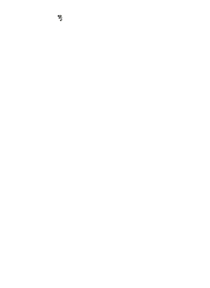弩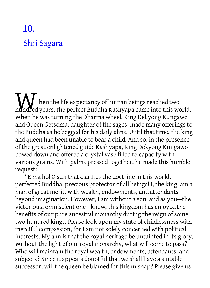# [10.](#page-6-4) [Shri Sagara](#page-6-4)

 $\sum_{\text{hundred}}$  he hen the life expectancy of human beings reached two hundred years, the perfect Buddha Kashyapa came into this world. When he was turning the Dharma wheel, King Dekyong Kungawo and Queen Getsoma, daughter of the sages, made many offerings to the Buddha as he begged for his daily alms. Until that time, the king and queen had been unable to bear a child. And so, in the presence of the great enlightened guide Kashyapa, King Dekyong Kungawo bowed down and offered a crystal vase filled to capacity with various grains. With palms pressed together, he made this humble request:

"E ma ho! O sun that clarifies the doctrine in this world, perfected Buddha, precious protector of all beings! I, the king, am a man of great merit, with wealth, endowments, and attendants beyond imagination. However, I am without a son, and as you—the victorious, omniscient one—know, this kingdom has enjoyed the benefits of our pure ancestral monarchy during the reign of some two hundred kings. Please look upon my state of childlessness with merciful compassion, for I am not solely concerned with political interests. My aim is that the royal heritage be untainted in its glory. Without the light of our royal monarchy, what will come to pass? Who will maintain the royal wealth, endowments, attendants, and subjects? Since it appears doubtful that we shall have a suitable successor, will the queen be blamed for this mishap? Please give us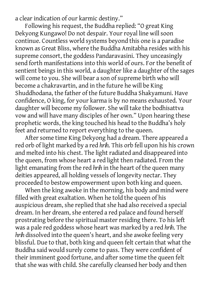a clear indication of our karmic destiny."

Following his request, the Buddha replied: "O great King Dekyong Kungawo! Do not despair. Your royal line will soon continue. Countless world systems beyond this one is a paradise known as Great Bliss, where the Buddha Amitabha resides with his supreme consort, the goddess Pandaravasini. They unceasingly send forth manifestations into this world of ours. For the benefit of sentient beings in this world, a daughter like a daughter of the sages will come to you. She will bear a son of supreme birth who will become a chakravartin, and in the future he will be King Shuddhodana, the father of the future Buddha Shakyamuni. Have confidence, O king, for your karma is by no means exhausted. Your daughter will become my follower. She will take the bodhisattva vow and will have many disciples of her own." Upon hearing these prophetic words, the king touched his head to the Buddha's holy feet and returned to report everything to the queen.

After some time King Dekyong had a dream. There appeared a red orb of light marked by a red hrih. This orb fell upon his his crown and melted into his chest. The light radiated and disappeared into the queen, from whose heart a red light then radiated. From the light emanating from the red hrih in the heart of the queen many deities appeared, all holding vessels of longevity nectar. They proceeded to bestow empowerment upon both king and queen.

When the king awoke in the morning, his body and mind were filled with great exaltation. When he told the queen of his auspicious dream, she replied that she had also received a special dream. In her dream, she entered a red palace and found herself prostrating before the spiritual master residing there. To his left was a pale red goddess whose heart was marked by a red hrih. The hrih dissolved into the queen's heart, and she awoke feeling very blissful. Due to that, both king and queen felt certain that what the Buddha said would surely come to pass. They were confident of their imminent good fortune, and after some time the queen felt that she was with child. She carefully cleansed her body and then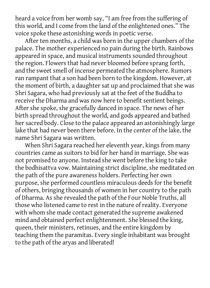heard a voice from her womb say, "I am free from the suffering of this world, and I come from the land of the enlightened ones." The voice spoke these astonishing words in poetic verse.

After ten months, a child was born in the upper chambers of the palace. The mother experienced no pain during the birth. Rainbows appeared in space, and musical instruments sounded throughout the region. Flowers that had never bloomed before sprang forth, and the sweet smell of incense permeated the atmosphere. Rumors ran rampant that a son had been born to the kingdom. However, at the moment of birth, a daughter sat up and proclaimed that she was Shri Sagara, who had previously sat at the feet of the Buddha to receive the Dharma and was now here to benefit sentient beings. After she spoke, she gracefully danced in space. The news of her birth spread throughout the world, and gods appeared and bathed her sacred body. Close to the palace appeared an astonishingly large lake that had never been there before. In the center of the lake, the name Shri Sagara was written.

When Shri Sagara reached her eleventh year, kings from many countries came as suitors to bid for her hand in marriage. She was not promised to anyone. Instead she went before the king to take the bodhisattva vow. Maintaining strict discipline, she meditated on the path of the pure awareness holders. Perfecting her own purpose, she performed countless miraculous deeds for the benefit of others, bringing thousands of women in her country to the path of Dharma. As she revealed the path of the Four Noble Truths, all those who listened came to rest in the nature of reality. Everyone with whom she made contact generated the supreme awakened mind and obtained perfect enlightenment. She blessed the king, queen, their ministers, retinues, and the entire kingdom by teaching them the paramitas. Every single inhabitant was brought to the path of the aryas and liberated!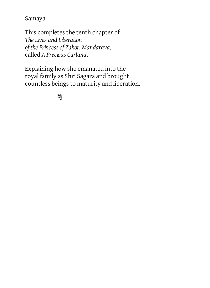Samaya

This completes the tenth chapter of The Lives and Liberation of the Princess of Zahor, Mandarava, called A Precious Garland,

弩

Explaining how she emanated into the royal family as Shri Sagara and brought countless beings to maturity and liberation.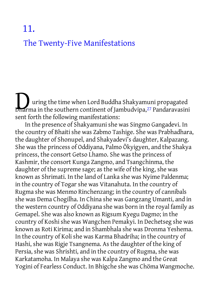#### [The Twenty-Five Manifestations](#page-6-5)

Dharma in the southern continent of Jambudvipa,<sup>[27](#page-269-4)</sup> Pandaravasini uring the time when Lord Buddha Shakyamuni propagated sent forth the following manifestations:

In the presence of Shakyamuni she was Singmo Gangadevi. In the country of Bhaiti she was Zabmo Tashige. She was Prabhadhara, the daughter of Shonupel, and Shakyadevi's daughter, Kalpazang. She was the princess of Oddiyana, Palmo Ökyigyen, and the Shakya princess, the consort Getso Lhamo. She was the princess of Kashmir, the consort Kunga Zangmo, and Tsangchinma, the daughter of the supreme sage; as the wife of the king, she was known as Shrimati. In the land of Lanka she was Nyime Paldenma; in the country of Togar she was Vitanahuta. In the country of Rugma she was Menmo Rinchenzang; in the country of cannibals she was Dema Chogilha. In China she was Gangzang Umanti, and in the western country of Oddiyana she was born in the royal family as Gemapel. She was also known as Rigsum Kyegu Dagmo; in the country of Koshi she was Wangchen Pemakyi. In Dechetseg she was known as Roti Kirima; and in Shambhala she was Dronma Yeshema. In the country of Koli she was Karma Bhadriha; in the country of Hashi, she was Rigje Tsangnema. As the daughter of the king of Persia, she was Shrishti, and in the country of Rugma, she was Karkatamoha. In Malaya she was Kalpa Zangmo and the Great Yogini of Fearless Conduct. In Bhigche she was Chöma Wangmoche.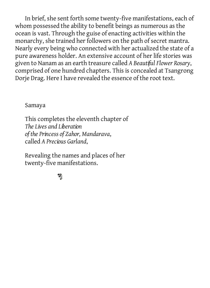In brief, she sent forth some twenty-five manifestations, each of whom possessed the ability to benefit beings as numerous as the ocean is vast. Through the guise of enacting activities within the monarchy, she trained her followers on the path of secret mantra. Nearly every being who connected with her actualized the state of a pure awareness holder. An extensive account of her life stories was given to Nanam as an earth treasure called A Beautiful Flower Rosary, comprised of one hundred chapters. This is concealed at Tsangrong Dorje Drag. Here I have revealed the essence of the root text.

#### Samaya

This completes the eleventh chapter of The Lives and Liberation of the Princess of Zahor, Mandarava, called A Precious Garland,

Revealing the names and places of her twenty-five manifestations.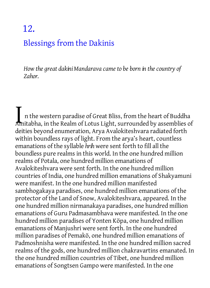# [Blessings from the Dakinis](#page-6-6)

How the great dakini Mandarava came to be born in the country of Zahor.

 $\prod_{\text{Ami}}$ n the western paradise of Great Bliss, from the heart of Buddha Amitabha, in the Realm of Lotus Light, surrounded by assemblies of deities beyond enumeration, Arya Avalokiteshvara radiated forth within boundless rays of light. From the arya's heart, countless emanations of the syllable hrih were sent forth to fill all the boundless pure realms in this world. In the one hundred million realms of Potala, one hundred million emanations of Avalokiteshvara were sent forth. In the one hundred million countries of India, one hundred million emanations of Shakyamuni were manifest. In the one hundred million manifested sambhogakaya paradises, one hundred million emanations of the protector of the Land of Snow, Avalokiteshvara, appeared. In the one hundred million nirmanakaya paradises, one hundred million emanations of Guru Padmasambhava were manifested. In the one hundred million paradises of Yonten Köpa, one hundred million emanations of Manjushri were sent forth. In the one hundred million paradises of Pemakö, one hundred million emanations of Padmoshnisha were manifested. In the one hundred million sacred realms of the gods, one hundred million chakravartins emanated. In the one hundred million countries of Tibet, one hundred million emanations of Songtsen Gampo were manifested. In the one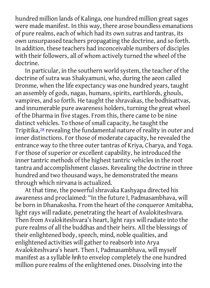hundred million lands of Kalinga, one hundred million great sages were made manifest. In this way, there arose boundless emanations of pure realms, each of which had its own sutras and tantras, its own unsurpassed teachers propagating the doctrine, and so forth. In addition, these teachers had inconceivable numbers of disciples with their followers, all of whom actively turned the wheel of the doctrine.

In particular, in the southern world system, the teacher of the doctrine of sutra was Shakyamuni, who, during the aeon called Dronme, when the life expectancy was one hundred years, taught an assembly of gods, nagas, humans, spirits, earthlords, ghouls, vampires, and so forth. He taught the shravakas, the bodhisattvas, and innumerable pure awareness holders, turning the great wheel of the Dharma in five stages. From this, there came to be nine distinct vehicles. To those of small capacity, he taught the Tripitika,[28](#page-269-5) revealing the fundamental nature of reality in outer and inner distinctions. For those of moderate capacity, he revealed the entrance way to the three outer tantras of Kriya, Charya, and Yoga. For those of superior or excellent capability, he introduced the inner tantric methods of the highest tantric vehicles in the root tantra and accomplishment classes. Revealing the doctrine in three hundred and two thousand ways, he demonstrated the means through which nirvana is actualized.

At that time, the powerful shravaka Kashyapa directed his awareness and proclaimed: "In the future I, Padmasambhava, will be born in Dhanakosha. From the heart of the conqueror Amitabha, light rays will radiate, penetrating the heart of Avalokiteshvara. Then from Avalokiteshvara's heart, light rays will radiate into the pure realms of all the buddhas and their heirs. All the blessings of their enlightened body, speech, mind, noble qualities, and enlightened activities will gather to reabsorb into Arya Avalokiteshvara's heart. Then I, Padmasambhava, will myself manifest as a syllable hrih to envelop completely the one hundred million pure realms of the enlightened ones. Dissolving into the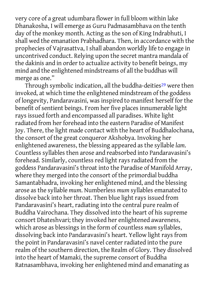very core of a great udumbara flower in full bloom within lake Dhanakosha, I will emerge as Guru Padmasambhava on the tenth day of the monkey month. Acting as the son of King Indrabhuti, I shall wed the emanation Prabhadhara. Then, in accordance with the prophecies of Vajrasattva, I shall abandon worldly life to engage in uncontrived conduct. Relying upon the secret mantra mandala of the dakinis and in order to actualize activity to benefit beings, my mind and the enlightened mindstreams of all the buddhas will merge as one."

Through symbolic indication, all the buddha-deities<sup>[29](#page-269-6)</sup> were then invoked, at which time the enlightened mindstream of the goddess of longevity, Pandaravasini, was inspired to manifest herself for the benefit of sentient beings. From her five places innumerable light rays issued forth and encompassed all paradises. White light radiated from her forehead into the eastern Paradise of Manifest Joy. There, the light made contact with the heart of Buddhalochana, the consort of the great conqueror Akshobya. Invoking her enlightened awareness, the blessing appeared as the syllable lam. Countless syllables then arose and reabsorbed into Pandaravasini's forehead. Similarly, countless red light rays radiated from the goddess Pandaravasini's throat into the Paradise of Manifold Array, where they merged into the consort of the primordial buddha Samantabhadra, invoking her enlightened mind, and the blessing arose as the syllable mum. Numberless mum syllables emanated to dissolve back into her throat. Then blue light rays issued from Pandaravasini's heart, radiating into the central pure realm of Buddha Vairochana. They dissolved into the heart of his supreme consort Dhateshvari; they invoked her enlightened awareness, which arose as blessings in the form of countless mam syllables, dissolving back into Pandaravasini's heart. Yellow light rays from the point in Pandaravasini's navel center radiated into the pure realm of the southern direction, the Realm of Glory. They dissolved into the heart of Mamaki, the supreme consort of Buddha Ratnasambhava, invoking her enlightened mind and emanating as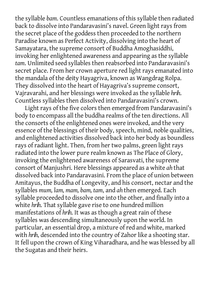the syllable bam. Countless emanations of this syllable then radiated back to dissolve into Pandaravasini's navel. Green light rays from the secret place of the goddess then proceeded to the northern Paradise known as Perfect Activity, dissolving into the heart of Samayatara, the supreme consort of Buddha Amoghasiddhi, invoking her enlightened awareness and appearing as the syllable tam. Unlimited seed syllables then reabsorbed into Pandaravasini's secret place. From her crown aperture red light rays emanated into the mandala of the deity Hayagriva, known as Wangdrag Rolpa. They dissolved into the heart of Hayagriva's supreme consort, Vajravarahi, and her blessings were invoked as the syllable hrih. Countless syllables then dissolved into Pandaravasini's crown.

Light rays of the five colors then emerged from Pandaravasini's body to encompass all the buddha realms of the ten directions. All the consorts of the enlightened ones were invoked, and the very essence of the blessings of their body, speech, mind, noble qualities, and enlightened activities dissolved back into her body as boundless rays of radiant light. Then, from her two palms, green light rays radiated into the lower pure realm known as The Place of Glory, invoking the enlightened awareness of Sarasvati, the supreme consort of Manjushri. Here blessings appeared as a white ah that dissolved back into Pandaravasini. From the place of union between Amitayus, the Buddha of Longevity, and his consort, nectar and the syllables mum, lam, mam, bam, tam, and ah then emerged. Each syllable proceeded to dissolve one into the other, and finally into a white hrih. That syllable gave rise to one hundred million manifestations of hrih. It was as though a great rain of these syllables was descending simultaneously upon the world. In particular, an essential drop, a mixture of red and white, marked with hrih, descended into the country of Zahor like a shooting star. It fell upon the crown of King Viharadhara, and he was blessed by all the Sugatas and their heirs.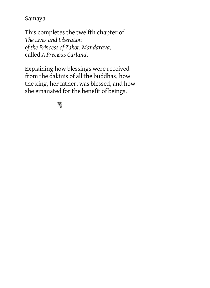Samaya

This completes the twelfth chapter of The Lives and Liberation of the Princess of Zahor, Mandarava, called A Precious Garland,

Explaining how blessings were received from the dakinis of all the buddhas, how the king, her father, was blessed, and how she emanated for the benefit of beings.

弩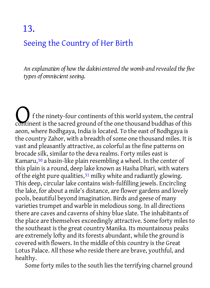# [Seeing the Country of Her Birth](#page-6-7)

An explanation of how the dakini entered the womb and revealed the five types of omniscient seeing.

Of the ninety-four continents of this world system, the central<br>continent is the sacred ground of the one thousand buddhas of this f the ninety-four continents of this world system, the central aeon, where Bodhgaya, India is located. To the east of Bodhgaya is the country Zahor, with a breadth of some one thousand miles. It is vast and pleasantly attractive, as colorful as the fine patterns on brocade silk, similar to the deva realms. Forty miles east is Kamaru,[30](#page-269-7) a basin-like plain resembling a wheel. In the center of this plain is a round, deep lake known as Hasha Dhari, with waters of the eight pure qualities,<sup>[31](#page-269-8)</sup> milky white and radiantly glowing. This deep, circular lake contains wish-fulfilling jewels. Encircling the lake, for about a mile's distance, are flower gardens and lovely pools, beautiful beyond imagination. Birds and geese of many varieties trumpet and warble in melodious song. In all directions there are caves and caverns of shiny blue slate. The inhabitants of the place are themselves exceedingly attractive. Some forty miles to the southeast is the great country Manika. Its mountainous peaks are extremely lofty and its forests abundant, while the ground is covered with flowers. In the middle of this country is the Great Lotus Palace. All those who reside there are brave, youthful, and healthy.

Some forty miles to the south lies the terrifying charnel ground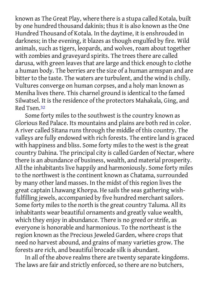known as The Great Play, where there is a stupa called Kotala, built by one hundred thousand dakinis; thus it is also known as the One Hundred Thousand of Kotala. In the daytime, it is enshrouded in darkness; in the evening, it blazes as though engulfed by fire. Wild animals, such as tigers, leopards, and wolves, roam about together with zombies and graveyard spirits. The trees there are called darusa, with green leaves that are large and thick enough to clothe a human body. The berries are the size of a human armspan and are bitter to the taste. The waters are turbulent, and the wind is chilly. Vultures converge on human corpses, and a holy man known as Meniha lives there. This charnel ground is identical to the famed Silwatsel. It is the residence of the protectors Mahakala, Ging, and Red Tsen.[32](#page-269-9)

Some forty miles to the southwest is the country known as Glorious Red Palace. Its mountains and plains are both red in color. A river called Sitana runs through the middle of this country. The valleys are fully endowed with rich forests. The entire land is graced with happiness and bliss. Some forty miles to the west is the great country Dahina. The principal city is called Garden of Nectar, where there is an abundance of business, wealth, and material prosperity. All the inhabitants live happily and harmoniously. Some forty miles to the northwest is the continent known as Chatama, surrounded by many other land masses. In the midst of this region lives the great captain Lhawang Khorpa. He sails the seas gathering wishfulfilling jewels, accompanied by five hundred merchant sailors. Some forty miles to the north is the great country Taluma. All its inhabitants wear beautiful ornaments and greatly value wealth, which they enjoy in abundance. There is no greed or strife, as everyone is honorable and harmonious. To the northeast is the region known as the Precious Jeweled Garden, where crops that need no harvest abound, and grains of many varieties grow. The forests are rich, and beautiful brocade silk is abundant.

In all of the above realms there are twenty separate kingdoms. The laws are fair and strictly enforced, so there are no butchers,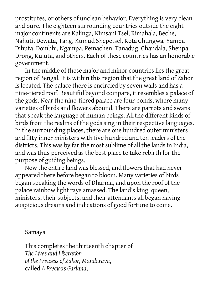prostitutes, or others of unclean behavior. Everything is very clean and pure. The eighteen surrounding countries outside the eight major continents are Kalinga, Nimsani Tsel, Rimahala, Beche, Nahuti, Dewata, Tang, Kumud Shepetsel, Kota Chungwa, Yampa Dihuta, Dombhi, Ngampa, Pemachen, Tanadug, Chandala, Shenpa, Drong, Kuluta, and others. Each of these countries has an honorable government.

In the middle of these major and minor countries lies the great region of Bengal. It is within this region that the great land of Zahor is located. The palace there is encircled by seven walls and has a nine-tiered roof. Beautiful beyond compare, it resembles a palace of the gods. Near the nine-tiered palace are four ponds, where many varieties of birds and flowers abound. There are parrots and swans that speak the language of human beings. All the different kinds of birds from the realms of the gods sing in their respective languages. In the surrounding places, there are one hundred outer ministers and fifty inner ministers with five hundred and ten leaders of the districts. This was by far the most sublime of all the lands in India, and was thus perceived as the best place to take rebirth for the purpose of guiding beings.

Now the entire land was blessed, and flowers that had never appeared there before began to bloom. Many varieties of birds began speaking the words of Dharma, and upon the roof of the palace rainbow light rays amassed. The land's king, queen, ministers, their subjects, and their attendants all began having auspicious dreams and indications of good fortune to come.

#### Samaya

This completes the thirteenth chapter of The Lives and Liberation of the Princess of Zahor, Mandarava, called A Precious Garland,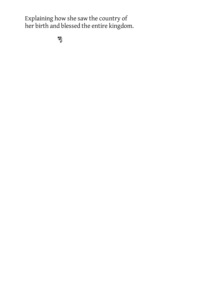Explaining how she saw the country of her birth and blessed the entire kingdom.

弩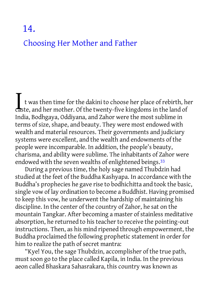# [Choosing Her Mother and Father](#page-6-8)

It was then time for the dakini to choose her place of rebirth, h<br>caste, and her mother. Of the twenty-five kingdoms in the land of t was then time for the dakini to choose her place of rebirth, her India, Bodhgaya, Oddiyana, and Zahor were the most sublime in terms of size, shape, and beauty. They were most endowed with wealth and material resources. Their governments and judiciary systems were excellent, and the wealth and endowments of the people were incomparable. In addition, the people's beauty, charisma, and ability were sublime. The inhabitants of Zahor were endowed with the seven wealths of enlightened beings.[33](#page-269-10)

During a previous time, the holy sage named Thubdzin had studied at the feet of the Buddha Kashyapa. In accordance with the Buddha's prophecies he gave rise to bodhichitta and took the basic, single vow of lay ordination to become a Buddhist. Having promised to keep this vow, he underwent the hardship of maintaining his discipline. In the center of the country of Zahor, he sat on the mountain Tangkar. After becoming a master of stainless meditative absorption, he returned to his teacher to receive the pointing-out instructions. Then, as his mind ripened through empowerment, the Buddha proclaimed the following prophetic statement in order for him to realize the path of secret mantra:

"Kye! You, the sage Thubdzin, accomplisher of the true path, must soon go to the place called Kapila, in India. In the previous aeon called Bhaskara Sahasrakara, this country was known as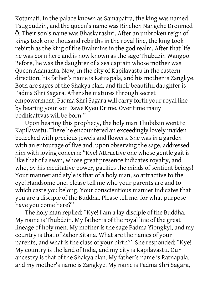Kotamati. In the palace known as Samapatra, the king was named Tsugpudzin, and the queen's name was Rinchen Nangche Dronmed Ö. Their son's name was Bhaskarashri. After an unbroken reign of kings took one thousand rebirths in the royal line, the king took rebirth as the king of the Brahmins in the god realm. After that life, he was born here and is now known as the sage Thubdzin Wangpo. Before, he was the daughter of a sea captain whose mother was Queen Anananta. Now, in the city of Kapilavastu in the eastern direction, his father's name is Ratnapala, and his mother is Zangkye. Both are sages of the Shakya clan, and their beautiful daughter is Padma Shri Sagara. After she matures through secret empowerment, Padma Shri Sagara will carry forth your royal line by bearing your son Dawe Kyeu Drime. Over time many bodhisattvas will be born."

Upon hearing this prophecy, the holy man Thubdzin went to Kapilavastu. There he encountered an exceedingly lovely maiden bedecked with precious jewels and flowers. She was in a garden with an entourage of five and, upon observing the sage, addressed him with loving concern: "Kye! Attractive one whose gentle gait is like that of a swan, whose great presence indicates royalty, and who, by his meditative power, pacifies the minds of sentient beings! Your manner and style is that of a holy man, so attractive to the eye! Handsome one, please tell me who your parents are and to which caste you belong. Your conscientious manner indicates that you are a disciple of the Buddha. Please tell me: for what purpose have you come here?"

The holy man replied: "Kye! I am a lay disciple of the Buddha. My name is Thubdzin. My father is of the royal line of the great lineage of holy men. My mother is the sage Padma Yiongkyi, and my country is that of Zahor Sitana. What are the names of your parents, and what is the class of your birth?" She responded: "Kye! My country is the land of India, and my city is Kapilavastu. Our ancestry is that of the Shakya clan. My father's name is Ratnapala, and my mother's name is Zangkye. My name is Padma Shri Sagara,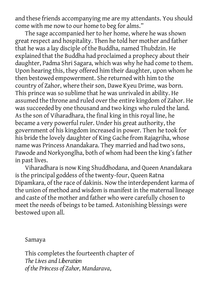and these friends accompanying me are my attendants. You should come with me now to our home to beg for alms."

The sage accompanied her to her home, where he was shown great respect and hospitality. Then he told her mother and father that he was a lay disciple of the Buddha, named Thubdzin. He explained that the Buddha had proclaimed a prophecy about their daughter, Padma Shri Sagara, which was why he had come to them. Upon hearing this, they offered him their daughter, upon whom he then bestowed empowerment. She returned with him to the country of Zahor, where their son, Dawe Kyeu Drime, was born. This prince was so sublime that he was unrivaled in ability. He assumed the throne and ruled over the entire kingdom of Zahor. He was succeeded by one thousand and two kings who ruled the land. As the son of Viharadhara, the final king in this royal line, he became a very powerful ruler. Under his great authority, the government of his kingdom increased in power. Then he took for his bride the lovely daughter of King Gache from Rajagriha, whose name was Princess Anandakara. They married and had two sons, Pawode and Norkyonglha, both of whom had been the king's father in past lives.

Viharadhara is now King Shuddhodana, and Queen Anandakara is the principal goddess of the twenty-four, Queen Ratna Dipamkara, of the race of dakinis. Now the interdependent karma of the union of method and wisdom is manifest in the maternal lineage and caste of the mother and father who were carefully chosen to meet the needs of beings to be tamed. Astonishing blessings were bestowed upon all.

#### Samaya

This completes the fourteenth chapter of The Lives and Liberation of the Princess of Zahor, Mandarava,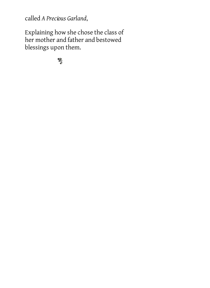called A Precious Garland,

Explaining how she chose the class of her mother and father and bestowed blessings upon them.

弩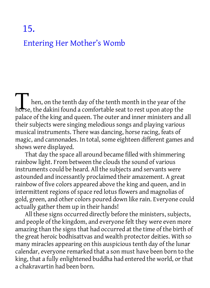#### [Entering Her Mother's Womb](#page-6-9)

hen, on the tenth day of the tenth month in the year of the horse, the dakini found a comfortable seat to rest upon atop the hen, on the tenth day of the tenth month in the year of the palace of the king and queen. The outer and inner ministers and all their subjects were singing melodious songs and playing various musical instruments. There was dancing, horse racing, feats of magic, and cannonades. In total, some eighteen different games and shows were displayed.

That day the space all around became filled with shimmering rainbow light. From between the clouds the sound of various instruments could be heard. All the subjects and servants were astounded and incessantly proclaimed their amazement. A great rainbow of five colors appeared above the king and queen, and in intermittent regions of space red lotus flowers and magnolias of gold, green, and other colors poured down like rain. Everyone could actually gather them up in their hands!

All these signs occurred directly before the ministers, subjects, and people of the kingdom, and everyone felt they were even more amazing than the signs that had occurred at the time of the birth of the great heroic bodhisattvas and wealth protector deities. With so many miracles appearing on this auspicious tenth day of the lunar calendar, everyone remarked that a son must have been born to the king, that a fully enlightened buddha had entered the world, or that a chakravartin had been born.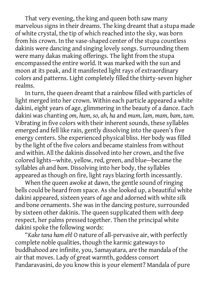That very evening, the king and queen both saw many marvelous signs in their dreams. The king dreamt that a stupa made of white crystal, the tip of which reached into the sky, was born from his crown. In the vase-shaped center of the stupa countless dakinis were dancing and singing lovely songs. Surrounding them were many dakas making offerings. The light from the stupa encompassed the entire world. It was marked with the sun and moon at its peak, and it manifested light rays of extraordinary colors and patterns. Light completely filled the thirty-seven higher realms.

In turn, the queen dreamt that a rainbow filled with particles of light merged into her crown. Within each particle appeared a white dakini, eight years of age, glimmering in the beauty of a dance. Each dakini was chanting om, hum, so, ah, ha and mum, lam, mam, bam, tam. Vibrating in five colors with their inherent sounds, these syllables emerged and fell like rain, gently dissolving into the queen's five energy centers. She experienced physical bliss. Her body was filled by the light of the five colors and became stainless from without and within. All the dakinis dissolved into her crown, and the five colored lights—white, yellow, red, green, and blue—became the syllables ah and bam. Dissolving into her body, the syllables appeared as though on fire, light rays blazing forth incessantly.

When the queen awoke at dawn, the gentle sound of ringing bells could be heard from space. As she looked up, a beautiful white dakini appeared, sixteen years of age and adorned with white silk and bone ornaments. She was in the dancing posture, surrounded by sixteen other dakinis. The queen supplicated them with deep respect, her palms pressed together. Then the principal white dakini spoke the following words:

"Kake tana ham eh! O nature of all-pervasive air, with perfectly complete noble qualities, though the karmic gateways to buddhahood are infinite, you, Samayatara, are the mandala of the air that moves. Lady of great warmth, goddess consort Pandaravasini, do you know this is your element? Mandala of pure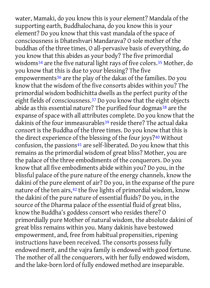water, Mamaki, do you know this is your element? Mandala of the supporting earth, Buddhalochana, do you know this is your element? Do you know that this vast mandala of the space of consciousness is Dhateshvari Mandarava? O sole mother of the buddhas of the three times, O all-pervasive basis of everything, do you know that this abides as your body? The five primordial wisdoms[34](#page-270-0) are the five natural light rays of five colors.[35](#page-270-1) Mother, do you know that this is due to your blessing? The five empowerments[36](#page-270-2) are the play of the dakas of the families. Do you know that the wisdom of the five consorts abides within you? The primordial wisdom bodhichitta dwells as the perfect purity of the eight fields of consciousness.[37](#page-270-3) Do you know that the eight objects abide as this essential nature? The purified four dogmas<sup>[38](#page-270-4)</sup> are the expanse of space with all attributes complete. Do you know that the dakinis of the four immeasurables[39](#page-270-5) reside there? The actual daka consort is the Buddha of the three times. Do you know that this is the direct experience of the blessing of the four joys?[40](#page-270-6) Without confusion, the passions<sup>[41](#page-270-7)</sup> are self-liberated. Do you know that this remains as the primordial wisdom of great bliss? Mother, you are the palace of the three embodiments of the conquerors. Do you know that all five embodiments abide within you? Do you, in the blissful palace of the pure nature of the energy channels, know the dakini of the pure element of air? Do you, in the expanse of the pure nature of the ten airs,<sup>[42](#page-270-8)</sup> the five lights of primordial wisdom, know the dakini of the pure nature of essential fluids? Do you, in the source of the Dharma palace of the essential fluid of great bliss, know the Buddha's goddess consort who resides there? O primordially pure Mother of natural wisdom, the absolute dakini of great bliss remains within you. Many dakinis have bestowed empowerment, and, free from habitual propensities, ripening instructions have been received. The consorts possess fully endowed merit, and the vajra family is endowed with good fortune. The mother of all the conquerors, with her fully endowed wisdom, and the lake-born lord of fully endowed method are inseparable.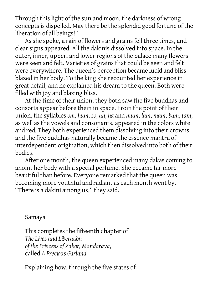Through this light of the sun and moon, the darkness of wrong concepts is dispelled. May there be the splendid good fortune of the liberation of all beings!"

As she spoke, a rain of flowers and grains fell three times, and clear signs appeared. All the dakinis dissolved into space. In the outer, inner, upper, and lower regions of the palace many flowers were seen and felt. Varieties of grains that could be seen and felt were everywhere. The queen's perception became lucid and bliss blazed in her body. To the king she recounted her experience in great detail, and he explained his dream to the queen. Both were filled with joy and blazing bliss.

At the time of their union, they both saw the five buddhas and consorts appear before them in space. From the point of their union, the syllables om, hum, so, ah, ha and mum, lam, mam, bam, tam, as well as the vowels and consonants, appeared in the colors white and red. They both experienced them dissolving into their crowns, and the five buddhas naturally became the essence mantra of interdependent origination, which then dissolved into both of their bodies.

After one month, the queen experienced many dakas coming to anoint her body with a special perfume. She became far more beautiful than before. Everyone remarked that the queen was becoming more youthful and radiant as each month went by. "There is a dakini among us," they said.

Samaya

This completes the fifteenth chapter of The Lives and Liberation of the Princess of Zahor, Mandarava, called A Precious Garland

Explaining how, through the five states of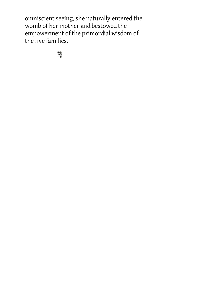omniscient seeing, she naturally entered the womb of her mother and bestowed the empowerment of the primordial wisdom of the five families.

弩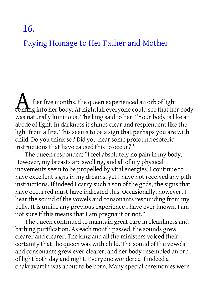[16.](#page-6-0)

## [Paying Homage to Her Father and Mother](#page-6-0)

A fter five months, the queen experienced an orb of light<br>coming into her body. At nightfall everyone could see that her body fter five months, the queen experienced an orb of light was naturally luminous. The king said to her: "Your body is like an abode of light. In darkness it shines clear and resplendent like the light from a fire. This seems to be a sign that perhaps you are with child. Do you think so? Did you hear some profound esoteric instructions that have caused this to occur?"

The queen responded: "I feel absolutely no pain in my body. However, my breasts are swelling, and all of my physical movements seem to be propelled by vital energies. I continue to have excellent signs in my dreams, yet I have not received any pith instructions. If indeed I carry such a son of the gods, the signs that have occurred must have indicated this. Occasionally, however, I hear the sound of the vowels and consonants resounding from my belly. It is unlike any previous experience I have ever known. I am not sure if this means that I am pregnant or not."

The queen continued to maintain great care in cleanliness and bathing purification. As each month passed, the sounds grew clearer and clearer. The king and all the ministers voiced their certainty that the queen was with child. The sound of the vowels and consonants grew ever clearer, and her body resembled an orb of light both day and night. Everyone wondered if indeed a chakravartin was about to be born. Many special ceremonies were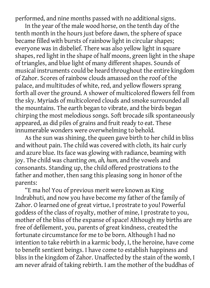performed, and nine months passed with no additional signs.

In the year of the male wood horse, on the tenth day of the tenth month in the hours just before dawn, the sphere of space became filled with bursts of rainbow light in circular shapes; everyone was in disbelief. There was also yellow light in square shapes, red light in the shape of half moons, green light in the shape of triangles, and blue light of many different shapes. Sounds of musical instruments could be heard throughout the entire kingdom of Zahor. Scores of rainbow clouds amassed on the roof of the palace, and multitudes of white, red, and yellow flowers sprang forth all over the ground. A shower of multicolored flowers fell from the sky. Myriads of multicolored clouds and smoke surrounded all the mountains. The earth began to vibrate, and the birds began chirping the most melodious songs. Soft brocade silk spontaneously appeared, as did piles of grains and fruit ready to eat. These innumerable wonders were overwhelming to behold.

As the sun was shining, the queen gave birth to her child in bliss and without pain. The child was covered with cloth, its hair curly and azure blue. Its face was glowing with radiance, beaming with joy. The child was chanting om, ah, hum, and the vowels and consonants. Standing up, the child offered prostrations to the father and mother, then sang this pleasing song in honor of the parents:

"E ma ho! You of previous merit were known as King Indrabhuti, and now you have become my father of the family of Zahor. O learned one of great virtue, I prostrate to you! Powerful goddess of the class of royalty, mother of mine, I prostrate to you, mother of the bliss of the expanse of space! Although my births are free of defilement, you, parents of great kindness, created the fortunate circumstance for me to be born. Although I had no intention to take rebirth in a karmic body, I, the heroine, have come to benefit sentient beings. I have come to establish happiness and bliss in the kingdom of Zahor. Unaffected by the stain of the womb, I am never afraid of taking rebirth. I am the mother of the buddhas of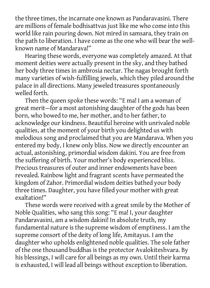the three times, the incarnate one known as Pandaravasini. There are millions of female bodhisattvas just like me who come into this world like rain pouring down. Not mired in samsara, they train on the path to liberation. I have come as the one who will bear the wellknown name of Mandarava!"

Hearing these words, everyone was completely amazed. At that moment deities were actually present in the sky, and they bathed her body three times in ambrosia nectar. The nagas brought forth many varieties of wish-fulfilling jewels, which they piled around the palace in all directions. Many jeweled treasures spontaneously welled forth.

Then the queen spoke these words: "E ma! I am a woman of great merit—for a most astonishing daughter of the gods has been born, who bowed to me, her mother, and to her father, to acknowledge our kindness. Beautiful heroine with unrivaled noble qualities, at the moment of your birth you delighted us with melodious song and proclaimed that you are Mandarava. When you entered my body, I knew only bliss. Now we directly encounter an actual, astonishing, primordial wisdom dakini. You are free from the suffering of birth. Your mother's body experienced bliss. Precious treasures of outer and inner endowments have been revealed. Rainbow light and fragrant scents have permeated the kingdom of Zahor. Primordial wisdom deities bathed your body three times. Daughter, you have filled your mother with great exaltation!"

These words were received with a great smile by the Mother of Noble Qualities, who sang this song: "E ma! I, your daughter Pandaravasini, am a wisdom dakini! In absolute truth, my fundamental nature is the supreme wisdom of emptiness. I am the supreme consort of the deity of long life, Amitayus. I am the daughter who upholds enlightened noble qualities. The sole father of the one thousand buddhas is the protector Avalokiteshvara. By his blessings, I will care for all beings as my own. Until their karma is exhausted, I will lead all beings without exception to liberation.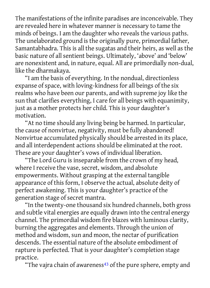The manifestations of the infinite paradises are inconceivable. They are revealed here in whatever manner is necessary to tame the minds of beings. I am the daughter who reveals the various paths. The unelaborated ground is the originally pure, primordial father, Samantabhadra. This is all the sugatas and their heirs, as well as the basic nature of all sentient beings. Ultimately, 'above' and 'below' are nonexistent and, in nature, equal. All are primordially non-dual, like the dharmakaya.

"I am the basis of everything. In the nondual, directionless expanse of space, with loving-kindness for all beings of the six realms who have been our parents, and with supreme joy like the sun that clarifies everything, I care for all beings with equanimity, just as a mother protects her child. This is your daughter's motivation.

"At no time should any living being be harmed. In particular, the cause of nonvirtue, negativity, must be fully abandoned! Nonvirtue accumulated physically should be arrested in its place, and all interdependent actions should be eliminated at the root. These are your daughter's vows of individual liberation.

"The Lord Guru is inseparable from the crown of my head, where I receive the vase, secret, wisdom, and absolute empowerments. Without grasping at the external tangible appearance of this form, I observe the actual, absolute deity of perfect awakening. This is your daughter's practice of the generation stage of secret mantra.

"In the twenty-one thousand six hundred channels, both gross and subtle vital energies are equally drawn into the central energy channel. The primordial wisdom fire blazes with luminous clarity, burning the aggregates and elements. Through the union of method and wisdom, sun and moon, the nectar of purification descends. The essential nature of the absolute embodiment of rapture is perfected. That is your daughter's completion stage practice.

"The vajra chain of awareness<sup>[43](#page-270-9)</sup> of the pure sphere, empty and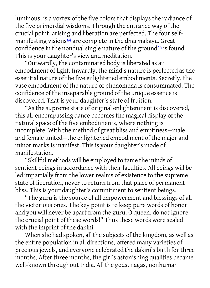luminous, is a vortex of the five colors that displays the radiance of the five primordial wisdoms. Through the entrance way of the crucial point, arising and liberation are perfected. The four selfmanifesting visions[44](#page-271-0) are complete in the dharmakaya. Great confidence in the nondual single nature of the ground[45](#page-271-1) is found. This is your daughter's view and meditation.

"Outwardly, the contaminated body is liberated as an embodiment of light. Inwardly, the mind's nature is perfected as the essential nature of the five enlightened embodiments. Secretly, the vase embodiment of the nature of phenomena is consummated. The confidence of the inseparable ground of the unique essence is discovered. That is your daughter's state of fruition.

"As the supreme state of original enlightenment is discovered, this all-encompassing dance becomes the magical display of the natural space of the five embodiments, where nothing is incomplete. With the method of great bliss and emptiness—male and female united—the enlightened embodiment of the major and minor marks is manifest. This is your daughter's mode of manifestation.

"Skillful methods will be employed to tame the minds of sentient beings in accordance with their faculties. All beings will be led impartially from the lower realms of existence to the supreme state of liberation, never to return from that place of permanent bliss. This is your daughter's commitment to sentient beings.

"The guru is the source of all empowerment and blessings of all the victorious ones. The key point is to keep pure words of honor and you will never be apart from the guru. O queen, do not ignore the crucial point of these words!" Thus these words were sealed with the imprint of the dakini.

When she had spoken, all the subjects of the kingdom, as well as the entire population in all directions, offered many varieties of precious jewels, and everyone celebrated the dakini's birth for three months. After three months, the girl's astonishing qualities became well-known throughout India. All the gods, nagas, nonhuman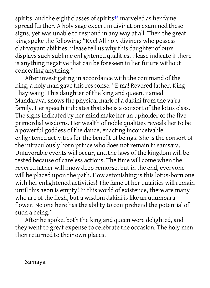spirits, and the eight classes of spirits<sup>[46](#page-271-2)</sup> marveled as her fame spread further. A holy sage expert in divination examined these signs, yet was unable to respond in any way at all. Then the great king spoke the following: "Kye! All holy diviners who possess clairvoyant abilities, please tell us why this daughter of ours displays such sublime enlightened qualities. Please indicate if there is anything negative that can be foreseen in her future without concealing anything."

After investigating in accordance with the command of the king, a holy man gave this response: "E ma! Revered father, King Lhayiwang! This daughter of the king and queen, named Mandarava, shows the physical mark of a dakini from the vajra family. Her speech indicates that she is a consort of the lotus class. The signs indicated by her mind make her an upholder of the five primordial wisdoms. Her wealth of noble qualities reveals her to be a powerful goddess of the dance, enacting inconceivable enlightened activities for the benefit of beings. She is the consort of the miraculously born prince who does not remain in samsara. Unfavorable events will occur, and the laws of the kingdom will be tested because of careless actions. The time will come when the revered father will know deep remorse, but in the end, everyone will be placed upon the path. How astonishing is this lotus-born one with her enlightened activities! The fame of her qualities will remain until this aeon is empty! In this world of existence, there are many who are of the flesh, but a wisdom dakini is like an udumbara flower. No one here has the ability to comprehend the potential of such a being."

After he spoke, both the king and queen were delighted, and they went to great expense to celebrate the occasion. The holy men then returned to their own places.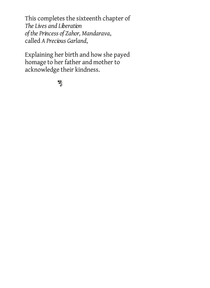This completes the sixteenth chapter of The Lives and Liberation of the Princess of Zahor, Mandarava, called A Precious Garland,

Explaining her birth and how she payed homage to her father and mother to acknowledge their kindness.

#### 弩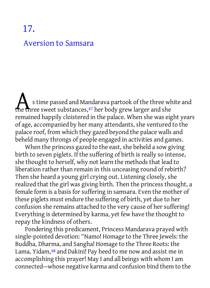### [Aversion to Samsara](#page-6-1)

s time passed and Mandarava partook of the three when the tweet substances,  $47$  her body grew larger and she s time passed and Mandarava partook of the three white and remained happily cloistered in the palace. When she was eight years of age, accompanied by her many attendants, she ventured to the palace roof, from which they gazed beyond the palace walls and beheld many throngs of people engaged in activities and games.

When the princess gazed to the east, she beheld a sow giving birth to seven piglets. If the suffering of birth is really so intense, she thought to herself, why not learn the methods that lead to liberation rather than remain in this unceasing round of rebirth? Then she heard a young girl crying out. Listening closely, she realized that the girl was giving birth. Then the princess thought, a female form is a basis for suffering in samsara. Even the mother of these piglets must endure the suffering of birth, yet due to her confusion she remains attached to the very cause of her suffering! Everything is determined by karma, yet few have the thought to repay the kindness of others.

Pondering this predicament, Princess Mandarava prayed with single-pointed devotion: "Namo! Homage to the Three Jewels: the Buddha, Dharma, and Sangha! Homage to the Three Roots: the Lama, Yidam, <sup>[48](#page-271-4)</sup> and Dakini! Pay heed to me now and assist me in accomplishing this prayer! May I and all beings with whom I am connected—whose negative karma and confusion bind them to the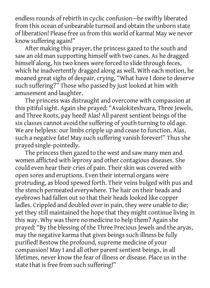endless rounds of rebirth in cyclic confusion—be swiftly liberated from this ocean of unbearable turmoil and obtain the unborn state of liberation! Please free us from this world of karma! May we never know suffering again!"

After making this prayer, the princess gazed to the south and saw an old man supporting himself with two canes. As he dragged himself along, his two knees were forced to slide through feces, which he inadvertently dragged along as well. With each motion, he moaned great sighs of despair, crying, "What have I done to deserve such suffering?" Those who passed by just looked at him with amusement and laughter.

The princess was distraught and overcome with compassion at this pitiful sight. Again she prayed: "Avalokiteshvara, Three Jewels, and Three Roots, pay heed! Alas! All parent sentient beings of the six classes cannot avoid the suffering of youth turning to old age. We are helpless: our limbs cripple up and cease to function. Alas, such a negative fate! May such suffering vanish forever!" Thus she prayed single-pointedly.

The princess then gazed to the west and saw many men and women afflicted with leprosy and other contagious diseases. She could even hear their cries of pain. Their skin was covered with open sores and eruptions. Even their internal organs were protruding, as blood spewed forth. Their veins bulged with pus and the stench permeated everywhere. The hair on their heads and eyebrows had fallen out so that their heads looked like copper ladles. Crippled and doubled over in pain, they were unable to die; yet they still maintained the hope that they might continue living in this way. Why was there no medicine to help them? Again she prayed: "By the blessing of the Three Precious Jewels and the aryas, may the negative karma that gives beings such illness be fully purified! Bestow the profound, supreme medicine of your compassion! May I and all other parent sentient beings, in all lifetimes, never know the fear of illness or disease. Place us in the state that is free from such suffering!"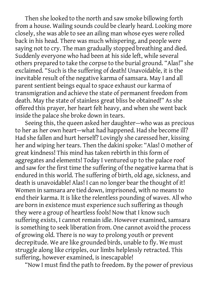Then she looked to the north and saw smoke billowing forth from a house. Wailing sounds could be clearly heard. Looking more closely, she was able to see an ailing man whose eyes were rolled back in his head. There was much whispering, and people were saying not to cry. The man gradually stopped breathing and died. Suddenly everyone who had been at his side left, while several others prepared to take the corpse to the burial ground. "Alas!" she exclaimed. "Such is the suffering of death! Unavoidable, it is the inevitable result of the negative karma of samsara. May I and all parent sentient beings equal to space exhaust our karma of transmigration and achieve the state of permanent freedom from death. May the state of stainless great bliss be obtained!" As she offered this prayer, her heart felt heavy, and when she went back inside the palace she broke down in tears.

Seeing this, the queen asked her daughter—who was as precious to her as her own heart—what had happened. Had she become ill? Had she fallen and hurt herself? Lovingly she caressed her, kissing her and wiping her tears. Then the dakini spoke: "Alas! O mother of great kindness! This mind has taken rebirth in this form of aggregates and elements! Today I ventured up to the palace roof and saw for the first time the suffering of the negative karma that is endured in this world. The suffering of birth, old age, sickness, and death is unavoidable! Alas! I can no longer bear the thought of it! Women in samsara are tied down, imprisoned, with no means to end their karma. It is like the relentless pounding of waves. All who are born in existence must experience such suffering as though they were a group of heartless fools! Now that I know such suffering exists, I cannot remain idle. However examined, samsara is something to seek liberation from. One cannot avoid the process of growing old. There is no way to prolong youth or prevent decrepitude. We are like grounded birds, unable to fly. We must struggle along like cripples, our limbs helplessly retracted. This suffering, however examined, is inescapable!

"Now I must find the path to freedom. By the power of previous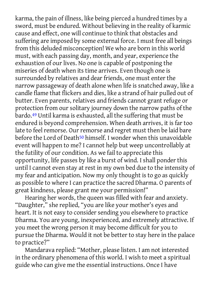karma, the pain of illness, like being pierced a hundred times by a sword, must be endured. Without believing in the reality of karmic cause and effect, one will continue to think that obstacles and suffering are imposed by some external force. I must free all beings from this deluded misconception! We who are born in this world must, with each passing day, month, and year, experience the exhaustion of our lives. No one is capable of postponing the miseries of death when its time arrives. Even though one is surrounded by relatives and dear friends, one must enter the narrow passageway of death alone when life is snatched away, like a candle flame that flickers and dies, like a strand of hair pulled out of butter. Even parents, relatives and friends cannot grant refuge or protection from our solitary journey down the narrow paths of the bardo.[49](#page-271-5) Until karma is exhausted, all the suffering that must be endured is beyond comprehension. When death arrives, it is far too late to feel remorse. Our remorse and regret must then be laid bare before the Lord of Death[50](#page-271-6) himself. I wonder when this unavoidable event will happen to me? I cannot help but weep uncontrollably at the futility of our condition. As we fail to appreciate this opportunity, life passes by like a burst of wind. I shall ponder this until I cannot even stay at rest in my own bed due to the intensity of my fear and anticipation. Now my only thought is to go as quickly as possible to where I can practice the sacred Dharma. O parents of great kindness, please grant me your permission!"

Hearing her words, the queen was filled with fear and anxiety. "Daughter," she replied, "you are like your mother's eyes and heart. It is not easy to consider sending you elsewhere to practice Dharma. You are young, inexperienced, and extremely attractive. If you meet the wrong person it may become difficult for you to pursue the Dharma. Would it not be better to stay here in the palace to practice?"

Mandarava replied: "Mother, please listen. I am not interested in the ordinary phenomena of this world. I wish to meet a spiritual guide who can give me the essential instructions. Once I have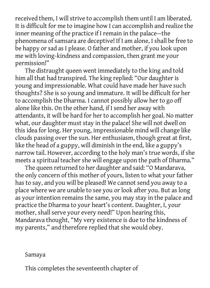received them, I will strive to accomplish them until I am liberated. It is difficult for me to imagine how I can accomplish and realize the inner meaning of the practice if I remain in the palace—the phenomena of samsara are deceptive! If I am alone, I shall be free to be happy or sad as I please. O father and mother, if you look upon me with loving-kindness and compassion, then grant me your permission!"

The distraught queen went immediately to the king and told him all that had transpired. The king replied: "Our daughter is young and impressionable. What could have made her have such thoughts? She is so young and immature. It will be difficult for her to accomplish the Dharma. I cannot possibly allow her to go off alone like this. On the other hand, if I send her away with attendants, it will be hard for her to accomplish her goal. No matter what, our daughter must stay in the palace! She will not dwell on this idea for long. Her young, impressionable mind will change like clouds passing over the sun. Her enthusiasm, though great at first, like the head of a guppy, will diminish in the end, like a guppy's narrow tail. However, according to the holy man's true words, if she meets a spiritual teacher she will engage upon the path of Dharma."

The queen returned to her daughter and said: "O Mandarava, the only concern of this mother of yours, listen to what your father has to say, and you will be pleased! We cannot send you away to a place where we are unable to see you or look after you. But as long as your intention remains the same, you may stay in the palace and practice the Dharma to your heart's content. Daughter, I, your mother, shall serve your every need!" Upon hearing this, Mandarava thought, "My very existence is due to the kindness of my parents," and therefore replied that she would obey.

Samaya

This completes the seventeenth chapter of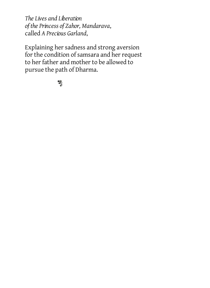The Lives and Liberation of the Princess of Zahor, Mandarava, called A Precious Garland,

Explaining her sadness and strong aversion for the condition of samsara and her request to her father and mother to be allowed to pursue the path of Dharma.

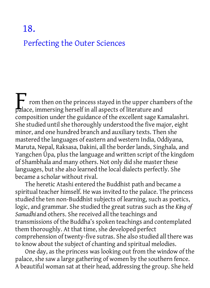[18.](#page-6-2)

## [Perfecting the Outer Sciences](#page-6-2)

F<sub>r</sub><br>palace rom then on the princess stayed in the upper chambers of the palace, immersing herself in all aspects of literature and composition under the guidance of the excellent sage Kamalashri. She studied until she thoroughly understood the five major, eight minor, and one hundred branch and auxiliary texts. Then she mastered the languages of eastern and western India, Oddiyana, Maruta, Nepal, Raksasa, Dakini, all the border lands, Singhala, and Yangchen Üpa, plus the language and written script of the kingdom of Shambhala and many others. Not only did she master these languages, but she also learned the local dialects perfectly. She became a scholar without rival.

The heretic Atashi entered the Buddhist path and became a spiritual teacher himself. He was invited to the palace. The princess studied the ten non-Buddhist subjects of learning, such as poetics, logic, and grammar. She studied the great sutras such as the King of Samadhi and others. She received all the teachings and transmissions of the Buddha's spoken teachings and contemplated them thoroughly. At that time, she developed perfect comprehension of twenty-five sutras. She also studied all there was to know about the subject of chanting and spiritual melodies.

One day, as the princess was looking out from the window of the palace, she saw a large gathering of women by the southern fence. A beautiful woman sat at their head, addressing the group. She held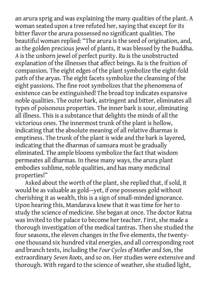an arura sprig and was explaining the many qualities of the plant. A woman seated upon a tree refuted her, saying that except for its bitter flavor the arura possessed no significant qualities. The beautiful woman replied: "The arura is the seed of origination, and, as the golden precious jewel of plants, it was blessed by the Buddha. A is the unborn jewel of perfect purity. Ru is the unobstructed explanation of the illnesses that affect beings. Ra is the fruition of compassion. The eight edges of the plant symbolize the eight-fold path of the aryas. The eight facets symbolize the cleansing of the eight passions. The fine root symbolizes that the phenomena of existence can be extinguished! The broad top indicates expansive noble qualities. The outer bark, astringent and bitter, eliminates all types of poisonous properties. The inner bark is sour, eliminating all illness. This is a substance that delights the minds of all the victorious ones. The innermost trunk of the plant is hollow, indicating that the absolute meaning of all relative dharmas is emptiness. The trunk of the plant is wide and the bark is layered, indicating that the dharmas of samsara must be gradually eliminated. The ample blooms symbolize the fact that wisdom permeates all dharmas. In these many ways, the arura plant embodies sublime, noble qualities, and has many medicinal properties!"

Asked about the worth of the plant, she replied that, if sold, it would be as valuable as gold—yet, if one possesses gold without cherishing it as wealth, this is a sign of small-minded ignorance. Upon hearing this, Mandarava knew that it was time for her to study the science of medicine. She began at once. The doctor Ratna was invited to the palace to become her teacher. First, she made a thorough investigation of the medical tantras. Then she studied the four seasons, the eleven changes in the five elements, the twentyone thousand six hundred vital energies, and all corresponding root and branch texts, including the Four Cycles of Mother and Son, the extraordinary Seven Roots, and so on. Her studies were extensive and thorough. With regard to the science of weather, she studied light,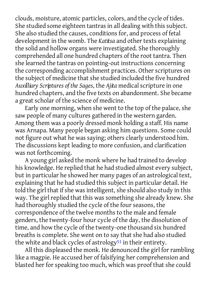clouds, moisture, atomic particles, colors, and the cycle of tides. She studied some eighteen tantras in all dealing with this subject. She also studied the causes, conditions for, and process of fetal development in the womb. The Katitsa and other texts explaining the solid and hollow organs were investigated. She thoroughly comprehended all one hundred chapters of the root tantra. Then she learned the tantras on pointing-out instructions concerning the corresponding accomplishment practices. Other scriptures on the subject of medicine that she studied included the five hundred Auxilliary Scriptures of the Sages, the Ajita medical scripture in one hundred chapters, and the five texts on abandonment. She became a great scholar of the science of medicine.

Early one morning, when she went to the top of the palace, she saw people of many cultures gathered in the western garden. Among them was a poorly dressed monk holding a staff. His name was Arnapa. Many people began asking him questions. Some could not figure out what he was saying; others clearly understood him. The discussions kept leading to more confusion, and clarification was not forthcoming.

A young girl asked the monk where he had trained to develop his knowledge. He replied that he had studied almost every subject, but in particular he showed her many pages of an astrological text, explaining that he had studied this subject in particular detail. He told the girl that if she was intelligent, she should also study in this way. The girl replied that this was something she already knew. She had thoroughly studied the cycle of the four seasons, the correspondence of the twelve months to the male and female genders, the twenty-four hour cycle of the day, the dissolution of time, and how the cycle of the twenty-one thousand six hundred breaths is complete. She went on to say that she had also studied the white and black cycles of astrology<sup>[51](#page-271-7)</sup> in their entirety.

All this displeased the monk. He denounced the girl for rambling like a magpie. He accused her of falsifying her comprehension and blasted her for speaking too much, which was proof that she could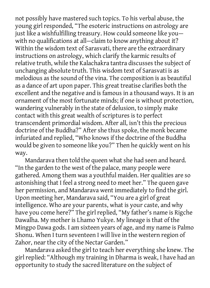not possibly have mastered such topics. To his verbal abuse, the young girl responded, "The esoteric instructions on astrology are just like a wishfulfilling treasury. How could someone like you with no qualifications at all-claim to know anything about it? Within the wisdom text of Sarasvati, there are the extraordinary instructions on astrology, which clarify the karmic results of relative truth, while the Kalachakra tantra discusses the subject of unchanging absolute truth. This wisdom text of Sarasvati is as melodious as the sound of the vina. The composition is as beautiful as a dance of art upon paper. This great treatise clarifies both the excellent and the negative and is famous in a thousand ways. It is an ornament of the most fortunate minds; if one is without protection, wandering vulnerably in the state of delusion, to simply make contact with this great wealth of scriptures is to perfect transcendent primordial wisdom. After all, isn't this the precious doctrine of the Buddha?" After she thus spoke, the monk became infuriated and replied, "Who knows if the doctrine of the Buddha would be given to someone like you?" Then he quickly went on his way.

Mandarava then told the queen what she had seen and heard. "In the garden to the west of the palace, many people were gathered. Among them was a youthful maiden. Her qualities are so astonishing that I feel a strong need to meet her." The queen gave her permission, and Mandarava went immediately to find the girl. Upon meeting her, Mandarava said, "You are a girl of great intelligence. Who are your parents, what is your caste, and why have you come here?" The girl replied, "My father's name is Rigche Dawalha. My mother is Lhamo Yukye. My lineage is that of the Mingpo Dawa gods. I am sixteen years of age, and my name is Palmo Shonu. When I turn seventeen I will live in the western region of Zahor, near the city of the Nectar Garden."

Mandarava asked the girl to teach her everything she knew. The girl replied: "Although my training in Dharma is weak, I have had an opportunity to study the sacred literature on the subject of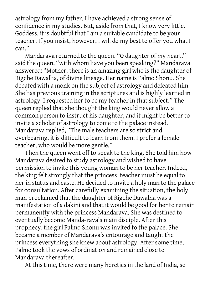astrology from my father. I have achieved a strong sense of confidence in my studies. But, aside from that, I know very little. Goddess, it is doubtful that I am a suitable candidate to be your teacher. If you insist, however, I will do my best to offer you what I can."

Mandarava returned to the queen. "O daughter of my heart," said the queen, "with whom have you been speaking?" Mandarava answered: "Mother, there is an amazing girl who is the daughter of Rigche Dawalha, of divine lineage. Her name is Palmo Shonu. She debated with a monk on the subject of astrology and defeated him. She has previous training in the scriptures and is highly learned in astrology. I requested her to be my teacher in that subject." The queen replied that she thought the king would never allow a common person to instruct his daughter, and it might be better to invite a scholar of astrology to come to the palace instead. Mandarava replied, "The male teachers are so strict and overbearing, it is difficult to learn from them. I prefer a female teacher, who would be more gentle."

Then the queen went off to speak to the king. She told him how Mandarava desired to study astrology and wished to have permission to invite this young woman to be her teacher. Indeed, the king felt strongly that the princess' teacher must be equal to her in status and caste. He decided to invite a holy man to the palace for consultation. After carefully examining the situation, the holy man proclaimed that the daughter of Rigche Dawalha was a manifestation of a dakini and that it would be good for her to remain permanently with the princess Mandarava. She was destined to eventually become Manda-rava's main disciple. After this prophecy, the girl Palmo Shonu was invited to the palace. She became a member of Mandarava's entourage and taught the princess everything she knew about astrology. After some time, Palmo took the vows of ordination and remained close to Mandarava thereafter.

At this time, there were many heretics in the land of India, so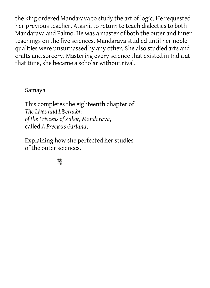the king ordered Mandarava to study the art of logic. He requested her previous teacher, Atashi, to return to teach dialectics to both Mandarava and Palmo. He was a master of both the outer and inner teachings on the five sciences. Mandarava studied until her noble qualities were unsurpassed by any other. She also studied arts and crafts and sorcery. Mastering every science that existed in India at that time, she became a scholar without rival.

#### Samaya

This completes the eighteenth chapter of The Lives and Liberation of the Princess of Zahor, Mandarava, called A Precious Garland,

Explaining how she perfected her studies of the outer sciences.

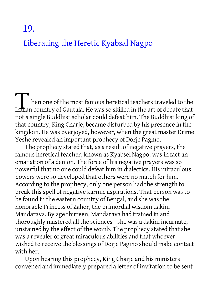[19.](#page-6-3)

## [Liberating the Heretic Kyabsal Nagpo](#page-6-3)

Then one of the most famous heretical teachers traveled to the<br>Indian country of Gautala. He was so skilled in the art of debate that hen one of the most famous heretical teachers traveled to the not a single Buddhist scholar could defeat him. The Buddhist king of that country, King Charje, became disturbed by his presence in the kingdom. He was overjoyed, however, when the great master Drime Yeshe revealed an important prophecy of Dorje Pagmo.

The prophecy stated that, as a result of negative prayers, the famous heretical teacher, known as Kyabsel Nagpo, was in fact an emanation of a demon. The force of his negative prayers was so powerful that no one could defeat him in dialectics. His miraculous powers were so developed that others were no match for him. According to the prophecy, only one person had the strength to break this spell of negative karmic aspirations. That person was to be found in the eastern country of Bengal, and she was the honorable Princess of Zahor, the primordial wisdom dakini Mandarava. By age thirteen, Mandarava had trained in and thoroughly mastered all the sciences—she was a dakini incarnate, unstained by the effect of the womb. The prophecy stated that she was a revealer of great miraculous abilities and that whoever wished to receive the blessings of Dorje Pagmo should make contact with her.

Upon hearing this prophecy, King Charje and his ministers convened and immediately prepared a letter of invitation to be sent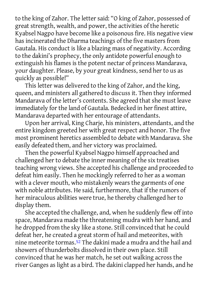to the king of Zahor. The letter said: "O king of Zahor, possessed of great strength, wealth, and power, the activities of the heretic Kyabsel Nagpo have become like a poisonous fire. His negative view has incinerated the Dharma teachings of the five masters from Gautala. His conduct is like a blazing mass of negativity. According to the dakini's prophecy, the only antidote powerful enough to extinguish his flames is the potent nectar of princess Mandarava, your daughter. Please, by your great kindness, send her to us as quickly as possible!"

This letter was delivered to the king of Zahor, and the king, queen, and ministers all gathered to discuss it. Then they informed Mandarava of the letter's contents. She agreed that she must leave immediately for the land of Gautala. Bedecked in her finest attire, Mandarava departed with her entourage of attendants.

Upon her arrival, King Charje, his ministers, attendants, and the entire kingdom greeted her with great respect and honor. The five most prominent heretics assembled to debate with Mandarava. She easily defeated them, and her victory was proclaimed.

Then the powerful Kyabsel Nagpo himself approached and challenged her to debate the inner meaning of the six treatises teaching wrong views. She accepted his challenge and proceeded to defeat him easily. Then he mockingly referred to her as a woman with a clever mouth, who mistakenly wears the garments of one with noble attributes. He said, furthermore, that if the rumors of her miraculous abilities were true, he thereby challenged her to display them.

She accepted the challenge, and, when he suddenly flew off into space, Mandarava made the threatening mudra with her hand, and he dropped from the sky like a stone. Still convinced that he could defeat her, he created a great storm of hail and meteorites, with nine meteorite tormas.[52](#page-271-8) The dakini made a mudra and the hail and showers of thunderbolts dissolved in their own place. Still convinced that he was her match, he set out walking across the river Ganges as light as a bird. The dakini clapped her hands, and he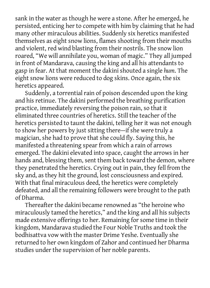sank in the water as though he were a stone. After he emerged, he persisted, enticing her to compete with him by claiming that he had many other miraculous abilities. Suddenly six heretics manifested themselves as eight snow lions, flames shooting from their mouths and violent, red wind blasting from their nostrils. The snow lion roared, "We will annihilate you, woman of magic." They all jumped in front of Mandarava, causing the king and all his attendants to gasp in fear. At that moment the dakini shouted a single hum. The eight snow lions were reduced to dog skins. Once again, the six heretics appeared.

Suddenly, a torrential rain of poison descended upon the king and his retinue. The dakini performed the breathing purification practice, immediately reversing the poison rain, so that it eliminated three countries of heretics. Still the teacher of the heretics persisted to taunt the dakini, telling her it was not enough to show her powers by just sitting there—if she were truly a magician, she had to prove that she could fly. Saying this, he manifested a threatening spear from which a rain of arrows emerged. The dakini elevated into space, caught the arrows in her hands and, blessing them, sent them back toward the demon, where they penetrated the heretics. Crying out in pain, they fell from the sky and, as they hit the ground, lost consciousness and expired. With that final miraculous deed, the heretics were completely defeated, and all the remaining followers were brought to the path of Dharma.

Thereafter the dakini became renowned as "the heroine who miraculously tamed the heretics," and the king and all his subjects made extensive offerings to her. Remaining for some time in their kingdom, Mandarava studied the Four Noble Truths and took the bodhisattva vow with the master Drime Yeshe. Eventually she returned to her own kingdom of Zahor and continued her Dharma studies under the supervision of her noble parents.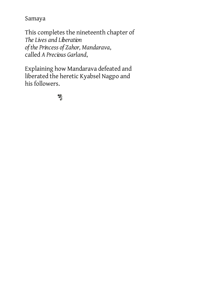Samaya

This completes the nineteenth chapter of The Lives and Liberation of the Princess of Zahor, Mandarava, called A Precious Garland,

Explaining how Mandarava defeated and liberated the heretic Kyabsel Nagpo and his followers.

弩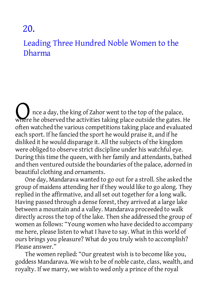# [20.](#page-7-0)

## [Leading Three Hundred Noble Women to the](#page-7-0) Dharma

O nce a day, the king of Zahor went to the top of the palace,<br>where he observed the activities taking place outside the gates. He nce a day, the king of Zahor went to the top of the palace, often watched the various competitions taking place and evaluated each sport. If he fancied the sport he would praise it, and if he disliked it he would disparage it. All the subjects of the kingdom were obliged to observe strict discipline under his watchful eye. During this time the queen, with her family and attendants, bathed and then ventured outside the boundaries of the palace, adorned in beautiful clothing and ornaments.

One day, Mandarava wanted to go out for a stroll. She asked the group of maidens attending her if they would like to go along. They replied in the affirmative, and all set out together for a long walk. Having passed through a dense forest, they arrived at a large lake between a mountain and a valley. Mandarava proceeded to walk directly across the top of the lake. Then she addressed the group of women as follows: "Young women who have decided to accompany me here, please listen to what I have to say. What in this world of ours brings you pleasure? What do you truly wish to accomplish? Please answer."

The women replied: "Our greatest wish is to become like you, goddess Mandarava. We wish to be of noble caste, class, wealth, and royalty. If we marry, we wish to wed only a prince of the royal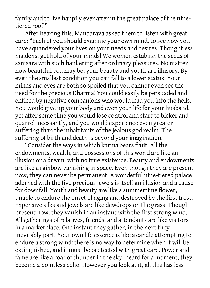family and to live happily ever after in the great palace of the ninetiered roof!"

After hearing this, Mandarava asked them to listen with great care: "Each of you should examine your own mind, to see how you have squandered your lives on your needs and desires. Thoughtless maidens, get hold of your minds! We women establish the seeds of samsara with such hankering after ordinary pleasures. No matter how beautiful you may be, your beauty and youth are illusory. By even the smallest condition you can fall to a lower status. Your minds and eyes are both so spoiled that you cannot even see the need for the precious Dharma! You could easily be persuaded and enticed by negative companions who would lead you into the hells. You would give up your body and even your life for your husband, yet after some time you would lose control and start to bicker and quarrel incessantly, and you would experience even greater suffering than the inhabitants of the jealous god realm. The suffering of birth and death is beyond your imagination.

"Consider the ways in which karma bears fruit. All the endowments, wealth, and possessions of this world are like an illusion or a dream, with no true existence. Beauty and endowments are like a rainbow vanishing in space. Even though they are present now, they can never be permanent. A wonderful nine-tiered palace adorned with the five precious jewels is itself an illusion and a cause for downfall. Youth and beauty are like a summertime flower, unable to endure the onset of aging and destroyed by the first frost. Expensive silks and jewels are like dewdrops on the grass. Though present now, they vanish in an instant with the first strong wind. All gatherings of relatives, friends, and attendants are like visitors in a marketplace. One instant they gather, in the next they inevitably part. Your own life essence is like a candle attempting to endure a strong wind: there is no way to determine when it will be extinguished, and it must be protected with great care. Power and fame are like a roar of thunder in the sky: heard for a moment, they become a pointless echo. However you look at it, all this has less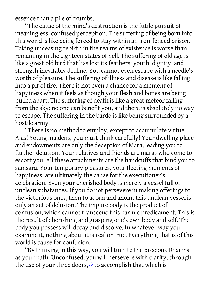essence than a pile of crumbs.

"The cause of the mind's destruction is the futile pursuit of meaningless, confused perception. The suffering of being born into this world is like being forced to stay within an iron-fenced prison. Taking unceasing rebirth in the realms of existence is worse than remaining in the eighteen states of hell. The suffering of old age is like a great old bird that has lost its feathers: youth, dignity, and strength inevitably decline. You cannot even escape with a needle's worth of pleasure. The suffering of illness and disease is like falling into a pit of fire. There is not even a chance for a moment of happiness when it feels as though your flesh and bones are being pulled apart. The suffering of death is like a great meteor falling from the sky: no one can benefit you, and there is absolutely no way to escape. The suffering in the bardo is like being surrounded by a hostile army.

"There is no method to employ, except to accumulate virtue. Alas! Young maidens, you must think carefully! Your dwelling place and endowments are only the deception of Mara, leading you to further delusion. Your relatives and friends are maras who come to escort you. All these attachments are the handcuffs that bind you to samsara. Your temporary pleasures, your fleeting moments of happiness, are ultimately the cause for the executioner's celebration. Even your cherished body is merely a vessel full of unclean substances. If you do not persevere in making offerings to the victorious ones, then to adorn and anoint this unclean vessel is only an act of delusion. The impure body is the product of confusion, which cannot transcend this karmic predicament. This is the result of cherishing and grasping one's own body and self. The body you possess will decay and dissolve. In whatever way you examine it, nothing about it is real or true. Everything that is of this world is cause for confusion.

"By thinking in this way, you will turn to the precious Dharma as your path. Unconfused, you will persevere with clarity, through the use of your three doors,<sup>[53](#page-271-9)</sup> to accomplish that which is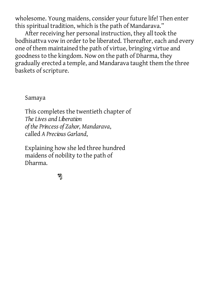wholesome. Young maidens, consider your future life! Then enter this spiritual tradition, which is the path of Mandarava."

After receiving her personal instruction, they all took the bodhisattva vow in order to be liberated. Thereafter, each and every one of them maintained the path of virtue, bringing virtue and goodness to the kingdom. Now on the path of Dharma, they gradually erected a temple, and Mandarava taught them the three baskets of scripture.

#### Samaya

This completes the twentieth chapter of The Lives and Liberation of the Princess of Zahor, Mandarava, called A Precious Garland,

Explaining how she led three hundred maidens of nobility to the path of Dharma.

### 笺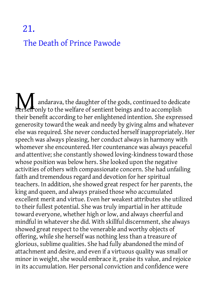[21.](#page-7-1)

### [The Death of Prince Pawode](#page-7-1)

Mandarava, the daughter of the gods, continued to dedicate the sentionly to the welfare of sentient beings and to accomplish andarava, the daughter of the gods, continued to dedicate their benefit according to her enlightened intention. She expressed generosity toward the weak and needy by giving alms and whatever else was required. She never conducted herself inappropriately. Her speech was always pleasing, her conduct always in harmony with whomever she encountered. Her countenance was always peaceful and attentive; she constantly showed loving-kindness toward those whose position was below hers. She looked upon the negative activities of others with compassionate concern. She had unfailing faith and tremendous regard and devotion for her spiritual teachers. In addition, she showed great respect for her parents, the king and queen, and always praised those who accumulated excellent merit and virtue. Even her weakest attributes she utilized to their fullest potential. She was truly impartial in her attitude toward everyone, whether high or low, and always cheerful and mindful in whatever she did. With skillful discernment, she always showed great respect to the venerable and worthy objects of offering, while she herself was nothing less than a treasure of glorious, sublime qualities. She had fully abandoned the mind of attachment and desire, and even if a virtuous quality was small or minor in weight, she would embrace it, praise its value, and rejoice in its accumulation. Her personal conviction and confidence were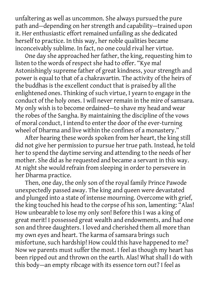unfaltering as well as uncommon. She always pursued the pure path and—depending on her strength and capability—trained upon it. Her enthusiastic effort remained unfailing as she dedicated herself to practice. In this way, her noble qualities became inconceivably sublime. In fact, no one could rival her virtue.

One day she approached her father, the king, requesting him to listen to the words of respect she had to offer. "Kye ma! Astonishingly supreme father of great kindness, your strength and power is equal to that of a chakravartin. The activity of the heirs of the buddhas is the excellent conduct that is praised by all the enlightened ones. Thinking of such virtue, I yearn to engage in the conduct of the holy ones. I will never remain in the mire of samsara. My only wish is to become ordained—to shave my head and wear the robes of the Sangha. By maintaining the discipline of the vows of moral conduct, I intend to enter the door of the ever-turning wheel of Dharma and live within the confines of a monastery."

After hearing these words spoken from her heart, the king still did not give her permission to pursue her true path. Instead, he told her to spend the daytime serving and attending to the needs of her mother. She did as he requested and became a servant in this way. At night she would refrain from sleeping in order to persevere in her Dharma practice.

Then, one day, the only son of the royal family Prince Pawode unexpectedly passed away. The king and queen were devastated and plunged into a state of intense mourning. Overcome with grief, the king touched his head to the corpse of his son, lamenting: "Alas! How unbearable to lose my only son! Before this I was a king of great merit! I possessed great wealth and endowments, and had one son and three daughters. I loved and cherished them all more than my own eyes and heart. The karma of samsara brings such misfortune, such hardship! How could this have happened to me? Now we parents must suffer the most. I feel as though my heart has been ripped out and thrown on the earth. Alas! What shall I do with this body—an empty ribcage with its essence torn out? I feel as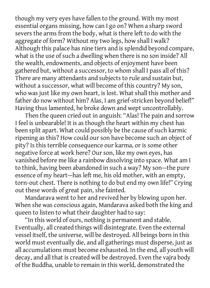though my very eyes have fallen to the ground. With my most essential organs missing, how can I go on? When a sharp sword severs the arms from the body, what is there left to do with the aggregate of form? Without my two legs, how shall I walk? Although this palace has nine tiers and is splendid beyond compare, what is the use of such a dwelling when there is no son inside? All the wealth, endowments, and objects of enjoyment have been gathered but, without a successor, to whom shall I pass all of this? There are many attendants and subjects to rule and sustain but, without a successor, what will become of this country? My son, who was just like my own heart, is lost. What shall this mother and father do now without him? Alas, I am grief-stricken beyond belief!" Having thus lamented, he broke down and wept uncontrollably.

Then the queen cried out in anguish: "Alas! The pain and sorrow I feel is unbearable! It is as though the heart within my chest has been split apart. What could possibly be the cause of such karmic ripening as this? How could our son have become such an object of pity? Is this terrible consequence our karma, or is some other negative force at work here? Our son, like my own eyes, has vanished before me like a rainbow dissolving into space. What am I to think, having been abandoned in such a way? My son—the pure essence of my heart—has left me, his old mother, with an empty, torn-out chest. There is nothing to do but end my own life!" Crying out these words of great pain, she fainted.

Mandarava went to her and revived her by blowing upon her. When she was conscious again, Mandarava asked both the king and queen to listen to what their daughter had to say:

"In this world of ours, nothing is permanent and stable. Eventually, all created things will disintegrate. Even the external vessel itself, the universe, will be destroyed. All beings born in this world must eventually die, and all gatherings must disperse, just as all accumulations must become exhausted. In the end, all youth will decay, and all that is created will be destroyed. Even the vajra body of the Buddha, unable to remain in this world, demonstrated the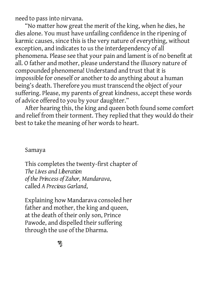need to pass into nirvana.

"No matter how great the merit of the king, when he dies, he dies alone. You must have unfailing confidence in the ripening of karmic causes, since this is the very nature of everything, without exception, and indicates to us the interdependency of all phenomena. Please see that your pain and lament is of no benefit at all. O father and mother, please understand the illusory nature of compounded phenomena! Understand and trust that it is impossible for oneself or another to do anything about a human being's death. Therefore you must transcend the object of your suffering. Please, my parents of great kindness, accept these words of advice offered to you by your daughter."

After hearing this, the king and queen both found some comfort and relief from their torment. They replied that they would do their best to take the meaning of her words to heart.

#### Samaya

This completes the twenty-first chapter of The Lives and Liberation of the Princess of Zahor, Mandarava, called A Precious Garland,

Explaining how Mandarava consoled her father and mother, the king and queen, at the death of their only son, Prince Pawode, and dispelled their suffering through the use of the Dharma.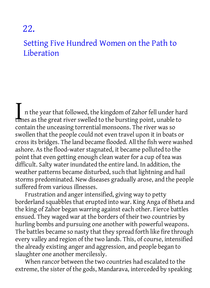# [22.](#page-7-2)

## [Setting Five Hundred Women on the Path to](#page-7-2) **Liberation**

In the year that followed, the kingdom of Zahor fell under has<br>these as the great river swelled to the bursting point, unable to n the year that followed, the kingdom of Zahor fell under hard contain the unceasing torrential monsoons. The river was so swollen that the people could not even travel upon it in boats or cross its bridges. The land became flooded. All the fish were washed ashore. As the flood-water stagnated, it became polluted to the point that even getting enough clean water for a cup of tea was difficult. Salty water inundated the entire land. In addition, the weather patterns became disturbed, such that lightning and hail storms predominated. New diseases gradually arose, and the people suffered from various illnesses.

Frustration and anger intensified, giving way to petty borderland squabbles that erupted into war. King Anga of Bheta and the king of Zahor began warring against each other. Fierce battles ensued. They waged war at the borders of their two countries by hurling bombs and pursuing one another with powerful weapons. The battles became so nasty that they spread forth like fire through every valley and region of the two lands. This, of course, intensified the already existing anger and aggression, and people began to slaughter one another mercilessly.

When rancor between the two countries had escalated to the extreme, the sister of the gods, Mandarava, interceded by speaking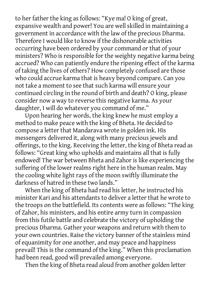to her father the king as follows: "Kye ma! O king of great, expansive wealth and power! You are well skilled in maintaining a government in accordance with the law of the precious Dharma. Therefore I would like to know if the dishonorable activities occurring have been ordered by your command or that of your ministers? Who is responsible for the weighty negative karma being accrued? Who can patiently endure the ripening effect of the karma of taking the lives of others? How completely confused are those who could accrue karma that is heavy beyond compare. Can you not take a moment to see that such karma will ensure your continued circling in the round of birth and death? O king, please consider now a way to reverse this negative karma. As your daughter, I will do whatever you command of me."

Upon hearing her words, the king knew he must employ a method to make peace with the king of Bheta. He decided to compose a letter that Mandarava wrote in golden ink. His messengers delivered it, along with many precious jewels and offerings, to the king. Receiving the letter, the king of Bheta read as follows: "Great king who upholds and maintains all that is fully endowed! The war between Bheta and Zahor is like experiencing the suffering of the lower realms right here in the human realm. May the cooling white light rays of the moon swiftly illuminate the darkness of hatred in these two lands."

When the king of Bheta had read his letter, he instructed his minister Kari and his attendants to deliver a letter that he wrote to the troops on the battlefield. Its contents were as follows: "The king of Zahor, his ministers, and his entire army turn in compassion from this futile battle and celebrate the victory of upholding the precious Dharma. Gather your weapons and return with them to your own countries. Raise the victory banner of the stainless mind of equanimity for one another, and may peace and happiness prevail! This is the command of the king." When this proclamation had been read, good will prevailed among everyone.

Then the king of Bheta read aloud from another golden letter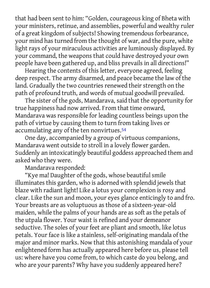that had been sent to him: "Golden, courageous king of Bheta with your ministers, retinue, and assemblies, powerful and wealthy ruler of a great kingdom of subjects! Showing tremendous forbearance, your mind has turned from the thought of war, and the pure, white light rays of your miraculous activities are luminously displayed. By your command, the weapons that could have destroyed your own people have been gathered up, and bliss prevails in all directions!"

Hearing the contents of this letter, everyone agreed, feeling deep respect. The army disarmed, and peace became the law of the land. Gradually the two countries renewed their strength on the path of profound truth, and words of mutual goodwill prevailed.

The sister of the gods, Mandarava, said that the opportunity for true happiness had now arrived. From that time onward, Mandarava was responsible for leading countless beings upon the path of virtue by causing them to turn from taking lives or accumulating any of the ten nonvirtues.[54](#page-271-0)

One day, accompanied by a group of virtuous companions, Mandarava went outside to stroll in a lovely flower garden. Suddenly an intoxicatingly beautiful goddess approached them and asked who they were.

Mandarava responded:

"Kye ma! Daughter of the gods, whose beautiful smile illuminates this garden, who is adorned with splendid jewels that blaze with radiant light! Like a lotus your complexion is rosy and clear. Like the sun and moon, your eyes glance enticingly to and fro. Your breasts are as voluptuous as those of a sixteen-year-old maiden, while the palms of your hands are as soft as the petals of the utpala flower. Your waist is refined and your demeanor seductive. The soles of your feet are pliant and smooth, like lotus petals. Your face is like a stainless, self-originating mandala of the major and minor marks. Now that this astonishing mandala of your enlightened form has actually appeared here before us, please tell us: where have you come from, to which caste do you belong, and who are your parents? Why have you suddenly appeared here?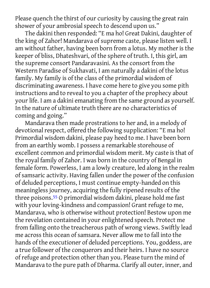Please quench the thirst of our curiosity by causing the great rain shower of your ambrosial speech to descend upon us."

The dakini then responded: "E ma ho! Great Dakini, daughter of the king of Zahor! Mandarava of supreme caste, please listen well. I am without father, having been born from a lotus. My mother is the keeper of bliss, Dhateshvari, of the sphere of truth. I, this girl, am the supreme consort Pandaravasini. As the consort from the Western Paradise of Sukhavati, I am naturally a dakini of the lotus family. My family is of the class of the primordial wisdom of discriminating awareness. I have come here to give you some pith instructions and to reveal to you a chapter of the prophecy about your life. I am a dakini emanating from the same ground as yourself. In the nature of ultimate truth there are no characteristics of coming and going."

Mandarava then made prostrations to her and, in a melody of devotional respect, offered the following supplication: "E ma ho! Primordial wisdom dakini, please pay heed to me. I have been born from an earthly womb. I possess a remarkable storehouse of excellent common and primordial wisdom merit. My caste is that of the royal family of Zahor. I was born in the country of Bengal in female form. Powerless, I am a lowly creature, led along in the realm of samsaric activity. Having fallen under the power of the confusion of deluded perceptions, I must continue empty-handed on this meaningless journey, acquiring the fully ripened results of the three poisons.[55](#page-271-1) O primordial wisdom dakini, please hold me fast with your loving-kindness and compassion! Grant refuge to me, Mandarava, who is otherwise without protection! Bestow upon me the revelation contained in your enlightened speech. Protect me from falling onto the treacherous path of wrong views. Swiftly lead me across this ocean of samsara. Never allow me to fall into the hands of the executioner of deluded perceptions. You, goddess, are a true follower of the conquerors and their heirs. I have no source of refuge and protection other than you. Please turn the mind of Mandarava to the pure path of Dharma. Clarify all outer, inner, and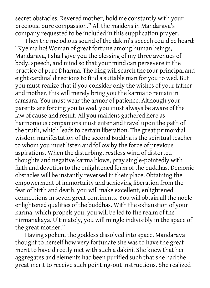secret obstacles. Revered mother, hold me constantly with your precious, pure compassion." All the maidens in Mandarava's company requested to be included in this supplication prayer.

Then the melodious sound of the dakini's speech could be heard: "Kye ma ho! Woman of great fortune among human beings, Mandarava, I shall give you the blessing of my three avenues of body, speech, and mind so that your mind can persevere in the practice of pure Dharma. The king will search the four principal and eight cardinal directions to find a suitable man for you to wed. But you must realize that if you consider only the wishes of your father and mother, this will merely bring you the karma to remain in samsara. You must wear the armor of patience. Although your parents are forcing you to wed, you must always be aware of the law of cause and result. All you maidens gathered here as harmonious companions must enter and travel upon the path of the truth, which leads to certain liberation. The great primordial wisdom manifestation of the second Buddha is the spiritual teacher to whom you must listen and follow by the force of previous aspirations. When the disturbing, restless wind of distorted thoughts and negative karma blows, pray single-pointedly with faith and devotion to the enlightened form of the buddhas. Demonic obstacles will be instantly reversed in their place. Obtaining the empowerment of immortality and achieving liberation from the fear of birth and death, you will make excellent, enlightened connections in seven great continents. You will obtain all the noble enlightened qualities of the buddhas. With the exhaustion of your karma, which propels you, you will be led to the realm of the nirmanakaya. Ultimately, you will mingle indivisibly in the space of the great mother."

Having spoken, the goddess dissolved into space. Mandarava thought to herself how very fortunate she was to have the great merit to have directly met with such a dakini. She knew that her aggregates and elements had been purified such that she had the great merit to receive such pointing-out instructions. She realized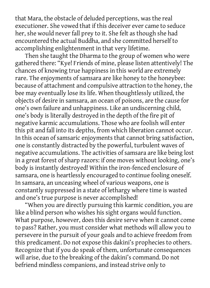that Mara, the obstacle of deluded perceptions, was the real executioner. She vowed that if this deceiver ever came to seduce her, she would never fall prey to it. She felt as though she had encountered the actual Buddha, and she committed herself to accomplishing enlightenment in that very lifetime.

Then she taught the Dharma to the group of women who were gathered there: "Kye! Friends of mine, please listen attentively! The chances of knowing true happiness in this world are extremely rare. The enjoyments of samsara are like honey to the honeybee: because of attachment and compulsive attraction to the honey, the bee may eventually lose its life. When thoughtlessly utilized, the objects of desire in samsara, an ocean of poisons, are the cause for one's own failure and unhappiness. Like an undiscerning child, one's body is literally destroyed in the depth of the fire pit of negative karmic accumulations. Those who are foolish will enter this pit and fall into its depths, from which liberation cannot occur. In this ocean of samsaric enjoyments that cannot bring satisfaction, one is constantly distracted by the powerful, turbulent waves of negative accumulations. The activities of samsara are like being lost in a great forest of sharp razors: if one moves without looking, one's body is instantly destroyed! Within the iron-fenced enclosure of samsara, one is heartlessly encouraged to continue fooling oneself. In samsara, an unceasing wheel of various weapons, one is constantly suppressed in a state of lethargy where time is wasted and one's true purpose is never accomplished!

"When you are directly pursuing this karmic condition, you are like a blind person who wishes his sight organs would function. What purpose, however, does this desire serve when it cannot come to pass? Rather, you must consider what methods will allow you to persevere in the pursuit of your goals and to achieve freedom from this predicament. Do not expose this dakini's prophecies to others. Recognize that if you do speak of them, unfortunate consequences will arise, due to the breaking of the dakini's command. Do not befriend mindless companions, and instead strive only to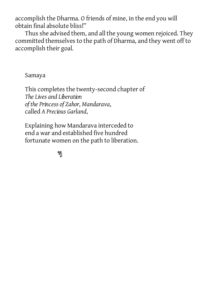accomplish the Dharma. O friends of mine, in the end you will obtain final absolute bliss!"

Thus she advised them, and all the young women rejoiced. They committed themselves to the path of Dharma, and they went off to accomplish their goal.

### Samaya

This completes the twenty-second chapter of The Lives and Liberation of the Princess of Zahor, Mandarava, called A Precious Garland,

Explaining how Mandarava interceded to end a war and established five hundred fortunate women on the path to liberation.

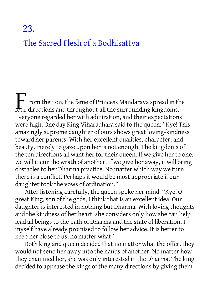[23.](#page-7-0)

# [The Sacred Flesh of a Bodhisattva](#page-7-0)

 $\prod_{\text{four d}}$ rom then on, the fame of Princess Mandarava spread in the four directions and throughout all the surrounding kingdoms. Everyone regarded her with admiration, and their expectations were high. One day King Viharadhara said to the queen: "Kye! This amazingly supreme daughter of ours shows great loving-kindness toward her parents. With her excellent qualities, character, and beauty, merely to gaze upon her is not enough. The kingdoms of the ten directions all want her for their queen. If we give her to one, we will incur the wrath of another. If we give her away, it will bring obstacles to her Dharma practice. No matter which way we turn, there is a conflict. Perhaps it would be most appropriate if our daughter took the vows of ordination."

After listening carefully, the queen spoke her mind. "Kye! O great King, son of the gods, I think that is an excellent idea. Our daughter is interested in nothing but Dharma. With loving thoughts and the kindness of her heart, she considers only how she can help lead all beings to the path of Dharma and the state of liberation. I myself have already promised to follow her advice. It is better to keep her close to us, no matter what!"

Both king and queen decided that no matter what the offer, they would not send her away into the hands of another. No matter how they examined her, she was only interested in the Dharma. The king decided to appease the kings of the many directions by giving them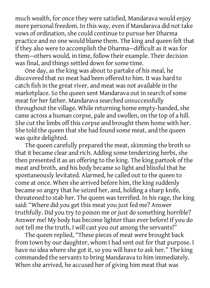much wealth, for once they were satisfied, Mandarava would enjoy more personal freedom. In this way, even if Mandarava did not take vows of ordination, she could continue to pursue her Dharma practice and no one would blame them. The king and queen felt that if they also were to accomplish the Dharma—difficult as it was for them—others would, in time, follow their example. Their decision was final, and things settled down for some time.

One day, as the king was about to partake of his meal, he discovered that no meat had been offered to him. It was hard to catch fish in the great river, and meat was not available in the marketplace. So the queen sent Mandarava out in search of some meat for her father. Mandarava searched unsuccessfully throughout the village. While returning home empty-handed, she came across a human corpse, pale and swollen, on the top of a hill. She cut the limbs off this corpse and brought them home with her. She told the queen that she had found some meat, and the queen was quite delighted.

The queen carefully prepared the meat, skimming the broth so that it became clear and rich. Adding some tenderizing herbs, she then presented it as an offering to the king. The king partook of the meat and broth, and his body became so light and blissful that he spontaneously levitated. Alarmed, he called out to the queen to come at once. When she arrived before him, the king suddenly became so angry that he seized her, and, holding a sharp knife, threatened to stab her. The queen was terrified. In his rage, the king said: "Where did you get this meat you just fed me? Answer truthfully. Did you try to poison me or just do something horrible? Answer me! My body has become lighter than ever before! If you do not tell me the truth, I will cast you out among the servants!"

The queen replied, "These pieces of meat were brought back from town by our daughter, whom I had sent out for that purpose. I have no idea where she got it, so you will have to ask her." The king commanded the servants to bring Mandarava to him immediately. When she arrived, he accused her of giving him meat that was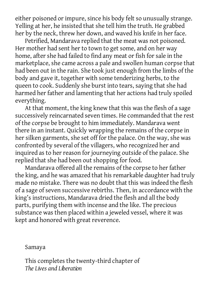either poisoned or impure, since his body felt so unusually strange. Yelling at her, he insisted that she tell him the truth. He grabbed her by the neck, threw her down, and waved his knife in her face.

Petrified, Mandarava replied that the meat was not poisoned. Her mother had sent her to town to get some, and on her way home, after she had failed to find any meat or fish for sale in the marketplace, she came across a pale and swollen human corpse that had been out in the rain. She took just enough from the limbs of the body and gave it, together with some tenderizing herbs, to the queen to cook. Suddenly she burst into tears, saying that she had harmed her father and lamenting that her actions had truly spoiled everything.

At that moment, the king knew that this was the flesh of a sage successively reincarnated seven times. He commanded that the rest of the corpse be brought to him immediately. Mandarava went there in an instant. Quickly wrapping the remains of the corpse in her silken garments, she set off for the palace. On the way, she was confronted by several of the villagers, who recognized her and inquired as to her reason for journeying outside of the palace. She replied that she had been out shopping for food.

Mandarava offered all the remains of the corpse to her father the king, and he was amazed that his remarkable daughter had truly made no mistake. There was no doubt that this was indeed the flesh of a sage of seven successive rebirths. Then, in accordance with the king's instructions, Mandarava dried the flesh and all the body parts, purifying them with incense and the like. The precious substance was then placed within a jeweled vessel, where it was kept and honored with great reverence.

Samaya

This completes the twenty-third chapter of The Lives and Liberation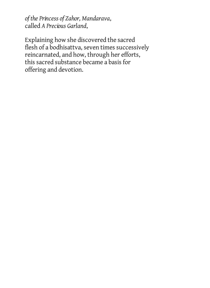of the Princess of Zahor, Mandarava, called A Precious Garland,

Explaining how she discovered the sacred flesh of a bodhisattva, seven times successively reincarnated, and how, through her efforts, this sacred substance became a basis for offering and devotion.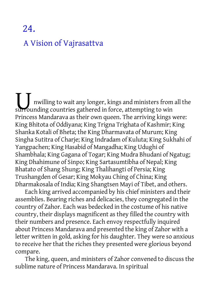[24.](#page-7-1)

## [A Vision of Vajrasattva](#page-7-1)

I I nwilling to wait any longer, kings and ministers from<br>surrounding countries gathered in force, attempting to win nwilling to wait any longer, kings and ministers from all the Princess Mandarava as their own queen. The arriving kings were: King Bhitota of Oddiyana; King Trigna Trighata of Kashmir; King Shanka Kotali of Bheta; the King Dharmavata of Murum; King Singha Sutitra of Charje; King Indradam of Kuluta; King Sukhahi of Yangpachen; King Hasabid of Mangadha; King Udughi of Shambhala; King Gagana of Togar; King Mudra Bhudani of Ngatug; King Dhahimune of Sinpo; King Sartasumtibha of Nepal; King Bhatato of Shang Shung; King Thalihangti of Persia; King Trushangden of Gesar; King Mokyau Ching of China; King Dharmakosala of India; King Shangtsen Mayi of Tibet, and others.

Each king arrived accompanied by his chief ministers and their assemblies. Bearing riches and delicacies, they congregated in the country of Zahor. Each was bedecked in the costume of his native country, their displays magnificent as they filled the country with their numbers and presence. Each envoy respectfully inquired about Princess Mandarava and presented the king of Zahor with a letter written in gold, asking for his daughter. They were so anxious to receive her that the riches they presented were glorious beyond compare.

The king, queen, and ministers of Zahor convened to discuss the sublime nature of Princess Mandarava. In spiritual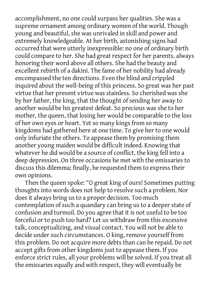accomplishment, no one could surpass her qualities. She was a supreme ornament among ordinary women of the world. Though young and beautiful, she was unrivaled in skill and power and extremely knowledgeable. At her birth, astonishing signs had occurred that were utterly inexpressible: no one of ordinary birth could compare to her. She had great respect for her parents, always honoring their word above all others. She had the beauty and excellent rebirth of a dakini. The fame of her nobility had already encompassed the ten directions. Even the blind and crippled inquired about the well-being of this princess. So great was her past virtue that her present virtue was stainless. So cherished was she by her father, the king, that the thought of sending her away to another would be his greatest defeat. So precious was she to her mother, the queen, that losing her would be comparable to the loss of her own eyes or heart. Yet so many kings from so many kingdoms had gathered here at one time. To give her to one would only infuriate the others. To appease them by promising them another young maiden would be difficult indeed. Knowing that whatever he did would be a source of conflict, the king fell into a deep depression. On three occasions he met with the emissaries to discuss this dilemma; finally, he requested them to express their own opinions.

Then the queen spoke: "O great king of ours! Sometimes putting thoughts into words does not help to resolve such a problem. Nor does it always bring us to a proper decision. Too much contemplation of such a quandary can bring us to a deeper state of confusion and turmoil. Do you agree that it is not useful to be too forceful or to push too hard? Let us withdraw from this excessive talk, conceptualizing, and visual contact. You will not be able to decide under such circumstances. O king, remove yourself from this problem. Do not acquire more debts than can be repaid. Do not accept gifts from other kingdoms just to appease them. If you enforce strict rules, all your problems will be solved. If you treat all the emissaries equally and with respect, they will eventually be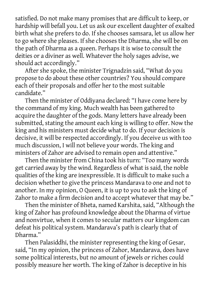satisfied. Do not make many promises that are difficult to keep, or hardship will befall you. Let us ask our excellent daughter of exalted birth what she prefers to do. If she chooses samsara, let us allow her to go where she pleases. If she chooses the Dharma, she will be on the path of Dharma as a queen. Perhaps it is wise to consult the deities or a diviner as well. Whatever the holy sages advise, we should act accordingly."

After she spoke, the minister Trignadzin said, "What do you propose to do about these other countries? You should compare each of their proposals and offer her to the most suitable candidate."

Then the minister of Oddiyana declared: "I have come here by the command of my king. Much wealth has been gathered to acquire the daughter of the gods. Many letters have already been submitted, stating the amount each king is willing to offer. Now the king and his ministers must decide what to do. If your decision is decisive, it will be respected accordingly. If you deceive us with too much discussion, I will not believe your words. The king and ministers of Zahor are advised to remain open and attentive."

Then the minister from China took his turn: "Too many words get carried away by the wind. Regardless of what is said, the noble qualities of the king are inexpressible. It is difficult to make such a decision whether to give the princess Mandarava to one and not to another. In my opinion, O Queen, it is up to you to ask the king of Zahor to make a firm decision and to accept whatever that may be."

Then the minister of Bheta, named Karshita, said, "Although the king of Zahor has profound knowledge about the Dharma of virtue and nonvirtue, when it comes to secular matters our kingdom can defeat his political system. Mandarava's path is clearly that of Dharma."

Then Palasiddhi, the minister representing the king of Gesar, said, "In my opinion, the princess of Zahor, Mandarava, does have some political interests, but no amount of jewels or riches could possibly measure her worth. The king of Zahor is deceptive in his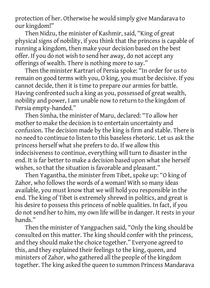protection of her. Otherwise he would simply give Mandarava to our kingdom!"

Then Nidzu, the minister of Kashmir, said, "King of great physical signs of nobility, if you think that the princess is capable of running a kingdom, then make your decision based on the best offer. If you do not wish to send her away, do not accept any offerings of wealth. There is nothing more to say."

Then the minister Kartrari of Persia spoke: "In order for us to remain on good terms with you, O king, you must be decisive. If you cannot decide, then it is time to prepare our armies for battle. Having confronted such a king as you, possessed of great wealth, nobility and power, I am unable now to return to the kingdom of Persia empty-handed."

Then Simha, the minister of Maru, declared: "To allow her mother to make the decision is to entertain uncertainty and confusion. The decision made by the king is firm and stable. There is no need to continue to listen to this baseless rhetoric. Let us ask the princess herself what she prefers to do. If we allow this indecisiveness to continue, everything will turn to disaster in the end. It is far better to make a decision based upon what she herself wishes, so that the situation is favorable and pleasant."

Then Yagantha, the minister from Tibet, spoke up: "O king of Zahor, who follows the words of a woman! With so many ideas available, you must know that we will hold you responsible in the end. The king of Tibet is extremely shrewd in politics, and great is his desire to possess this princess of noble qualities. In fact, if you do not send her to him, my own life will be in danger. It rests in your hands."

Then the minister of Yangpachen said, "Only the king should be consulted on this matter. The king should confer with the princess, and they should make the choice together." Everyone agreed to this, and they explained their feelings to the king, queen, and ministers of Zahor, who gathered all the people of the kingdom together. The king asked the queen to summon Princess Mandarava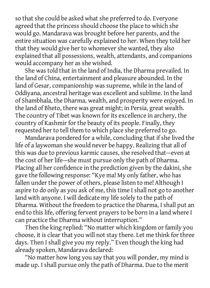so that she could be asked what she preferred to do. Everyone agreed that the princess should choose the place to which she would go. Mandarava was brought before her parents, and the entire situation was carefully explained to her. When they told her that they would give her to whomever she wanted, they also explained that all possessions, wealth, attendants, and companions would accompany her as she wished.

She was told that in the land of India, the Dharma prevailed. In the land of China, entertainment and pleasure abounded. In the land of Gesar, companionship was supreme, while in the land of Oddiyana, ancestral heritage was excellent and sublime. In the land of Shambhala, the Dharma, wealth, and prosperity were enjoyed. In the land of Bheto, there was great might; in Persia, great wealth. The country of Tibet was known for its excellence in archery, the country of Kashmir for the beauty of its people. Finally, they requested her to tell them to which place she preferred to go.

Mandarava pondered for a while, concluding that if she lived the life of a laywoman she would never be happy. Realizing that all of this was due to previous karmic causes, she resolved that—even at the cost of her life—she must pursue only the path of Dharma. Placing all her confidence in the prediction given by the dakini, she gave the following response: "Kye ma! My only father, who has fallen under the power of others, please listen to me! Although I aspire to do only as you ask of me, this time I shall not go to another land with anyone. I will dedicate my life solely to the path of Dharma. Without the freedom to practice the Dharma, I shall put an end to this life, offering fervent prayers to be born in a land where I can practice the Dharma without interruption."

Then the king replied: "No matter which kingdom or family you choose, it is clear that you will not stay there. Let me think for three days. Then I shall give you my reply." Even though the king had already spoken, Mandarava declared:

"No matter how long you say that you will ponder, my mind is made up. I shall pursue only the path of Dharma. Due to the merit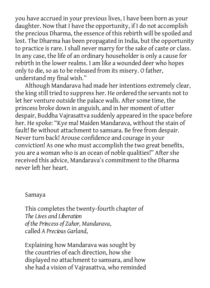you have accrued in your previous lives, I have been born as your daughter. Now that I have the opportunity, if I do not accomplish the precious Dharma, the essence of this rebirth will be spoiled and lost. The Dharma has been propagated in India, but the opportunity to practice is rare. I shall never marry for the sake of caste or class. In any case, the life of an ordinary householder is only a cause for rebirth in the lower realms. I am like a wounded deer who hopes only to die, so as to be released from its misery. O father, understand my final wish."

Although Mandarava had made her intentions extremely clear, the king still tried to suppress her. He ordered the servants not to let her venture outside the palace walls. After some time, the princess broke down in anguish, and in her moment of utter despair, Buddha Vajrasattva suddenly appeared in the space before her. He spoke: "Kye ma! Maiden Mandarava, without the stain of fault! Be without attachment to samsara. Be free from despair. Never turn back! Arouse confidence and courage in your conviction! As one who must accomplish the two great benefits, you are a woman who is an ocean of noble qualities!" After she received this advice, Mandarava's commitment to the Dharma never left her heart.

#### Samaya

This completes the twenty-fourth chapter of The Lives and Liberation of the Princess of Zahor, Mandarava, called A Precious Garland,

Explaining how Mandarava was sought by the countries of each direction, how she displayed no attachment to samsara, and how she had a vision of Vajrasattva, who reminded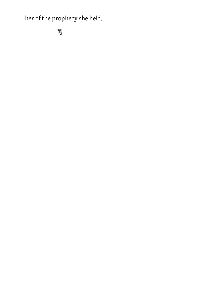her of the prophecy she held.

弩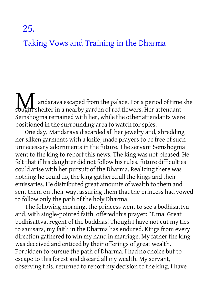[25.](#page-7-2)

# [Taking Vows and Training in the Dharma](#page-7-2)

 $\sum_{\text{sublink} \atop \text{sublink}}$ andarava escaped from the palace. For a period of time she  $\mathop{\mathrm{solg}}\nolimits$ helter in a nearby garden of red flowers. Her attendant Semshogma remained with her, while the other attendants were positioned in the surrounding area to watch for spies.

One day, Mandarava discarded all her jewelry and, shredding her silken garments with a knife, made prayers to be free of such unnecessary adornments in the future. The servant Semshogma went to the king to report this news. The king was not pleased. He felt that if his daughter did not follow his rules, future difficulties could arise with her pursuit of the Dharma. Realizing there was nothing he could do, the king gathered all the kings and their emissaries. He distributed great amounts of wealth to them and sent them on their way, assuring them that the princess had vowed to follow only the path of the holy Dharma.

The following morning, the princess went to see a bodhisattva and, with single-pointed faith, offered this prayer: "E ma! Great bodhisattva, regent of the buddhas! Though I have not cut my ties to samsara, my faith in the Dharma has endured. Kings from every direction gathered to win my hand in marriage. My father the king was deceived and enticed by their offerings of great wealth. Forbidden to pursue the path of Dharma, I had no choice but to escape to this forest and discard all my wealth. My servant, observing this, returned to report my decision to the king. I have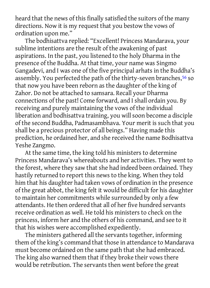heard that the news of this finally satisfied the suitors of the many directions. Now it is my request that you bestow the vows of ordination upon me."

The bodhisattva replied: "Excellent! Princess Mandarava, your sublime intentions are the result of the awakening of past aspirations. In the past, you listened to the holy Dharma in the presence of the Buddha. At that time, your name was Singmo Gangadevi, and I was one of the five principal arhats in the Buddha's assembly. You perfected the path of the thirty-seven branches, [56](#page-271-2) so that now you have been reborn as the daughter of the king of Zahor. Do not be attached to samsara. Recall your Dharma connections of the past! Come forward, and I shall ordain you. By receiving and purely maintaining the vows of the individual liberation and bodhisattva training, you will soon become a disciple of the second Buddha, Padmasambhava. Your merit is such that you shall be a precious protector of all beings." Having made this prediction, he ordained her, and she received the name Bodhisattva Yeshe Zangmo.

At the same time, the king told his ministers to determine Princess Mandarava's whereabouts and her activities. They went to the forest, where they saw that she had indeed been ordained. They hastily returned to report this news to the king. When they told him that his daughter had taken vows of ordination in the presence of the great abbot, the king felt it would be difficult for his daughter to maintain her commitments while surrounded by only a few attendants. He then ordered that all of her five hundred servants receive ordination as well. He told his ministers to check on the princess, inform her and the others of his command, and see to it that his wishes were accomplished expediently.

The ministers gathered all the servants together, informing them of the king's command that those in attendance to Mandarava must become ordained on the same path that she had embraced. The king also warned them that if they broke their vows there would be retribution. The servants then went before the great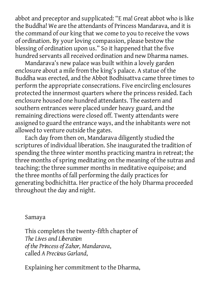abbot and preceptor and supplicated: "E ma! Great abbot who is like the Buddha! We are the attendants of Princess Mandarava, and it is the command of our king that we come to you to receive the vows of ordination. By your loving compassion, please bestow the blessing of ordination upon us." So it happened that the five hundred servants all received ordination and new Dharma names.

Mandarava's new palace was built within a lovely garden enclosure about a mile from the king's palace. A statue of the Buddha was erected, and the Abbot Bodhisattva came three times to perform the appropriate consecrations. Five encircling enclosures protected the innermost quarters where the princess resided. Each enclosure housed one hundred attendants. The eastern and southern entrances were placed under heavy guard, and the remaining directions were closed off. Twenty attendants were assigned to guard the entrance ways, and the inhabitants were not allowed to venture outside the gates.

Each day from then on, Mandarava diligently studied the scriptures of individual liberation. She inaugurated the tradition of spending the three winter months practicing mantra in retreat; the three months of spring meditating on the meaning of the sutras and teaching; the three summer months in meditative equipoise; and the three months of fall performing the daily practices for generating bodhichitta. Her practice of the holy Dharma proceeded throughout the day and night.

#### Samaya

This completes the twenty-fifth chapter of The Lives and Liberation of the Princess of Zahor, Mandarava, called A Precious Garland,

Explaining her commitment to the Dharma,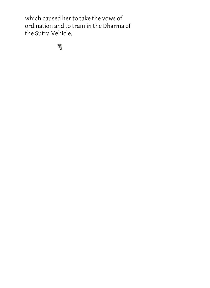which caused her to take the vows of ordination and to train in the Dharma of the Sutra Vehicle.

弩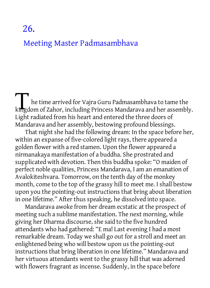[26.](#page-7-3)

## [Meeting Master Padmasambhava](#page-7-3)

The time arrived for Vajra Guru Padmasambhava to tame the<br>kingdom of Zahor, including Princess Mandarava and her assembly. he time arrived for Vajra Guru Padmasambhava to tame the Light radiated from his heart and entered the three doors of Mandarava and her assembly, bestowing profound blessings.

That night she had the following dream: In the space before her, within an expanse of five-colored light rays, there appeared a golden flower with a red stamen. Upon the flower appeared a nirmanakaya manifestation of a buddha. She prostrated and supplicated with devotion. Then this buddha spoke: "O maiden of perfect noble qualities, Princess Mandarava, I am an emanation of Avalokiteshvara. Tomorrow, on the tenth day of the monkey month, come to the top of the grassy hill to meet me. I shall bestow upon you the pointing-out instructions that bring about liberation in one lifetime." After thus speaking, he dissolved into space.

Mandarava awoke from her dream ecstatic at the prospect of meeting such a sublime manifestation. The next morning, while giving her Dharma discourse, she said to the five hundred attendants who had gathered: "E ma! Last evening I had a most remarkable dream. Today we shall go out for a stroll and meet an enlightened being who will bestow upon us the pointing-out instructions that bring liberation in one lifetime." Mandarava and her virtuous attendants went to the grassy hill that was adorned with flowers fragrant as incense. Suddenly, in the space before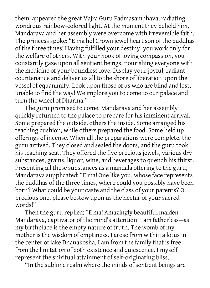them, appeared the great Vajra Guru Padmasambhava, radiating wondrous rainbow-colored light. At the moment they beheld him, Mandarava and her assembly were overcome with irreversible faith. The princess spoke: "E ma ho! Crown jewel heart son of the buddhas of the three times! Having fulfilled your destiny, you work only for the welfare of others. With your hook of loving compassion, you constantly gaze upon all sentient beings, nourishing everyone with the medicine of your boundless love. Display your joyful, radiant countenance and deliver us all to the shore of liberation upon the vessel of equanimity. Look upon those of us who are blind and lost, unable to find the way! We implore you to come to our palace and turn the wheel of Dharma!"

The guru promised to come. Mandarava and her assembly quickly returned to the palace to prepare for his imminent arrival. Some prepared the outside, others the inside. Some arranged his teaching cushion, while others prepared the food. Some held up offerings of incense. When all the preparations were complete, the guru arrived. They closed and sealed the doors, and the guru took his teaching seat. They offered the five precious jewels, various dry substances, grains, liquor, wine, and beverages to quench his thirst. Presenting all these substances as a mandala offering to the guru, Mandarava supplicated: "E ma! One like you, whose face represents the buddhas of the three times, where could you possibly have been born? What could be your caste and the class of your parents? O precious one, please bestow upon us the nectar of your sacred words!"

Then the guru replied: "E ma! Amazingly beautiful maiden Mandarava, captivator of the mind's attention! I am fatherless—as my birthplace is the empty nature of truth. The womb of my mother is the wisdom of emptiness. I arose from within a lotus in the center of lake Dhanakosha. I am from the family that is free from the limitation of both existence and quiescence. I myself represent the spiritual attainment of self-originating bliss.

"In the sublime realm where the minds of sentient beings are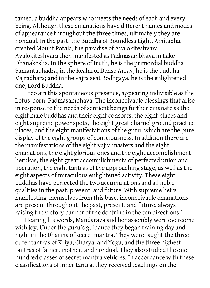tamed, a buddha appears who meets the needs of each and every being. Although these emanations have different names and modes of appearance throughout the three times, ultimately they are nondual. In the past, the Buddha of Boundless Light, Amitabha, created Mount Potala, the paradise of Avalokiteshvara. Avalokiteshvara then manifested as Padmasambhava in Lake Dhanakosha. In the sphere of truth, he is the primordial buddha Samantabhadra; in the Realm of Dense Array, he is the buddha Vajradhara; and in the vajra seat Bodhgaya, he is the enlightened one, Lord Buddha.

I too am this spontaneous presence, appearing indivisible as the Lotus-born, Padmasambhava. The inconceivable blessings that arise in response to the needs of sentient beings further emanate as the eight male buddhas and their eight consorts, the eight places and eight supreme power spots, the eight great charnel ground practice places, and the eight manifestations of the guru, which are the pure display of the eight groups of consciousness. In addition there are the manifestations of the eight vajra masters and the eight emanations, the eight glorious ones and the eight accomplishment herukas, the eight great accomplishments of perfected union and liberation, the eight tantras of the approaching stage, as well as the eight aspects of miraculous enlightened activity. These eight buddhas have perfected the two accumulations and all noble qualities in the past, present, and future. With supreme heirs manifesting themselves from this base, inconceivable emanations are present throughout the past, present, and future, always raising the victory banner of the doctrine in the ten directions."

Hearing his words, Mandarava and her assembly were overcome with joy. Under the guru's guidance they began training day and night in the Dharma of secret mantra. They were taught the three outer tantras of Kriya, Charya, and Yoga, and the three highest tantras of father, mother, and nondual. They also studied the one hundred classes of secret mantra vehicles. In accordance with these classifications of inner tantra, they received teachings on the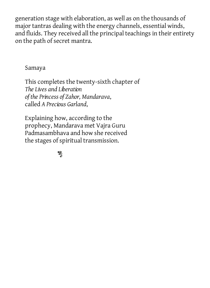generation stage with elaboration, as well as on the thousands of major tantras dealing with the energy channels, essential winds, and fluids. They received all the principal teachings in their entirety on the path of secret mantra.

### Samaya

This completes the twenty-sixth chapter of The Lives and Liberation of the Princess of Zahor, Mandarava, called A Precious Garland,

Explaining how, according to the prophecy, Mandarava met Vajra Guru Padmasambhava and how she received the stages of spiritual transmission.

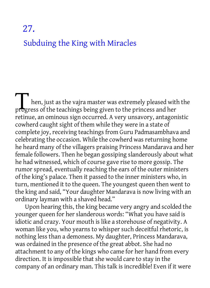[27.](#page-7-4)

# [Subduing the King with Miracles](#page-7-4)

Then, just as the vajra master was extremely pleased with<br>progress of the teachings being given to the princess and her hen, just as the vajra master was extremely pleased with the retinue, an ominous sign occurred. A very unsavory, antagonistic cowherd caught sight of them while they were in a state of complete joy, receiving teachings from Guru Padmasambhava and celebrating the occasion. While the cowherd was returning home he heard many of the villagers praising Princess Mandarava and her female followers. Then he began gossiping slanderously about what he had witnessed, which of course gave rise to more gossip. The rumor spread, eventually reaching the ears of the outer ministers of the king's palace. Then it passed to the inner ministers who, in turn, mentioned it to the queen. The youngest queen then went to the king and said, "Your daughter Mandarava is now living with an ordinary layman with a shaved head."

Upon hearing this, the king became very angry and scolded the younger queen for her slanderous words: "What you have said is idiotic and crazy. Your mouth is like a storehouse of negativity. A woman like you, who yearns to whisper such deceitful rhetoric, is nothing less than a demoness. My daughter, Princess Mandarava, was ordained in the presence of the great abbot. She had no attachment to any of the kings who came for her hand from every direction. It is impossible that she would care to stay in the company of an ordinary man. This talk is incredible! Even if it were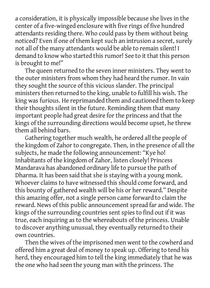a consideration, it is physically impossible because she lives in the center of a five-winged enclosure with five rings of five hundred attendants residing there. Who could pass by them without being noticed? Even if one of them kept such an intrusion a secret, surely not all of the many attendants would be able to remain silent! I demand to know who started this rumor! See to it that this person is brought to me!"

The queen returned to the seven inner ministers. They went to the outer ministers from whom they had heard the rumor. In vain they sought the source of this vicious slander. The principal ministers then returned to the king, unable to fulfill his wish. The king was furious. He reprimanded them and cautioned them to keep their thoughts silent in the future. Reminding them that many important people had great desire for the princess and that the kings of the surrounding directions would become upset, he threw them all behind bars.

Gathering together much wealth, he ordered all the people of the kingdom of Zahor to congregate. Then, in the presence of all the subjects, he made the following announcement: "Kye ho! Inhabitants of the kingdom of Zahor, listen closely! Princess Mandarava has abandoned ordinary life to pursue the path of Dharma. It has been said that she is staying with a young monk. Whoever claims to have witnessed this should come forward, and this bounty of gathered wealth will be his or her reward." Despite this amazing offer, not a single person came forward to claim the reward. News of this public announcement spread far and wide. The kings of the surrounding countries sent spies to find out if it was true, each inquiring as to the whereabouts of the princess. Unable to discover anything unusual, they eventually returned to their own countries.

Then the wives of the imprisoned men went to the cowherd and offered him a great deal of money to speak up. Offering to tend his herd, they encouraged him to tell the king immediately that he was the one who had seen the young man with the princess. The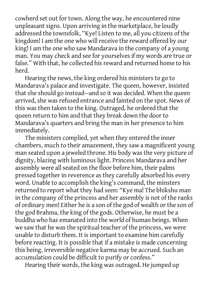cowherd set out for town. Along the way, he encountered nine unpleasant signs. Upon arriving in the marketplace, he loudly addressed the townsfolk, "Kye! Listen to me, all you citizens of the kingdom! I am the one who will receive the reward offered by our king! I am the one who saw Mandarava in the company of a young man. You may check and see for yourselves if my words are true or false." With that, he collected his reward and returned home to his herd.

Hearing the news, the king ordered his ministers to go to Mandarava's palace and investigate. The queen, however, insisted that she should go instead—and so it was decided. When the queen arrived, she was refused entrance and fainted on the spot. News of this was then taken to the king. Outraged, he ordered that the queen return to him and that they break down the door to Mandarava's quarters and bring the man in her presence to him immediately.

The ministers complied, yet when they entered the inner chambers, much to their amazement, they saw a magnificent young man seated upon a jeweled throne. His body was the very picture of dignity, blazing with luminous light. Princess Mandarava and her assembly were all seated on the floor before him, their palms pressed together in reverence as they carefully absorbed his every word. Unable to accomplish the king's command, the minsters returned to report what they had seen: "Kye ma! The bhikshu man in the company of the princess and her assembly is not of the ranks of ordinary men! Either he is a son of the god of wealth or the son of the god Brahma, the king of the gods. Otherwise, he must be a buddha who has emanated into the world of human beings. When we saw that he was the spiritual teacher of the princess, we were unable to disturb them. It is important to examine him carefully before reacting. It is possible that if a mistake is made concerning this being, irreversible negative karma may be accrued. Such an accumulation could be difficult to purify or confess."

Hearing their words, the king was outraged. He jumped up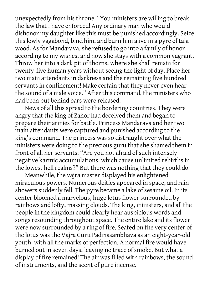unexpectedly from his throne. "You ministers are willing to break the law that I have enforced! Any ordinary man who would dishonor my daughter like this must be punished accordingly. Seize this lowly vagabond, bind him, and burn him alive in a pyre of tala wood. As for Mandarava, she refused to go into a family of honor according to my wishes, and now she stays with a common vagrant. Throw her into a dark pit of thorns, where she shall remain for twenty-five human years without seeing the light of day. Place her two main attendants in darkness and the remaining five hundred servants in confinement! Make certain that they never even hear the sound of a male voice." After this command, the ministers who had been put behind bars were released.

News of all this spread to the bordering countries. They were angry that the king of Zahor had deceived them and began to prepare their armies for battle. Princess Mandarava and her two main attendants were captured and punished according to the king's command. The princess was so distraught over what the ministers were doing to the precious guru that she shamed them in front of all her servants: "Are you not afraid of such intensely negative karmic accumulations, which cause unlimited rebirths in the lowest hell realms?" But there was nothing that they could do.

Meanwhile, the vajra master displayed his enlightened miraculous powers. Numerous deities appeared in space, and rain showers suddenly fell. The pyre became a lake of sesame oil. In its center bloomed a marvelous, huge lotus flower surrounded by rainbows and lofty, massing clouds. The king, ministers, and all the people in the kingdom could clearly hear auspicious words and songs resounding throughout space. The entire lake and its flower were now surrounded by a ring of fire. Seated on the very center of the lotus was the Vajra Guru Padmasambhava as an eight-year-old youth, with all the marks of perfection. A normal fire would have burned out in seven days, leaving no trace of smoke. But what a display of fire remained! The air was filled with rainbows, the sound of instruments, and the scent of pure incense.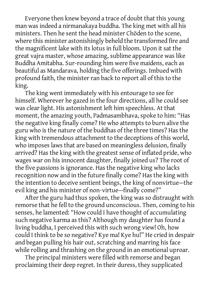Everyone then knew beyond a trace of doubt that this young man was indeed a nirmanakaya buddha. The king met with all his ministers. Then he sent the head minister Chöden to the scene, where this minister astonishingly beheld the transformed fire and the magnificent lake with its lotus in full bloom. Upon it sat the great vajra master, whose amazing, sublime appearance was like Buddha Amitabha. Sur-rounding him were five maidens, each as beautiful as Mandarava, holding the five offerings. Imbued with profound faith, the minister ran back to report all of this to the king.

The king went immediately with his entourage to see for himself. Wherever he gazed in the four directions, all he could see was clear light. His astonishment left him speechless. At that moment, the amazing youth, Padmasambhava, spoke to him: "Has the negative king finally come? He who attempts to burn alive the guru who is the nature of the buddhas of the three times? Has the king with tremendous attachment to the deceptions of this world, who imposes laws that are based on meaningless delusion, finally arrived? Has the king with the greatest sense of inflated pride, who wages war on his innocent daughter, finally joined us? The root of the five passions is ignorance. Has the negative king who lacks recognition now and in the future finally come? Has the king with the intention to deceive sentient beings, the king of nonvirtue—the evil king and his minister of non-virtue—finally come?"

After the guru had thus spoken, the king was so distraught with remorse that he fell to the ground unconscious. Then, coming to his senses, he lamented: "How could I have thought of accumulating such negative karma as this? Although my daughter has found a living buddha, I perceived this with such wrong view! Oh, how could I think to be so negative? Kye ma! Kye hu!" He cried in despair and began pulling his hair out, scratching and marring his face while rolling and thrashing on the ground in an emotional uproar.

The principal ministers were filled with remorse and began proclaiming their deep regret. In their duress, they supplicated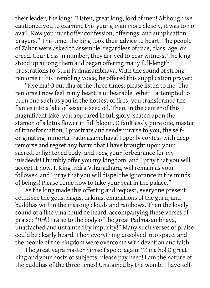their leader, the king: "Listen, great king, lord of men! Although we cautioned you to examine this young man more closely, it was to no avail. Now you must offer confession, offerings, and supplication prayers." This time, the king took their advice to heart. The people of Zahor were asked to assemble, regardless of race, class, age, or creed. Countless in number, they arrived to bear witness. The king stood up among them and began offering many full-length prostrations to Guru Padmasambhava. With the sound of strong remorse in his trembling voice, he offered this supplication prayer:

"Kye ma! O buddha of the three times, please listen to me! The remorse I now feel in my heart is unbearable. When I attempted to burn one such as you in the hottest of fires, you transformed the flames into a lake of sesame seed oil. Then, in the center of this magnificent lake, you appeared in full glory, seated upon the stamen of a lotus flower in full bloom. O faultlessly pure one, master of transformation, I prostrate and render praise to you, the selforiginating immortal Padmasambhava! I openly confess with deep remorse and regret any harm that I have brought upon your sacred, enlightened body, and I beg your forbearance for my misdeeds! I humbly offer you my kingdom, and I pray that you will accept it now. I, King Indra Viharadhara, will remain as your follower, and I pray that you will dispel the ignorance in the minds of beings! Please come now to take your seat in the palace."

As the king made this offering and request, everyone present could see the gods, nagas, dakinis, emanations of the guru, and buddhas within the massing clouds and rainbows. Then the lovely sound of a fine vina could be heard, accompanying these verses of praise: "Hrih! Praise to the body of the great Padmasambhava, unattached and untainted by impurity!" Many such verses of praise could be clearly heard. Then everything dissolved into space, and the people of the kingdom were overcome with devotion and faith.

The great vajra master himself spoke again: "E ma ho! O great king and your hosts of subjects, please pay heed! I am the nature of the buddhas of the three times! Unstained by the womb, I have self-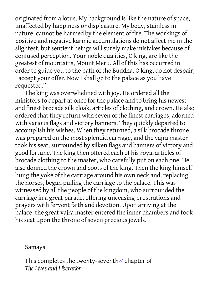originated from a lotus. My background is like the nature of space, unaffected by happiness or displeasure. My body, stainless in nature, cannot be harmed by the element of fire. The workings of positive and negative karmic accumulations do not affect me in the slightest, but sentient beings will surely make mistakes because of confused perception. Your noble qualities, O king, are like the greatest of mountains, Mount Meru. All of this has occurred in order to guide you to the path of the Buddha. O king, do not despair; I accept your offer. Now I shall go to the palace as you have requested."

The king was overwhelmed with joy. He ordered all the ministers to depart at once for the palace and to bring his newest and finest brocade silk cloak, articles of clothing, and crown. He also ordered that they return with seven of the finest carriages, adorned with various flags and victory banners. They quickly departed to accomplish his wishes. When they returned, a silk brocade throne was prepared on the most splendid carriage, and the vajra master took his seat, surrounded by silken flags and banners of victory and good fortune. The king then offered each of his royal articles of brocade clothing to the master, who carefully put on each one. He also donned the crown and boots of the king. Then the king himself hung the yoke of the carriage around his own neck and, replacing the horses, began pulling the carriage to the palace. This was witnessed by all the people of the kingdom, who surrounded the carriage in a great parade, offering unceasing prostrations and prayers with fervent faith and devotion. Upon arriving at the palace, the great vajra master entered the inner chambers and took his seat upon the throne of seven precious jewels.

#### Samaya

This completes the twenty-seventh<sup>[57](#page-272-0)</sup> chapter of The Lives and Liberation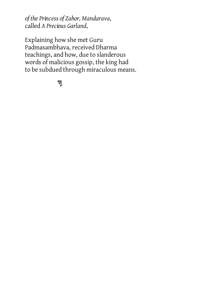of the Princess of Zahor, Mandarava, called A Precious Garland,

Explaining how she met Guru Padmasambhava, received Dharma teachings, and how, due to slanderous words of malicious gossip, the king had to be subdued through miraculous means.

弩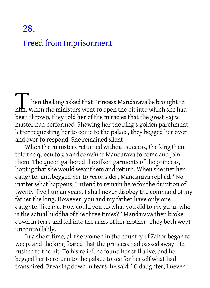[28.](#page-7-5)

## [Freed from Imprisonment](#page-7-5)

 $\prod_{\substack{\text{him. W} \\ \text{min. W}}}$ hen the king asked that Princess Mandarava be brought to him. When the ministers went to open the pit into which she had been thrown, they told her of the miracles that the great vajra master had performed. Showing her the king's golden parchment letter requesting her to come to the palace, they begged her over and over to respond. She remained silent.

When the ministers returned without success, the king then told the queen to go and convince Mandarava to come and join them. The queen gathered the silken garments of the princess, hoping that she would wear them and return. When she met her daughter and begged her to reconsider, Mandarava replied: "No matter what happens, I intend to remain here for the duration of twenty-five human years. I shall never disobey the command of my father the king. However, you and my father have only one daughter like me. How could you do what you did to my guru, who is the actual buddha of the three times?" Mandarava then broke down in tears and fell into the arms of her mother. They both wept uncontrollably.

In a short time, all the women in the country of Zahor began to weep, and the king feared that the princess had passed away. He rushed to the pit. To his relief, he found her still alive, and he begged her to return to the palace to see for herself what had transpired. Breaking down in tears, he said: "O daughter, I never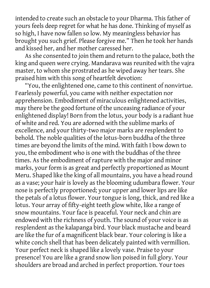intended to create such an obstacle to your Dharma. This father of yours feels deep regret for what he has done. Thinking of myself as so high, I have now fallen so low. My meaningless behavior has brought you such grief. Please forgive me." Then he took her hands and kissed her, and her mother caressed her.

As she consented to join them and return to the palace, both the king and queen were crying. Mandarava was reunited with the vajra master, to whom she prostrated as he wiped away her tears. She praised him with this song of heartfelt devotion:

"You, the enlightened one, came to this continent of nonvirtue. Fearlessly powerful, you came with neither expectation nor apprehension. Embodiment of miraculous enlightened activities, may there be the good fortune of the unceasing radiance of your enlightened display! Born from the lotus, your body is a radiant hue of white and red. You are adorned with the sublime marks of excellence, and your thirty-two major marks are resplendent to behold. The noble qualities of the lotus-born buddha of the three times are beyond the limits of the mind. With faith I bow down to you, the embodiment who is one with the buddhas of the three times. As the embodiment of rapture with the major and minor marks, your form is as great and perfectly proportioned as Mount Meru. Shaped like the king of all mountains, you have a head round as a vase; your hair is lovely as the blooming udumbara flower. Your nose is perfectly proportioned; your upper and lower lips are like the petals of a lotus flower. Your tongue is long, thick, and red like a lotus. Your array of fifty-eight teeth glow white, like a range of snow mountains. Your face is peaceful. Your neck and chin are endowed with the richness of youth. The sound of your voice is as resplendent as the kalapanga bird. Your black mustache and beard are like the fur of a magnificent black bear. Your coloring is like a white conch shell that has been delicately painted with vermillion. Your perfect neck is shaped like a lovely vase. Praise to your presence! You are like a grand snow lion poised in full glory. Your shoulders are broad and arched in perfect proportion. Your toes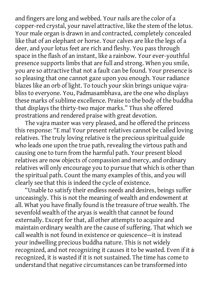and fingers are long and webbed. Your nails are the color of a copper-red crystal, your navel attractive, like the stem of the lotus. Your male organ is drawn in and contracted, completely concealed like that of an elephant or horse. Your calves are like the legs of a deer, and your lotus feet are rich and fleshy. You pass through space in the flash of an instant, like a rainbow. Your ever-youthful presence supports limbs that are full and strong. When you smile, you are so attractive that not a fault can be found. Your presence is so pleasing that one cannot gaze upon you enough. Your radiance blazes like an orb of light. To touch your skin brings unique vajrabliss to everyone. You, Padmasambhava, are the one who displays these marks of sublime excellence. Praise to the body of the buddha that displays the thirty-two major marks." Thus she offered prostrations and rendered praise with great devotion.

The vajra master was very pleased, and he offered the princess this response: "E ma! Your present relatives cannot be called loving relatives. The truly loving relative is the precious spiritual guide who leads one upon the true path, revealing the virtous path and causing one to turn from the harmful path. Your present blood relatives are now objects of compassion and mercy, and ordinary relatives will only encourage you to pursue that which is other than the spiritual path. Count the many examples of this, and you will clearly see that this is indeed the cycle of existence.

"Unable to satisfy their endless needs and desires, beings suffer unceasingly. This is not the meaning of wealth and endowment at all. What you have finally found is the treasure of true wealth. The sevenfold wealth of the aryas is wealth that cannot be found externally. Except for that, all other attempts to acquire and maintain ordinary wealth are the cause of suffering. That which we call wealth is not found in existence or quiescence—it is instead your indwelling precious buddha nature. This is not widely recognized, and not recognizing it causes it to be wasted. Even if it is recognized, it is wasted if it is not sustained. The time has come to understand that negative circumstances can be transformed into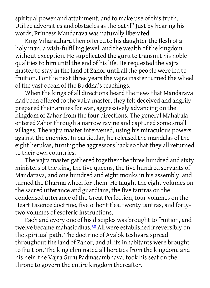spiritual power and attainment, and to make use of this truth. Utilize adversities and obstacles as the path!" Just by hearing his words, Princess Mandarava was naturally liberated.

King Viharadhara then offered to his daughter the flesh of a holy man, a wish-fulfilling jewel, and the wealth of the kingdom without exception. He supplicated the guru to transmit his noble qualities to him until the end of his life. He requested the vajra master to stay in the land of Zahor until all the people were led to fruition. For the next three years the vajra master turned the wheel of the vast ocean of the Buddha's teachings.

When the kings of all directions heard the news that Mandarava had been offered to the vajra master, they felt deceived and angrily prepared their armies for war, aggressively advancing on the kingdom of Zahor from the four directions. The general Mahabala entered Zahor through a narrow ravine and captured some small villages. The vajra master intervened, using his miraculous powers against the enemies. In particular, he released the mandalas of the eight herukas, turning the aggressors back so that they all returned to their own countries.

The vajra master gathered together the three hundred and sixty ministers of the king, the five queens, the five hundred servants of Mandarava, and one hundred and eight monks in his assembly, and turned the Dharma wheel for them. He taught the eight volumes on the sacred utterance and guardians, the five tantras on the condensed utterance of the Great Perfection, four volumes on the Heart Essence doctrine, five other titles, twenty tantras, and fortytwo volumes of esoteric instructions.

Each and every one of his disciples was brought to fruition, and twelve became mahasiddhas.[58](#page-272-1) All were established irreversibly on the spiritual path. The doctrine of Avalokiteshvara spread throughout the land of Zahor, and all its inhabitants were brought to fruition. The king eliminated all heretics from the kingdom, and his heir, the Vajra Guru Padmasambhava, took his seat on the throne to govern the entire kingdom thereafter.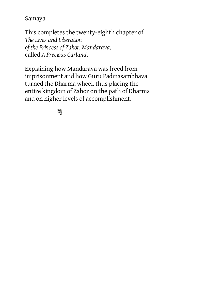Samaya

This completes the twenty-eighth chapter of The Lives and Liberation of the Princess of Zahor, Mandarava, called A Precious Garland,

Explaining how Mandarava was freed from imprisonment and how Guru Padmasambhava turned the Dharma wheel, thus placing the entire kingdom of Zahor on the path of Dharma and on higher levels of accomplishment.

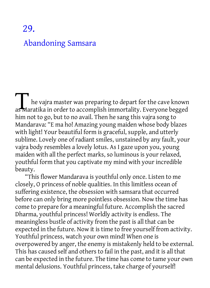### [Abandoning Samsara](#page-7-0)

The vajra master was preparing to depart for the cave known<br>as Maratika in order to accomplish immortality. Everyone begged he vajra master was preparing to depart for the cave known him not to go, but to no avail. Then he sang this vajra song to Mandarava: "E ma ho! Amazing young maiden whose body blazes with light! Your beautiful form is graceful, supple, and utterly sublime. Lovely one of radiant smiles, unstained by any fault, your vajra body resembles a lovely lotus. As I gaze upon you, young maiden with all the perfect marks, so luminous is your relaxed, youthful form that you captivate my mind with your incredible beauty.

"This flower Mandarava is youthful only once. Listen to me closely, O princess of noble qualities. In this limitless ocean of suffering existence, the obsession with samsara that occurred before can only bring more pointless obsession. Now the time has come to prepare for a meaningful future. Accomplish the sacred Dharma, youthful princess! Worldly activity is endless. The meaningless bustle of activity from the past is all that can be expected in the future. Now it is time to free yourself from activity. Youthful princess, watch your own mind! When one is overpowered by anger, the enemy is mistakenly held to be external. This has caused self and others to fail in the past, and it is all that can be expected in the future. The time has come to tame your own mental delusions. Youthful princess, take charge of yourself!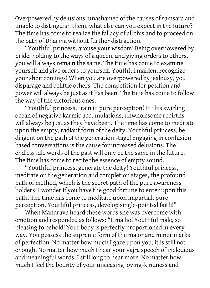Overpowered by delusions, unashamed of the causes of samsara and unable to distinguish them, what else can you expect in the future? The time has come to realize the fallacy of all this and to proceed on the path of Dharma without further distraction.

"Youthful princess, arouse your wisdom! Being overpowered by pride, holding to the ways of a queen, and giving orders to others, you will always remain the same. The time has come to examine yourself and give orders to yourself. Youthful maiden, recognize your shortcomings! When you are overpowered by jealousy, you disparage and belittle others. The competition for position and power will always be just as it has been. The time has come to follow the way of the victorious ones.

"Youthful princess, train in pure perception! In this swirling ocean of negative karmic accumulations, unwholesome rebirths will always be just as they have been. The time has come to meditate upon the empty, radiant form of the deity. Youthful princess, be diligent on the path of the generation stage! Engaging in confusionbased conversations is the cause for increased delusions. The endless idle words of the past will only be the same in the future. The time has come to recite the essence of empty sound.

"Youthful princess, generate the deity! Youthful princess, meditate on the generation and completion stages, the profound path of method, which is the secret path of the pure awareness holders. I wonder if you have the good fortune to enter upon this path. The time has come to meditate upon impartial, pure perception. Youthful princess, develop single-pointed faith!"

When Mandrava heard these words she was overcome with emotion and responded as follows: "E ma ho! Youthful male, so pleasing to behold! Your body is perfectly proportioned in every way. You possess the supreme form of the major and minor marks of perfection. No matter how much I gaze upon you, it is still not enough. No matter how much I hear your vajra speech of melodious and meaningful words, I still long to hear more. No matter how much I feel the bounty of your unceasing loving-kindness and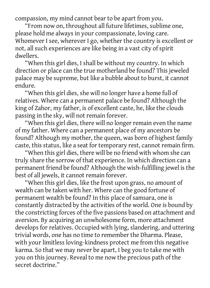compassion, my mind cannot bear to be apart from you.

"From now on, throughout all future lifetimes, sublime one, please hold me always in your compassionate, loving care. Whomever I see, wherever I go, whether the country is excellent or not, all such experiences are like being in a vast city of spirit dwellers.

"When this girl dies, I shall be without my country. In which direction or place can the true motherland be found? This jeweled palace may be supreme, but like a bubble about to burst, it cannot endure.

"When this girl dies, she will no longer have a home full of relatives. Where can a permanent palace be found? Although the king of Zahor, my father, is of excellent caste, he, like the clouds passing in the sky, will not remain forever.

"When this girl dies, there will no longer remain even the name of my father. Where can a permanent place of my ancestors be found? Although my mother, the queen, was born of highest family caste, this status, like a seat for temporary rest, cannot remain firm.

"When this girl dies, there will be no friend with whom she can truly share the sorrow of that experience. In which direction can a permanent friend be found? Although the wish-fulfilling jewel is the best of all jewels, it cannot remain forever.

"When this girl dies, like the frost upon grass, no amount of wealth can be taken with her. Where can the good fortune of permanent wealth be found? In this place of samsara, one is constantly distracted by the activities of the world. One is bound by the constricting forces of the five passions based on attachment and aversion. By acquiring an unwholesome form, more attachment develops for relatives. Occupied with lying, slandering, and uttering trivial words, one has no time to remember the Dharma. Please, with your limitless loving-kindness protect me from this negative karma. So that we may never be apart, I beg you to take me with you on this journey. Reveal to me now the precious path of the secret doctrine."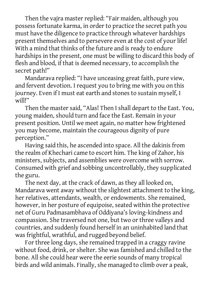Then the vajra master replied: "Fair maiden, although you possess fortunate karma, in order to practice the secret path you must have the diligence to practice through whatever hardships present themselves and to persevere even at the cost of your life! With a mind that thinks of the future and is ready to endure hardships in the present, one must be willing to discard this body of flesh and blood, if that is deemed necessary, to accomplish the secret path!"

Mandarava replied: "I have unceasing great faith, pure view, and fervent devotion. I request you to bring me with you on this journey. Even if I must eat earth and stones to sustain myself, I will!"

Then the master said, "Alas! Then I shall depart to the East. You, young maiden, should turn and face the East. Remain in your present position. Until we meet again, no matter how frightened you may become, maintain the courageous dignity of pure perception."

Having said this, he ascended into space. All the dakinis from the realm of Khechari came to escort him. The king of Zahor, his ministers, subjects, and assemblies were overcome with sorrow. Consumed with grief and sobbing uncontrollably, they supplicated the guru.

The next day, at the crack of dawn, as they all looked on, Mandarava went away without the slightest attachment to the king, her relatives, attendants, wealth, or endowments. She remained, however, in her posture of equipoise, seated within the protective net of Guru Padmasambhava of Oddiyana's loving-kindness and compassion. She traversed not one, but two or three valleys and countries, and suddenly found herself in an uninhabited land that was frightful, wrathful, and rugged beyond belief.

For three long days, she remained trapped in a craggy ravine without food, drink, or shelter. She was famished and chilled to the bone. All she could hear were the eerie sounds of many tropical birds and wild animals. Finally, she managed to climb over a peak,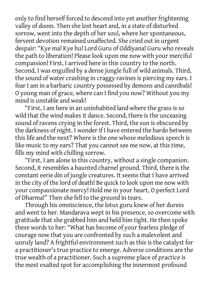only to find herself forced to descend into yet another frightening valley of doom. Then she lost heart and, in a state of disturbed sorrow, went into the depth of her soul, where her spontaneous, fervent devotion remained unaffected. She cried out in urgent despair: "Kye ma! Kye hu! Lord Guru of Oddiyana! Guru who reveals the path to liberation! Please look upon me now with your merciful compassion! First, I arrived here in this country to the north. Second, I was engulfed by a dense jungle full of wild animals. Third, the sound of water crashing in craggy ravines is piercing my ears. I fear I am in a barbaric country possessed by demons and cannibals! O young man of grace, where can I find you now? Without you my mind is unstable and weak!

"First, I am here in an uninhabited land where the grass is so wild that the wind makes it dance. Second, there is the unceasing sound of ravens crying in the forest. Third, the sun is obscured by the darkness of night. I wonder if I have entered the bardo between this life and the next? Where is the one whose melodious speech is like music to my ears? That you cannot see me now, at this time, fills my mind with chilling sorrow.

"First, I am alone in this country, without a single companion. Second, it resembles a haunted charnel ground. Third, there is the constant eerie din of jungle creatures. It seems that I have arrived in the city of the lord of death! Be quick to look upon me now with your compassionate mercy! Hold me in your heart, O perfect Lord of Dharma!" Then she fell to the ground in tears.

Through his omniscience, the lotus guru knew of her duress and went to her. Mandarava wept in his presence, so overcome with gratitude that she grabbed him and held him tight. He then spoke these words to her: "What has become of your fearless pledge of courage now that you are confronted by such a malevolent and unruly land? A frightful environment such as this is the catalyst for a practitioner's true practice to emerge. Adverse conditions are the true wealth of a practitioner. Such a supreme place of practice is the most exalted spot for accomplishing the innermost profound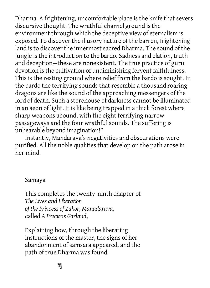Dharma. A frightening, uncomfortable place is the knife that severs discursive thought. The wrathful charnel ground is the environment through which the deceptive view of eternalism is exposed. To discover the illusory nature of the barren, frightening land is to discover the innermost sacred Dharma. The sound of the jungle is the introduction to the bardo. Sadness and elation, truth and deception—these are nonexistent. The true practice of guru devotion is the cultivation of undiminishing fervent faithfulness. This is the resting ground where relief from the bardo is sought. In the bardo the terrifying sounds that resemble a thousand roaring dragons are like the sound of the approaching messengers of the lord of death. Such a storehouse of darkness cannot be illuminated in an aeon of light. It is like being trapped in a thick forest where sharp weapons abound, with the eight terrifying narrow passageways and the four wrathful sounds. The suffering is unbearable beyond imagination!"

Instantly, Mandarava's negativities and obscurations were purified. All the noble qualities that develop on the path arose in her mind.

#### Samaya

This completes the twenty-ninth chapter of The Lives and Liberation of the Princess of Zahor, Manadarava, called A Precious Garland,

Explaining how, through the liberating instructions of the master, the signs of her abandonment of samsara appeared, and the path of true Dharma was found.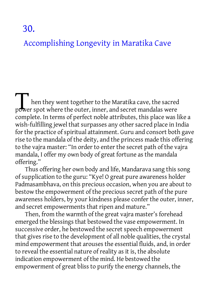[30.](#page-7-1)

## [Accomplishing Longevity in Maratika Cave](#page-7-1)

Then they went together to the Maratika cave, the sacred<br>power spot where the outer, inner, and secret mandalas were hen they went together to the Maratika cave, the sacred complete. In terms of perfect noble attributes, this place was like a wish-fulfilling jewel that surpasses any other sacred place in India for the practice of spiritual attainment. Guru and consort both gave rise to the mandala of the deity, and the princess made this offering to the vajra master: "In order to enter the secret path of the vajra mandala, I offer my own body of great fortune as the mandala offering."

Thus offering her own body and life, Mandarava sang this song of supplication to the guru: "Kye! O great pure awareness holder Padmasambhava, on this precious occasion, when you are about to bestow the empowerment of the precious secret path of the pure awareness holders, by your kindness please confer the outer, inner, and secret empowerments that ripen and mature."

Then, from the warmth of the great vajra master's forehead emerged the blessings that bestowed the vase empowerment. In successive order, he bestowed the secret speech empowerment that gives rise to the development of all noble qualities, the crystal mind empowerment that arouses the essential fluids, and, in order to reveal the essential nature of reality as it is, the absolute indication empowerment of the mind. He bestowed the empowerment of great bliss to purify the energy channels, the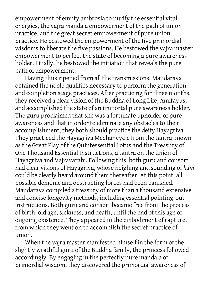empowerment of empty ambrosia to purify the essential vital energies, the vajra mandala empowerment of the path of union practice, and the great secret empowerment of pure union practice. He bestowed the empowerment of the five primordial wisdoms to liberate the five passions. He bestowed the vajra master empowerment to perfect the state of becoming a pure awareness holder. Finally, he bestowed the initiation that reveals the pure path of empowerment.

Having thus ripened from all the transmissions, Mandarava obtained the noble qualities necessary to perform the generation and completion stage practices. After practicing for three months, they received a clear vision of the Buddha of Long Life, Amitayus, and accomplished the state of an immortal pure awareness holder. The guru proclaimed that she was a fortunate upholder of pure awareness and that in order to eliminate any obstacles to their accomplishment, they both should practice the deity Hayagriva. They practiced the Hayagriva Mechar cycle from the tantra known as the Great Play of the Quintessential Lotus and the Treasury of One Thousand Essential Instructions, a tantra on the union of Hayagriva and Vajravarahi. Following this, both guru and consort had clear visions of Hayagriva, whose neighing and sounding of hum could be clearly heard around them thereafter. At this point, all possible demonic and obstructing forces had been banished. Mandarava compiled a treasury of more than a thousand extensive and concise longevity methods, including essential pointing-out instructions. Both guru and consort became free from the process of birth, old age, sickness, and death, until the end of this age of ongoing existence. They appeared in the embodiment of rapture, from which they went on to accomplish the secret practice of union.

When the vajra master manifested himself in the form of the slightly wrathful guru of the Buddha family, the princess followed accordingly. By engaging in the perfectly pure mandala of primordial wisdom, they discovered the primordial awareness of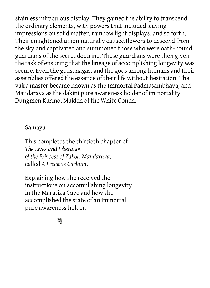stainless miraculous display. They gained the ability to transcend the ordinary elements, with powers that included leaving impressions on solid matter, rainbow light displays, and so forth. Their enlightened union naturally caused flowers to descend from the sky and captivated and summoned those who were oath-bound guardians of the secret doctrine. These guardians were then given the task of ensuring that the lineage of accomplishing longevity was secure. Even the gods, nagas, and the gods among humans and their assemblies offered the essence of their life without hesitation. The vajra master became known as the Immortal Padmasambhava, and Mandarava as the dakini pure awareness holder of immortality Dungmen Karmo, Maiden of the White Conch.

#### Samaya

This completes the thirtieth chapter of The Lives and Liberation of the Princess of Zahor, Mandarava, called A Precious Garland,

Explaining how she received the instructions on accomplishing longevity in the Maratika Cave and how she accomplished the state of an immortal pure awareness holder.

絮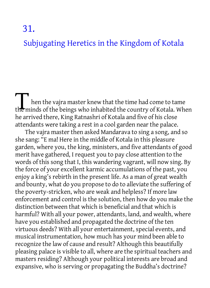[31.](#page-7-2)

## [Subjugating Heretics in the Kingdom of Kotala](#page-7-2)

Then the vajra master knew that the time had come to tame<br>the minds of the beings who inhabited the country of Kotala. When hen the vajra master knew that the time had come to tame he arrived there, King Ratnashri of Kotala and five of his close attendants were taking a rest in a cool garden near the palace.

The vajra master then asked Mandarava to sing a song, and so she sang: "E ma! Here in the middle of Kotala in this pleasure garden, where you, the king, ministers, and five attendants of good merit have gathered, I request you to pay close attention to the words of this song that I, this wandering vagrant, will now sing. By the force of your excellent karmic accumulations of the past, you enjoy a king's rebirth in the present life. As a man of great wealth and bounty, what do you propose to do to alleviate the suffering of the poverty-stricken, who are weak and helpless? If more law enforcement and control is the solution, then how do you make the distinction between that which is beneficial and that which is harmful? With all your power, attendants, land, and wealth, where have you established and propagated the doctrine of the ten virtuous deeds? With all your entertainment, special events, and musical instrumentation, how much has your mind been able to recognize the law of cause and result? Although this beautifully pleasing palace is visible to all, where are the spiritual teachers and masters residing? Although your political interests are broad and expansive, who is serving or propagating the Buddha's doctrine?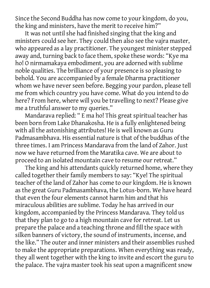Since the Second Buddha has now come to your kingdom, do you, the king and ministers, have the merit to receive him?"

It was not until she had finished singing that the king and ministers could see her. They could then also see the vajra master, who appeared as a lay practitioner. The youngest minister stepped away and, turning back to face them, spoke these words: "Kye ma ho! O nirmamakaya embodiment, you are adorned with sublime noble qualities. The brilliance of your presence is so pleasing to behold. You are accompanied by a female Dharma practitioner whom we have never seen before. Begging your pardon, please tell me from which country you have come. What do you intend to do here? From here, where will you be travelling to next? Please give me a truthful answer to my queries."

Mandarava replied: " E ma ho! This great spiritual teacher has been born from Lake Dhanakosha. He is a fully enlightened being with all the astonishing attributes! He is well known as Guru Padmasambhava. His essential nature is that of the buddhas of the three times. I am Princess Mandarava from the land of Zahor. Just now we have returned from the Maratika cave. We are about to proceed to an isolated mountain cave to resume our retreat."

The king and his attendants quickly returned home, where they called together their family members to say: "Kye! The spiritual teacher of the land of Zahor has come to our kingdom. He is known as the great Guru Padmasambhava, the Lotus-born. We have heard that even the four elements cannot harm him and that his miraculous abilities are sublime. Today he has arrived in our kingdom, accompanied by the Princess Mandarava. They told us that they plan to go to a high mountain cave for retreat. Let us prepare the palace and a teaching throne and fill the space with silken banners of victory, the sound of instruments, incense, and the like." The outer and inner ministers and their assemblies rushed to make the appropriate preparations. When everything was ready, they all went together with the king to invite and escort the guru to the palace. The vajra master took his seat upon a magnificent snow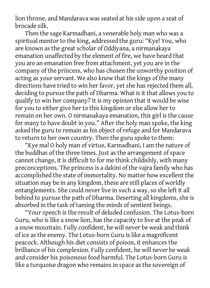lion throne, and Mandarava was seated at his side upon a seat of brocade silk.

Then the sage Karmadhani, a venerable holy man who was a spiritual mentor to the king, addressed the guru: "Kye! You, who are known as the great scholar of Oddiyana, a nirmanakaya emanation unaffected by the element of fire, we have heard that you are an emanation free from attachment, yet you are in the company of the princess, who has chosen the unworthy position of acting as your servant. We also know that the kings of the many directions have tried to win her favor, yet she has rejected them all, deciding to pursue the path of Dharma. What is it that allows you to qualify to win her company? It is my opinion that it would be wise for you to either give her to this kingdom or else allow her to remain on her own. O nirmanakaya emanation, this girl is the cause for many to have doubt in you." After the holy man spoke, the king asked the guru to remain as his object of refuge and for Mandarava to return to her own country. Then the guru spoke to them:

"Kye ma! O holy man of virtue, Karmadhani, I am the nature of the buddhas of the three times. Just as the arrangement of space cannot change, it is difficult to for me think childishly, with many preconceptions. The princess is a dakini of the vajra family who has accomplished the state of immortality. No matter how excellent the situation may be in any kingdom, these are still places of worldly entanglements. She could never live in such a way, so she left it all behind to pursue the path of Dharma. Deserting all kingdoms, she is absorbed in the task of taming the minds of sentient beings.

"Your speech is the result of deluded confusion. The Lotus-born Guru, who is like a snow lion, has the capacity to live at the peak of a snow mountain. Fully confident, he will never be weak and think of ice as the enemy. The Lotus-born Guru is like a magnificent peacock. Although his diet consists of poison, it enhances the brilliance of his complexion. Fully confident, he will never be weak and consider his poisonous food harmful. The Lotus-born Guru is like a turquoise dragon who remains in space as the sovereign of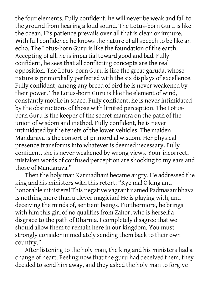the four elements. Fully confident, he will never be weak and fall to the ground from hearing a loud sound. The Lotus-born Guru is like the ocean. His patience prevails over all that is clean or impure. With full confidence he knows the nature of all speech to be like an echo. The Lotus-born Guru is like the foundation of the earth. Accepting of all, he is impartial toward good and bad. Fully confident, he sees that all conflicting concepts are the real opposition. The Lotus-born Guru is like the great garuda, whose nature is primordially perfected with the six displays of excellence. Fully confident, among any breed of bird he is never weakened by their power. The Lotus-born Guru is like the element of wind, constantly mobile in space. Fully confident, he is never intimidated by the obstructions of those with limited perception. The Lotusborn Guru is the keeper of the secret mantra on the path of the union of wisdom and method. Fully confident, he is never intimidated by the tenets of the lower vehicles. The maiden Mandarava is the consort of primordial wisdom. Her physical presence transforms into whatever is deemed necessary. Fully confident, she is never weakened by wrong views. Your incorrect, mistaken words of confused perception are shocking to my ears and those of Mandarava."

Then the holy man Karmadhani became angry. He addressed the king and his ministers with this retort: "Kye ma! O king and honorable ministers! This negative vagrant named Padmasambhava is nothing more than a clever magician! He is playing with, and deceiving the minds of, sentient beings. Furthermore, he brings with him this girl of no qualities from Zahor, who is herself a disgrace to the path of Dharma. I completely disagree that we should allow them to remain here in our kingdom. You must strongly consider immediately sending them back to their own country."

After listening to the holy man, the king and his ministers had a change of heart. Feeling now that the guru had deceived them, they decided to send him away, and they asked the holy man to forgive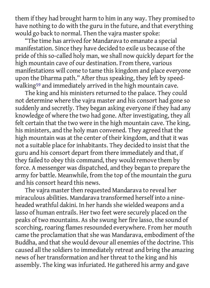them if they had brought harm to him in any way. They promised to have nothing to do with the guru in the future, and that everything would go back to normal. Then the vajra master spoke:

"The time has arrived for Mandarava to emanate a special manifestation. Since they have decided to exile us because of the pride of this so-called holy man, we shall now quickly depart for the high mountain cave of our destination. From there, various manifestations will come to tame this kingdom and place everyone upon the Dharma path." After thus speaking, they left by speed-walking<sup>[59](#page-272-0)</sup> and immediately arrived in the high mountain cave.

The king and his ministers returned to the palace. They could not determine where the vajra master and his consort had gone so suddenly and secretly. They began asking everyone if they had any knowledge of where the two had gone. After investigating, they all felt certain that the two were in the high mountain cave. The king, his ministers, and the holy man convened. They agreed that the high mountain was at the center of their kingdom, and that it was not a suitable place for inhabitants. They decided to insist that the guru and his consort depart from there immediately and that, if they failed to obey this command, they would remove them by force. A messenger was dispatched, and they began to prepare the army for battle. Meanwhile, from the top of the mountain the guru and his consort heard this news.

The vajra master then requested Mandarava to reveal her miraculous abilities. Mandarava transformed herself into a nineheaded wrathful dakini. In her hands she wielded weapons and a lasso of human entrails. Her two feet were securely placed on the peaks of two mountains. As she swung her fire lasso, the sound of scorching, roaring flames resounded everywhere. From her mouth came the proclamation that she was Mandarava, embodiment of the Buddha, and that she would devour all enemies of the doctrine. This caused all the soldiers to immediately retreat and bring the amazing news of her transformation and her threat to the king and his assembly. The king was infuriated. He gathered his army and gave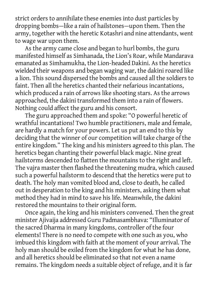strict orders to annihilate these enemies into dust particles by dropping bombs—like a rain of hailstones—upon them. Then the army, together with the heretic Kotashri and nine attendants, went to wage war upon them.

As the army came close and began to hurl bombs, the guru manifested himself as Simhanada, the Lion's Roar, while Mandarava emanated as Simhamukha, the Lion-headed Dakini. As the heretics wielded their weapons and began waging war, the dakini roared like a lion. This sound dispersed the bombs and caused all the soldiers to faint. Then all the heretics chanted their nefarious incantations, which produced a rain of arrows like shooting stars. As the arrows approached, the dakini transformed them into a rain of flowers. Nothing could affect the guru and his consort.

The guru approached them and spoke: "O powerful heretic of wrathful incantations! Two humble practitioners, male and female, are hardly a match for your powers. Let us put an end to this by deciding that the winner of our competition will take charge of the entire kingdom." The king and his ministers agreed to this plan. The heretics began chanting their powerful black magic. Nine great hailstorms descended to flatten the mountains to the right and left. The vajra master then flashed the threatening mudra, which caused such a powerful hailstorm to descend that the heretics were put to death. The holy man vomited blood and, close to death, he called out in desperation to the king and his ministers, asking them what method they had in mind to save his life. Meanwhile, the dakini restored the mountains to their original form.

Once again, the king and his ministers convened. Then the great minister Ajivaija addressed Guru Padmasambhava: "Illuminator of the sacred Dharma in many kingdoms, controller of the four elements! There is no need to compete with one such as you, who imbued this kingdom with faith at the moment of your arrival. The holy man should be exiled from the kingdom for what he has done, and all heretics should be eliminated so that not even a name remains. The kingdom needs a suitable object of refuge, and it is far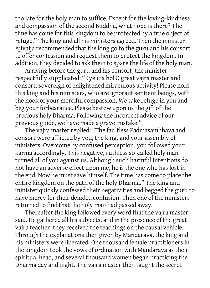too late for the holy man to suffice. Except for the loving-kindness and compassion of the second Buddha, what hope is there? The time has come for this kingdom to be protected by a true object of refuge." The king and all his ministers agreed. Then the minister Ajivaija recommended that the king go to the guru and his consort to offer confession and request them to protect the kingdom. In addition, they decided to ask them to spare the life of the holy man.

Arriving before the guru and his consort, the minister respectfully supplicated: "Kye ma ho! O great vajra master and consort, sovereign of enlightened miraculous activity! Please hold this king and his ministers, who are ignorant sentient beings, with the hook of your merciful compassion. We take refuge in you and beg your forbearance. Please bestow upon us the gift of the precious holy Dharma. Following the incorrect advice of our previous guide, we have made a grave mistake."

The vajra master replied: "The faultless Padmasambhava and consort were afflicted by you, the king, and your assembly of ministers. Overcome by confused perception, you followed your karma accordingly. This negative, ruthless so-called holy man turned all of you against us. Although such harmful intentions do not have an adverse effect upon me, he is the one who has lost in the end. Now he must save himself. The time has come to place the entire kingdom on the path of the holy Dharma." The king and minister quickly confessed their negativities and begged the guru to have mercy for their deluded confusion. Then one of the ministers returned to find that the holy man had passed away.

Thereafter the king followed every word that the vajra master said. He gathered all his subjects, and in the presence of the great vajra teacher, they received the teachings on the causal vehicle. Through the explanations then given by Mandarava, the king and his ministers were liberated. One thousand female practitioners in the kingdom took the vows of ordination with Mandarava as their spiritual head, and several thousand women began practicing the Dharma day and night. The vajra master then taught the secret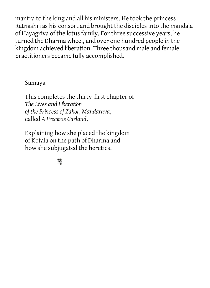mantra to the king and all his ministers. He took the princess Ratnashri as his consort and brought the disciples into the mandala of Hayagriva of the lotus family. For three successive years, he turned the Dharma wheel, and over one hundred people in the kingdom achieved liberation. Three thousand male and female practitioners became fully accomplished.

### Samaya

This completes the thirty-first chapter of The Lives and Liberation of the Princess of Zahor, Mandarava, called A Precious Garland,

Explaining how she placed the kingdom of Kotala on the path of Dharma and how she subjugated the heretics.

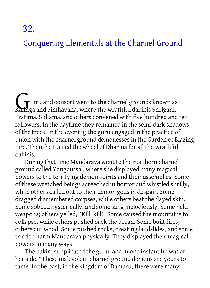[32.](#page-7-3)

# [Conquering Elementals at the Charnel Ground](#page-7-3)

G uru and consort went to the charnel grounds known as<br>Kalinga and Simhavana, where the wrathful dakinis Shrigani,  $\blacksquare$  uru and consort went to the charnel grounds known as Pratima, Sukama, and others convened with five hundred and ten followers. In the daytime they remained in the semi-dark shadows of the trees. In the evening the guru engaged in the practice of union with the charnel ground demonesses in the Garden of Blazing Fire. Then, he turned the wheel of Dharma for all the wrathful dakinis.

During that time Mandarava went to the northern charnel ground called Yongdutsal, where she displayed many magical powers to the terrifying demon spirits and their assemblies. Some of these wretched beings screeched in horror and whistled shrilly, while others called out to their demon gods in despair. Some dragged dismembered corpses, while others beat the flayed skin. Some sobbed hysterically, and some sang melodiously. Some held weapons; others yelled, "Kill, kill!" Some caused the mountains to collapse, while others pushed back the ocean. Some built fires, others cut wood. Some pushed rocks, creating landslides, and some tried to harm Mandarava physically. They displayed their magical powers in many ways.

The dakini supplicated the guru, and in one instant he was at her side. "These malevolent charnel ground demons are yours to tame. In the past, in the kingdom of Damaru, there were many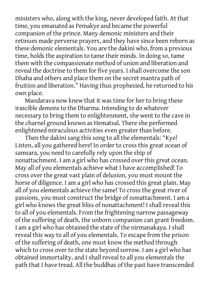ministers who, along with the king, never developed faith. At that time, you emanated as Pemakye and became the powerful companion of the prince. Many demonic ministers and their retinues made perverse prayers, and they have since been reborn as these demonic elementals. You are the dakini who, from a previous time, holds the aspiration to tame their minds. In doing so, tame them with the compassionate method of union and liberation and reveal the doctrine to them for five years. I shall overcome the son Dhaha and others and place them on the secret mantra path of fruition and liberation." Having thus prophesied, he returned to his own place.

Mandarava now knew that it was time for her to bring these irascible demons to the Dharma. Intending to do whatever necessary to bring them to enlightenment, she went to the cave in the charnel ground known as Hematsal. There she performed enlightened miraculous activities even greater than before.

Then the dakini sang this song to all the elementals: "Kye! Listen, all you gathered here! In order to cross this great ocean of samsara, you need to carefully rely upon the ship of nonattachment. I am a girl who has crossed over this great ocean. May all of you elementals achieve what I have accomplished! To cross over the great vast plain of delusion, you must mount the horse of diligence. I am a girl who has crossed this great plain. May all of you elementals achieve the same! To cross the great river of passions, you must construct the bridge of nonattachment. I am a girl who knows the great bliss of nonattachment! I shall reveal this to all of you elementals. From the frightening narrow passageway of the suffering of death, the unborn companion can grant freedom. I am a girl who has obtained the state of the nirmanakaya. I shall reveal this way to all of you elementals. To escape from the prison of the suffering of death, one must know the method through which to cross over to the state beyond sorrow. I am a girl who has obtained immortality, and I shall reveal to all you elementals the path that I have tread. All the buddhas of the past have transcended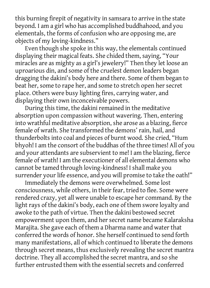this burning firepit of negativity in samsara to arrive in the state beyond. I am a girl who has accomplished buddhahood, and you elementals, the forms of confusion who are opposing me, are objects of my loving-kindness."

Even though she spoke in this way, the elementals continued displaying their magical feats. She chided them, saying, "Your miracles are as mighty as a girl's jewelery!" Then they let loose an uproarious din, and some of the cruelest demon leaders began dragging the dakini's body here and there. Some of them began to beat her, some to rape her, and some to stretch open her secret place. Others were busy lighting fires, carrying water, and displaying their own inconceivable powers.

During this time, the dakini remained in the meditative absorption upon compassion without wavering. Then, entering into wrathful meditative absorption, she arose as a blazing, fierce female of wrath. She transformed the demons' rain, hail, and thunderbolts into coal and pieces of burnt wood. She cried, "Hum bhyoh! I am the consort of the buddhas of the three times! All of you and your attendants are subservient to me! I am the blazing, fierce female of wrath! I am the executioner of all elemental demons who cannot be tamed through loving-kindness! I shall make you surrender your life essence, and you will promise to take the oath!"

Immediately the demons were overwhelmed. Some lost consciousness, while others, in their fear, tried to flee. Some were rendered crazy, yet all were unable to escape her command. By the light rays of the dakini's body, each one of them swore loyalty and awoke to the path of virtue. Then the dakini bestowed secret empowerment upon them, and her secret name became Kalaraksha Marajita. She gave each of them a Dharma name and water that conferred the words of honor. She herself continued to send forth many manifestations, all of which continued to liberate the demons through secret means, thus exclusively revealing the secret mantra doctrine. They all accomplished the secret mantra, and so she further entrusted them with the essential secrets and conferred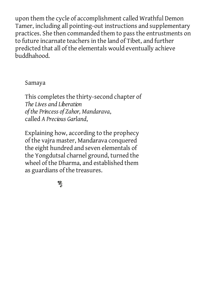upon them the cycle of accomplishment called Wrathful Demon Tamer, including all pointing-out instructions and supplementary practices. She then commanded them to pass the entrustments on to future incarnate teachers in the land of Tibet, and further predicted that all of the elementals would eventually achieve buddhahood.

### Samaya

This completes the thirty-second chapter of The Lives and Liberation of the Princess of Zahor, Mandarava, called A Precious Garland,

Explaining how, according to the prophecy of the vajra master, Mandarava conquered the eight hundred and seven elementals of the Yongdutsal charnel ground, turned the wheel of the Dharma, and established them as guardians of the treasures.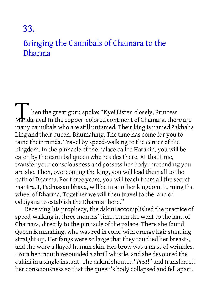[33.](#page-7-4)

# [Bringing the Cannibals of Chamara to the](#page-7-4) Dharma

Then the great guru spoke: "Kye! Listen closely, Princess<br>Mandarava! In the copper-colored continent of Chamara, there are hen the great guru spoke: "Kye! Listen closely, Princess many cannibals who are still untamed. Their king is named Zakhaha Ling and their queen, Bhumahing. The time has come for you to tame their minds. Travel by speed-walking to the center of the kingdom. In the pinnacle of the palace called Hatakin, you will be eaten by the cannibal queen who resides there. At that time, transfer your consciousness and possess her body, pretending you are she. Then, overcoming the king, you will lead them all to the path of Dharma. For three years, you will teach them all the secret mantra. I, Padmasambhava, will be in another kingdom, turning the wheel of Dharma. Together we will then travel to the land of Oddiyana to establish the Dharma there."

Receiving his prophecy, the dakini accomplished the practice of speed-walking in three months' time. Then she went to the land of Chamara, directly to the pinnacle of the palace. There she found Queen Bhumahing, who was red in color with orange hair standing straight up. Her fangs were so large that they touched her breasts, and she wore a flayed human skin. Her brow was a mass of wrinkles. From her mouth resounded a shrill whistle, and she devoured the dakini in a single instant. The dakini shouted "Phat!" and transferred her consciousness so that the queen's body collapsed and fell apart.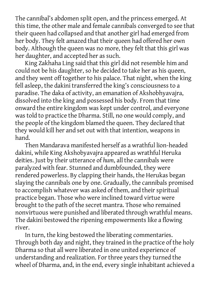The cannibal's abdomen split open, and the princess emerged. At this time, the other male and female cannibals converged to see that their queen had collapsed and that another girl had emerged from her body. They felt amazed that their queen had offered her own body. Although the queen was no more, they felt that this girl was her daughter, and accepted her as such.

King Zakhaha Ling said that this girl did not resemble him and could not be his daughter, so he decided to take her as his queen, and they went off together to his palace. That night, when the king fell asleep, the dakini transferred the king's consciousness to a paradise. The daka of activity, an emanation of Akshobhyavajra, dissolved into the king and possessed his body. From that time onward the entire kingdom was kept under control, and everyone was told to practice the Dharma. Still, no one would comply, and the people of the kingdom blamed the queen. They declared that they would kill her and set out with that intention, weapons in hand.

Then Mandarava manifested herself as a wrathful lion-headed dakini, while King Akshobyavajra appeared as wrathful Heruka deities. Just by their utterance of hum, all the cannibals were paralyzed with fear. Stunned and dumbfounded, they were rendered powerless. By clapping their hands, the Herukas began slaying the cannibals one by one. Gradually, the cannibals promised to accomplish whatever was asked of them, and their spiritual practice began. Those who were inclined toward virtue were brought to the path of the secret mantra. Those who remained nonvirtuous were punished and liberated through wrathful means. The dakini bestowed the ripening empowerments like a flowing river.

In turn, the king bestowed the liberating commentaries. Through both day and night, they trained in the practice of the holy Dharma so that all were liberated in one united experience of understanding and realization. For three years they turned the wheel of Dharma, and, in the end, every single inhabitant achieved a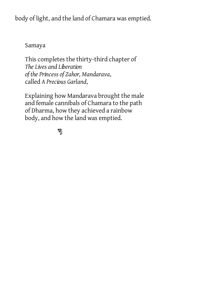body of light, and the land of Chamara was emptied.

Samaya

This completes the thirty-third chapter of The Lives and Liberation of the Princess of Zahor, Mandarava, called A Precious Garland,

Explaining how Mandarava brought the male and female cannibals of Chamara to the path of Dharma, how they achieved a rainbow body, and how the land was emptied.

弩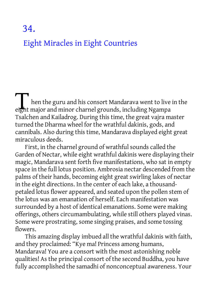[34.](#page-7-5)

# [Eight Miracles in Eight Countries](#page-7-5)

Then the guru and his consort Mandarava went to live<br>eight major and minor charnel grounds, including Ngampa hen the guru and his consort Mandarava went to live in the Tsalchen and Kailadrog. During this time, the great vajra master turned the Dharma wheel for the wrathful dakinis, gods, and cannibals. Also during this time, Mandarava displayed eight great miraculous deeds.

First, in the charnel ground of wrathful sounds called the Garden of Nectar, while eight wrathful dakinis were displaying their magic, Mandarava sent forth five manifestations, who sat in empty space in the full lotus position. Ambrosia nectar descended from the palms of their hands, becoming eight great swirling lakes of nectar in the eight directions. In the center of each lake, a thousandpetaled lotus flower appeared, and seated upon the pollen stem of the lotus was an emanation of herself. Each manifestation was surrounded by a host of identical emanations. Some were making offerings, others circumambulating, while still others played vinas. Some were prostrating, some singing praises, and some tossing flowers.

This amazing display imbued all the wrathful dakinis with faith, and they proclaimed: "Kye ma! Princess among humans, Mandarava! You are a consort with the most astonishing noble qualities! As the principal consort of the second Buddha, you have fully accomplished the samadhi of nonconceptual awareness. Your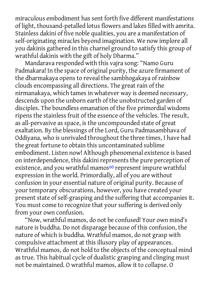miraculous embodiment has sent forth five different manifestations of light, thousand-petalled lotus flowers and lakes filled with amrita. Stainless dakini of five noble qualities, you are a manifestation of self-originating miracles beyond imagination. We now implore all you dakinis gathered in this charnel ground to satisfy this group of wrathful dakinis with the gift of holy Dharma."

Mandarava responded with this vajra song: "Namo Guru Padmakara! In the space of original purity, the azure firmament of the dharmakaya opens to reveal the sambhogakaya of rainbow clouds encompassing all directions. The great rain of the nirmanakaya, which tames in whatever way is deemed necessary, descends upon the unborn earth of the unobstructed garden of disciples. The boundless emanation of the five primordial wisdoms ripens the stainless fruit of the essence of the vehicles. The result, as all-pervasive as space, is the uncompounded state of great exaltation. By the blessings of the Lord, Guru Padmasambhava of Oddiyana, who is unrivaled throughout the three times, I have had the great fortune to obtain this uncontaminated sublime embodiment. Listen now! Although phenomenal existence is based on interdependence, this dakini represents the pure perception of existence, and you wrathful mamos<sup>[60](#page-272-1)</sup> represent impure wrathful expression in the world. Primordially, all of you are without confusion in your essential nature of original purity. Because of your temporary obscurations, however, you have created your present state of self-grasping and the suffering that accompanies it. You must come to recognize that your suffering is derived only from your own confusion.

"Now, wrathful mamos, do not be confused! Your own mind's nature is buddha. Do not disparage because of this confusion, the nature of which is buddha. Wrathful mamos, do not grasp with compulsive attachment at this illusory play of appearances. Wrathful mamos, do not hold to the objects of the conceptual mind as true. This habitual cycle of dualistic grasping and clinging must not be maintained. O wrathful mamos, allow it to collapse. O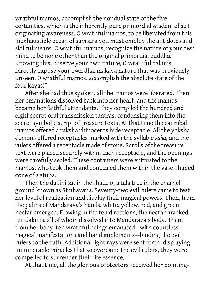wrathful mamos, accomplish the nondual state of the five certainties, which is the inherently pure primordial wisdom of selforiginating awareness. O wrathful mamos, to be liberated from this inexhaustible ocean of samsara you must employ the antidotes and skillful means. O wrathful mamos, recognize the nature of your own mind to be none other than the original primordial buddha. Knowing this, observe your own nature, O wrathful dakinis! Directly expose your own dharmakaya nature that was previously unseen. O wrathful mamos, accomplish the absolute state of the four kayas!"

After she had thus spoken, all the mamos were liberated. Then her emanations dissolved back into her heart, and the mamos became her faithful attendants. They compiled the hundred and eight secret oral transmission tantras, condensing them into the secret symbolic script of treasure texts. At that time the cannibal mamos offered a raksha rhinoceros hide receptacle. All the yaksha demons offered receptacles marked with the syllable ksha, and the rulers offered a receptacle made of stone. Scrolls of the treasure text were placed securely within each receptacle, and the openings were carefully sealed. These containers were entrusted to the mamos, who took them and concealed them within the vase-shaped cone of a stupa.

Then the dakini sat in the shade of a tala tree in the charnel ground known as Simhavana. Seventy-two evil rulers came to test her level of realization and display their magical powers. Then, from the palms of Mandarava's hands, white, yellow, red, and green nectar emerged. Flowing in the ten directions, the nectar invoked ten dakinis, all of whom dissolved into Mandarava's body. Then, from her body, ten wrathful beings emanated—with countless magical manifestations and hand implements—binding the evil rulers to the oath. Additional light rays were sent forth, displaying innumerable miracles that so overcame the evil rulers, they were compelled to surrender their life essence.

At that time, all the glorious protectors received her pointing-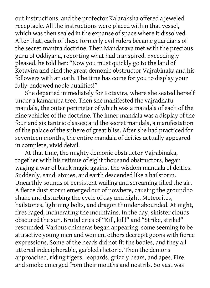out instructions, and the protector Kalaraksha offered a jeweled receptacle. All the instructions were placed within that vessel, which was then sealed in the expanse of space where it dissolved. After that, each of these formerly evil rulers became guardians of the secret mantra doctrine. Then Mandarava met with the precious guru of Oddiyana, reporting what had transpired. Exceedingly pleased, he told her: "Now you must quickly go to the land of Kotavira and bind the great demonic obstructor Vajrabinaka and his followers with an oath. The time has come for you to display your fully-endowed noble qualities!"

She departed immediately for Kotavira, where she seated herself under a kamarupa tree. Then she manifested the vajradhatu mandala, the outer perimeter of which was a mandala of each of the nine vehicles of the doctrine. The inner mandala was a display of the four and six tantric classes; and the secret mandala, a manifestation of the palace of the sphere of great bliss. After she had practiced for seventeen months, the entire mandala of deities actually appeared in complete, vivid detail.

At that time, the mighty demonic obstructor Vajrabinaka, together with his retinue of eight thousand obstructors, began waging a war of black magic against the wisdom mandala of deities. Suddenly, sand, stones, and earth descended like a hailstorm. Unearthly sounds of persistent wailing and screaming filled the air. A fierce dust storm emerged out of nowhere, causing the ground to shake and disturbing the cycle of day and night. Meteorites, hailstones, lightning bolts, and dragon thunder abounded. At night, fires raged, incinerating the mountains. In the day, sinister clouds obscured the sun. Brutal cries of "Kill, kill!" and "Strike, strike!" resounded. Various chimeras began appearing, some seeming to be attractive young men and women, others decrepit goons with fierce expressions. Some of the heads did not fit the bodies, and they all uttered indecipherable, garbled rhetoric. Then the demons approached, riding tigers, leopards, grizzly bears, and apes. Fire and smoke emerged from their mouths and nostrils. So vast was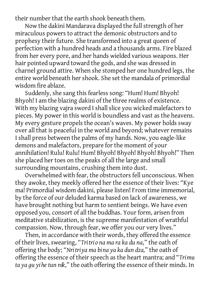their number that the earth shook beneath them.

Now the dakini Mandarava displayed the full strength of her miraculous powers to attract the demonic obstructors and to prophesy their future. She transformed into a great queen of perfection with a hundred heads and a thousands arms. Fire blazed from her every pore, and her hands wielded various weapons. Her hair pointed upward toward the gods, and she was dressed in charnel ground attire. When she stomped her one hundred legs, the entire world beneath her shook. She set the mandala of primordial wisdom fire ablaze.

Suddenly, she sang this fearless song: "Hum! Hum! Bhyoh! Bhyoh! I am the blazing dakini of the three realms of existence. With my blazing vajra sword I shall slice you wicked malefactors to pieces. My power in this world is boundless and vast as the heavens. My every gesture propels the ocean's waves. My power holds sway over all that is peaceful in the world and beyond; whatever remains I shall press between the palms of my hands. Now, you eagle-like demons and malefactors, prepare for the moment of your annihilation! Rulu! Rulu! Hum! Bhyoh! Bhyoh! Bhyoh! Bhyoh!" Then she placed her toes on the peaks of all the large and small surrounding mountains, crushing them into dust.

Overwhelmed with fear, the obstructors fell unconscious. When they awoke, they meekly offered her the essence of their lives: "Kye ma! Primordial wisdom dakini, please listen! From time immemorial, by the force of our deluded karma based on lack of awareness, we have brought nothing but harm to sentient beings. We have even opposed you, consort of all the buddhas. Your form, arisen from meditative stabilization, is the supreme manifestation of wrathful compassion. Now, through fear, we offer you our very lives."

Then, in accordance with their words, they offered the essence of their lives, swearing, "Tritrio na ma ra ka du na," the oath of offering the body; "Nri tri ya ma bi na ya ka dun dza," the oath of offering the essence of their speech as the heart mantra; and "Tri mu ta ya gu yi he tun nik," the oath offering the essence of their minds. In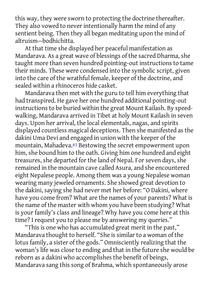this way, they were sworn to protecting the doctrine thereafter. They also vowed to never intentionally harm the mind of any sentient being. Then they all began meditating upon the mind of altruism—bodhichitta.

At that time she displayed her peaceful manifestation as Mandarava. As a great wave of blessings of the sacred Dharma, she taught more than seven hundred pointing-out instructions to tame their minds. These were condensed into the symbolic script, given into the care of the wrathful female, keeper of the doctrine, and sealed within a rhinoceros hide casket.

Mandarava then met with the guru to tell him everything that had transpired. He gave her one hundred additional pointing-out instructions to be buried within the great Mount Kailash. By speedwalking, Mandarava arrived in Tibet at holy Mount Kailash in seven days. Upon her arrival, the local elementals, nagas, and spirits displayed countless magical deceptions. Then she manifested as the dakini Uma Devi and engaged in union with the keeper of the mountain, Mahadeva.[61](#page-272-2) Bestowing the secret empowerment upon him, she bound him to the oath. Giving him one hundred and eight treasures, she departed for the land of Nepal. For seven days, she remained in the mountain cave called Asura, and she encountered eight Nepalese people. Among them was a young Nepalese woman wearing many jeweled ornaments. She showed great devotion to the dakini, saying she had never met her before: "O Dakini, where have you come from? What are the names of your parents? What is the name of the master with whom you have been studying? What is your family's class and lineage? Why have you come here at this time? I request you to please me by answering my queries."

"This is one who has accumulated great merit in the past," Mandarava thought to herself. "She is similar to a woman of the lotus family, a sister of the gods." Omnisciently realizing that the woman's life was close to ending and that in the future she would be reborn as a dakini who accomplishes the benefit of beings, Mandarava sang this song of Brahma, which spontaneously arose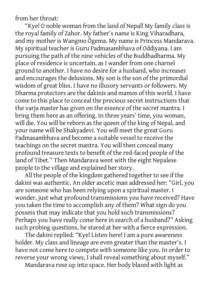from her throat:

"Kye! O noble woman from the land of Nepal! My family class is the royal family of Zahor. My father's name is King Viharadhara, and my mother is Wangmo Ögema. My name is Princess Mandarava. My spiritual teacher is Guru Padmasambhava of Oddiyana. I am pursuing the path of the nine vehicles of the Buddhadharma. My place of residence is uncertain, as I wander from one charnel ground to another. I have no desire for a husband, who increases and encourages the delusions. My son is the son of the primordial wisdom of great bliss. I have no illusory servants or followers. My Dharma protectors are the dakinis and mamos of this world. I have come to this place to conceal the precious secret instructions that the varja master has given on the essence of the secret mantra. I bring them here as an offering. In three years' time, you woman, will die. You will be reborn as the queen of the king of Nepal, and your name will be Shakyadevi. You will meet the great Guru Padmasambhava and become a suitable vessel to receive the teachings on the secret mantra. You will then conceal many profound treasure texts to benefit of the red-faced people of the land of Tibet." Then Mandarava went with the eight Nepalese people to the village and explained her story.

All the people of the kingdom gathered together to see if the dakini was authentic. An older ascetic man addressed her: "Girl, you are someone who has been relying upon a spiritual master. I wonder, just what profound transmissions you have received? Have you taken the time to accomplish any of them? What sign do you possess that may indicate that you hold such transmissions? Perhaps you have really come here in search of a husband?" Asking such probing questions, he stared at her with a fierce expression.

The dakini replied: "Kye! Listen here! I am a pure awareness holder. My class and lineage are even greater than the master's. I have not come here to compete with someone like you. In order to reverse your wrong views, I shall reveal something about myself."

Mandarava rose up into space. Her body blazed with light as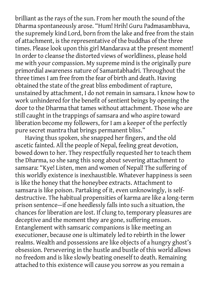brilliant as the rays of the sun. From her mouth the sound of the Dharma spontaneously arose. "Hum! Hrih! Guru Padmasambhava, the supremely kind Lord, born from the lake and free from the stain of attachment, is the representative of the buddhas of the three times. Please look upon this girl Mandarava at the present moment! In order to cleanse the distorted views of worldliness, please hold me with your compassion. My supreme mind is the originally pure primordial awareness nature of Samantabhadri. Throughout the three times I am free from the fear of birth and death. Having obtained the state of the great bliss embodiment of rapture, unstained by attachment, I do not remain in samsara. I know how to work unhindered for the benefit of sentient beings by opening the door to the Dharma that tames without attachment. Those who are still caught in the trappings of samsara and who aspire toward liberation become my followers, for I am a keeper of the perfectly pure secret mantra that brings permanent bliss."

Having thus spoken, she snapped her fingers, and the old ascetic fainted. All the people of Nepal, feeling great devotion, bowed down to her. They respectfully requested her to teach them the Dharma, so she sang this song about severing attachment to samsara: "Kye! Listen, men and women of Nepal! The suffering of this worldly existence is inexhaustible. Whatever happiness is seen is like the honey that the honeybee extracts. Attachment to samsara is like poison. Partaking of it, even unknowingly, is selfdestructive. The habitual propensities of karma are like a long-term prison sentence—if one heedlessly falls into such a situation, the chances for liberation are lost. If clung to, temporary pleasures are deceptive and the moment they are gone, suffering ensues. Entanglement with samsaric companions is like meeting an executioner, because one is ultimately led to rebirth in the lower realms. Wealth and possessions are like objects of a hungry ghost's obsession. Persevering in the hustle and bustle of this world allows no freedom and is like slowly beating oneself to death. Remaining attached to this existence will cause you sorrow as you remain a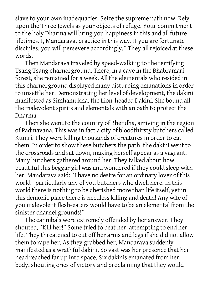slave to your own inadequacies. Seize the supreme path now. Rely upon the Three Jewels as your objects of refuge. Your commitment to the holy Dharma will bring you happiness in this and all future lifetimes. I, Mandarava, practice in this way. If you are fortunate disciples, you will persevere accordingly." They all rejoiced at these words.

Then Mandarava traveled by speed-walking to the terrifying Tsang Tsang charnel ground. There, in a cave in the Bhabramari forest, she remained for a week. All the elementals who resided in this charnel ground displayed many disturbing emanations in order to unsettle her. Demonstrating her level of development, the dakini manifested as Simhamukha, the Lion-headed Dakini. She bound all the malevolent spirits and elementals with an oath to protect the Dharma.

Then she went to the country of Bhendha, arriving in the region of Padmavana. This was in fact a city of bloodthirsty butchers called Kumri. They were killing thousands of creatures in order to eat them. In order to show these butchers the path, the dakini went to the crossroads and sat down, making herself appear as a vagrant. Many butchers gathered around her. They talked about how beautiful this beggar girl was and wondered if they could sleep with her. Mandarava said: "I have no desire for an ordinary lover of this world—particularly any of you butchers who dwell here. In this world there is nothing to be cherished more than life itself, yet in this demonic place there is needless killing and death! Any wife of you malevolent flesh-eaters would have to be an elemental from the sinister charnel grounds!"

The cannibals were extremely offended by her answer. They shouted, "Kill her!" Some tried to beat her, attempting to end her life. They threatened to cut off her arms and legs if she did not allow them to rape her. As they grabbed her, Mandarava suddenly manifested as a wrathful dakini. So vast was her presence that her head reached far up into space. Six dakinis emanated from her body, shouting cries of victory and proclaiming that they would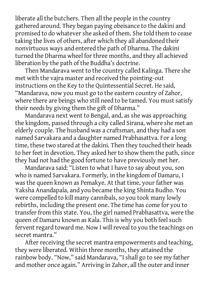liberate all the butchers. Then all the people in the country gathered around. They began paying obeisance to the dakini and promised to do whatever she asked of them. She told them to cease taking the lives of others, after which they all abandoned their nonvirtuous ways and entered the path of Dharma. The dakini turned the Dharma wheel for three months, and they all achieved liberation by the path of the Buddha's doctrine.

Then Mandarava went to the country called Kalinga. There she met with the vajra master and received the pointing-out instructions on the Key to the Quintessential Secret. He said, "Mandarava, now you must go to the eastern country of Zahor, where there are beings who still need to be tamed. You must satisfy their needs by giving them the gift of Dharma."

Mandarava next went to Bengal, and, as she was approaching the kingdom, passed through a city called Sirana, where she met an elderly couple. The husband was a craftsman, and they had a son named Sarvakara and a daughter named Prabhasattva. For a long time, these two stared at the dakini. Then they touched their heads to her feet in devotion. They asked her to show them the path, since they had not had the good fortune to have previously met her.

Mandarava said: "Listen to what I have to say about you, son who is named Sarvakara. Formerly, in the kingdom of Damaru, I was the queen known as Pemakye. At that time, your father was Yaksha Anandapala, and you became the king Shinta Budho. You were compelled to kill many cannibals, so you took many lowly rebirths, including the present one. The time has come for you to transfer from this state. You, the girl named Prabhasattva, were the queen of Damaru known as Kala. This is why you both feel such fervent regard toward me. Now I will reveal to you the teachings on secret mantra."

After receiving the secret mantra empowerments and teaching, they were liberated. Within three months, they attained the rainbow body. "Now," said Mandarava, "I shall go to see my father and mother once again." Arriving in Zahor, all the outer and inner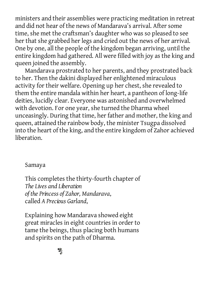ministers and their assemblies were practicing meditation in retreat and did not hear of the news of Mandarava's arrival. After some time, she met the craftsman's daughter who was so pleased to see her that she grabbed her legs and cried out the news of her arrival. One by one, all the people of the kingdom began arriving, until the entire kingdom had gathered. All were filled with joy as the king and queen joined the assembly.

Mandarava prostrated to her parents, and they prostrated back to her. Then the dakini displayed her enlightened miraculous activity for their welfare. Opening up her chest, she revealed to them the entire mandala within her heart, a pantheon of long-life deities, lucidly clear. Everyone was astonished and overwhelmed with devotion. For one year, she turned the Dharma wheel unceasingly. During that time, her father and mother, the king and queen, attained the rainbow body, the minister Tsugpa dissolved into the heart of the king, and the entire kingdom of Zahor achieved liberation.

## Samaya

This completes the thirty-fourth chapter of The Lives and Liberation of the Princess of Zahor, Mandarava, called A Precious Garland,

Explaining how Mandarava showed eight great miracles in eight countries in order to tame the beings, thus placing both humans and spirits on the path of Dharma.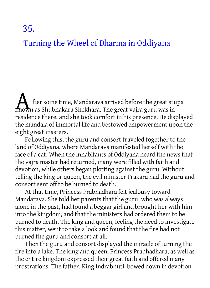[35.](#page-7-0)

# [Turning the Wheel of Dharma in Oddiyana](#page-7-0)

A fter some time, Mandarava arrived before the great sture of the Shubhakara Shekhara. The great vajra guru was in fter some time, Mandarava arrived before the great stupa residence there, and she took comfort in his presence. He displayed the mandala of immortal life and bestowed empowerment upon the eight great masters.

Following this, the guru and consort traveled together to the land of Oddiyana, where Mandarava manifested herself with the face of a cat. When the inhabitants of Oddiyana heard the news that the vajra master had returned, many were filled with faith and devotion, while others began plotting against the guru. Without telling the king or queen, the evil minister Prakara had the guru and consort sent off to be burned to death.

At that time, Princess Prabhadhara felt jealousy toward Mandarava. She told her parents that the guru, who was always alone in the past, had found a beggar girl and brought her with him into the kingdom, and that the ministers had ordered them to be burned to death. The king and queen, feeling the need to investigate this matter, went to take a look and found that the fire had not burned the guru and consort at all.

Then the guru and consort displayed the miracle of turning the fire into a lake. The king and queen, Princess Prabhadhara, as well as the entire kingdom expressed their great faith and offered many prostrations. The father, King Indrabhuti, bowed down in devotion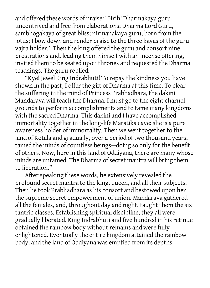and offered these words of praise: "Hrih! Dharmakaya guru, uncontrived and free from elaborations; Dharma Lord Guru, sambhogakaya of great bliss; nirmanakaya guru, born from the lotus; I bow down and render praise to the three kayas of the guru vajra holder." Then the king offered the guru and consort nine prostrations and, leading them himself with an incense offering, invited them to be seated upon thrones and requested the Dharma teachings. The guru replied:

"Kye! Jewel King Indrabhuti! To repay the kindness you have shown in the past, I offer the gift of Dharma at this time. To clear the suffering in the mind of Princess Prabhadhara, the dakini Mandarava will teach the Dharma. I must go to the eight charnel grounds to perform accomplishments and to tame many kingdoms with the sacred Dharma. This dakini and I have accomplished immortality together in the long-life Maratika cave: she is a pure awareness holder of immortality. Then we went together to the land of Kotala and gradually, over a period of two thousand years, tamed the minds of countless beings—doing so only for the benefit of others. Now, here in this land of Oddiyana, there are many whose minds are untamed. The Dharma of secret mantra will bring them to liberation."

After speaking these words, he extensively revealed the profound secret mantra to the king, queen, and all their subjects. Then he took Prabhadhara as his consort and bestowed upon her the supreme secret empowerment of union. Mandarava gathered all the females, and, throughout day and night, taught them the six tantric classes. Establishing spiritual discipline, they all were gradually liberated. King Indrabhuti and five hundred in his retinue obtained the rainbow body without remains and were fully enlightened. Eventually the entire kingdom attained the rainbow body, and the land of Oddiyana was emptied from its depths.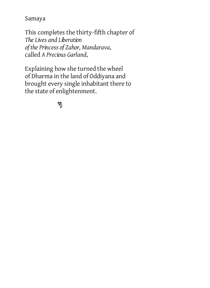Samaya

This completes the thirty-fifth chapter of The Lives and Liberation of the Princess of Zahor, Mandarava, called A Precious Garland,

Explaining how she turned the wheel of Dharma in the land of Oddiyana and brought every single inhabitant there to the state of enlightenment.

弩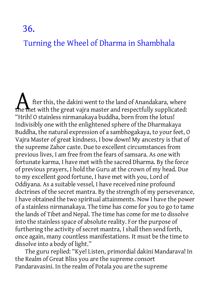[36.](#page-7-1)

# [Turning the Wheel of Dharma in Shambhala](#page-7-1)

A fter this, the dakini went to the land of Anandakara, where<br>she met with the great vajra master and respectfully supplicated: fter this, the dakini went to the land of Anandakara, where "Hrih! O stainless nirmanakaya buddha, born from the lotus! Indivisibly one with the enlightened sphere of the Dharmakaya Buddha, the natural expression of a sambhogakaya, to your feet, O Vajra Master of great kindness, I bow down! My ancestry is that of the supreme Zahor caste. Due to excellent circumstances from previous lives, I am free from the fears of samsara. As one with fortunate karma, I have met with the sacred Dharma. By the force of previous prayers, I hold the Guru at the crown of my head. Due to my excellent good fortune, I have met with you, Lord of Oddiyana. As a suitable vessel, I have received nine profound doctrines of the secret mantra. By the strength of my perseverance, I have obtained the two spiritual attainments. Now I have the power of a stainless nirmanakaya. The time has come for you to go to tame the lands of Tibet and Nepal. The time has come for me to dissolve into the stainless space of absolute reality. For the purpose of furthering the activity of secret mantra, I shall then send forth, once again, many countless manifestations. It must be the time to dissolve into a body of light."

The guru replied: "Kye! Listen, primordial dakini Mandarava! In the Realm of Great Bliss you are the supreme consort Pandaravasini. In the realm of Potala you are the supreme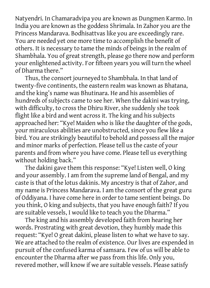Natyendri. In Chamaradvipa you are known as Dungmen Karmo. In India you are known as the goddess Shrimala. In Zahor you are the Princess Mandarava. Bodhisattvas like you are exceedingly rare. You are needed yet one more time to accomplish the benefit of others. It is necessary to tame the minds of beings in the realm of Shambhala. You of great strength, please go there now and perform your enlightened activity. For fifteen years you will turn the wheel of Dharma there."

Thus, the consort journeyed to Shambhala. In that land of twenty-five continents, the eastern realm was known as Bhatana, and the king's name was Bhutinara. He and his assemblies of hundreds of subjects came to see her. When the dakini was trying, with difficulty, to cross the Dhiru River, she suddenly she took flight like a bird and went across it. The king and his subjects approached her: "Kye! Maiden who is like the daughter of the gods, your miraculous abilities are unobstructed, since you flew like a bird. You are strikingly beautiful to behold and possess all the major and minor marks of perfection. Please tell us the caste of your parents and from where you have come. Please tell us everything without holding back."

The dakini gave them this response: "Kye! Listen well, O king and your assembly. I am from the supreme land of Bengal, and my caste is that of the lotus dakinis. My ancestry is that of Zahor, and my name is Princess Mandarava. I am the consort of the great guru of Oddiyana. I have come here in order to tame sentient beings. Do you think, O king and subjects, that you have enough faith? If you are suitable vessels, I would like to teach you the Dharma."

The king and his assembly developed faith from hearing her words. Prostrating with great devotion, they humbly made this request: "Kye! O great dakini, please listen to what we have to say. We are attached to the realm of existence. Our lives are expended in pursuit of the confused karma of samsara. Few of us will be able to encounter the Dharma after we pass from this life. Only you, revered mother, will know if we are suitable vessels. Please satisfy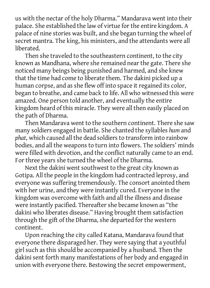us with the nectar of the holy Dharma." Mandarava went into their palace. She established the law of virtue for the entire kingdom. A palace of nine stories was built, and she began turning the wheel of secret mantra. The king, his ministers, and the attendants were all liberated.

Then she traveled to the southeastern continent, to the city known as Mandhana, where she remained near the gate. There she noticed many beings being punished and harmed, and she knew that the time had come to liberate them. The dakini picked up a human corpse, and as she flew off into space it regained its color, began to breathe, and came back to life. All who witnessed this were amazed. One person told another, and eventually the entire kingdom heard of this miracle. They were all then easily placed on the path of Dharma.

Then Mandarava went to the southern continent. There she saw many soldiers engaged in battle. She chanted the syllables hum and phat, which caused all the dead soldiers to transform into rainbow bodies, and all the weapons to turn into flowers. The soldiers' minds were filled with devotion, and the conflict naturally came to an end. For three years she turned the wheel of the Dharma.

Next the dakini went southwest to the great city known as Gotipa. All the people in the kingdom had contracted leprosy, and everyone was suffering tremendously. The consort anointed them with her urine, and they were instantly cured. Everyone in the kingdom was overcome with faith and all the illness and disease were instantly pacified. Thereafter she became known as "the dakini who liberates disease." Having brought them satisfaction through the gift of the Dharma, she departed for the western continent.

Upon reaching the city called Katana, Mandarava found that everyone there disparaged her. They were saying that a youthful girl such as this should be accompanied by a husband. Then the dakini sent forth many manifestations of her body and engaged in union with everyone there. Bestowing the secret empowerment,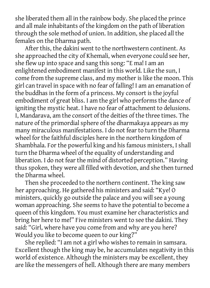she liberated them all in the rainbow body. She placed the prince and all male inhabitants of the kingdom on the path of liberation through the sole method of union. In addition, she placed all the females on the Dharma path.

After this, the dakini went to the northwestern continent. As she approached the city of Khemali, when everyone could see her, she flew up into space and sang this song: "E ma! I am an enlightened embodiment manifest in this world. Like the sun, I come from the supreme class, and my mother is like the moon. This girl can travel in space with no fear of falling! I am an emanation of the buddhas in the form of a princess. My consort is the joyful embodiment of great bliss. I am the girl who performs the dance of igniting the mystic heat. I have no fear of attachment to delusions. I, Mandarava, am the consort of the deities of the three times. The nature of the primordial sphere of the dharmakaya appears as my many miraculous manifestations. I do not fear to turn the Dharma wheel for the faithful disciples here in the northern kingdom of Shambhala. For the powerful king and his famous ministers, I shall turn the Dharma wheel of the equality of understanding and liberation. I do not fear the mind of distorted perception." Having thus spoken, they were all filled with devotion, and she then turned the Dharma wheel.

Then she proceeded to the northern continent. The king saw her approaching. He gathered his ministers and said: "Kye! O ministers, quickly go outside the palace and you will see a young woman approaching. She seems to have the potential to become a queen of this kingdom. You must examine her characteristics and bring her here to me!" Five ministers went to see the dakini. They said: "Girl, where have you come from and why are you here? Would you like to become queen to our king?"

She replied: "I am not a girl who wishes to remain in samsara. Excellent though the king may be, he accumulates negativity in this world of existence. Although the ministers may be excellent, they are like the messengers of hell. Although there are many members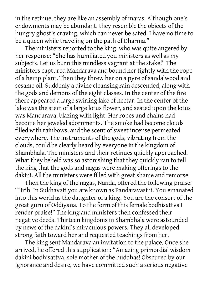in the retinue, they are like an assembly of maras. Although one's endowments may be abundant, they resemble the objects of the hungry ghost's craving, which can never be sated. I have no time to be a queen while traveling on the path of Dharma."

The ministers reported to the king, who was quite angered by her response: "She has humiliated you ministers as well as my subjects. Let us burn this mindless vagrant at the stake!" The ministers captured Mandarava and bound her tightly with the rope of a hemp plant. Then they threw her on a pyre of sandalwood and sesame oil. Suddenly a divine cleansing rain descended, along with the gods and demons of the eight classes. In the center of the fire there appeared a large swirling lake of nectar. In the center of the lake was the stem of a large lotus flower, and seated upon the lotus was Mandarava, blazing with light. Her ropes and chains had become her jeweled adornments. The smoke had become clouds filled with rainbows, and the scent of sweet incense permeated everywhere. The instruments of the gods, vibrating from the clouds, could be clearly heard by everyone in the kingdom of Shambhala. The ministers and their retinues quickly approached. What they beheld was so astonishing that they quickly ran to tell the king that the gods and nagas were making offerings to the dakini. All the ministers were filled with great shame and remorse.

Then the king of the nagas, Nanda, offered the following praise: "Hrih! In Sukhavati you are known as Pandaravasini. You emanated into this world as the daughter of a king. You are the consort of the great guru of Oddiyana. To the form of this female bodhisattva I render praise!" The king and ministers then confessed their negative deeds. Thirteen kingdoms in Shambhala were astounded by news of the dakini's miraculous powers. They all developed strong faith toward her and requested teachings from her.

The king sent Mandarava an invitation to the palace. Once she arrived, he offered this supplication: "Amazing primordial wisdom dakini bodhisattva, sole mother of the buddhas! Obscured by our ignorance and desire, we have committed such a serious negative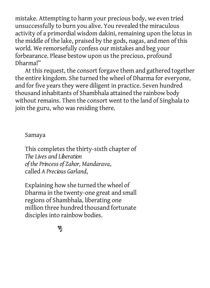mistake. Attempting to harm your precious body, we even tried unsuccessfully to burn you alive. You revealed the miraculous activity of a primordial wisdom dakini, remaining upon the lotus in the middle of the lake, praised by the gods, nagas, and men of this world. We remorsefully confess our mistakes and beg your forbearance. Please bestow upon us the precious, profound Dharma!"

At this request, the consort forgave them and gathered together the entire kingdom. She turned the wheel of Dharma for everyone, and for five years they were diligent in practice. Seven hundred thousand inhabitants of Shambhala attained the rainbow body without remains. Then the consort went to the land of Singhala to join the guru, who was residing there.

## Samaya

This completes the thirty-sixth chapter of The Lives and Liberation of the Princess of Zahor, Mandarava, called A Precious Garland,

Explaining how she turned the wheel of Dharma in the twenty-one great and small regions of Shambhala, liberating one million three hundred thousand fortunate disciples into rainbow bodies.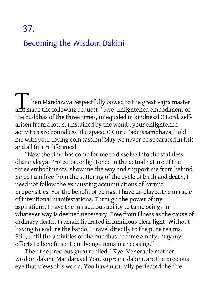# [Becoming the Wisdom Dakini](#page-7-2)

Then Mandarava respectfully bowed to the great vajra master<br>and made the following request: "Kye! Enlightened embodiment of hen Mandarava respectfully bowed to the great vajra master the buddhas of the three times, unequaled in kindness! O Lord, selfarisen from a lotus, unstained by the womb, your enlightened activities are boundless like space. O Guru Padmasambhava, hold me with your loving compassion! May we never be separated in this and all future lifetimes!

"Now the time has come for me to dissolve into the stainless dharmakaya. Protector, enlightened in the actual nature of the three embodiments, show me the way and support me from behind. Since I am free from the suffering of the cycle of birth and death, I need not follow the exhausting accumulations of karmic propensities. For the benefit of beings, I have displayed the miracle of intentional manifestations. Through the power of my aspirations, I have the miraculous ability to tame beings in whatever way is deemed necessary. Free from illness as the cause of ordinary death, I remain liberated in luminous clear light. Without having to endure the bardo, I travel directly to the pure realms. Still, until the activities of the buddhas become empty, may my efforts to benefit sentient beings remain unceasing."

Then the precious guru replied: "Kye! Venerable mother, wisdom dakini, Mandarava! You, supreme dakini, are the precious eye that views this world. You have naturally perfected the five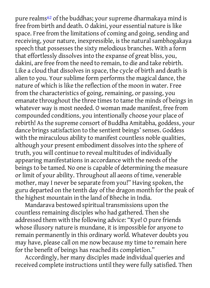pure realms[62](#page-272-0) of the buddhas; your supreme dharmakaya mind is free from birth and death. O dakini, your essential nature is like space. Free from the limitations of coming and going, sending and receiving, your nature, inexpressible, is the natural sambhogakaya speech that possesses the sixty melodious branches. With a form that effortlessly dissolves into the expanse of great bliss, you, dakini, are free from the need to remain, to die and take rebirth. Like a cloud that dissolves in space, the cycle of birth and death is alien to you. Your sublime form performs the magical dance, the nature of which is like the reflection of the moon in water. Free from the characteristics of going, remaining, or passing, you emanate throughout the three times to tame the minds of beings in whatever way is most needed. O woman made manifest, free from compounded conditions, you intentionally choose your place of rebirth! As the supreme consort of Buddha Amitabha, goddess, your dance brings satisfaction to the sentient beings' senses. Goddess with the miraculous ability to manifest countless noble qualities, although your present embodiment dissolves into the sphere of truth, you will continue to reveal multitudes of individually appearing manifestations in accordance with the needs of the beings to be tamed. No one is capable of determining the measure or limit of your ability. Throughout all aeons of time, venerable mother, may I never be separate from you!" Having spoken, the guru departed on the tenth day of the dragon month for the peak of the highest mountain in the land of Bheche in India.

Mandarava bestowed spiritual transmissions upon the countless remaining disciples who had gathered. Then she addressed them with the following advice: "Kye! O pure friends whose illusory nature is mundane, it is impossible for anyone to remain permanently in this ordinary world. Whatever doubts you may have, please call on me now because my time to remain here for the benefit of beings has reached its completion."

Accordingly, her many disciples made individual queries and received complete instructions until they were fully satisfied. Then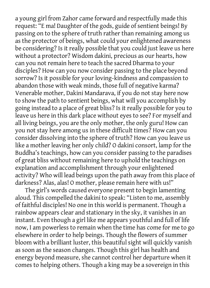a young girl from Zahor came forward and respectfully made this request: "E ma! Daughter of the gods, guide of sentient beings! By passing on to the sphere of truth rather than remaining among us as the protector of beings, what could your enlightened awareness be considering? Is it really possible that you could just leave us here without a protector? Wisdom dakini, precious as our hearts, how can you not remain here to teach the sacred Dharma to your disciples? How can you now consider passing to the place beyond sorrow? Is it possible for your loving-kindness and compassion to abandon those with weak minds, those full of negative karma? Venerable mother, Dakini Mandarava, if you do not stay here now to show the path to sentient beings, what will you accomplish by going instead to a place of great bliss? Is it really possible for you to leave us here in this dark place without eyes to see? For myself and all living beings, you are the only mother, the only guru! How can you not stay here among us in these difficult times? How can you consider dissolving into the sphere of truth? How can you leave us like a mother leaving her only child? O dakini consort, lamp for the Buddha's teachings, how can you consider passing to the paradises of great bliss without remaining here to uphold the teachings on explanation and accomplishment through your enlightened activity? Who will lead beings upon the path away from this place of darkness? Alas, alas! O mother, please remain here with us!"

The girl's words caused everyone present to begin lamenting aloud. This compelled the dakini to speak: "Listen to me, assembly of faithful disciples! No one in this world is permanent. Though a rainbow appears clear and stationary in the sky, it vanishes in an instant. Even though a girl like me appears youthful and full of life now, I am powerless to remain when the time has come for me to go elsewhere in order to help beings. Though the flowers of summer bloom with a brilliant luster, this beautiful sight will quickly vanish as soon as the season changes. Though this girl has health and energy beyond measure, she cannot control her departure when it comes to helping others. Though a king may be a sovereign in this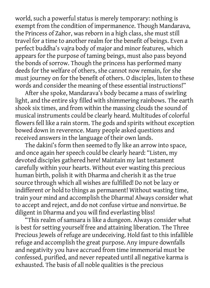world, such a powerful status is merely temporary: nothing is exempt from the condition of impermanence. Though Mandarava, the Princess of Zahor, was reborn in a high class, she must still travel for a time to another realm for the benefit of beings. Even a perfect buddha's vajra body of major and minor features, which appears for the purpose of taming beings, must also pass beyond the bonds of sorrow. Though the princess has performed many deeds for the welfare of others, she cannot now remain, for she must journey on for the benefit of others. O disciples, listen to these words and consider the meaning of these essential instructions!"

After she spoke, Mandarava's body became a mass of swirling light, and the entire sky filled with shimmering rainbows. The earth shook six times, and from within the massing clouds the sound of musical instruments could be clearly heard. Multitudes of colorful flowers fell like a rain storm. The gods and spirits without exception bowed down in reverence. Many people asked questions and received answers in the language of their own lands.

The dakini's form then seemed to fly like an arrow into space, and once again her speech could be clearly heard: "Listen, my devoted disciples gathered here! Maintain my last testament carefully within your hearts. Without ever wasting this precious human birth, polish it with Dharma and cherish it as the true source through which all wishes are fulfilled! Do not be lazy or indifferent or hold to things as permanent! Without wasting time, train your mind and accomplish the Dharma! Always consider what to accept and reject, and do not confuse virtue and nonvirtue. Be diligent in Dharma and you will find everlasting bliss!

"This realm of samsara is like a dungeon. Always consider what is best for setting yourself free and attaining liberation. The Three Precious Jewels of refuge are undeceiving. Hold fast to this infallible refuge and accomplish the great purpose. Any impure downfalls and negativity you have accrued from time immemorial must be confessed, purified, and never repeated until all negative karma is exhausted. The basis of all noble qualities is the precious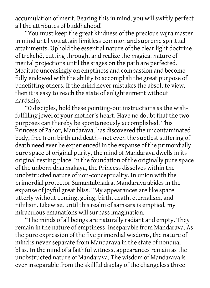accumulation of merit. Bearing this in mind, you will swiftly perfect all the attributes of buddhahood!

"You must keep the great kindness of the precious vajra master in mind until you attain limitless common and supreme spiritual attainments. Uphold the essential nature of the clear light doctrine of trekchö, cutting through, and realize the magical nature of mental projections until the stages on the path are perfected. Meditate unceasingly on emptiness and compassion and become fully endowed with the ability to accomplish the great purpose of benefitting others. If the mind never mistakes the absolute view, then it is easy to reach the state of enlightenment without hardship.

"O disciples, hold these pointing-out instructions as the wishfulfilling jewel of your mother's heart. Have no doubt that the two purposes can thereby be spontaneously accomplished. This Princess of Zahor, Mandarava, has discovered the uncontaminated body, free from birth and death—not even the subtlest suffering of death need ever be experienced! In the expanse of the primordially pure space of original purity, the mind of Mandarava dwells in its original resting place. In the foundation of the originally pure space of the unborn dharmakaya, the Princess dissolves within the unobstructed nature of non-conceptuality. In union with the primordial protector Samantabhadra, Mandarava abides in the expanse of joyful great bliss. "My appearances are like space, utterly without coming, going, birth, death, eternalism, and nihilism. Likewise, until this realm of samsara is emptied, my miraculous emanations will surpass imagination.

"The minds of all beings are naturally radiant and empty. They remain in the nature of emptiness, inseparable from Mandarava. As the pure expression of the five primordial wisdoms, the nature of mind is never separate from Mandarava in the state of nondual bliss. In the mind of a faithful witness, appearances remain as the unobstructed nature of Mandarava. The wisdom of Mandarava is ever inseparable from the skillful display of the changeless three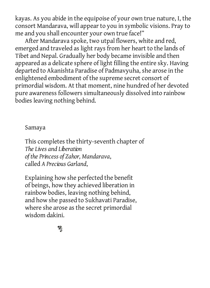kayas. As you abide in the equipoise of your own true nature, I, the consort Mandarava, will appear to you in symbolic visions. Pray to me and you shall encounter your own true face!"

After Mandarava spoke, two utpal flowers, white and red, emerged and traveled as light rays from her heart to the lands of Tibet and Nepal. Gradually her body became invisible and then appeared as a delicate sphere of light filling the entire sky. Having departed to Akanishta Paradise of Padmavyuha, she arose in the enlightened embodiment of the supreme secret consort of primordial wisdom. At that moment, nine hundred of her devoted pure awareness followers simultaneously dissolved into rainbow bodies leaving nothing behind.

## Samaya

This completes the thirty-seventh chapter of The Lives and Liberation of the Princess of Zahor, Mandarava, called A Precious Garland,

Explaining how she perfected the benefit of beings, how they achieved liberation in rainbow bodies, leaving nothing behind, and how she passed to Sukhavati Paradise, where she arose as the secret primordial wisdom dakini.

## 絮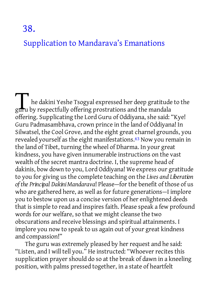[38.](#page-7-3)

# [Supplication to Mandarava's Emanations](#page-7-3)

The dakini Yeshe Tsogyal expressed her deep gratitude<br>guru by respectfully offering prostrations and the mandala he dakini Yeshe Tsogyal expressed her deep gratitude to the offering. Supplicating the Lord Guru of Oddiyana, she said: "Kye! Guru Padmasambhava, crown prince in the land of Oddiyana! In Silwatsel, the Cool Grove, and the eight great charnel grounds, you revealed yourself as the eight manifestations.[63](#page-272-1) Now you remain in the land of Tibet, turning the wheel of Dharma. In your great kindness, you have given innumerable instructions on the vast wealth of the secret mantra doctrine. I, the supreme head of dakinis, bow down to you, Lord Oddiyana! We express our gratitude to you for giving us the complete teaching on the Lives and Liberation of the Principal Dakini Mandarava! Please—for the benefit of those of us who are gathered here, as well as for future generations—I implore you to bestow upon us a concise version of her enlightened deeds that is simple to read and inspires faith. Please speak a few profound words for our welfare, so that we might cleanse the two obscurations and receive blessings and spiritual attainments. I implore you now to speak to us again out of your great kindness and compassion!"

The guru was extremely pleased by her request and he said: "Listen, and I will tell you." He instructed: "Whoever recites this supplication prayer should do so at the break of dawn in a kneeling position, with palms pressed together, in a state of heartfelt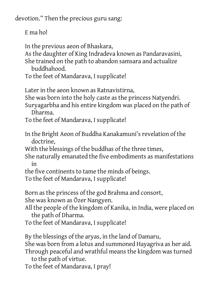devotion." Then the precious guru sang:

E ma ho!

In the previous aeon of Bhaskara,

As the daughter of King Indradeva known as Pandaravasini,

She trained on the path to abandon samsara and actualize buddhahood.

To the feet of Mandarava, I supplicate!

Later in the aeon known as Ratnavistirna,

She was born into the holy caste as the princess Natyendri.

Suryagarbha and his entire kingdom was placed on the path of Dharma.

To the feet of Mandarava, I supplicate!

In the Bright Aeon of Buddha Kanakamuni's revelation of the doctrine,

With the blessings of the buddhas of the three times,

She naturally emanated the five embodiments as manifestations in

the five continents to tame the minds of beings.

To the feet of Mandarava, I supplicate!

Born as the princess of the god Brahma and consort,

She was known as Özer Nangyen.

All the people of the kingdom of Kanika, in India, were placed on the path of Dharma.

To the feet of Mandarava, I supplicate!

By the blessings of the aryas, in the land of Damaru,

She was born from a lotus and summoned Hayagriva as her aid. Through peaceful and wrathful means the kingdom was turned

to the path of virtue.

To the feet of Mandarava, I pray!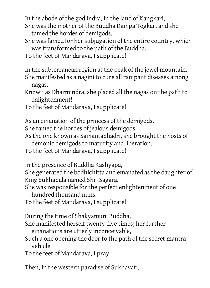In the abode of the god Indra, in the land of Kangkari,

She was the mother of the Buddha Dampa Togkar, and she tamed the hordes of demigods.

She was famed for her subjugation of the entire country, which was transformed to the path of the Buddha.

To the feet of Mandarava, I supplicate!

In the subterranean region at the peak of the jewel mountain,

She manifested as a nagini to cure all rampant diseases among nagas.

Known as Dharmindra, she placed all the nagas on the path to enlightenment!

To the feet of Mandarava, I supplicate!

As an emanation of the princess of the demigods,

She tamed the hordes of jealous demigods.

As the one known as Samantabhadri, she brought the hosts of

demonic demigods to maturity and liberation.

To the feet of Mandarava, I supplicate!

In the presence of Buddha Kashyapa,

She generated the bodhichitta and emanated as the daughter of King Sukhapala named Shri Sagara.

She was responsible for the perfect enlightenment of one

hundred thousand nuns.

To the feet of Mandarava, I supplicate!

During the time of Shakyamuni Buddha,

She manifested herself twenty-five times; her further

emanations are utterly inconceivable,

Such a one opening the door to the path of the secret mantra vehicle.

To the feet of Mandarava, I pray!

Then, in the western paradise of Sukhavati,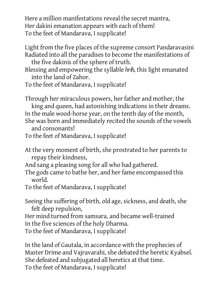Here a million manifestations reveal the secret mantra, Her dakini emanation appears with each of them! To the feet of Mandarava, I supplicate!

Light from the five places of the supreme consort Pandaravasini Radiated into all the paradises to become the manifestations of

the five dakinis of the sphere of truth.

Blessing and empowering the syllable hrih, this light emanated into the land of Zahor.

To the feet of Mandarava, I supplicate!

Through her miraculous powers, her father and mother, the king and queen, had astonishing indications in their dreams.

In the male wood-horse year, on the tenth day of the month,

She was born and immediately recited the sounds of the vowels and consonants!

To the feet of Mandarava, I supplicate!

- At the very moment of birth, she prostrated to her parents to repay their kindness,
- And sang a pleasing song for all who had gathered.
- The gods came to bathe her, and her fame encompassed this world.
- To the feet of Mandarava, I supplicate!

Seeing the suffering of birth, old age, sickness, and death, she felt deep repulsion,

Her mind turned from samsara, and became well-trained In the five sciences of the holy Dharma. To the feet of Mandarava, I supplicate!

In the land of Gautala, in accordance with the prophecies of Master Drime and Vajravarahi, she debated the heretic Kyabsel. She defeated and subjugated all heretics at that time. To the feet of Mandarava, I supplicate!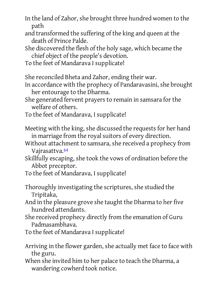In the land of Zahor, she brought three hundred women to the path

- and transformed the suffering of the king and queen at the death of Prince Palde.
- She discovered the flesh of the holy sage, which became the chief object of the people's devotion.
- To the feet of Mandarava I supplicate!

She reconciled Bheta and Zahor, ending their war.

- In accordance with the prophecy of Pandaravasini, she brought her entourage to the Dharma.
- She generated fervent prayers to remain in samsara for the welfare of others.
- To the feet of Mandarava, I supplicate!
- Meeting with the king, she discussed the requests for her hand in marriage from the royal suitors of every direction.
- Without attachment to samsara, she received a prophecy from Vajrasattva.[64](#page-272-2)
- Skillfully escaping, she took the vows of ordination before the Abbot preceptor.
- To the feet of Mandarava, I supplicate!
- Thoroughly investigating the scriptures, she studied the Tripitaka,
- And in the pleasure grove she taught the Dharma to her five hundred attendants.
- She received prophecy directly from the emanation of Guru Padmasambhava.
- To the feet of Mandarava I supplicate!
- Arriving in the flower garden, she actually met face to face with the guru.
- When she invited him to her palace to teach the Dharma, a wandering cowherd took notice.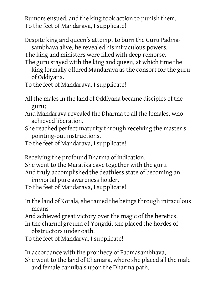Rumors ensued, and the king took action to punish them. To the feet of Mandarava, I supplicate!

Despite king and queen's attempt to burn the Guru Padmasambhava alive, he revealed his miraculous powers.

The king and ministers were filled with deep remorse. The guru stayed with the king and queen, at which time the

king formally offered Mandarava as the consort for the guru of Oddiyana.

To the feet of Mandarava, I supplicate!

- All the males in the land of Oddiyana became disciples of the guru;
- And Mandarava revealed the Dharma to all the females, who achieved liberation.
- She reached perfect maturity through receiving the master's pointing-out instructions.
- To the feet of Mandarava, I supplicate!

Receiving the profound Dharma of indication, She went to the Maratika cave together with the guru And truly accomplished the deathless state of becoming an

immortal pure awareness holder.

To the feet of Mandarava, I supplicate!

In the land of Kotala, she tamed the beings through miraculous means

And achieved great victory over the magic of the heretics.

In the charnel ground of Yongdü, she placed the hordes of obstructors under oath.

To the feet of Mandarva, I supplicate!

In accordance with the prophecy of Padmasambhava, She went to the land of Chamara, where she placed all the male and female cannibals upon the Dharma path.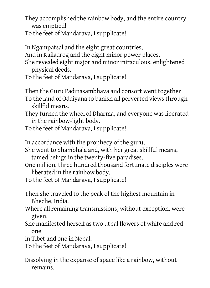They accomplished the rainbow body, and the entire country was emptied!

To the feet of Mandarava, I supplicate!

In Ngampatsal and the eight great countries,

And in Kailadrog and the eight minor power places,

She revealed eight major and minor miraculous, enlightened physical deeds.

To the feet of Mandarava, I supplicate!

Then the Guru Padmasambhava and consort went together To the land of Oddiyana to banish all perverted views through skillful means.

They turned the wheel of Dharma, and everyone was liberated in the rainbow-light body.

To the feet of Mandarava, I supplicate!

In accordance with the prophecy of the guru,

She went to Shambhala and, with her great skillful means, tamed beings in the twenty-five paradises.

One million, three hundred thousand fortunate disciples were liberated in the rainbow body.

To the feet of Mandarava, I supplicate!

Then she traveled to the peak of the highest mountain in Bheche, India,

Where all remaining transmissions, without exception, were given.

She manifested herself as two utpal flowers of white and red one

in Tibet and one in Nepal.

To the feet of Mandarava, I supplicate!

Dissolving in the expanse of space like a rainbow, without remains,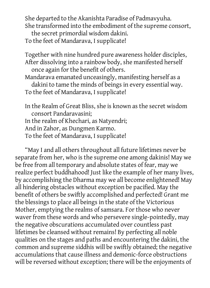She departed to the Akanishta Paradise of Padmavyuha.

She transformed into the embodiment of the supreme consort,

the secret primordial wisdom dakini. To the feet of Mandarava, I supplicate!

Together with nine hundred pure awareness holder disciples, After dissolving into a rainbow body, she manifested herself once again for the benefit of others.

Mandarava emanated unceasingly, manifesting herself as a dakini to tame the minds of beings in every essential way. To the feet of Mandarava, I supplicate!

In the Realm of Great Bliss, she is known as the secret wisdom consort Pandaravasini; In the realm of Khechari, as Natyendri; And in Zahor, as Dungmen Karmo. To the feet of Mandarava, I supplicate!

"May I and all others throughout all future lifetimes never be separate from her, who is the supreme one among dakinis! May we be free from all temporary and absolute states of fear, may we realize perfect buddhahood! Just like the example of her many lives, by accomplishing the Dharma may we all become enlightened! May all hindering obstacles without exception be pacified. May the benefit of others be swiftly accomplished and perfected! Grant me the blessings to place all beings in the state of the Victorious Mother, emptying the realms of samsara. For those who never waver from these words and who persevere single-pointedly, may the negative obscurations accumulated over countless past lifetimes be cleansed without remains! By perfecting all noble qualities on the stages and paths and encountering the dakini, the common and supreme siddhis will be swiftly obtained; the negative accumulations that cause illness and demonic-force obstructions will be reversed without exception; there will be the enjoyments of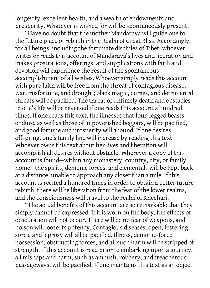longevity, excellent health, and a wealth of endowments and prosperity. Whatever is wished for will be spontaneously present!

"Have no doubt that the mother Mandarava will guide one to the future place of rebirth in the Realm of Great Bliss. Accordingly, for all beings, including the fortunate disciples of Tibet, whoever writes or reads this account of Mandarava's lives and liberation and makes prostrations, offerings, and supplications with faith and devotion will experience the result of the spontaneous accomplishment of all wishes. Whoever simply reads this account with pure faith will be free from the threat of contagious disease, war, misfortune, and drought; black magic, curses, and detrimental threats will be pacified. The threat of untimely death and obstacles to one's life will be reversed if one reads this account a hundred times. If one reads this text, the illnesses that four-legged beasts endure, as well as those of impoverished beggars, will be pacified, and good fortune and prosperity will abound. If one desires offspring, one's family line will increase by reading this text. Whoever owns this text about her lives and liberation will accomplish all desires without obstacle. Wherever a copy of this account is found—within any monastery, country, city, or family home—the spirits, demonic forces, and elementals will be kept back at a distance, unable to approach any closer than a mile. If this account is recited a hundred times in order to obtain a better future rebirth, there will be liberation from the fear of the lower realms, and the consciousness will travel to the realm of Khechari.

"The actual benefits of this account are so remarkable that they simply cannot be expressed. If it is worn on the body, the effects of obscuration will not occur. There will be no fear of weapons, and poison will loose its potency. Contagious diseases, open, festering sores, and leprosy will all be pacified. Illness, demonic-force possession, obstructing forces, and all such harm will be stripped of strength. If this account is read prior to embarking upon a journey, all mishaps and harm, such as ambush, robbery, and treacherous passageways, will be pacified. If one maintains this text as an object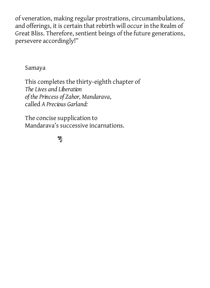of veneration, making regular prostrations, circumambulations, and offerings, it is certain that rebirth will occur in the Realm of Great Bliss. Therefore, sentient beings of the future generations, persevere accordingly!"

## Samaya

This completes the thirty-eighth chapter of The Lives and Liberation of the Princess of Zahor, Mandarava, called A Precious Garland:

The concise supplication to Mandarava's successive incarnations.

驽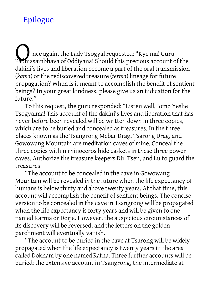# [Epilogue](#page-7-4)

O Padmasambhava of Oddiyana! Should this precious account of the nce again, the Lady Tsogyal requested: "Kye ma! Guru dakini's lives and liberation become a part of the oral transmission (kama) or the rediscovered treasure (terma) lineage for future propagation? When is it meant to accomplish the benefit of sentient beings? In your great kindness, please give us an indication for the future."

To this request, the guru responded: "Listen well, Jomo Yeshe Tsogyalma! This account of the dakini's lives and liberation that has never before been revealed will be written down in three copies, which are to be buried and concealed as treasures. In the three places known as the Tsangrong Mebar Drag, Tsarong Drag, and Gowowang Mountain are meditation caves of mine. Conceal the three copies within rhinoceros hide caskets in these three power caves. Authorize the treasure keepers Dü, Tsen, and Lu to guard the treasures.

"The account to be concealed in the cave in Gowowang Mountain will be revealed in the future when the life expectancy of humans is below thirty and above twenty years. At that time, this account will accomplish the benefit of sentient beings. The concise version to be concealed in the cave in Tsangrong will be propagated when the life expectancy is forty years and will be given to one named Karma or Dorje. However, the auspicious circumstances of its discovery will be reversed, and the letters on the golden parchment will eventually vanish.

"The account to be buried in the cave at Tsarong will be widely propagated when the life expectancy is twenty years in the area called Dokham by one named Ratna. Three further accounts will be buried: the extensive account in Tsangrong, the intermediate at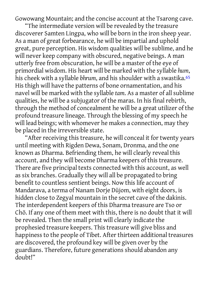Gowowang Mountain; and the concise account at the Tsarong cave.

"The intermediate version will be revealed by the treasure discoverer Samten Lingpa, who will be born in the iron sheep year. As a man of great forbearance, he will be impartial and uphold great, pure perception. His wisdom qualities will be sublime, and he will never keep company with obscured, negative beings. A man utterly free from obscuration, he will be a master of the eye of primordial wisdom. His heart will be marked with the syllable hum, his cheek with a syllable bhrum, and his shoulder with a swastika.<sup>[65](#page-273-0)</sup> His thigh will have the patterns of bone ornamentation, and his navel will be marked with the syllable tam. As a master of all sublime qualities, he will be a subjugator of the maras. In his final rebirth, through the method of concealment he will be a great utilizer of the profound treasure lineage. Through the blessing of my speech he will lead beings; with whomever he makes a connection, may they be placed in the irreversible state.

"After receiving this treasure, he will conceal it for twenty years until meeting with Rigden Dewa, Sonam, Dronma, and the one known as Dharma. Befriending them, he will clearly reveal this account, and they will become Dharma keepers of this treasure. There are five principal texts connected with this account, as well as six branches. Gradually they will all be propagated to bring benefit to countless sentient beings. Now this life account of Mandarava, a terma of Nanam Dorje Düjom, with eight doors, is hidden close to Zegyal mountain in the secret cave of the dakinis. The interdependent keepers of this Dharma treasure are Tso or Chö. If any one of them meet with this, there is no doubt that it will be revealed. Then the small print will clearly indicate the prophesied treasure keepers. This treasure will give bliss and happiness to the people of Tibet. After thirteen additional treasures are discovered, the profound key will be given over by the guardians. Therefore, future generations should abandon any doubt!"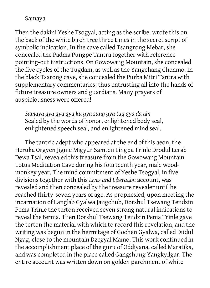## Samaya

Then the dakini Yeshe Tsogyal, acting as the scribe, wrote this on the back of the white birch tree three times in the secret script of symbolic indication. In the cave called Tsangrong Mebar, she concealed the Padma Pungpe Tantra together with reference pointing-out instructions. On Gowowang Mountain, she concealed the five cycles of the Tugdam, as well as the Yangchang Chenmo. In the black Tsarong cave, she concealed the Purba Mitri Tantra with supplementary commentaries; thus entrusting all into the hands of future treasure owners and guardians. Many prayers of auspiciousness were offered!

Samaya gya gya gya ku gya sung gya tug gya da tim Sealed by the words of honor, enlightened body seal, enlightened speech seal, and enlightened mind seal.

The tantric adept who appeared at the end of this aeon, the Heruka Orgyen Jigme Migyur Samten Lingpa Trinle Drodul Lerab Dewa Tsal, revealed this treasure from the Gowowang Mountain Lotus Meditation Cave during his fourteenth year, male woodmonkey year. The mind commitment of Yeshe Tsogyal, in five divisions together with this Lives and Liberation account, was revealed and then concealed by the treasure revealer until he reached thirty-seven years of age. As prophesied, upon meeting the incarnation of Langlab Gyalwa Jangchub, Dorshul Tsewang Tendzin Pema Trinle the terton received seven strong natural indications to reveal the terma. Then Dorshul Tsewang Tendzin Pema Trinle gave the terton the material with which to record this revelation, and the writing was begun in the hermitage of Gochen Gyalwa, called Düdul Ngag, close to the mountain Dzegyal Mamo. This work continued in the accomplishment place of the guru of Oddiyana, called Maratika, and was completed in the place called Gangshung Yangkyilgar. The entire account was written down on golden parchment of white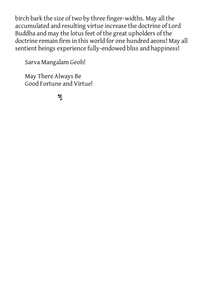birch bark the size of two by three finger-widths. May all the accumulated and resulting virtue increase the doctrine of Lord Buddha and may the lotus feet of the great upholders of the doctrine remain firm in this world for one hundred aeons! May all sentient beings experience fully-endowed bliss and happiness!

Sarva Mangalam Geoh!

May There Always Be Good Fortune and Virtue!

弩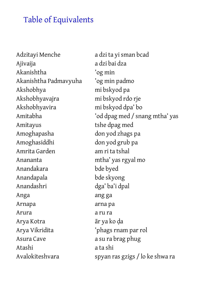## [Table of Equivalents](#page-7-5)

Adzitayi Menche a dzi ta yi sman bcad Ajivaija a dzi bai dza Akanishtha 'og min Akanishtha Padmavyuha 'og min padmo Akshobhya mi bskyod pa Akshobhyavajra mi bskyod rdo rje Akshobhyavira mi bskyod dpa' bo Amitayus tshe dpag med Amoghapasha don yod zhags pa Amoghasiddhi don yod grub pa Amrita Garden am ri ta tshal Anananta mtha' yas rgyal mo Anandakara bde byed Anandapala bde skyong Anandashri dga' ba'i dpal Anga ang ga Arnapa arna pa Arura a ru ra Arya Kotra ār ya ko ḍa Arya Vikridita 'phags rnam par rol Asura Cave a su ra brag phug Atashi a ta shi

Amitabha 'od dpag med / snang mtha' yas Avalokiteshvara spyan ras gzigs / lo ke shwa ra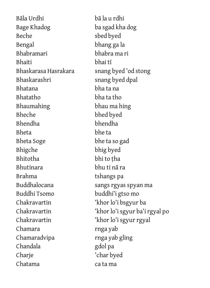Bāla Urdhi bā la u rdhi Bage Khadog ba sgad kha dog Beche sbed byed Bengal bhang ga la Bhabramari bhabra ma ri Bhaiti bhai tī Bhaskarashri snang byed dpal Bhatana bha ta na Bhatatho bha ta tho Bhaumahing bhau ma hing Bheche bhed byed Bhendha bhendha Bheta bhe ta Bheta Soge bhe ta so gad Bhigche bhig byed Bhitotha bhi to ṭha Bhutinara bhu ti nā ra Brahma tshangs pa Buddhi Tsomo buddhi'i gtso mo Chakravartin 'khor lo'i bsgyur ba Chamara rnga yab Chamaradvipa *rnga yab gling* Chandala gdol pa Charje 'char byed Chatama ca ta ma

Bhaskarasa Hasrakara snang byed 'od stong Buddhalocana sangs rgyas spyan ma Chakravartin 'khor lo'i sgyur ba'i rgyal po Chakravartin 'khor lo'i sgyur rgyal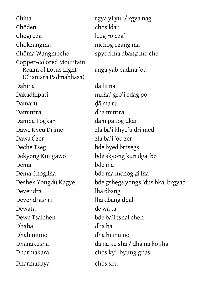Chöden chos ldan Chogroza lcog ro bza' Chokzangma mchog bzang ma Chöma Wangmoche spyod ma dbang mo che Copper-colored Mountain Realm of Lotus Light (Chamara Padmabhasa) Dahina da hī na Dakadhipati mkha' gro'i bdag po Damaru ḍā ma ru Damintra dha mintra Dampa Togkar dam pa tog dkar Dawe Kyeu Drime zla ba'i khye'u dri med Dawa Özer zla ba'i 'od zer Deche Tseg bde byed brtsegs Dekyong Kungawo bde skyong kun dga' bo Dema bde ma Dema Chogilha bde ma mchog gi lha Devendra lha dbang Devendrashri lha dbang dpal Dewata de wa ta Dewe Tsalchen bde ba'i tshal chen Dhaha dha ha Dhahimune dha hi mu ne Dharmakara chos kyi 'byung gnas Dharmakaya chos sku

China rgya yi yul / rgya nag rnga yab padma 'od Deshek Yongdu Kagye bde gshegs yongs 'dus bka' brgyad Dhanakosha da na ko sha / dha na ko sha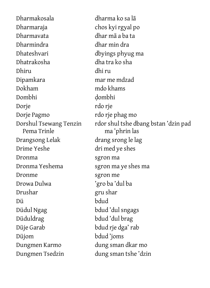Dharmakosala dharma ko sa lā Dharmaraja chos kyi rgyal po Dharmavata dhar mā a ba ta Dharmindra dhar min dra Dhateshvari dbyings phyug ma Dhatrakosha dha tra ko sha Dhiru dhi ru Dipamkara mar me mdzad Dokham mdo khams Dombhi dombhi Dorje rdo rje Dorje Pagmo rdo rje phag mo Dorshul Tsewang Tenzin Pema Trinle Drangsong Lelak drang srong le lag Drime Yeshe dri med ye shes Dronma sgron ma Dronma Yeshema sgron ma ye shes ma Dronme sgron me Drowa Dulwa 'gro ba 'dul ba Drushar gru shar Dü bdud Düdul Ngag bdud 'dul sngags Düduldrag bdud 'dul brag Düje Garab bdud rje dga' rab Düjom bdud 'joms Dungmen Karmo dung sman dkar mo Dungmen Tsedzin dung sman tshe 'dzin

rdor shul tshe dbang bstan 'dzin pad ma 'phrin las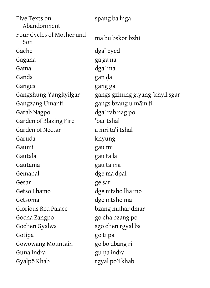Five Texts on Abandonment Four Cycles of Mother and Son ma bu bskor bzhi Gache dga' byed Gagana ga ga na Gama dga' ma Ganda gan da Ganges gang ga Gangzang Umanti gangs bzang u mām ti Garab Nagpo dga' rab nag po Garden of Blazing Fire 'bar tshal Garden of Nectar a mri ta'i tshal Garuda khyung Gaumi gau mi Gautala gau ta la Gautama gau ta ma Gemapal dge ma dpal Gesar ge sar Getso Lhamo dge mtsho lha mo Getsoma dge mtsho ma Glorious Red Palace bzang mkhar dmar Gocha Zangpo go cha bzang po Gochen Gyalwa sgo chen rgyal ba Gotipa go ti pa Gowowang Mountain go bo dbang ri Guna Indra dina guna indra Gyalpö Khab rgyal po'i khab

spang ba lnga Gangshung Yangkyilgar gangs gzhung g.yang 'khyil sgar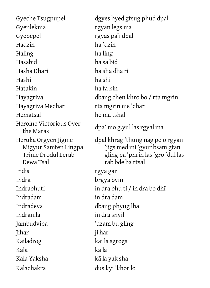Gyenlekma rgyan legs ma Gyepepel rgyas pa'i dpal Hadzin ha 'dzin Haling ha ling Hasabid ha sa bid Hasha Dhari ha sha dha ri Hashi ha shi Hatakin ha ta kin Hayagriva Mechar rta mgrin me 'char Hematsal he ma tshal Heroine Victorious Over Heruka Orgyen Jigme Migyur Samten Lingpa Trinle Drodul Lerab Dewa Tsal India rgya gar Indra brgya byin Indradam in dra dam Indradeva dbang phyug lha Indranila in dra snyil Jambudvipa 'dzam bu gling Jihar ji har Kailadrog kai la sgrogs Kala ka la ka la Kala Yaksha kā la yak sha Kalachakra dus kyi 'khor lo

Gyeche Tsugpupel dgyes byed gtsug phud dpal Hayagriva dbang chen khro bo / rta mgrin the Maras dpa' mo g.yul las rgyal ma dpal khrag 'thung nag po o rgyan 'jigs med mi 'gyur bsam gtan gling pa 'phrin las 'gro 'dul las rab bde ba rtsal Indrabhuti in dra bhu ti / in dra bo dhī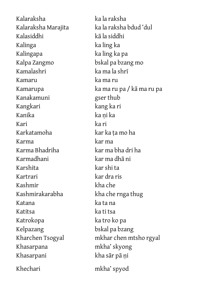Kalaraksha ka la raksha Kalasiddhi kā la siddhi Kalinga ka ka ling ka Kalingapa ka ling ka pa Kalpa Zangmo bskal pa bzang mo Kamalashri ka ma la shrī Kamaru ka ma ru Kanakamuni gser thub Kangkari kang ka ri Kanika ka ka ka ka Kari ka kata ka ka Karkatamoha kar ka ta mo ha Karma kar ma Karma Bhadriha kar ma bha dri ha Karmadhani kar ma dhā ni Karshita kar shi ta Kartrari kar dra ris Kashmir kha che Kashmirakarabha kha che rnga thug Katana ka ta na Katitsa ka ti tsa Katrokopa ka tro ko pa Kelpazang bskal pa bzang Khasarpana mkha' skyong Khasarpani kha sār pā ṇi Khechari mkha' spyod

Kalaraksha Marajita ka la raksha bdud 'dul Kamarupa ka ma ru pa / kā ma ru pa Kharchen Tsogyal mkhar chen mtsho rgyal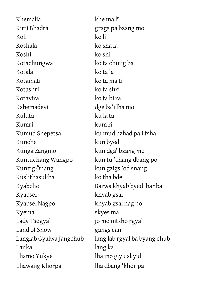Khemalia khe ma lī Kirti Bhadra **grags pa bzang mo** Koli ko li Koshala ko sha la Koshi ko shi Kotachungwa ko ta chung ba Kotala ko ta la Kotamati ko ta ma ti Kotashri ko ta shri Kotavira ko ta bi ra Kshemadevi dge ba'i lha mo Kuluta ku la ta Kumri kum ri Kunche kun byed Kunga Zangmo kun dga' bzang mo Kunzig Önang kun gzigs 'od snang Kushthasukha ko tha bde Kyabsel khyab gsal Kyabsel Nagpo khyab gsal nag po Kyema skyes ma Lady Tsogyal jo mo mtsho rgyal Land of Snow gangs can Lanka lang ka Lhamo Yukye lha mo g.yu skyid Lhawang Khorpa lha dbang 'khor pa

Kumud Shepetsal ku mud bzhad pa'i tshal Kuntuchang Wangpo kun tu 'chang dbang po Kyabche Barwa khyab byed 'bar ba Langlab Gyalwa Jangchub lang lab rgyal ba byang chub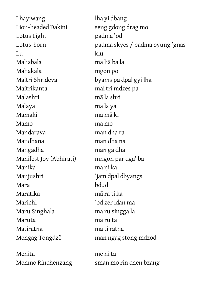Lhayiwang lha yi dbang Lion-headed Dakini seng gdong drag mo Lotus Light padma 'od Lu klu Mahabala ma hā ba la Mahakala mgon po Maitri Shrideva byams pa dpal gyi lha Maitrikanta mai tri mdzes pa Malashri mā la shri Malaya ma la ya Mamaki ma mā ki Mamo ma mo Mandarava man dha ra Mandhana man dha na Mangadha man ga dha Manifest Joy (Abhirati) mngon par dga' ba Manika ma ṇi ka Manjushri 'jam dpal dbyangs Mara bdud Maratika mā ra ti ka Marichi 'od zer ldan ma Maru Singhala ma ru singga la Maruta ma ru ta Matiratna ma ti ratna

Menita me ni ta

Lotus-born padma skyes / padma byung 'gnas Mengag Tongdzö man ngag stong mdzod

Menmo Rinchenzang sman mo rin chen bzang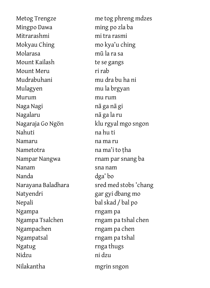Mingpo Dawa ming po zla ba Mitrarashmi mi tra rasmi Mokyau Ching mo kya'u ching Molarasa mū la ra sa Mount Kailash te se gangs Mount Meru ri rab Mudrabuhani mu dra bu ha ni Mulagyen mu la brgyan Murum mu rum Naga Nagi nā ga nā gi Nagalaru nā ga la ru Nagaraja Go Ngön klu rgyal mgo sngon Nahuti na hu ti Namaru na ma ru Nametotra na ma'i to tha Nampar Nangwa **rnam** par snang ba Nanam sna nam Nanda dga' bo Natyendri gar gyi dbang mo Nepali bal skad / bal po Ngampa rngam pa Ngampa Tsalchen rngam pa tshal chen Ngampachen rngam pa chen Ngampatsal rngam pa tshal Ngatug rnga thugs Nidzu ni dzu Nilakantha mgrin sngon

Metog Trengze me tog phreng mdzes Narayana Baladhara sred med stobs 'chang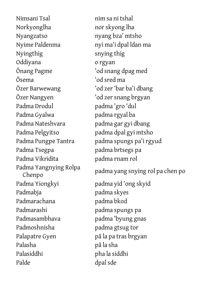Nimsani Tsal nim sa ni tshal Norkyonglha nor skyong lha Nyangzatso nyang bza' mtsho Nyime Paldenma nyi ma'i dpal ldan ma Nyingthig snying thig Oddiyana o rgyan Önang Pagme 'od snang dpag med Ösema 'od sred ma Özer Barwewang 'od zer 'bar ba'i dbang Özer Nangyen 'od zer snang brgyan Padma Drodul padma 'gro 'dul Padma Gyalwa **padma rgyal ba** Padma Nateshvara padma gar gyi dbang Padma Pelgyitso padma dpal gyi mtsho Padma Tsegpa padma brtsegs pa Padma Vikridita padma rnam rol Padma Yangnying Rolpa Padma Yiongkyi padma yid 'ong skyid Padmabja padma skyes Padmarachana padma bkod Padmarashi padma spungs pa Padmasambhava padma 'byung gnas Padmoshnisha padma gtsug tor Palapatre Gyen pā la pa tras brgyan Palasha pā la sha Palasiddhi pha la siddhi Palde dpal sde

Padma Pungpe Tantra padma spungs pa'i rgyud dina rangnying Koipa<br>
padma yang snying rol pa chen po<br>
Chenpo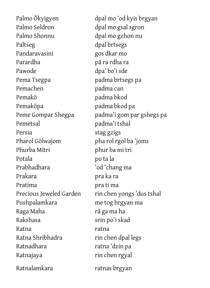Palmo Ökyigyen dpal mo 'od kyis brgyan Palmo Seldron dpal mo gsal sgron Palmo Shonnu dpal mo gzhon nu Paltseg dpal brtsegs Pandaravasini gos dkar mo Parardha pā ra rdha ra Pawode dpa' bo'i sde Pema Tsegpa padma brtsegs pa Pemachen padma can Pemakö padma bkod Pemaköpa padma bkod pa Pemetsal padma'i tshal Persia stag gzigs Pharol Gölwajom pha rol rgol ba 'joms Phurba Mitri phur ba mi tri Potala po ta la Prabhadhara 'od 'chang ma Prakara **pra ka ra** Pratima **pra tima** Pushpalamkara me tog brgyan ma Raga Maha *rā ga ma ha* Rakshasa srin po'i skad Ratna ratna Ratna Shribhadra rin chen dpal legs Ratnadhara *ratna 'dzin pa* Ratnajaya *rin chen rgyal* Ratnalamkara ratnas brgyan

Peme Gompar Shegpa padma'i gom par gshegs pa Precious Jeweled Garden rin chen yongs 'dus tshal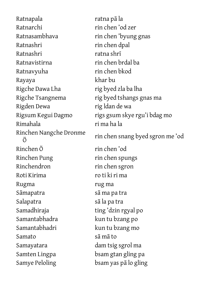Ratnapala ratna pā la Ratnarchi rin chen 'od zer Ratnasambhava rin chen 'byung gnas Ratnashri rin chen dpal Ratnashri ratna shrī Ratnavistirna rin chen brdal ba Ratnavyuha rin chen bkod Rayaya khar bu Rigche Dawa Lha rig byed zla ba lha Rigche Tsangnema rig byed tshangs gnas ma Rigden Dewa rig ldan de wa Rimahala ri ma ha la Rinchen Nangche Dronme Ö Rinchen Ö<br>
The Chen 'od Rinchen Pung rin chen spungs Rinchendron rin chen sgron Roti Kirima ro ti ki ri ma Rugma rug ma Sāmapatra sā ma pa tra Salapatra sā la pa tra Samadhiraja ting 'dzin rgyal po Samantabhadra kun tu bzang po Samantabhadri kun tu bzang mo Samato sā mā to Samayatara dam tsig sgrol ma Samten Lingpa bsam gtan gling pa Samye Peloling bsam yas pā lo gling

Rigsum Kegui Dagmo rigs gsum skye rgu'i bdag mo rin chen snang byed sgron me 'od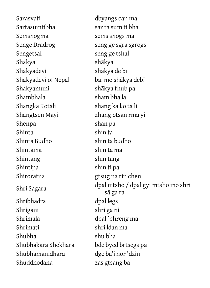Sarasvati dbyangs can ma Sartasumtibha sar ta sum ti bha Semshogma sems shogs ma Senge Dradrog seng ge sgra sgrogs Sengetsal seng ge tshal Shakya shākya Shakyadevi shākya de bī Shakyadevi of Nepal bal mo shākya debī Shakyamuni shākya thub pa Shambhala sham bha la Shangka Kotali shang ka ko ta li Shangtsen Mayi zhang btsan rma yi Shenpa shan pa Shinta shin ta Shinta Budho shin ta budho Shintama shin ta ma Shintang shin tang Shintipa shin ti pa Shiroratna gtsug na rin chen Shribhadra dpal legs Shrigani shri ga ni Shrimala dpal 'phreng ma Shrimati shri ldan ma Shubha shu bha Shubhakara Shekhara bde byed brtsegs pa Shubhamanidhara dge ba'i nor 'dzin Shuddhodana zas gtsang ba

Shri Sagara dpal mtsho / dpal gyi mtsho mo shri sā ga ra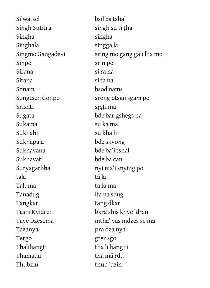Silwatsel bsil ba tshal Singh Sutitra singh su tī tha Singha singha Singhala singga la Sinpo srin po Sirana si ra na Sitana si ta na Sonam bsod nams Srishti srsti ma Sugata bde bar gshegs pa Sukama su ka ma Sukhahi su kha hi Sukhapala bde skyong Sukhavana bde ba'i tshal Sukhavati bde ba can tala tā la Taluma ta lu ma Tanadug lta na sdug Tangkar tang dkar Tazanya pra dza nya Tergo gter sgo Thalihangti tha li hang ti Thamadu tha mā rdu Thubzin thub 'dzin

Singmo Gangadevi sring mo gang gā'i lha mo Songtsen Gonpo srong btsan sgam po Suryagarbha nyi ma'i snying po Tashi Kyidren bkra shis khye 'dren Taye Dzesema mtha' yas mdzes se ma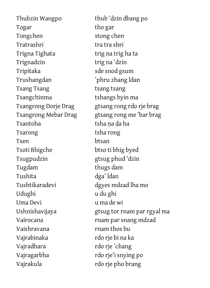Togar tho gar Tongchen stong chen Tratrashri tra tra shri Trigna Tighata trig na trig ha ta Trignadzin trig na 'dzin Tripitaka sde snod gsum Trushangdan 'phru zhang ldan Tsang Tsang tsang tsang Tsangchinma tshangs byin ma Tsantoha tsha ṇa ḍa ha Tsarong tsha rong Tsen btsan Tsoti Bhigche btso ti bhig byed Tsugpudzin gtsug phud 'dzin Tugdam thugs dam Tushita dga' ldan Tushtikaradevi dgyes mdzad lha mo Udughi u du ghi Uma Devi u ma de wi Vaishravana rnam thos bu Vajrabinaka rdo rje bi na ka Vajradhara rdo rje 'chang Vajragarbha rdo rje'i snying po Vajrakula rdo rje pho brang

Thubzin Wangpo thub 'dzin dbang po Tsangrong Dorje Drag gtsang rong rdo rje brag Tsangrong Mebar Drag gtsang rong me 'bar brag Ushnishavijaya gtsug tor rnam par rgyal ma Vairocana **rnam par snang mdzad**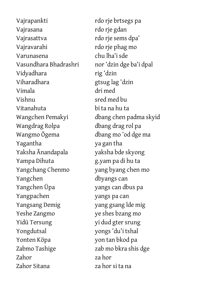Vajrapankti rdo rje brtsegs pa Vajrasana *rdo rje gdan* Vajrasattva rdo rje sems dpa' Vajravarahi rdo rje phag mo Varunasena chu lha'i sde Vasundhara Bhadrashri nor 'dzin dge ba'i dpal Vidyadhara rig'dzin Viharadhara gtsug lag 'dzin Vimala dri med Vishnu sred med bu Vitanahuta bi ta na hu ta Wangdrag Rolpa dbang drag rol pa Wangmo Ögema dbang mo 'od dge ma Yagantha ya gan tha Yaksha Ānandapala yaksha bde skyong Yampa Dihuta g.yam pa di hu ta Yangchang Chenmo yang byang chen mo Yangchen dbyangs can Yangchen Üpa yangs can dbus pa Yangpachen yangs pa can Yangsang Demig yang gsang lde mig Yeshe Zangmo ye shes bzang mo Yidü Tersung yi dud gter srung Yongdutsal yongs 'du'i tshal Yonten Köpa yon tan bkod pa Zabmo Tashige zab mo bkra shis dge Zahor za hor Zahor Sitana za hor si ta na

Wangchen Pemakyi dbang chen padma skyid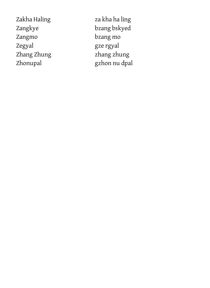Zangmo bzang mo Zegyal gze rgyal Zhang Zhung zhang zhung

Zakha Haling  $\qquad \qquad$  za kha ha ling Zangkye bzang bskyed Zhonupal gzhon nu dpal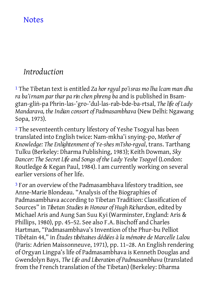#### **[Notes](#page-7-0)**

#### Introduction

[1](#page-13-0) The Tibetan text is entitled Za hor rgyal po'i sras mo lha lcam man dha ra ba'i rnam par thar pa rin chen phreng ba and is published in Bsamgtan-gliṅ-pa Phrin-las-'gro-'dul-las-rab-bde-ba-rtsal, The life of Lady Mandarava, the Indian consort of Padmasambhava (New Delhi: Ngawang Sopa, 1973).

[2](#page-14-0) The seventeenth century lifestory of Yeshe Tsogyal has been translated into English twice: Nam-mkha'i snying-po, Mother of Knowledge: The Enlightenment of Ye-shes mTsho-rgyal, trans. Tarthang Tulku (Berkeley: Dharma Publishing, 1983); Keith Dowman, Sky Dancer: The Secret Life and Songs of the Lady Yeshe Tsogyel (London: Routledge & Kegan Paul, 1984). I am currently working on several earlier versions of her life.

<sup>[3](#page-16-0)</sup> For an overview of the Padmasambhava lifestory tradition, see Anne-Marie Blondeau. "Analysis of the Biographies of Padmasambhava according to Tibetan Tradition: Classification of Sources" in Tibetan Studies in Honour of Hugh Richardson, edited by Michael Aris and Aung San Suu Kyi (Warminster, England: Aris & Phillips, 1980), pp. 45–52. See also F.A. Bischoff and Charles Hartman, "Padmasambhava's Invention of the Phur-bu Pelliot Tibétain 44," in Études tibétaines dédiées à la mémoire de Marcelle Lalou (Paris: Adrien Maissonneuve, 1971), pp. 11–28. An English rendering of Orgyan Lingpa's life of Padmasambhava is Kenneth Douglas and Gwendolyn Bays, The Life and Liberation of Padmasambhava (translated from the French translation of the Tibetan) (Berkeley: Dharma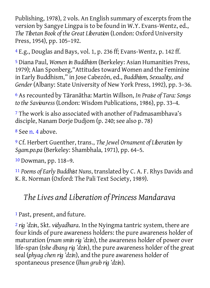Publishing, 1978), 2 vols. An English summary of excerpts from the version by Sangye Lingpa is to be found in W.Y. Evans-Wentz, ed., The Tibetan Book of the Great Liberation (London: Oxford University Press, 1954), pp. 105–192.

<span id="page-265-0"></span>[4](#page-18-0) E.g., Douglas and Bays, vol. 1, p. 236 ff; Evans-Wentz, p. 142 ff.

[5](#page-20-0) Diana Paul, Women in Buddhism (Berkeley: Asian Humanities Press, 1979); Alan Sponberg,"Attitudes toward Women and the Feminine in Early Buddhism," in Jose Cabezón, ed., Buddhism, Sexuality, and Gender (Albany: State University of New York Press, 1992), pp. 3–36.

[6](#page-20-1) As recounted by Tāranātha: Martin Willson, In Praise of Tara: Songs to the Saviouress (London: Wisdom Publications, 1986), pp. 33–4.

[7](#page-21-0) The work is also associated with another of Padmasambhava's disciple, Nanam Dorje Dudjom (p. 240; see also p. 78)

[8](#page-22-0) See [n. 4](#page-265-0) above.

[9](#page-24-0) Cf. Herbert Guenther, trans., The Jewel Ornament of Liberation by Sgam.po.pa (Berkeley: Shambhala, 1971), pp. 64–5.

[10](#page-26-0) Dowman, pp. 118–9.

[11](#page-27-0) Poems of Early Buddhist Nuns, translated by C. A. F. Rhys Davids and K. R. Norman (Oxford: The Pali Text Society, 1989).

## The Lives and Liberation of Princess Mandarava

[1](#page-31-0) Past, present, and future.

[2](#page-31-1) rig 'dzin, Skt. vidyadhara. In the Nyingma tantric system, there are four kinds of pure awareness holders: the pure awareness holder of maturation (rnam smin rig 'dzin), the awareness holder of power over life-span (tshe dbang rig 'dzin), the pure awareness holder of the great seal (phyag chen rig 'dzin), and the pure awareness holder of spontaneous presence (lhun grub rig 'dzin).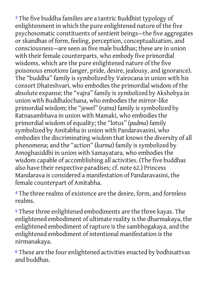<sup>[3](#page-31-2)</sup> The five buddha families are a tantric Buddhist typology of enlightenment in which the pure enlightened nature of the five psychosomatic constituents of sentient beings—the five aggregates or skandhas of form, feeling, perception, conceptualization, and consciousness—are seen as five male buddhas; these are in union with their female counterparts, who embody five primordial wisdoms, which are the pure enlightened nature of the five poisonous emotions (anger, pride, desire, jealousy, and ignorance). The "buddha" family is symbolized by Vairocana in union with his consort Dhateshvari, who embodies the primordial wisdom of the absolute expanse; the "vajra" family is symbolized by Akshobya in union with Buddhalochana, who embodies the mirror-like primordial wisdom; the "jewel" (ratna) family is symbolized by Ratnasambhava in union with Mamaki, who embodies the primordial wisdom of equality; the "lotus" (padma) family symbolized by Amitabha in union with Pandaravasini, who embodies the discriminating wisdom that knows the diversity of all phenomena; and the "action" (karma) family is symbolized by Amoghasiddhi in union with Samayatara, who embodies the wisdom capable of accomblishing all activities. (The five buddhas also have their respective paradises; cf. note 62.) Princess Mandarava is considered a manifestation of Pandaravasini, the female counterpart of Amitabha.

[4](#page-32-0) The three realms of existence are the desire, form, and formless realms.

<sup>[5](#page-32-1)</sup> These three enlightened embodiments are the three kayas. The enlightened embodiment of ultimate reality is the dharmakaya, the enlightened embodiment of rapture is the sambhogakaya, and the enlightened embodiment of intentional manifestation is the nirmanakaya.

[6](#page-38-0) These are the four enlightened activities enacted by bodhisattvas and buddhas.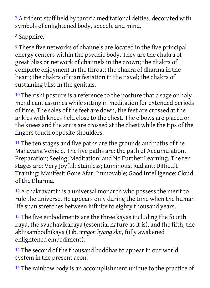[7](#page-41-0) A trident staff held by tantric meditational deities, decorated with symbols of enlightened body, speech, and mind.

[8](#page-41-1) Sapphire.

[9](#page-43-0) These five networks of channels are located in the five principal energy centers within the psychic body. They are the chakra of great bliss or network of channels in the crown; the chakra of complete enjoyment in the throat; the chakra of dharma in the heart; the chakra of manifestation in the navel; the chakra of sustaining bliss in the genitals.

<sup>[10](#page-43-1)</sup> The rishi posture is a reference to the posture that a sage or holy mendicant assumes while sitting in meditation for extended periods of time. The soles of the feet are down, the feet are crossed at the ankles with knees held close to the chest. The elbows are placed on the knees and the arms are crossed at the chest while the tips of the fingers touch opposite shoulders.

<sup>[11](#page-43-2)</sup> The ten stages and five paths are the grounds and paths of the Mahayana Vehicle. The five paths are: the path of Accumulation; Preparation; Seeing; Meditation; and No Further Learning. The ten stages are: Very Joyful; Stainless; Luminous; Radiant; Difficult Training; Manifest; Gone Afar; Immovable; Good Intelligence; Cloud of the Dharma.

[12](#page-44-0) A chakravartin is a universal monarch who possess the merit to rule the universe. He appears only during the time when the human life span stretches between infinite to eighty thousand years.

<sup>[13](#page-56-0)</sup> The five embodiments are the three kayas including the fourth kaya, the svabhavikakaya (essential nature as it is), and the fifth, the abhisambodhikaya (Tib. mngon byang sku, fully awakened enlightened embodiment).

<sup>[14](#page-56-1)</sup> The second of the thousand buddhas to appear in our world system in the present aeon.

<sup>[15](#page-61-0)</sup> The rainbow body is an accomplishment unique to the practice of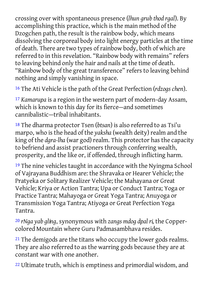crossing over with spontaneous presence (lhun grub thod rgal). By accomplishing this practice, which is the main method of the Dzogchen path, the result is the rainbow body, which means dissolving the corporeal body into light energy particles at the time of death. There are two types of rainbow body, both of which are referred to in this revelation. "Rainbow body with remains" refers to leaving behind only the hair and nails at the time of death. "Rainbow body of the great transference" refers to leaving behind nothing and simply vanishing in space.

[16](#page-64-0) The Ati Vehicle is the path of the Great Perfection (rdzogs chen).

[17](#page-65-0) Kamarupa is a region in the western part of modern-day Assam, which is known to this day for its fierce—and sometimes cannibalistic—tribal inhabitants.

[18](#page-67-0) The dharma protector Tsen (btsan) is also referred to as Tsi'u marpo, who is the head of the yaksha (wealth deity) realm and the king of the dgra-lha (war god) realm. This protector has the capacity to befriend and assist practioners through conferring wealth, prosperity, and the like or, if offended, through inflicting harm.

[19](#page-74-0) The nine vehicles taught in accordance with the Nyingma School of Vajrayana Buddhism are: the Shravaka or Hearer Vehicle; the Pratyeka or Solitary Realizer Vehicle; the Mahayana or Great Vehicle; Kriya or Action Tantra; Upa or Conduct Tantra; Yoga or Practice Tantra; Mahayoga or Great Yoga Tantra; Anuyoga or Transmission Yoga Tantra; Atiyoga or Great Perfection Yoga Tantra.

[20](#page-76-0) rNga yab gling, synonymous with zangs mdog dpal ri, the Coppercolored Mountain where Guru Padmasambhava resides.

<sup>[21](#page-77-0)</sup> The demigods are the titans who occupy the lower gods realms. They are also referred to as the warring gods because they are at constant war with one another.

[22](#page-78-0) Ultimate truth, which is emptiness and primordial wisdom, and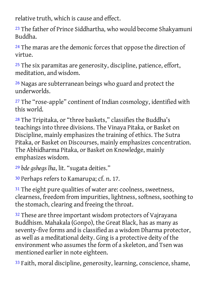relative truth, which is cause and effect.

[23](#page-78-1) The father of Prince Siddhartha, who would become Shakyamuni Buddha.

<sup>[24](#page-78-2)</sup> The maras are the demonic forces that oppose the direction of virtue.

[25](#page-78-3) The six paramitas are generosity, discipline, patience, effort, meditation, and wisdom.

[26](#page-80-0) Nagas are subterranean beings who guard and protect the underworlds.

[27](#page-91-0) The "rose-apple" continent of Indian cosmology, identified with this world.

[28](#page-94-0) The Tripitaka, or "three baskets," classifies the Buddha's teachings into three divisions. The Vinaya Pitaka, or Basket on Discipline, mainly emphasizes the training of ethics. The Sutra Pitaka, or Basket on Discourses, mainly emphasizes concentration. The Abhidharma Pitaka, or Basket on Knowledge, mainly emphasizes wisdom.

[29](#page-95-0) bde gshegs lha, lit. "sugata deities."

[30](#page-98-0) Perhaps refers to Kamarupa; cf. n. 17.

<sup>[31](#page-98-1)</sup> The eight pure qualities of water are: coolness, sweetness, clearness, freedom from impurities, lightness, softness, soothing to the stomach, clearing and freeing the throat.

<sup>[32](#page-99-0)</sup> These are three important wisdom protectors of Vajrayana Buddhism. Mahakala (Gonpo), the Great Black, has as many as seventy-five forms and is classified as a wisdom Dharma protector, as well as a meditational deity. Ging is a protective deity of the environment who assumes the form of a skeleton, and Tsen was mentioned earlier in note eighteen.

[33](#page-102-0) Faith, moral discipline, generosity, learning, conscience, shame,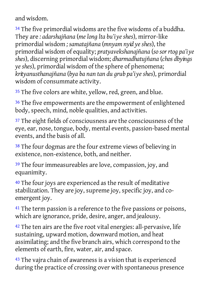and wisdom.

<sup>[34](#page-108-0)</sup> The five primordial wisdoms are the five wisdoms of a buddha. They are : adarshajñana (me long lta bu'i ye shes), mirror-like primordial wisdom ; samatajñana (mnyam nyid ye shes), the primordial wisdom of equality; pratyavekshanajñana (so sor rtog pa'i ye shes), discerning primordial wisdom; dharmadhatujñana (chos dbyings ye shes), primordial wisdom of the sphere of phenomena; krityanusthanajñana (bya ba nan tan du grub pa'i ye shes), primordial wisdom of consummate activity.

<sup>[35](#page-108-1)</sup> The five colors are white, yellow, red, green, and blue.

[36](#page-108-2) The five empowerments are the empowerment of enlightened body, speech, mind, noble qualities, and activities.

<sup>[37](#page-108-3)</sup> The eight fields of consciousness are the consciousness of the eye, ear, nose, tongue, body, mental events, passion-based mental events, and the basis of all.

[38](#page-108-4) The four dogmas are the four extreme views of believing in existence, non-existence, both, and neither.

<sup>[39](#page-108-5)</sup> The four immeasureables are love, compassion, joy, and equanimity.

[40](#page-108-6) The four joys are experienced as the result of meditative stabilization. They are joy, supreme joy, specific joy, and coemergent joy.

<sup>[41](#page-108-7)</sup> The term passion is a reference to the five passions or poisons, which are ignorance, pride, desire, anger, and jealousy.

<sup>[42](#page-108-8)</sup> The ten airs are the five root vital energies: all-pervasive, life sustaining, upward motion, downward motion, and heat assimilating; and the five branch airs, which correspond to the elements of earth, fire, water, air, and space.

[43](#page-114-0) The vajra chain of awareness is a vision that is experienced during the practice of crossing over with spontaneous presence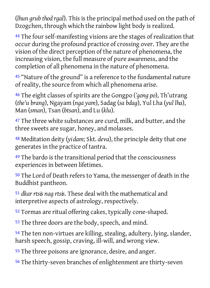(lhun grub thod rgal). This is the principal method used on the path of Dzogchen, through which the rainbow light body is realized.

[44](#page-115-0) The four self-manifesting visions are the stages of realization that occur during the profound practice of crossing over. They are the vision of the direct perception of the nature of phenomena, the increasing vision, the full measure of pure awareness, and the completion of all phenomena in the nature of phenomena.

[45](#page-115-1) "Nature of the ground" is a reference to the fundamental nature of reality, the source from which all phenomena arise.

[46](#page-116-0) The eight classes of spirits are the Gongpo ('gong po), Th'utrang (the'u brang), Ngayam (nga yam), Sadag (sa bdag), Yul Lha (yul lha), Man (sman), Tsan (btsan), and Lu (klu).

<sup>[47](#page-118-0)</sup> The three white substances are curd, milk, and butter, and the three sweets are sugar, honey, and molasses.

[48](#page-118-1) Meditation deity (yi dam; Skt. deva), the principle deity that one generates in the practice of tantra.

[49](#page-121-0) The bardo is the transitional period that the consciousness experiences in between lifetimes.

[50](#page-121-1) The Lord of Death refers to Yama, the messenger of death in the Buddhist pantheon.

[51](#page-126-0) dkar rtsis nag rtsis. These deal with the mathematical and interpretive aspects of astrology, respectively.

[52](#page-131-0) Tormas are ritual offering cakes, typically cone-shaped.

[53](#page-136-0) The three doors are the body, speech, and mind.

[54](#page-144-0) The ten non-virtues are killing, stealing, adultery, lying, slander, harsh speech, gossip, craving, ill-will, and wrong view.

[55](#page-145-0) The three poisons are ignorance, desire, and anger.

[56](#page-161-0) The thirty-seven branches of enlightenment are thirty-seven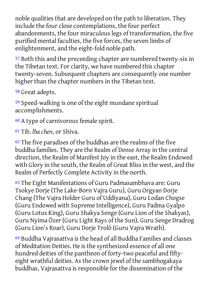noble qualities that are developed on the path to liberation. They include the four close contemplations, the four perfect abandonments, the four miraculous legs of transformation, the five purified mental faculties, the five forces, the seven limbs of enlightenment, and the eight-fold noble path.

[57](#page-174-0) Both this and the preceeding chapter are numbered twenty-six in the Tibetan text. For clarity, we have numbered this chapter twenty-seven. Subsequent chapters are consequently one number higher than the chapter numbers in the Tibetan text.

[58](#page-179-0) Great adepts.

[59](#page-195-0) Speed-walking is one of the eight mundane spiritual accomplishments.

[60](#page-207-0) A type of carnivorous female spirit.

[61](#page-211-0) Tib. lha chen, or Shiva.

<sup>[62](#page-227-0)</sup> The five paradises of the buddhas are the realms of the five buddha families. They are the Realm of Dense Array in the central direction, the Realm of Manifest Joy in the east, the Realm Endowed with Glory in the south, the Realm of Great Bliss in the west, and the Realm of Perfectly Complete Activity in the north.

[63](#page-232-0) The Eight Manifestations of Guru Padmasambhava are: Guru Tsokye Dorje (The Lake-Born Vajra Guru), Guru Orgyan Dorje Chang (The Vajra Holder Guru of Uddiyana), Guru Lodan Chogse (Guru Endowed with Supreme Intelligence), Guru Padma Gyalpo (Guru Lotus King), Guru Shakya Senge (Guru Lion of the Shakyas), Guru Nyima Özer (Guru Light Rays of the Sun), Guru Senge Dradrog (Guru Lion's Roar), Guru Dorje Trolö (Guru Vajra Wrath).

[64](#page-236-0) Buddha Vajrasattva is the head of all Buddha Families and classes of Meditation Deities. He is the synthesized essence of all one hundred deities of the pantheon of forty-two peaceful and fiftyeight wrathful deities. As the crown jewel of the sambhogakaya buddhas, Vajrasattva is responsible for the dissemination of the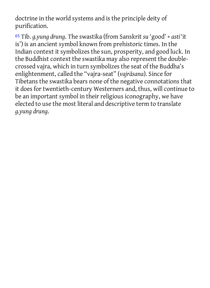doctrine in the world systems and is the principle deity of purification.

[65](#page-243-0) Tib. g.yung drung. The swastika (from Sanskrit su 'good' + asti 'it is') is an ancient symbol known from prehistoric times. In the Indian context it symbolizes the sun, prosperity, and good luck. In the Buddhist context the swastika may also represent the doublecrossed vajra, which in turn symbolizes the seat of the Buddha's enlightenment, called the "vajra-seat" (vajrāsana). Since for Tibetans the swastika bears none of the negative connotations that it does for twentieth-century Westerners and, thus, will continue to be an important symbol in their religious iconography, we have elected to use the most literal and descriptive term to translate g.yung drung.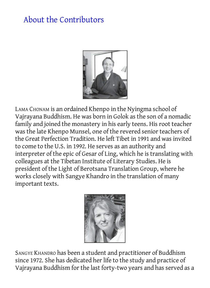# [About the Contributors](#page-7-1)



LAMA CHONAM is an ordained Khenpo in the Nyingma school of Vajrayana Buddhism. He was born in Golok as the son of a nomadic family and joined the monastery in his early teens. His root teacher was the late Khenpo Munsel, one of the revered senior teachers of the Great Perfection Tradition. He left Tibet in 1991 and was invited to come to the U.S. in 1992. He serves as an authority and interpreter of the epic of Gesar of Ling, which he is translating with colleagues at the Tibetan Institute of Literary Studies. He is president of the Light of Berotsana Translation Group, where he works closely with Sangye Khandro in the translation of many important texts.



SANGYE KHANDRO has been a student and practitioner of Buddhism since 1972. She has dedicated her life to the study and practice of Vajrayana Buddhism for the last forty-two years and has served as a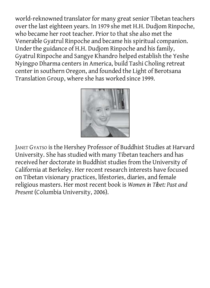world-reknowned translator for many great senior Tibetan teachers over the last eighteen years. In 1979 she met H.H. Dudjom Rinpoche, who became her root teacher. Prior to that she also met the Venerable Gyatrul Rinpoche and became his spiritual companion. Under the guidance of H.H. Dudjom Rinpoche and his family, Gyatrul Rinpoche and Sangye Khandro helped establish the Yeshe Nyingpo Dharma centers in America, build Tashi Choling retreat center in southern Oregon, and founded the Light of Berotsana Translation Group, where she has worked since 1999.



JANET GYATSO is the Hershey Professor of Buddhist Studies at Harvard University. She has studied with many Tibetan teachers and has received her doctorate in Buddhist studies from the University of California at Berkeley. Her recent research interests have focused on Tibetan visionary practices, lifestories, diaries, and female religious masters. Her most recent book is Women in Tibet: Past and Present (Columbia University, 2006).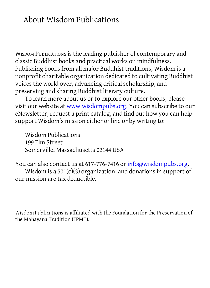### About Wisdom Publications

WISDOM PUBLICATIONS is the leading publisher of contemporary and classic Buddhist books and practical works on mindfulness. Publishing books from all major Buddhist traditions, Wisdom is a nonprofit charitable organization dedicated to cultivating Buddhist voices the world over, advancing critical scholarship, and preserving and sharing Buddhist literary culture.

To learn more about us or to explore our other books, please visit our website at [www.wisdompubs.org.](http://www.wisdompubs.org) You can subscribe to our eNewsletter, request a print catalog, and find out how you can help support Wisdom's mission either online or by writing to:

Wisdom Publications 199 Elm Street Somerville, Massachusetts 02144 USA

You can also contact us at 617-776-7416 or [info@wisdompubs.org](mailto:info@wisdompubs.org). Wisdom is a 501(c)(3) organization, and donations in support of our mission are tax deductible.

Wisdom Publications is affiliated with the Foundation for the Preservation of the Mahayana Tradition (FPMT).